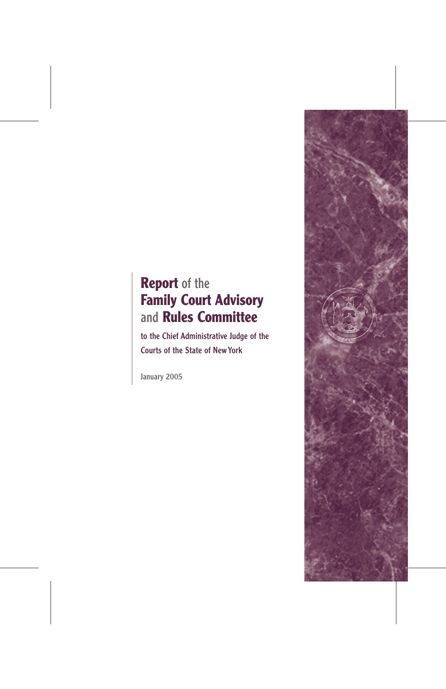# **Report** of the **Family Court Advisory** and **Rules Committee**

to the Chief Administrative Judge of the Courts of the State of New York

January 2005

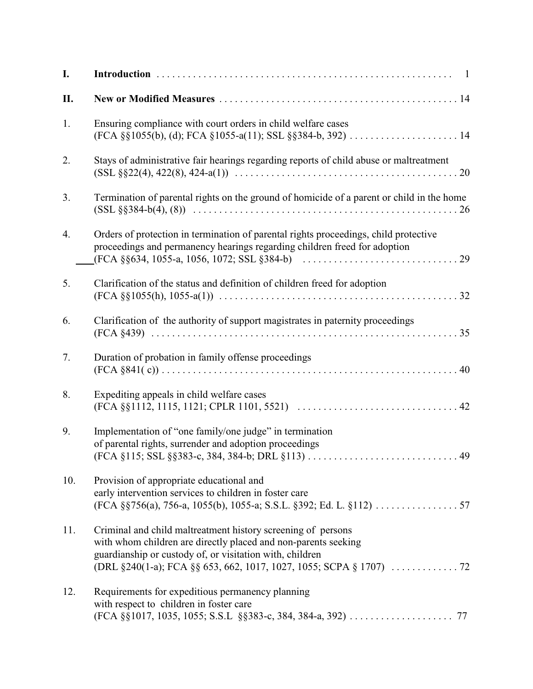| I.  |                                                                                                                                                                                            |
|-----|--------------------------------------------------------------------------------------------------------------------------------------------------------------------------------------------|
| П.  |                                                                                                                                                                                            |
| 1.  | Ensuring compliance with court orders in child welfare cases                                                                                                                               |
| 2.  | Stays of administrative fair hearings regarding reports of child abuse or maltreatment                                                                                                     |
| 3.  | Termination of parental rights on the ground of homicide of a parent or child in the home                                                                                                  |
| 4.  | Orders of protection in termination of parental rights proceedings, child protective<br>proceedings and permanency hearings regarding children freed for adoption                          |
| 5.  | Clarification of the status and definition of children freed for adoption                                                                                                                  |
| 6.  | Clarification of the authority of support magistrates in paternity proceedings                                                                                                             |
| 7.  | Duration of probation in family offense proceedings                                                                                                                                        |
| 8.  | Expediting appeals in child welfare cases                                                                                                                                                  |
| 9.  | Implementation of "one family/one judge" in termination<br>of parental rights, surrender and adoption proceedings<br>(FCA §115; SSL §§383-c, 384, 384-b; DRL §113)<br>49                   |
| 10. | Provision of appropriate educational and<br>early intervention services to children in foster care                                                                                         |
| 11. | Criminal and child maltreatment history screening of persons<br>with whom children are directly placed and non-parents seeking<br>guardianship or custody of, or visitation with, children |
| 12. | Requirements for expeditious permanency planning<br>with respect to children in foster care                                                                                                |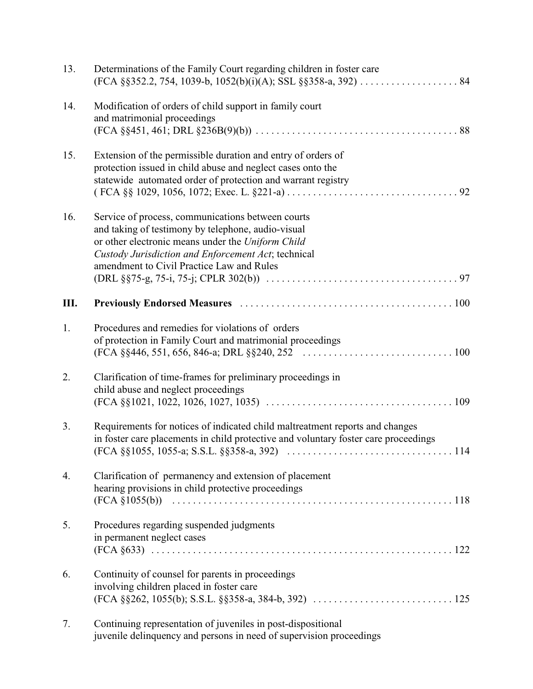| 13. | Determinations of the Family Court regarding children in foster care                                                                                                                                                                                             |
|-----|------------------------------------------------------------------------------------------------------------------------------------------------------------------------------------------------------------------------------------------------------------------|
| 14. | Modification of orders of child support in family court<br>and matrimonial proceedings                                                                                                                                                                           |
| 15. | Extension of the permissible duration and entry of orders of<br>protection issued in child abuse and neglect cases onto the<br>statewide automated order of protection and warrant registry                                                                      |
| 16. | Service of process, communications between courts<br>and taking of testimony by telephone, audio-visual<br>or other electronic means under the Uniform Child<br>Custody Jurisdiction and Enforcement Act; technical<br>amendment to Civil Practice Law and Rules |
| Ш.  |                                                                                                                                                                                                                                                                  |
| 1.  | Procedures and remedies for violations of orders<br>of protection in Family Court and matrimonial proceedings                                                                                                                                                    |
| 2.  | Clarification of time-frames for preliminary proceedings in<br>child abuse and neglect proceedings                                                                                                                                                               |
| 3.  | Requirements for notices of indicated child maltreatment reports and changes<br>in foster care placements in child protective and voluntary foster care proceedings                                                                                              |
| 4.  | Clarification of permanency and extension of placement<br>hearing provisions in child protective proceedings                                                                                                                                                     |
| 5.  | Procedures regarding suspended judgments<br>in permanent neglect cases                                                                                                                                                                                           |
| 6.  | Continuity of counsel for parents in proceedings<br>involving children placed in foster care                                                                                                                                                                     |
| 7.  | Continuing representation of juveniles in post-dispositional<br>juvenile delinquency and persons in need of supervision proceedings                                                                                                                              |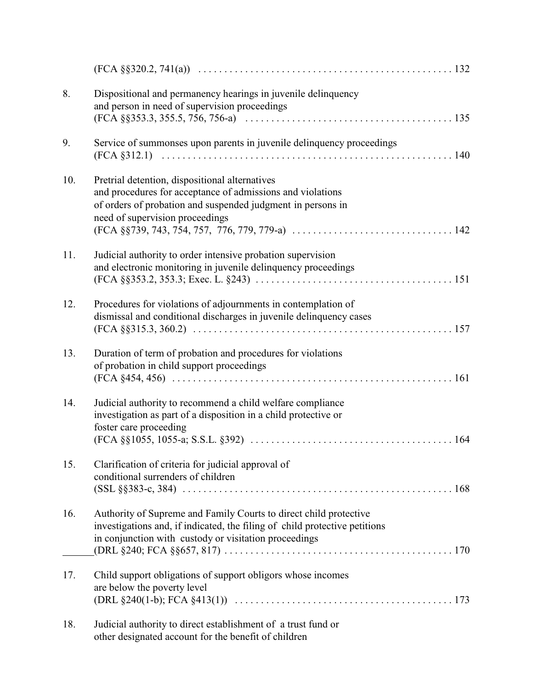| 8.  | Dispositional and permanency hearings in juvenile delinquency<br>and person in need of supervision proceedings                                                                                                 |
|-----|----------------------------------------------------------------------------------------------------------------------------------------------------------------------------------------------------------------|
|     |                                                                                                                                                                                                                |
| 9.  | Service of summonses upon parents in juvenile delinquency proceedings                                                                                                                                          |
| 10. | Pretrial detention, dispositional alternatives<br>and procedures for acceptance of admissions and violations<br>of orders of probation and suspended judgment in persons in<br>need of supervision proceedings |
| 11. | Judicial authority to order intensive probation supervision<br>and electronic monitoring in juvenile delinquency proceedings<br>$(FCA \S3353.2, 353.3; Exec. L \S243) \ldots$                                  |
| 12. | Procedures for violations of adjournments in contemplation of<br>dismissal and conditional discharges in juvenile delinquency cases                                                                            |
| 13. | Duration of term of probation and procedures for violations<br>of probation in child support proceedings                                                                                                       |
| 14. | Judicial authority to recommend a child welfare compliance<br>investigation as part of a disposition in a child protective or<br>foster care proceeding                                                        |
| 15. | Clarification of criteria for judicial approval of<br>conditional surrenders of children                                                                                                                       |
| 16. | Authority of Supreme and Family Courts to direct child protective<br>investigations and, if indicated, the filing of child protective petitions<br>in conjunction with custody or visitation proceedings       |
| 17. | Child support obligations of support obligors whose incomes<br>are below the poverty level                                                                                                                     |
| 18. | Judicial authority to direct establishment of a trust fund or<br>other designated account for the benefit of children                                                                                          |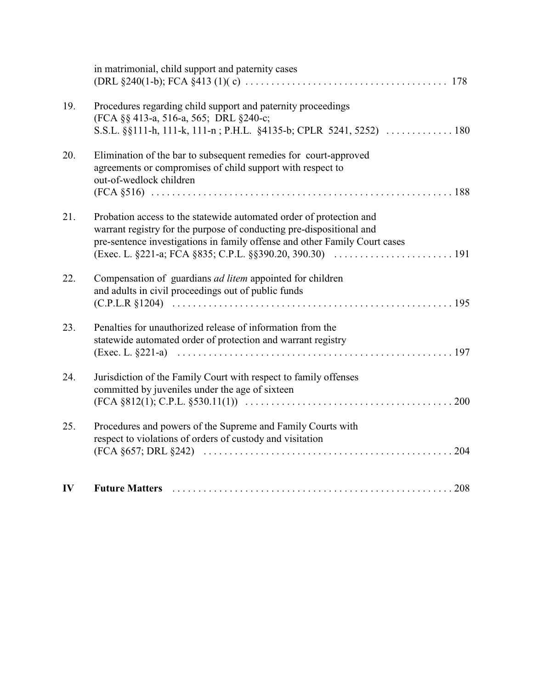| IV  | <b>Future Matters</b>                                                                                                                                                                                                     |
|-----|---------------------------------------------------------------------------------------------------------------------------------------------------------------------------------------------------------------------------|
| 25. | Procedures and powers of the Supreme and Family Courts with<br>respect to violations of orders of custody and visitation                                                                                                  |
| 24. | Jurisdiction of the Family Court with respect to family offenses<br>committed by juveniles under the age of sixteen                                                                                                       |
| 23. | Penalties for unauthorized release of information from the<br>statewide automated order of protection and warrant registry                                                                                                |
| 22. | Compensation of guardians <i>ad litem</i> appointed for children<br>and adults in civil proceedings out of public funds                                                                                                   |
| 21. | Probation access to the statewide automated order of protection and<br>warrant registry for the purpose of conducting pre-dispositional and<br>pre-sentence investigations in family offense and other Family Court cases |
| 20. | Elimination of the bar to subsequent remedies for court-approved<br>agreements or compromises of child support with respect to<br>out-of-wedlock children                                                                 |
| 19. | Procedures regarding child support and paternity proceedings<br>(FCA §§ 413-a, 516-a, 565; DRL §240-c;<br>S.S.L. §§111-h, 111-k, 111-n; P.H.L. §4135-b; CPLR 5241, 5252)  180                                             |
|     | in matrimonial, child support and paternity cases                                                                                                                                                                         |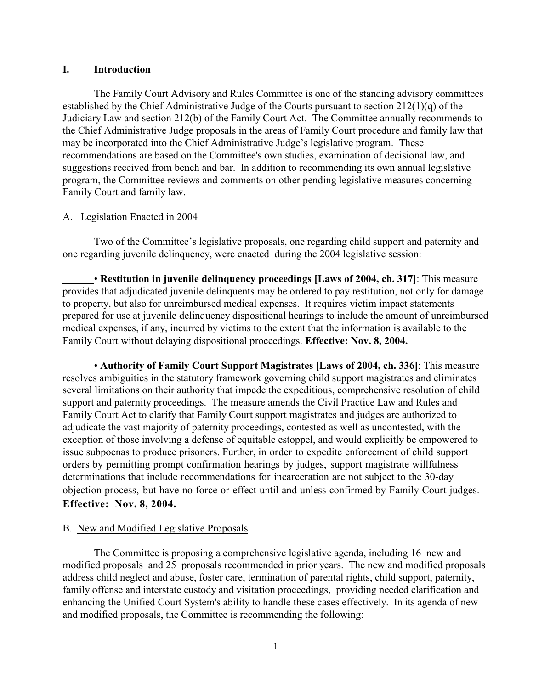# **I. Introduction**

The Family Court Advisory and Rules Committee is one of the standing advisory committees established by the Chief Administrative Judge of the Courts pursuant to section 212(1)(q) of the Judiciary Law and section 212(b) of the Family Court Act. The Committee annually recommends to the Chief Administrative Judge proposals in the areas of Family Court procedure and family law that may be incorporated into the Chief Administrative Judge's legislative program. These recommendations are based on the Committee's own studies, examination of decisional law, and suggestions received from bench and bar. In addition to recommending its own annual legislative program, the Committee reviews and comments on other pending legislative measures concerning Family Court and family law.

### A. Legislation Enacted in 2004

Two of the Committee's legislative proposals, one regarding child support and paternity and one regarding juvenile delinquency, were enacted during the 2004 legislative session:

• **Restitution in juvenile delinquency proceedings [Laws of 2004, ch. 317]**: This measure provides that adjudicated juvenile delinquents may be ordered to pay restitution, not only for damage to property, but also for unreimbursed medical expenses. It requires victim impact statements prepared for use at juvenile delinquency dispositional hearings to include the amount of unreimbursed medical expenses, if any, incurred by victims to the extent that the information is available to the Family Court without delaying dispositional proceedings. **Effective: Nov. 8, 2004.**

• **Authority of Family Court Support Magistrates [Laws of 2004, ch. 336]**: This measure resolves ambiguities in the statutory framework governing child support magistrates and eliminates several limitations on their authority that impede the expeditious, comprehensive resolution of child support and paternity proceedings. The measure amends the Civil Practice Law and Rules and Family Court Act to clarify that Family Court support magistrates and judges are authorized to adjudicate the vast majority of paternity proceedings, contested as well as uncontested, with the exception of those involving a defense of equitable estoppel, and would explicitly be empowered to issue subpoenas to produce prisoners. Further, in order to expedite enforcement of child support orders by permitting prompt confirmation hearings by judges, support magistrate willfulness determinations that include recommendations for incarceration are not subject to the 30-day objection process, but have no force or effect until and unless confirmed by Family Court judges. **Effective: Nov. 8, 2004.**

# B. New and Modified Legislative Proposals

The Committee is proposing a comprehensive legislative agenda, including 16 new and modified proposals and 25 proposals recommended in prior years. The new and modified proposals address child neglect and abuse, foster care, termination of parental rights, child support, paternity, family offense and interstate custody and visitation proceedings, providing needed clarification and enhancing the Unified Court System's ability to handle these cases effectively. In its agenda of new and modified proposals, the Committee is recommending the following: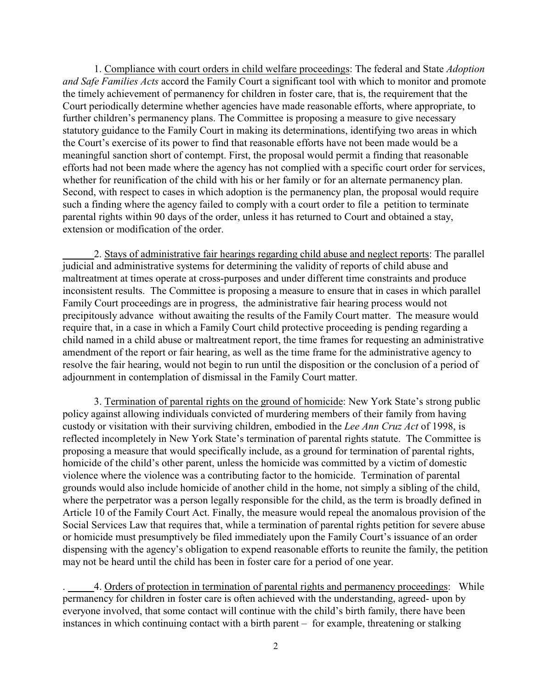1. Compliance with court orders in child welfare proceedings: The federal and State *Adoption and Safe Families Acts* accord the Family Court a significant tool with which to monitor and promote the timely achievement of permanency for children in foster care, that is, the requirement that the Court periodically determine whether agencies have made reasonable efforts, where appropriate, to further children's permanency plans. The Committee is proposing a measure to give necessary statutory guidance to the Family Court in making its determinations, identifying two areas in which the Court's exercise of its power to find that reasonable efforts have not been made would be a meaningful sanction short of contempt. First, the proposal would permit a finding that reasonable efforts had not been made where the agency has not complied with a specific court order for services, whether for reunification of the child with his or her family or for an alternate permanency plan. Second, with respect to cases in which adoption is the permanency plan, the proposal would require such a finding where the agency failed to comply with a court order to file a petition to terminate parental rights within 90 days of the order, unless it has returned to Court and obtained a stay, extension or modification of the order.

2. Stays of administrative fair hearings regarding child abuse and neglect reports: The parallel judicial and administrative systems for determining the validity of reports of child abuse and maltreatment at times operate at cross-purposes and under different time constraints and produce inconsistent results. The Committee is proposing a measure to ensure that in cases in which parallel Family Court proceedings are in progress, the administrative fair hearing process would not precipitously advance without awaiting the results of the Family Court matter. The measure would require that, in a case in which a Family Court child protective proceeding is pending regarding a child named in a child abuse or maltreatment report, the time frames for requesting an administrative amendment of the report or fair hearing, as well as the time frame for the administrative agency to resolve the fair hearing, would not begin to run until the disposition or the conclusion of a period of adjournment in contemplation of dismissal in the Family Court matter.

3. Termination of parental rights on the ground of homicide: New York State's strong public policy against allowing individuals convicted of murdering members of their family from having custody or visitation with their surviving children, embodied in the *Lee Ann Cruz Act* of 1998, is reflected incompletely in New York State's termination of parental rights statute. The Committee is proposing a measure that would specifically include, as a ground for termination of parental rights, homicide of the child's other parent, unless the homicide was committed by a victim of domestic violence where the violence was a contributing factor to the homicide. Termination of parental grounds would also include homicide of another child in the home, not simply a sibling of the child, where the perpetrator was a person legally responsible for the child, as the term is broadly defined in Article 10 of the Family Court Act. Finally, the measure would repeal the anomalous provision of the Social Services Law that requires that, while a termination of parental rights petition for severe abuse or homicide must presumptively be filed immediately upon the Family Court's issuance of an order dispensing with the agency's obligation to expend reasonable efforts to reunite the family, the petition may not be heard until the child has been in foster care for a period of one year.

. 4. Orders of protection in termination of parental rights and permanency proceedings: While permanency for children in foster care is often achieved with the understanding, agreed- upon by everyone involved, that some contact will continue with the child's birth family, there have been instances in which continuing contact with a birth parent – for example, threatening or stalking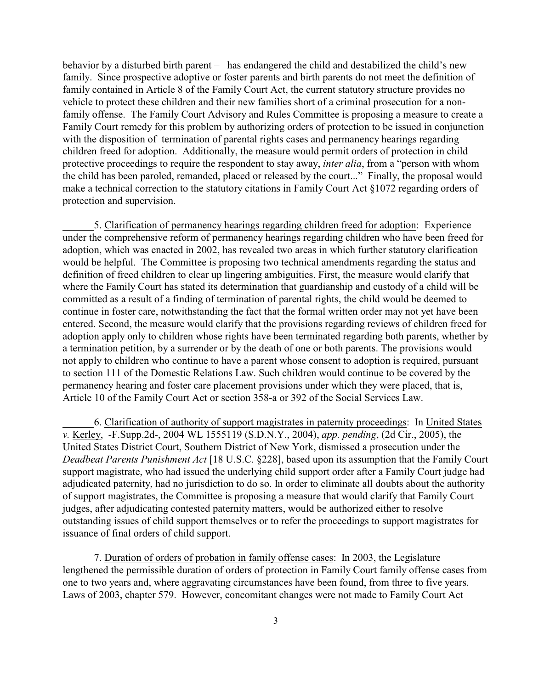behavior by a disturbed birth parent – has endangered the child and destabilized the child's new family. Since prospective adoptive or foster parents and birth parents do not meet the definition of family contained in Article 8 of the Family Court Act, the current statutory structure provides no vehicle to protect these children and their new families short of a criminal prosecution for a nonfamily offense. The Family Court Advisory and Rules Committee is proposing a measure to create a Family Court remedy for this problem by authorizing orders of protection to be issued in conjunction with the disposition of termination of parental rights cases and permanency hearings regarding children freed for adoption. Additionally, the measure would permit orders of protection in child protective proceedings to require the respondent to stay away, *inter alia*, from a "person with whom the child has been paroled, remanded, placed or released by the court..." Finally, the proposal would make a technical correction to the statutory citations in Family Court Act §1072 regarding orders of protection and supervision.

5. Clarification of permanency hearings regarding children freed for adoption: Experience under the comprehensive reform of permanency hearings regarding children who have been freed for adoption, which was enacted in 2002, has revealed two areas in which further statutory clarification would be helpful. The Committee is proposing two technical amendments regarding the status and definition of freed children to clear up lingering ambiguities. First, the measure would clarify that where the Family Court has stated its determination that guardianship and custody of a child will be committed as a result of a finding of termination of parental rights, the child would be deemed to continue in foster care, notwithstanding the fact that the formal written order may not yet have been entered. Second, the measure would clarify that the provisions regarding reviews of children freed for adoption apply only to children whose rights have been terminated regarding both parents, whether by a termination petition, by a surrender or by the death of one or both parents. The provisions would not apply to children who continue to have a parent whose consent to adoption is required, pursuant to section 111 of the Domestic Relations Law. Such children would continue to be covered by the permanency hearing and foster care placement provisions under which they were placed, that is, Article 10 of the Family Court Act or section 358-a or 392 of the Social Services Law.

6. Clarification of authority of support magistrates in paternity proceedings: In United States *v.* Kerley, -F.Supp.2d-, 2004 WL 1555119 (S.D.N.Y., 2004), *app. pending*, (2d Cir., 2005), the United States District Court, Southern District of New York, dismissed a prosecution under the *Deadbeat Parents Punishment Act* [18 U.S.C. §228], based upon its assumption that the Family Court support magistrate, who had issued the underlying child support order after a Family Court judge had adjudicated paternity, had no jurisdiction to do so. In order to eliminate all doubts about the authority of support magistrates, the Committee is proposing a measure that would clarify that Family Court judges, after adjudicating contested paternity matters, would be authorized either to resolve outstanding issues of child support themselves or to refer the proceedings to support magistrates for issuance of final orders of child support.

7. Duration of orders of probation in family offense cases: In 2003, the Legislature lengthened the permissible duration of orders of protection in Family Court family offense cases from one to two years and, where aggravating circumstances have been found, from three to five years. Laws of 2003, chapter 579. However, concomitant changes were not made to Family Court Act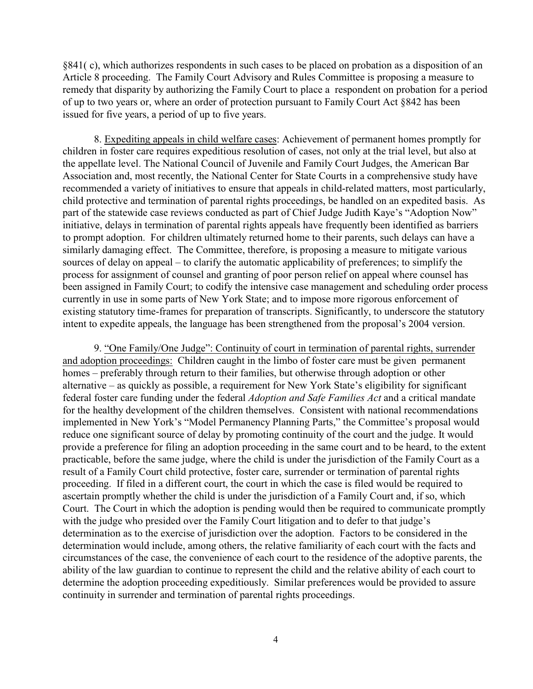§841( c), which authorizes respondents in such cases to be placed on probation as a disposition of an Article 8 proceeding. The Family Court Advisory and Rules Committee is proposing a measure to remedy that disparity by authorizing the Family Court to place a respondent on probation for a period of up to two years or, where an order of protection pursuant to Family Court Act §842 has been issued for five years, a period of up to five years.

8. Expediting appeals in child welfare cases: Achievement of permanent homes promptly for children in foster care requires expeditious resolution of cases, not only at the trial level, but also at the appellate level. The National Council of Juvenile and Family Court Judges, the American Bar Association and, most recently, the National Center for State Courts in a comprehensive study have recommended a variety of initiatives to ensure that appeals in child-related matters, most particularly, child protective and termination of parental rights proceedings, be handled on an expedited basis. As part of the statewide case reviews conducted as part of Chief Judge Judith Kaye's "Adoption Now" initiative, delays in termination of parental rights appeals have frequently been identified as barriers to prompt adoption. For children ultimately returned home to their parents, such delays can have a similarly damaging effect. The Committee, therefore, is proposing a measure to mitigate various sources of delay on appeal – to clarify the automatic applicability of preferences; to simplify the process for assignment of counsel and granting of poor person relief on appeal where counsel has been assigned in Family Court; to codify the intensive case management and scheduling order process currently in use in some parts of New York State; and to impose more rigorous enforcement of existing statutory time-frames for preparation of transcripts. Significantly, to underscore the statutory intent to expedite appeals, the language has been strengthened from the proposal's 2004 version.

9. "One Family/One Judge": Continuity of court in termination of parental rights, surrender and adoption proceedings: Children caught in the limbo of foster care must be given permanent homes – preferably through return to their families, but otherwise through adoption or other alternative – as quickly as possible, a requirement for New York State's eligibility for significant federal foster care funding under the federal *Adoption and Safe Families Act* and a critical mandate for the healthy development of the children themselves. Consistent with national recommendations implemented in New York's "Model Permanency Planning Parts," the Committee's proposal would reduce one significant source of delay by promoting continuity of the court and the judge. It would provide a preference for filing an adoption proceeding in the same court and to be heard, to the extent practicable, before the same judge, where the child is under the jurisdiction of the Family Court as a result of a Family Court child protective, foster care, surrender or termination of parental rights proceeding. If filed in a different court, the court in which the case is filed would be required to ascertain promptly whether the child is under the jurisdiction of a Family Court and, if so, which Court. The Court in which the adoption is pending would then be required to communicate promptly with the judge who presided over the Family Court litigation and to defer to that judge's determination as to the exercise of jurisdiction over the adoption. Factors to be considered in the determination would include, among others, the relative familiarity of each court with the facts and circumstances of the case, the convenience of each court to the residence of the adoptive parents, the ability of the law guardian to continue to represent the child and the relative ability of each court to determine the adoption proceeding expeditiously. Similar preferences would be provided to assure continuity in surrender and termination of parental rights proceedings.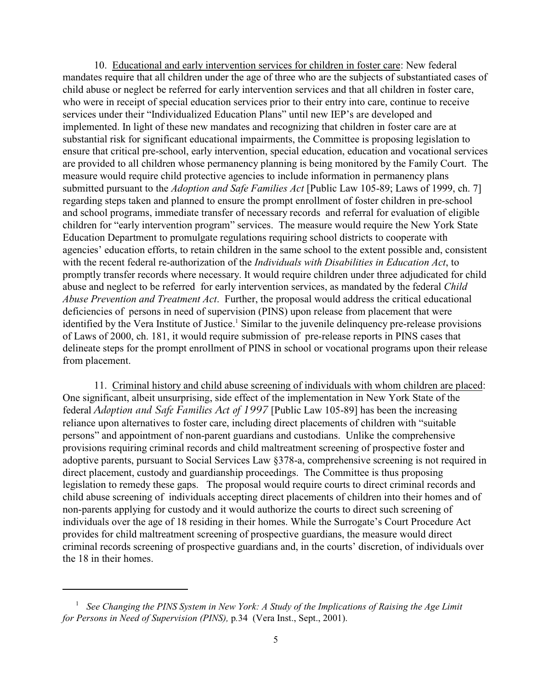10. Educational and early intervention services for children in foster care: New federal mandates require that all children under the age of three who are the subjects of substantiated cases of child abuse or neglect be referred for early intervention services and that all children in foster care, who were in receipt of special education services prior to their entry into care, continue to receive services under their "Individualized Education Plans" until new IEP's are developed and implemented. In light of these new mandates and recognizing that children in foster care are at substantial risk for significant educational impairments, the Committee is proposing legislation to ensure that critical pre-school, early intervention, special education, education and vocational services are provided to all children whose permanency planning is being monitored by the Family Court. The measure would require child protective agencies to include information in permanency plans submitted pursuant to the *Adoption and Safe Families Act* [Public Law 105-89; Laws of 1999, ch. 7] regarding steps taken and planned to ensure the prompt enrollment of foster children in pre-school and school programs, immediate transfer of necessary records and referral for evaluation of eligible children for "early intervention program" services. The measure would require the New York State Education Department to promulgate regulations requiring school districts to cooperate with agencies' education efforts, to retain children in the same school to the extent possible and, consistent with the recent federal re-authorization of the *Individuals with Disabilities in Education Act*, to promptly transfer records where necessary. It would require children under three adjudicated for child abuse and neglect to be referred for early intervention services, as mandated by the federal *Child Abuse Prevention and Treatment Act*. Further, the proposal would address the critical educational deficiencies of persons in need of supervision (PINS) upon release from placement that were identified by the Vera Institute of Justice.<sup>1</sup> Similar to the juvenile delinquency pre-release provisions of Laws of 2000, ch. 181, it would require submission of pre-release reports in PINS cases that delineate steps for the prompt enrollment of PINS in school or vocational programs upon their release from placement.

11. Criminal history and child abuse screening of individuals with whom children are placed: One significant, albeit unsurprising, side effect of the implementation in New York State of the federal *Adoption and Safe Families Act of 1997* [Public Law 105-89] has been the increasing reliance upon alternatives to foster care, including direct placements of children with "suitable persons" and appointment of non-parent guardians and custodians. Unlike the comprehensive provisions requiring criminal records and child maltreatment screening of prospective foster and adoptive parents, pursuant to Social Services Law §378-a, comprehensive screening is not required in direct placement, custody and guardianship proceedings. The Committee is thus proposing legislation to remedy these gaps. The proposal would require courts to direct criminal records and child abuse screening of individuals accepting direct placements of children into their homes and of non-parents applying for custody and it would authorize the courts to direct such screening of individuals over the age of 18 residing in their homes. While the Surrogate's Court Procedure Act provides for child maltreatment screening of prospective guardians, the measure would direct criminal records screening of prospective guardians and, in the courts' discretion, of individuals over the 18 in their homes.

<sup>&</sup>lt;sup>1</sup> See Changing the PINS System in New York: A Study of the Implications of Raising the Age Limit *for Persons in Need of Supervision (PINS),* p*.*34 (Vera Inst., Sept., 2001).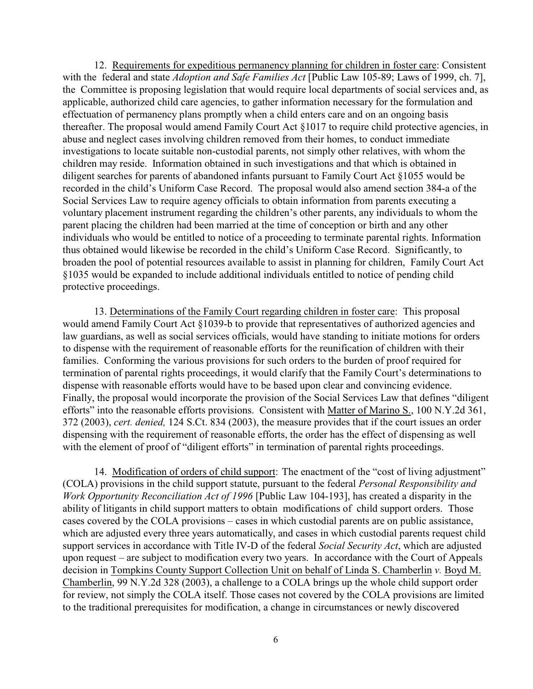12. Requirements for expeditious permanency planning for children in foster care: Consistent with the federal and state *Adoption and Safe Families Act* [Public Law 105-89; Laws of 1999, ch. 7], the Committee is proposing legislation that would require local departments of social services and, as applicable, authorized child care agencies, to gather information necessary for the formulation and effectuation of permanency plans promptly when a child enters care and on an ongoing basis thereafter. The proposal would amend Family Court Act §1017 to require child protective agencies, in abuse and neglect cases involving children removed from their homes, to conduct immediate investigations to locate suitable non-custodial parents, not simply other relatives, with whom the children may reside. Information obtained in such investigations and that which is obtained in diligent searches for parents of abandoned infants pursuant to Family Court Act §1055 would be recorded in the child's Uniform Case Record. The proposal would also amend section 384-a of the Social Services Law to require agency officials to obtain information from parents executing a voluntary placement instrument regarding the children's other parents, any individuals to whom the parent placing the children had been married at the time of conception or birth and any other individuals who would be entitled to notice of a proceeding to terminate parental rights. Information thus obtained would likewise be recorded in the child's Uniform Case Record. Significantly, to broaden the pool of potential resources available to assist in planning for children, Family Court Act §1035 would be expanded to include additional individuals entitled to notice of pending child protective proceedings.

13. Determinations of the Family Court regarding children in foster care: This proposal would amend Family Court Act §1039-b to provide that representatives of authorized agencies and law guardians, as well as social services officials, would have standing to initiate motions for orders to dispense with the requirement of reasonable efforts for the reunification of children with their families. Conforming the various provisions for such orders to the burden of proof required for termination of parental rights proceedings, it would clarify that the Family Court's determinations to dispense with reasonable efforts would have to be based upon clear and convincing evidence. Finally, the proposal would incorporate the provision of the Social Services Law that defines "diligent efforts" into the reasonable efforts provisions. Consistent with Matter of Marino S., 100 N.Y.2d 361, 372 (2003), *cert. denied,* 124 S.Ct. 834 (2003), the measure provides that if the court issues an order dispensing with the requirement of reasonable efforts, the order has the effect of dispensing as well with the element of proof of "diligent efforts" in termination of parental rights proceedings.

14. Modification of orders of child support: The enactment of the "cost of living adjustment" (COLA) provisions in the child support statute, pursuant to the federal *Personal Responsibility and Work Opportunity Reconciliation Act of 1996* [Public Law 104-193], has created a disparity in the ability of litigants in child support matters to obtain modifications of child support orders. Those cases covered by the COLA provisions – cases in which custodial parents are on public assistance, which are adjusted every three years automatically, and cases in which custodial parents request child support services in accordance with Title IV-D of the federal *Social Security Act*, which are adjusted upon request – are subject to modification every two years. In accordance with the Court of Appeals decision in Tompkins County Support Collection Unit on behalf of Linda S. Chamberlin *v.* Boyd M. Chamberlin, 99 N.Y.2d 328 (2003), a challenge to a COLA brings up the whole child support order for review, not simply the COLA itself. Those cases not covered by the COLA provisions are limited to the traditional prerequisites for modification, a change in circumstances or newly discovered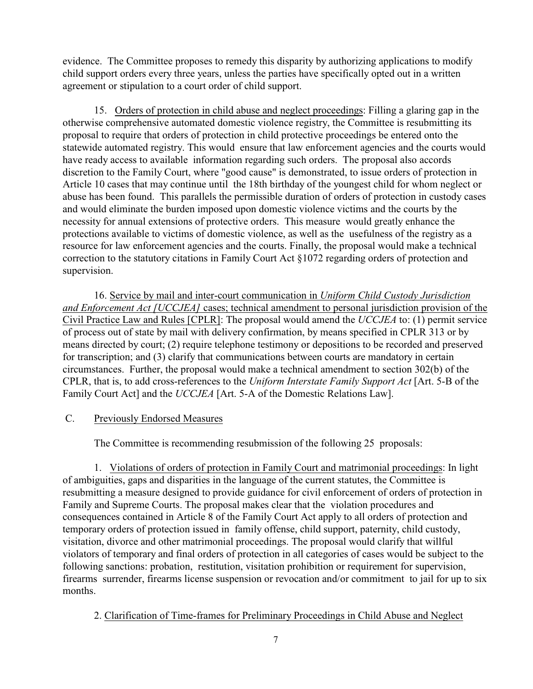evidence. The Committee proposes to remedy this disparity by authorizing applications to modify child support orders every three years, unless the parties have specifically opted out in a written agreement or stipulation to a court order of child support.

15. Orders of protection in child abuse and neglect proceedings: Filling a glaring gap in the otherwise comprehensive automated domestic violence registry, the Committee is resubmitting its proposal to require that orders of protection in child protective proceedings be entered onto the statewide automated registry. This would ensure that law enforcement agencies and the courts would have ready access to available information regarding such orders. The proposal also accords discretion to the Family Court, where "good cause" is demonstrated, to issue orders of protection in Article 10 cases that may continue until the 18th birthday of the youngest child for whom neglect or abuse has been found. This parallels the permissible duration of orders of protection in custody cases and would eliminate the burden imposed upon domestic violence victims and the courts by the necessity for annual extensions of protective orders. This measure would greatly enhance the protections available to victims of domestic violence, as well as the usefulness of the registry as a resource for law enforcement agencies and the courts. Finally, the proposal would make a technical correction to the statutory citations in Family Court Act §1072 regarding orders of protection and supervision.

16. Service by mail and inter-court communication in *Uniform Child Custody Jurisdiction and Enforcement Act [UCCJEA]* cases; technical amendment to personal jurisdiction provision of the Civil Practice Law and Rules [CPLR]: The proposal would amend the *UCCJEA* to: (1) permit service of process out of state by mail with delivery confirmation, by means specified in CPLR 313 or by means directed by court; (2) require telephone testimony or depositions to be recorded and preserved for transcription; and (3) clarify that communications between courts are mandatory in certain circumstances. Further, the proposal would make a technical amendment to section 302(b) of the CPLR, that is, to add cross-references to the *Uniform Interstate Family Support Act* [Art. 5-B of the Family Court Act] and the *UCCJEA* [Art. 5-A of the Domestic Relations Law].

# C. Previously Endorsed Measures

The Committee is recommending resubmission of the following 25 proposals:

1. Violations of orders of protection in Family Court and matrimonial proceedings: In light of ambiguities, gaps and disparities in the language of the current statutes, the Committee is resubmitting a measure designed to provide guidance for civil enforcement of orders of protection in Family and Supreme Courts. The proposal makes clear that the violation procedures and consequences contained in Article 8 of the Family Court Act apply to all orders of protection and temporary orders of protection issued in family offense, child support, paternity, child custody, visitation, divorce and other matrimonial proceedings. The proposal would clarify that willful violators of temporary and final orders of protection in all categories of cases would be subject to the following sanctions: probation, restitution, visitation prohibition or requirement for supervision, firearms surrender, firearms license suspension or revocation and/or commitment to jail for up to six months.

2. Clarification of Time-frames for Preliminary Proceedings in Child Abuse and Neglect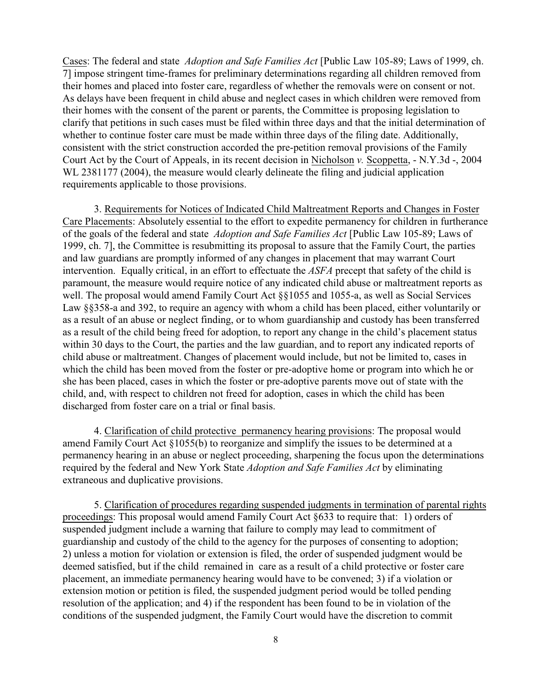Cases: The federal and state *Adoption and Safe Families Act* [Public Law 105-89; Laws of 1999, ch. 7] impose stringent time-frames for preliminary determinations regarding all children removed from their homes and placed into foster care, regardless of whether the removals were on consent or not. As delays have been frequent in child abuse and neglect cases in which children were removed from their homes with the consent of the parent or parents, the Committee is proposing legislation to clarify that petitions in such cases must be filed within three days and that the initial determination of whether to continue foster care must be made within three days of the filing date. Additionally, consistent with the strict construction accorded the pre-petition removal provisions of the Family Court Act by the Court of Appeals, in its recent decision in Nicholson *v.* Scoppetta, - N.Y.3d -, 2004 WL 2381177 (2004), the measure would clearly delineate the filing and judicial application requirements applicable to those provisions.

3. Requirements for Notices of Indicated Child Maltreatment Reports and Changes in Foster Care Placements: Absolutely essential to the effort to expedite permanency for children in furtherance of the goals of the federal and state *Adoption and Safe Families Act* [Public Law 105-89; Laws of 1999, ch. 7], the Committee is resubmitting its proposal to assure that the Family Court, the parties and law guardians are promptly informed of any changes in placement that may warrant Court intervention. Equally critical, in an effort to effectuate the *ASFA* precept that safety of the child is paramount, the measure would require notice of any indicated child abuse or maltreatment reports as well. The proposal would amend Family Court Act §§1055 and 1055-a, as well as Social Services Law §§358-a and 392, to require an agency with whom a child has been placed, either voluntarily or as a result of an abuse or neglect finding, or to whom guardianship and custody has been transferred as a result of the child being freed for adoption, to report any change in the child's placement status within 30 days to the Court, the parties and the law guardian, and to report any indicated reports of child abuse or maltreatment. Changes of placement would include, but not be limited to, cases in which the child has been moved from the foster or pre-adoptive home or program into which he or she has been placed, cases in which the foster or pre-adoptive parents move out of state with the child, and, with respect to children not freed for adoption, cases in which the child has been discharged from foster care on a trial or final basis.

4. Clarification of child protective permanency hearing provisions: The proposal would amend Family Court Act §1055(b) to reorganize and simplify the issues to be determined at a permanency hearing in an abuse or neglect proceeding, sharpening the focus upon the determinations required by the federal and New York State *Adoption and Safe Families Act* by eliminating extraneous and duplicative provisions.

5. Clarification of procedures regarding suspended judgments in termination of parental rights proceedings: This proposal would amend Family Court Act §633 to require that: 1) orders of suspended judgment include a warning that failure to comply may lead to commitment of guardianship and custody of the child to the agency for the purposes of consenting to adoption; 2) unless a motion for violation or extension is filed, the order of suspended judgment would be deemed satisfied, but if the child remained in care as a result of a child protective or foster care placement, an immediate permanency hearing would have to be convened; 3) if a violation or extension motion or petition is filed, the suspended judgment period would be tolled pending resolution of the application; and 4) if the respondent has been found to be in violation of the conditions of the suspended judgment, the Family Court would have the discretion to commit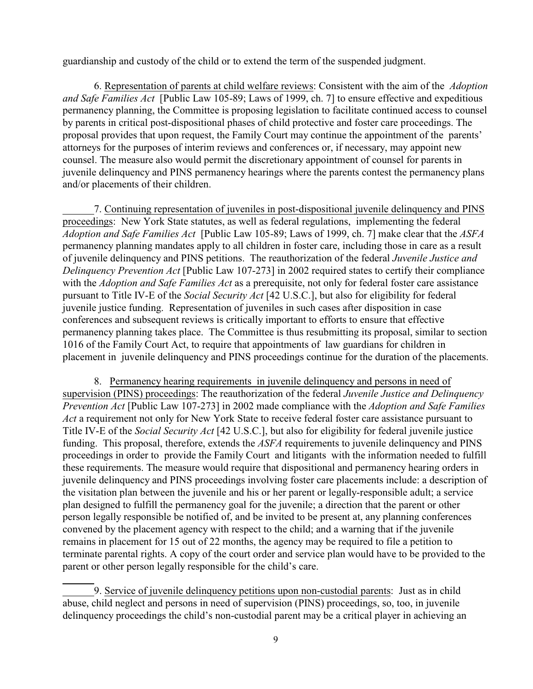guardianship and custody of the child or to extend the term of the suspended judgment.

6. Representation of parents at child welfare reviews: Consistent with the aim of the *Adoption and Safe Families Act* [Public Law 105-89; Laws of 1999, ch. 7] to ensure effective and expeditious permanency planning, the Committee is proposing legislation to facilitate continued access to counsel by parents in critical post-dispositional phases of child protective and foster care proceedings. The proposal provides that upon request, the Family Court may continue the appointment of the parents' attorneys for the purposes of interim reviews and conferences or, if necessary, may appoint new counsel. The measure also would permit the discretionary appointment of counsel for parents in juvenile delinquency and PINS permanency hearings where the parents contest the permanency plans and/or placements of their children.

7. Continuing representation of juveniles in post-dispositional juvenile delinquency and PINS proceedings: New York State statutes, as well as federal regulations, implementing the federal *Adoption and Safe Families Act* [Public Law 105-89; Laws of 1999, ch. 7] make clear that the *ASFA* permanency planning mandates apply to all children in foster care, including those in care as a result of juvenile delinquency and PINS petitions. The reauthorization of the federal *Juvenile Justice and Delinquency Prevention Act* [Public Law 107-273] in 2002 required states to certify their compliance with the *Adoption and Safe Families Act* as a prerequisite, not only for federal foster care assistance pursuant to Title IV-E of the *Social Security Act* [42 U.S.C.], but also for eligibility for federal juvenile justice funding. Representation of juveniles in such cases after disposition in case conferences and subsequent reviews is critically important to efforts to ensure that effective permanency planning takes place. The Committee is thus resubmitting its proposal, similar to section 1016 of the Family Court Act, to require that appointments of law guardians for children in placement in juvenile delinquency and PINS proceedings continue for the duration of the placements.

8. Permanency hearing requirements in juvenile delinquency and persons in need of supervision (PINS) proceedings: The reauthorization of the federal *Juvenile Justice and Delinquency Prevention Act* [Public Law 107-273] in 2002 made compliance with the *Adoption and Safe Families Act* a requirement not only for New York State to receive federal foster care assistance pursuant to Title IV-E of the *Social Security Act* [42 U.S.C.], but also for eligibility for federal juvenile justice funding. This proposal, therefore, extends the *ASFA* requirements to juvenile delinquency and PINS proceedings in order to provide the Family Court and litigants with the information needed to fulfill these requirements. The measure would require that dispositional and permanency hearing orders in juvenile delinquency and PINS proceedings involving foster care placements include: a description of the visitation plan between the juvenile and his or her parent or legally-responsible adult; a service plan designed to fulfill the permanency goal for the juvenile; a direction that the parent or other person legally responsible be notified of, and be invited to be present at, any planning conferences convened by the placement agency with respect to the child; and a warning that if the juvenile remains in placement for 15 out of 22 months, the agency may be required to file a petition to terminate parental rights. A copy of the court order and service plan would have to be provided to the parent or other person legally responsible for the child's care.

9. Service of juvenile delinquency petitions upon non-custodial parents: Just as in child abuse, child neglect and persons in need of supervision (PINS) proceedings, so, too, in juvenile delinquency proceedings the child's non-custodial parent may be a critical player in achieving an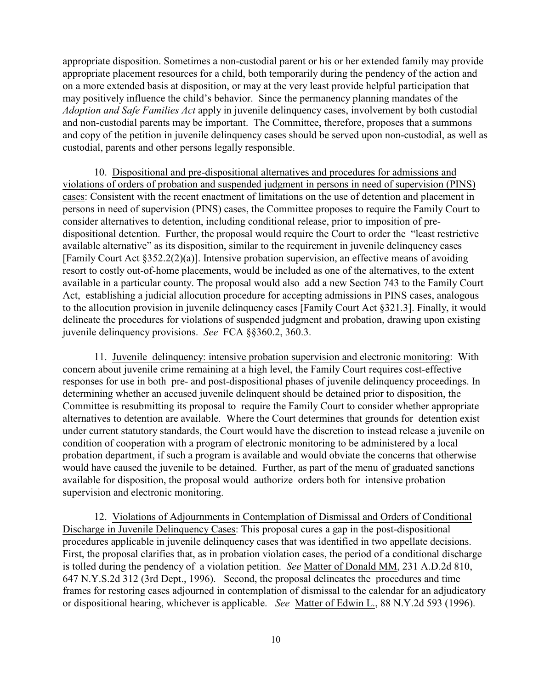appropriate disposition. Sometimes a non-custodial parent or his or her extended family may provide appropriate placement resources for a child, both temporarily during the pendency of the action and on a more extended basis at disposition, or may at the very least provide helpful participation that may positively influence the child's behavior. Since the permanency planning mandates of the *Adoption and Safe Families Act* apply in juvenile delinquency cases, involvement by both custodial and non-custodial parents may be important. The Committee, therefore, proposes that a summons and copy of the petition in juvenile delinquency cases should be served upon non-custodial, as well as custodial, parents and other persons legally responsible.

10. Dispositional and pre-dispositional alternatives and procedures for admissions and violations of orders of probation and suspended judgment in persons in need of supervision (PINS) cases: Consistent with the recent enactment of limitations on the use of detention and placement in persons in need of supervision (PINS) cases, the Committee proposes to require the Family Court to consider alternatives to detention, including conditional release, prior to imposition of predispositional detention. Further, the proposal would require the Court to order the "least restrictive available alternative" as its disposition, similar to the requirement in juvenile delinquency cases [Family Court Act §352.2(2)(a)]. Intensive probation supervision, an effective means of avoiding resort to costly out-of-home placements, would be included as one of the alternatives, to the extent available in a particular county. The proposal would also add a new Section 743 to the Family Court Act, establishing a judicial allocution procedure for accepting admissions in PINS cases, analogous to the allocution provision in juvenile delinquency cases [Family Court Act §321.3]. Finally, it would delineate the procedures for violations of suspended judgment and probation, drawing upon existing juvenile delinquency provisions. *See* FCA §§360.2, 360.3.

11. Juvenile delinquency: intensive probation supervision and electronic monitoring: With concern about juvenile crime remaining at a high level, the Family Court requires cost-effective responses for use in both pre- and post-dispositional phases of juvenile delinquency proceedings. In determining whether an accused juvenile delinquent should be detained prior to disposition, the Committee is resubmitting its proposal to require the Family Court to consider whether appropriate alternatives to detention are available. Where the Court determines that grounds for detention exist under current statutory standards, the Court would have the discretion to instead release a juvenile on condition of cooperation with a program of electronic monitoring to be administered by a local probation department, if such a program is available and would obviate the concerns that otherwise would have caused the juvenile to be detained. Further, as part of the menu of graduated sanctions available for disposition, the proposal would authorize orders both for intensive probation supervision and electronic monitoring.

12. Violations of Adjournments in Contemplation of Dismissal and Orders of Conditional Discharge in Juvenile Delinquency Cases: This proposal cures a gap in the post-dispositional procedures applicable in juvenile delinquency cases that was identified in two appellate decisions. First, the proposal clarifies that, as in probation violation cases, the period of a conditional discharge is tolled during the pendency of a violation petition. *See* Matter of Donald MM, 231 A.D.2d 810, 647 N.Y.S.2d 312 (3rd Dept., 1996). Second, the proposal delineates the procedures and time frames for restoring cases adjourned in contemplation of dismissal to the calendar for an adjudicatory or dispositional hearing, whichever is applicable. *See* Matter of Edwin L., 88 N.Y.2d 593 (1996).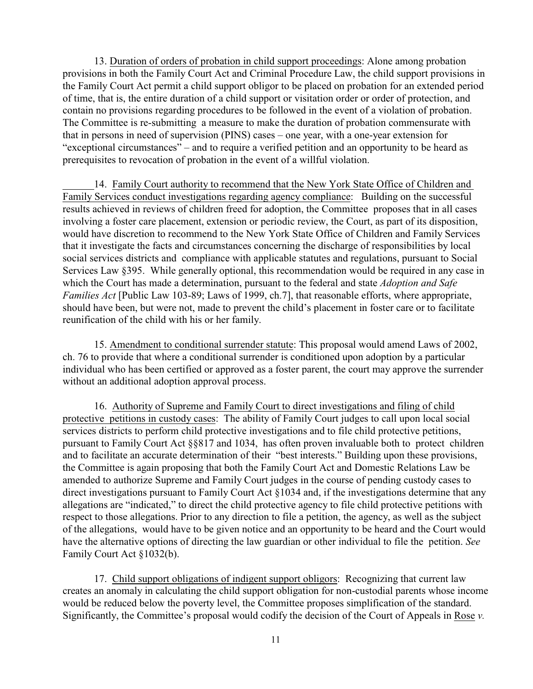13. Duration of orders of probation in child support proceedings: Alone among probation provisions in both the Family Court Act and Criminal Procedure Law, the child support provisions in the Family Court Act permit a child support obligor to be placed on probation for an extended period of time, that is, the entire duration of a child support or visitation order or order of protection, and contain no provisions regarding procedures to be followed in the event of a violation of probation. The Committee is re-submitting a measure to make the duration of probation commensurate with that in persons in need of supervision (PINS) cases – one year, with a one-year extension for "exceptional circumstances" – and to require a verified petition and an opportunity to be heard as prerequisites to revocation of probation in the event of a willful violation.

14. Family Court authority to recommend that the New York State Office of Children and Family Services conduct investigations regarding agency compliance: Building on the successful results achieved in reviews of children freed for adoption, the Committee proposes that in all cases involving a foster care placement, extension or periodic review, the Court, as part of its disposition, would have discretion to recommend to the New York State Office of Children and Family Services that it investigate the facts and circumstances concerning the discharge of responsibilities by local social services districts and compliance with applicable statutes and regulations, pursuant to Social Services Law §395. While generally optional, this recommendation would be required in any case in which the Court has made a determination, pursuant to the federal and state *Adoption and Safe Families Act* [Public Law 103-89; Laws of 1999, ch.7], that reasonable efforts, where appropriate, should have been, but were not, made to prevent the child's placement in foster care or to facilitate reunification of the child with his or her family.

15. Amendment to conditional surrender statute: This proposal would amend Laws of 2002, ch. 76 to provide that where a conditional surrender is conditioned upon adoption by a particular individual who has been certified or approved as a foster parent, the court may approve the surrender without an additional adoption approval process.

16. Authority of Supreme and Family Court to direct investigations and filing of child protective petitions in custody cases: The ability of Family Court judges to call upon local social services districts to perform child protective investigations and to file child protective petitions, pursuant to Family Court Act §§817 and 1034, has often proven invaluable both to protect children and to facilitate an accurate determination of their "best interests." Building upon these provisions, the Committee is again proposing that both the Family Court Act and Domestic Relations Law be amended to authorize Supreme and Family Court judges in the course of pending custody cases to direct investigations pursuant to Family Court Act §1034 and, if the investigations determine that any allegations are "indicated," to direct the child protective agency to file child protective petitions with respect to those allegations. Prior to any direction to file a petition, the agency, as well as the subject of the allegations, would have to be given notice and an opportunity to be heard and the Court would have the alternative options of directing the law guardian or other individual to file the petition. *See* Family Court Act §1032(b).

17. Child support obligations of indigent support obligors: Recognizing that current law creates an anomaly in calculating the child support obligation for non-custodial parents whose income would be reduced below the poverty level, the Committee proposes simplification of the standard. Significantly, the Committee's proposal would codify the decision of the Court of Appeals in Rose *v.*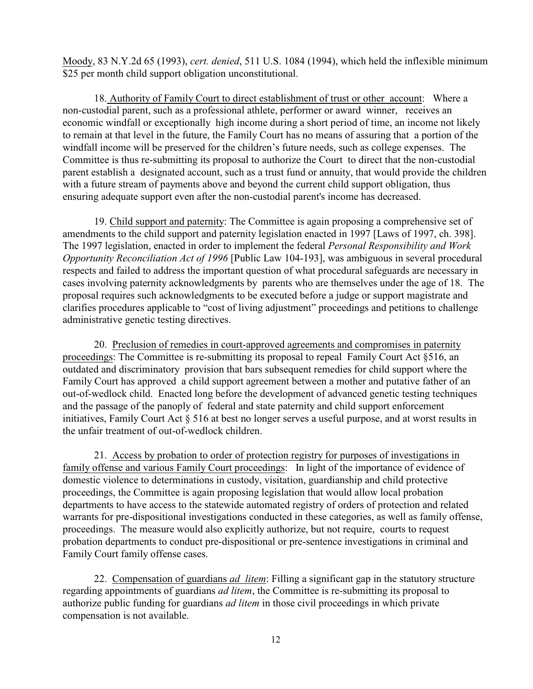Moody, 83 N.Y.2d 65 (1993), *cert. denied*, 511 U.S. 1084 (1994), which held the inflexible minimum \$25 per month child support obligation unconstitutional.

18. Authority of Family Court to direct establishment of trust or other account: Where a non-custodial parent, such as a professional athlete, performer or award winner, receives an economic windfall or exceptionally high income during a short period of time, an income not likely to remain at that level in the future, the Family Court has no means of assuring that a portion of the windfall income will be preserved for the children's future needs, such as college expenses. The Committee is thus re-submitting its proposal to authorize the Court to direct that the non-custodial parent establish a designated account, such as a trust fund or annuity, that would provide the children with a future stream of payments above and beyond the current child support obligation, thus ensuring adequate support even after the non-custodial parent's income has decreased.

19. Child support and paternity: The Committee is again proposing a comprehensive set of amendments to the child support and paternity legislation enacted in 1997 [Laws of 1997, ch. 398]. The 1997 legislation, enacted in order to implement the federal *Personal Responsibility and Work Opportunity Reconciliation Act of 1996* [Public Law 104-193], was ambiguous in several procedural respects and failed to address the important question of what procedural safeguards are necessary in cases involving paternity acknowledgments by parents who are themselves under the age of 18. The proposal requires such acknowledgments to be executed before a judge or support magistrate and clarifies procedures applicable to "cost of living adjustment" proceedings and petitions to challenge administrative genetic testing directives.

20. Preclusion of remedies in court-approved agreements and compromises in paternity proceedings: The Committee is re-submitting its proposal to repeal Family Court Act §516, an outdated and discriminatory provision that bars subsequent remedies for child support where the Family Court has approved a child support agreement between a mother and putative father of an out-of-wedlock child. Enacted long before the development of advanced genetic testing techniques and the passage of the panoply of federal and state paternity and child support enforcement initiatives, Family Court Act § 516 at best no longer serves a useful purpose, and at worst results in the unfair treatment of out-of-wedlock children.

21. Access by probation to order of protection registry for purposes of investigations in family offense and various Family Court proceedings: In light of the importance of evidence of domestic violence to determinations in custody, visitation, guardianship and child protective proceedings, the Committee is again proposing legislation that would allow local probation departments to have access to the statewide automated registry of orders of protection and related warrants for pre-dispositional investigations conducted in these categories, as well as family offense, proceedings. The measure would also explicitly authorize, but not require, courts to request probation departments to conduct pre-dispositional or pre-sentence investigations in criminal and Family Court family offense cases.

22. Compensation of guardians *ad litem*: Filling a significant gap in the statutory structure regarding appointments of guardians *ad litem*, the Committee is re-submitting its proposal to authorize public funding for guardians *ad litem* in those civil proceedings in which private compensation is not available.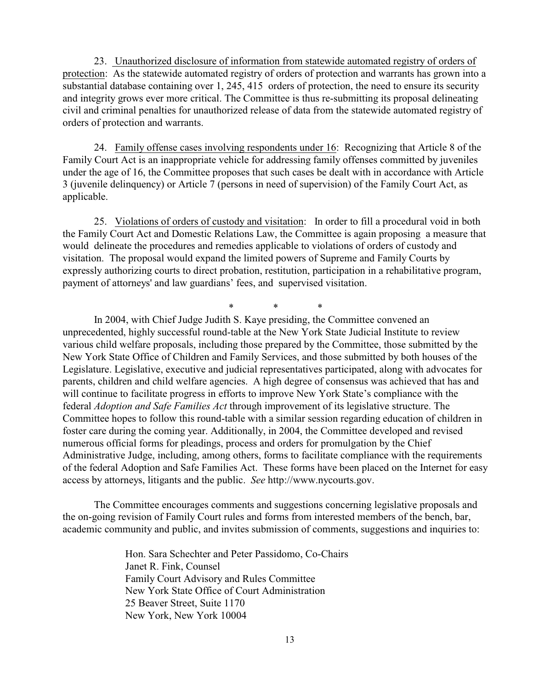23. Unauthorized disclosure of information from statewide automated registry of orders of protection: As the statewide automated registry of orders of protection and warrants has grown into a substantial database containing over 1, 245, 415 orders of protection, the need to ensure its security and integrity grows ever more critical. The Committee is thus re-submitting its proposal delineating civil and criminal penalties for unauthorized release of data from the statewide automated registry of orders of protection and warrants.

24. Family offense cases involving respondents under 16: Recognizing that Article 8 of the Family Court Act is an inappropriate vehicle for addressing family offenses committed by juveniles under the age of 16, the Committee proposes that such cases be dealt with in accordance with Article 3 (juvenile delinquency) or Article 7 (persons in need of supervision) of the Family Court Act, as applicable.

25. Violations of orders of custody and visitation: In order to fill a procedural void in both the Family Court Act and Domestic Relations Law, the Committee is again proposing a measure that would delineate the procedures and remedies applicable to violations of orders of custody and visitation. The proposal would expand the limited powers of Supreme and Family Courts by expressly authorizing courts to direct probation, restitution, participation in a rehabilitative program, payment of attorneys' and law guardians' fees, and supervised visitation.

\* \* \*

In 2004, with Chief Judge Judith S. Kaye presiding, the Committee convened an unprecedented, highly successful round-table at the New York State Judicial Institute to review various child welfare proposals, including those prepared by the Committee, those submitted by the New York State Office of Children and Family Services, and those submitted by both houses of the Legislature. Legislative, executive and judicial representatives participated, along with advocates for parents, children and child welfare agencies. A high degree of consensus was achieved that has and will continue to facilitate progress in efforts to improve New York State's compliance with the federal *Adoption and Safe Families Act* through improvement of its legislative structure. The Committee hopes to follow this round-table with a similar session regarding education of children in foster care during the coming year. Additionally, in 2004, the Committee developed and revised numerous official forms for pleadings, process and orders for promulgation by the Chief Administrative Judge, including, among others, forms to facilitate compliance with the requirements of the federal Adoption and Safe Families Act. These forms have been placed on the Internet for easy access by attorneys, litigants and the public. *See* http://www.nycourts.gov.

The Committee encourages comments and suggestions concerning legislative proposals and the on-going revision of Family Court rules and forms from interested members of the bench, bar, academic community and public, and invites submission of comments, suggestions and inquiries to:

> Hon. Sara Schechter and Peter Passidomo, Co-Chairs Janet R. Fink, Counsel Family Court Advisory and Rules Committee New York State Office of Court Administration 25 Beaver Street, Suite 1170 New York, New York 10004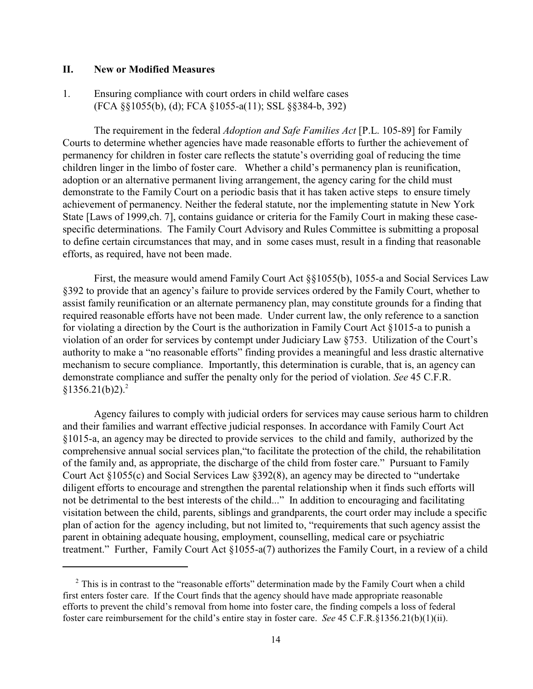# **II. New or Modified Measures**

1. Ensuring compliance with court orders in child welfare cases (FCA §§1055(b), (d); FCA §1055-a(11); SSL §§384-b, 392)

The requirement in the federal *Adoption and Safe Families Act* [P.L. 105-89] for Family Courts to determine whether agencies have made reasonable efforts to further the achievement of permanency for children in foster care reflects the statute's overriding goal of reducing the time children linger in the limbo of foster care. Whether a child's permanency plan is reunification, adoption or an alternative permanent living arrangement, the agency caring for the child must demonstrate to the Family Court on a periodic basis that it has taken active steps to ensure timely achievement of permanency. Neither the federal statute, nor the implementing statute in New York State [Laws of 1999,ch. 7], contains guidance or criteria for the Family Court in making these casespecific determinations. The Family Court Advisory and Rules Committee is submitting a proposal to define certain circumstances that may, and in some cases must, result in a finding that reasonable efforts, as required, have not been made.

First, the measure would amend Family Court Act §§1055(b), 1055-a and Social Services Law §392 to provide that an agency's failure to provide services ordered by the Family Court, whether to assist family reunification or an alternate permanency plan, may constitute grounds for a finding that required reasonable efforts have not been made. Under current law, the only reference to a sanction for violating a direction by the Court is the authorization in Family Court Act §1015-a to punish a violation of an order for services by contempt under Judiciary Law §753. Utilization of the Court's authority to make a "no reasonable efforts" finding provides a meaningful and less drastic alternative mechanism to secure compliance. Importantly, this determination is curable, that is, an agency can demonstrate compliance and suffer the penalty only for the period of violation. *See* 45 C.F.R.  $§1356.21(b)2).$ <sup>2</sup>

Agency failures to comply with judicial orders for services may cause serious harm to children and their families and warrant effective judicial responses. In accordance with Family Court Act §1015-a, an agency may be directed to provide services to the child and family, authorized by the comprehensive annual social services plan,"to facilitate the protection of the child, the rehabilitation of the family and, as appropriate, the discharge of the child from foster care." Pursuant to Family Court Act §1055(c) and Social Services Law §392(8), an agency may be directed to "undertake diligent efforts to encourage and strengthen the parental relationship when it finds such efforts will not be detrimental to the best interests of the child..." In addition to encouraging and facilitating visitation between the child, parents, siblings and grandparents, the court order may include a specific plan of action for the agency including, but not limited to, "requirements that such agency assist the parent in obtaining adequate housing, employment, counselling, medical care or psychiatric treatment." Further, Family Court Act §1055-a(7) authorizes the Family Court, in a review of a child

 $2$  This is in contrast to the "reasonable efforts" determination made by the Family Court when a child first enters foster care. If the Court finds that the agency should have made appropriate reasonable efforts to prevent the child's removal from home into foster care, the finding compels a loss of federal foster care reimbursement for the child's entire stay in foster care. *See* 45 C.F.R.§1356.21(b)(1)(ii).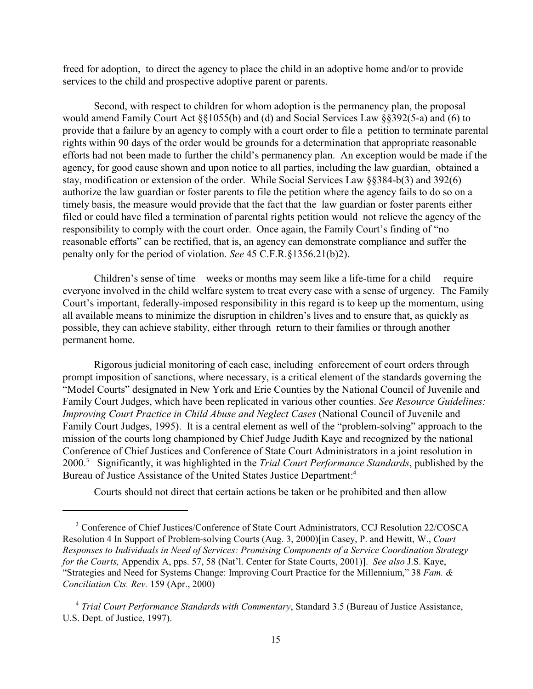freed for adoption, to direct the agency to place the child in an adoptive home and/or to provide services to the child and prospective adoptive parent or parents.

Second, with respect to children for whom adoption is the permanency plan, the proposal would amend Family Court Act §§1055(b) and (d) and Social Services Law §§392(5-a) and (6) to provide that a failure by an agency to comply with a court order to file a petition to terminate parental rights within 90 days of the order would be grounds for a determination that appropriate reasonable efforts had not been made to further the child's permanency plan. An exception would be made if the agency, for good cause shown and upon notice to all parties, including the law guardian, obtained a stay, modification or extension of the order. While Social Services Law §§384-b(3) and 392(6) authorize the law guardian or foster parents to file the petition where the agency fails to do so on a timely basis, the measure would provide that the fact that the law guardian or foster parents either filed or could have filed a termination of parental rights petition would not relieve the agency of the responsibility to comply with the court order. Once again, the Family Court's finding of "no reasonable efforts" can be rectified, that is, an agency can demonstrate compliance and suffer the penalty only for the period of violation. *See* 45 C.F.R.§1356.21(b)2).

Children's sense of time – weeks or months may seem like a life-time for a child – require everyone involved in the child welfare system to treat every case with a sense of urgency. The Family Court's important, federally-imposed responsibility in this regard is to keep up the momentum, using all available means to minimize the disruption in children's lives and to ensure that, as quickly as possible, they can achieve stability, either through return to their families or through another permanent home.

Rigorous judicial monitoring of each case, including enforcement of court orders through prompt imposition of sanctions, where necessary, is a critical element of the standards governing the "Model Courts" designated in New York and Erie Counties by the National Council of Juvenile and Family Court Judges, which have been replicated in various other counties. *See Resource Guidelines: Improving Court Practice in Child Abuse and Neglect Cases* (National Council of Juvenile and Family Court Judges, 1995). It is a central element as well of the "problem-solving" approach to the mission of the courts long championed by Chief Judge Judith Kaye and recognized by the national Conference of Chief Justices and Conference of State Court Administrators in a joint resolution in 2000. Significantly, it was highlighted in the *Trial Court Performance Standards*, published by the <sup>3</sup> Bureau of Justice Assistance of the United States Justice Department:<sup>4</sup>

Courts should not direct that certain actions be taken or be prohibited and then allow

<sup>&</sup>lt;sup>3</sup> Conference of Chief Justices/Conference of State Court Administrators, CCJ Resolution 22/COSCA Resolution 4 In Support of Problem-solving Courts (Aug. 3, 2000)[in Casey, P. and Hewitt, W., *Court Responses to Individuals in Need of Services: Promising Components of a Service Coordination Strategy for the Courts,* Appendix A, pps. 57, 58 (Nat'l. Center for State Courts, 2001)]. *See also* J.S. Kaye, "Strategies and Need for Systems Change: Improving Court Practice for the Millennium," 38 *Fam. & Conciliation Cts. Rev.* 159 (Apr., 2000)

*Trial Court Performance Standards with Commentary*, Standard 3.5 (Bureau of Justice Assistance, <sup>4</sup> U.S. Dept. of Justice, 1997).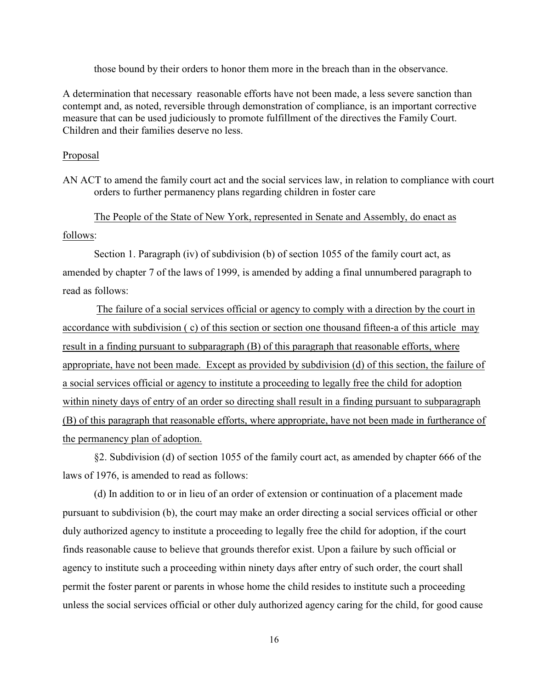those bound by their orders to honor them more in the breach than in the observance.

A determination that necessary reasonable efforts have not been made, a less severe sanction than contempt and, as noted, reversible through demonstration of compliance, is an important corrective measure that can be used judiciously to promote fulfillment of the directives the Family Court. Children and their families deserve no less.

#### Proposal

AN ACT to amend the family court act and the social services law, in relation to compliance with court orders to further permanency plans regarding children in foster care

The People of the State of New York, represented in Senate and Assembly, do enact as follows:

Section 1. Paragraph (iv) of subdivision (b) of section 1055 of the family court act, as amended by chapter 7 of the laws of 1999, is amended by adding a final unnumbered paragraph to read as follows:

 The failure of a social services official or agency to comply with a direction by the court in accordance with subdivision ( c) of this section or section one thousand fifteen-a of this article may result in a finding pursuant to subparagraph (B) of this paragraph that reasonable efforts, where appropriate, have not been made. Except as provided by subdivision (d) of this section, the failure of a social services official or agency to institute a proceeding to legally free the child for adoption within ninety days of entry of an order so directing shall result in a finding pursuant to subparagraph (B) of this paragraph that reasonable efforts, where appropriate, have not been made in furtherance of the permanency plan of adoption.

§2. Subdivision (d) of section 1055 of the family court act, as amended by chapter 666 of the laws of 1976, is amended to read as follows:

(d) In addition to or in lieu of an order of extension or continuation of a placement made pursuant to subdivision (b), the court may make an order directing a social services official or other duly authorized agency to institute a proceeding to legally free the child for adoption, if the court finds reasonable cause to believe that grounds therefor exist. Upon a failure by such official or agency to institute such a proceeding within ninety days after entry of such order, the court shall permit the foster parent or parents in whose home the child resides to institute such a proceeding unless the social services official or other duly authorized agency caring for the child, for good cause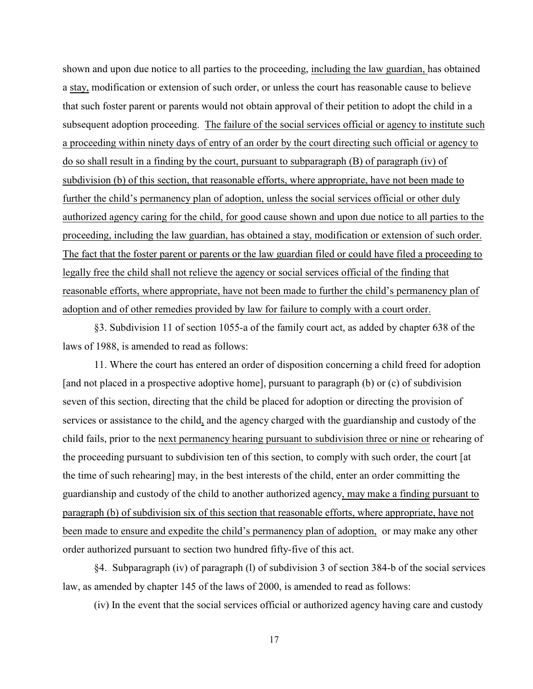shown and upon due notice to all parties to the proceeding, including the law guardian, has obtained a stay, modification or extension of such order, or unless the court has reasonable cause to believe that such foster parent or parents would not obtain approval of their petition to adopt the child in a subsequent adoption proceeding. The failure of the social services official or agency to institute such a proceeding within ninety days of entry of an order by the court directing such official or agency to do so shall result in a finding by the court, pursuant to subparagraph (B) of paragraph (iv) of subdivision (b) of this section, that reasonable efforts, where appropriate, have not been made to further the child's permanency plan of adoption, unless the social services official or other duly authorized agency caring for the child, for good cause shown and upon due notice to all parties to the proceeding, including the law guardian, has obtained a stay, modification or extension of such order. The fact that the foster parent or parents or the law guardian filed or could have filed a proceeding to legally free the child shall not relieve the agency or social services official of the finding that reasonable efforts, where appropriate, have not been made to further the child's permanency plan of adoption and of other remedies provided by law for failure to comply with a court order.

§3. Subdivision 11 of section 1055-a of the family court act, as added by chapter 638 of the laws of 1988, is amended to read as follows:

11. Where the court has entered an order of disposition concerning a child freed for adoption [and not placed in a prospective adoptive home], pursuant to paragraph (b) or (c) of subdivision seven of this section, directing that the child be placed for adoption or directing the provision of services or assistance to the child, and the agency charged with the guardianship and custody of the child fails, prior to the next permanency hearing pursuant to subdivision three or nine or rehearing of the proceeding pursuant to subdivision ten of this section, to comply with such order, the court [at the time of such rehearing] may, in the best interests of the child, enter an order committing the guardianship and custody of the child to another authorized agency, may make a finding pursuant to paragraph (b) of subdivision six of this section that reasonable efforts, where appropriate, have not been made to ensure and expedite the child's permanency plan of adoption, or may make any other order authorized pursuant to section two hundred fifty-five of this act.

§4. Subparagraph (iv) of paragraph (l) of subdivision 3 of section 384-b of the social services law, as amended by chapter 145 of the laws of 2000, is amended to read as follows:

(iv) In the event that the social services official or authorized agency having care and custody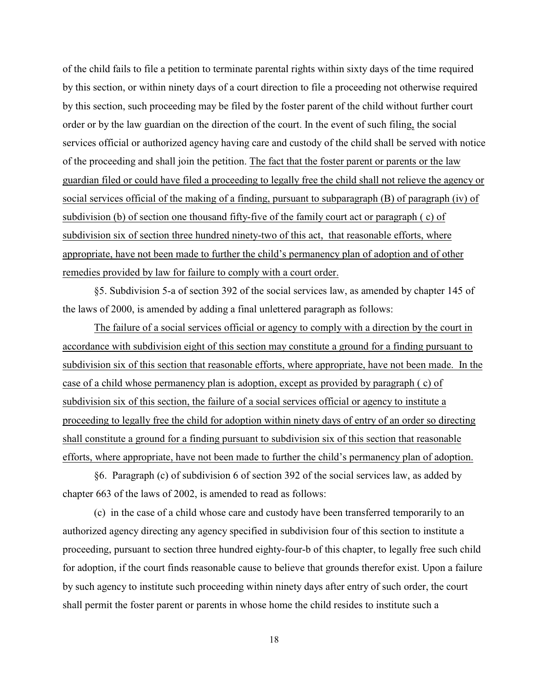of the child fails to file a petition to terminate parental rights within sixty days of the time required by this section, or within ninety days of a court direction to file a proceeding not otherwise required by this section, such proceeding may be filed by the foster parent of the child without further court order or by the law guardian on the direction of the court. In the event of such filing, the social services official or authorized agency having care and custody of the child shall be served with notice of the proceeding and shall join the petition. The fact that the foster parent or parents or the law guardian filed or could have filed a proceeding to legally free the child shall not relieve the agency or social services official of the making of a finding, pursuant to subparagraph (B) of paragraph (iv) of subdivision (b) of section one thousand fifty-five of the family court act or paragraph ( c) of subdivision six of section three hundred ninety-two of this act, that reasonable efforts, where appropriate, have not been made to further the child's permanency plan of adoption and of other remedies provided by law for failure to comply with a court order.

§5. Subdivision 5-a of section 392 of the social services law, as amended by chapter 145 of the laws of 2000, is amended by adding a final unlettered paragraph as follows:

The failure of a social services official or agency to comply with a direction by the court in accordance with subdivision eight of this section may constitute a ground for a finding pursuant to subdivision six of this section that reasonable efforts, where appropriate, have not been made. In the case of a child whose permanency plan is adoption, except as provided by paragraph ( c) of subdivision six of this section, the failure of a social services official or agency to institute a proceeding to legally free the child for adoption within ninety days of entry of an order so directing shall constitute a ground for a finding pursuant to subdivision six of this section that reasonable efforts, where appropriate, have not been made to further the child's permanency plan of adoption.

§6. Paragraph (c) of subdivision 6 of section 392 of the social services law, as added by chapter 663 of the laws of 2002, is amended to read as follows:

(c) in the case of a child whose care and custody have been transferred temporarily to an authorized agency directing any agency specified in subdivision four of this section to institute a proceeding, pursuant to section three hundred eighty-four-b of this chapter, to legally free such child for adoption, if the court finds reasonable cause to believe that grounds therefor exist. Upon a failure by such agency to institute such proceeding within ninety days after entry of such order, the court shall permit the foster parent or parents in whose home the child resides to institute such a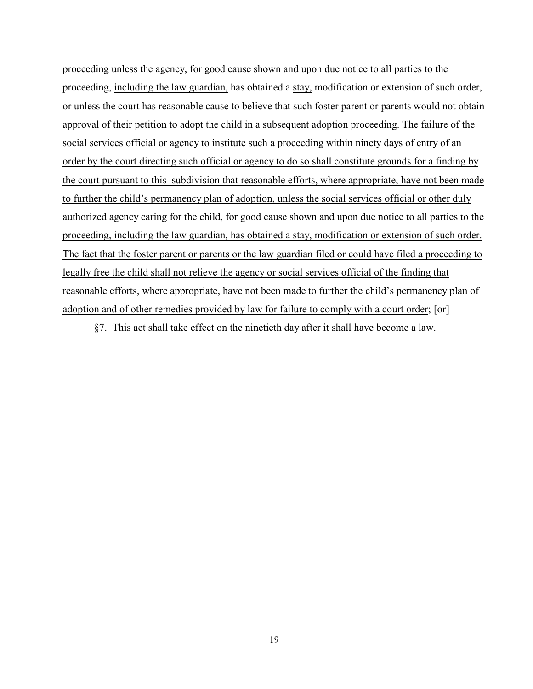proceeding unless the agency, for good cause shown and upon due notice to all parties to the proceeding, including the law guardian, has obtained a stay, modification or extension of such order, or unless the court has reasonable cause to believe that such foster parent or parents would not obtain approval of their petition to adopt the child in a subsequent adoption proceeding. The failure of the social services official or agency to institute such a proceeding within ninety days of entry of an order by the court directing such official or agency to do so shall constitute grounds for a finding by the court pursuant to this subdivision that reasonable efforts, where appropriate, have not been made to further the child's permanency plan of adoption, unless the social services official or other duly authorized agency caring for the child, for good cause shown and upon due notice to all parties to the proceeding, including the law guardian, has obtained a stay, modification or extension of such order. The fact that the foster parent or parents or the law guardian filed or could have filed a proceeding to legally free the child shall not relieve the agency or social services official of the finding that reasonable efforts, where appropriate, have not been made to further the child's permanency plan of adoption and of other remedies provided by law for failure to comply with a court order; [or]

§7. This act shall take effect on the ninetieth day after it shall have become a law.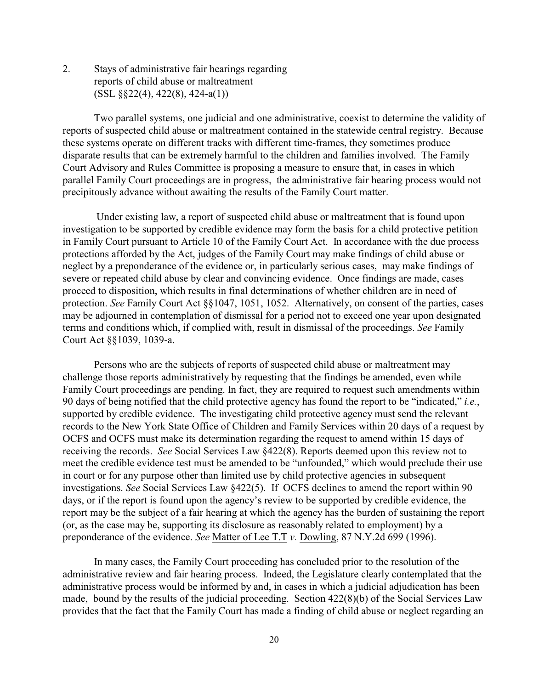2. Stays of administrative fair hearings regarding reports of child abuse or maltreatment (SSL §§22(4), 422(8), 424-a(1))

Two parallel systems, one judicial and one administrative, coexist to determine the validity of reports of suspected child abuse or maltreatment contained in the statewide central registry. Because these systems operate on different tracks with different time-frames, they sometimes produce disparate results that can be extremely harmful to the children and families involved. The Family Court Advisory and Rules Committee is proposing a measure to ensure that, in cases in which parallel Family Court proceedings are in progress, the administrative fair hearing process would not precipitously advance without awaiting the results of the Family Court matter.

 Under existing law, a report of suspected child abuse or maltreatment that is found upon investigation to be supported by credible evidence may form the basis for a child protective petition in Family Court pursuant to Article 10 of the Family Court Act. In accordance with the due process protections afforded by the Act, judges of the Family Court may make findings of child abuse or neglect by a preponderance of the evidence or, in particularly serious cases, may make findings of severe or repeated child abuse by clear and convincing evidence. Once findings are made, cases proceed to disposition, which results in final determinations of whether children are in need of protection. *See* Family Court Act §§1047, 1051, 1052. Alternatively, on consent of the parties, cases may be adjourned in contemplation of dismissal for a period not to exceed one year upon designated terms and conditions which, if complied with, result in dismissal of the proceedings. *See* Family Court Act §§1039, 1039-a.

Persons who are the subjects of reports of suspected child abuse or maltreatment may challenge those reports administratively by requesting that the findings be amended, even while Family Court proceedings are pending. In fact, they are required to request such amendments within 90 days of being notified that the child protective agency has found the report to be "indicated," *i.e.*, supported by credible evidence. The investigating child protective agency must send the relevant records to the New York State Office of Children and Family Services within 20 days of a request by OCFS and OCFS must make its determination regarding the request to amend within 15 days of receiving the records. *See* Social Services Law §422(8). Reports deemed upon this review not to meet the credible evidence test must be amended to be "unfounded," which would preclude their use in court or for any purpose other than limited use by child protective agencies in subsequent investigations. *See* Social Services Law §422(5). If OCFS declines to amend the report within 90 days, or if the report is found upon the agency's review to be supported by credible evidence, the report may be the subject of a fair hearing at which the agency has the burden of sustaining the report (or, as the case may be, supporting its disclosure as reasonably related to employment) by a preponderance of the evidence. *See* Matter of Lee T.T *v.* Dowling, 87 N.Y.2d 699 (1996).

In many cases, the Family Court proceeding has concluded prior to the resolution of the administrative review and fair hearing process. Indeed, the Legislature clearly contemplated that the administrative process would be informed by and, in cases in which a judicial adjudication has been made, bound by the results of the judicial proceeding. Section 422(8)(b) of the Social Services Law provides that the fact that the Family Court has made a finding of child abuse or neglect regarding an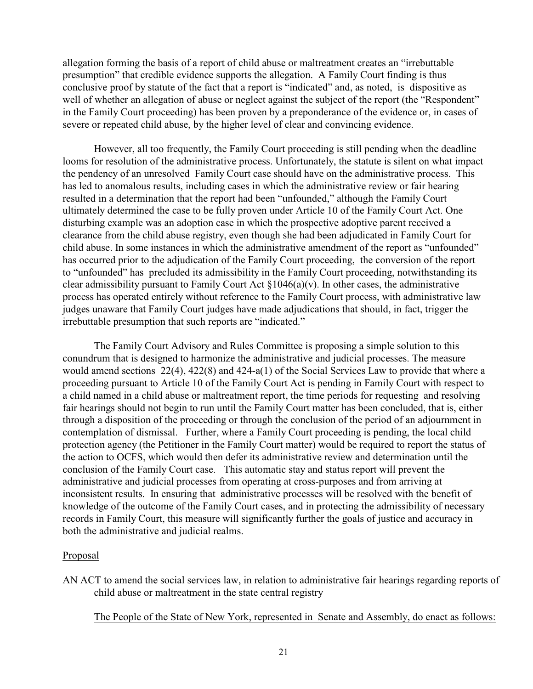allegation forming the basis of a report of child abuse or maltreatment creates an "irrebuttable presumption" that credible evidence supports the allegation. A Family Court finding is thus conclusive proof by statute of the fact that a report is "indicated" and, as noted, is dispositive as well of whether an allegation of abuse or neglect against the subject of the report (the "Respondent" in the Family Court proceeding) has been proven by a preponderance of the evidence or, in cases of severe or repeated child abuse, by the higher level of clear and convincing evidence.

However, all too frequently, the Family Court proceeding is still pending when the deadline looms for resolution of the administrative process. Unfortunately, the statute is silent on what impact the pendency of an unresolved Family Court case should have on the administrative process. This has led to anomalous results, including cases in which the administrative review or fair hearing resulted in a determination that the report had been "unfounded," although the Family Court ultimately determined the case to be fully proven under Article 10 of the Family Court Act. One disturbing example was an adoption case in which the prospective adoptive parent received a clearance from the child abuse registry, even though she had been adjudicated in Family Court for child abuse. In some instances in which the administrative amendment of the report as "unfounded" has occurred prior to the adjudication of the Family Court proceeding, the conversion of the report to "unfounded" has precluded its admissibility in the Family Court proceeding, notwithstanding its clear admissibility pursuant to Family Court Act  $\S 1046(a)(v)$ . In other cases, the administrative process has operated entirely without reference to the Family Court process, with administrative law judges unaware that Family Court judges have made adjudications that should, in fact, trigger the irrebuttable presumption that such reports are "indicated."

The Family Court Advisory and Rules Committee is proposing a simple solution to this conundrum that is designed to harmonize the administrative and judicial processes. The measure would amend sections 22(4), 422(8) and 424-a(1) of the Social Services Law to provide that where a proceeding pursuant to Article 10 of the Family Court Act is pending in Family Court with respect to a child named in a child abuse or maltreatment report, the time periods for requesting and resolving fair hearings should not begin to run until the Family Court matter has been concluded, that is, either through a disposition of the proceeding or through the conclusion of the period of an adjournment in contemplation of dismissal. Further, where a Family Court proceeding is pending, the local child protection agency (the Petitioner in the Family Court matter) would be required to report the status of the action to OCFS, which would then defer its administrative review and determination until the conclusion of the Family Court case. This automatic stay and status report will prevent the administrative and judicial processes from operating at cross-purposes and from arriving at inconsistent results. In ensuring that administrative processes will be resolved with the benefit of knowledge of the outcome of the Family Court cases, and in protecting the admissibility of necessary records in Family Court, this measure will significantly further the goals of justice and accuracy in both the administrative and judicial realms.

# Proposal

AN ACT to amend the social services law, in relation to administrative fair hearings regarding reports of child abuse or maltreatment in the state central registry

The People of the State of New York, represented in Senate and Assembly, do enact as follows: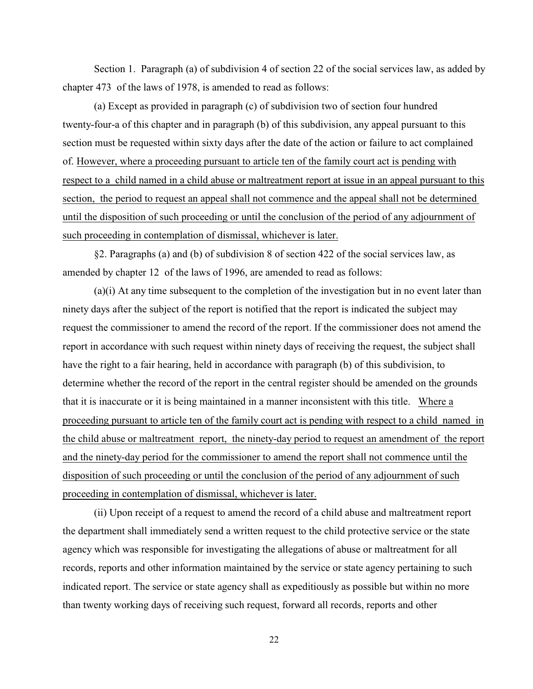Section 1. Paragraph (a) of subdivision 4 of section 22 of the social services law, as added by chapter 473 of the laws of 1978, is amended to read as follows:

(a) Except as provided in paragraph (c) of subdivision two of section four hundred twenty-four-a of this chapter and in paragraph (b) of this subdivision, any appeal pursuant to this section must be requested within sixty days after the date of the action or failure to act complained of. However, where a proceeding pursuant to article ten of the family court act is pending with respect to a child named in a child abuse or maltreatment report at issue in an appeal pursuant to this section, the period to request an appeal shall not commence and the appeal shall not be determined until the disposition of such proceeding or until the conclusion of the period of any adjournment of such proceeding in contemplation of dismissal, whichever is later.

§2. Paragraphs (a) and (b) of subdivision 8 of section 422 of the social services law, as amended by chapter 12 of the laws of 1996, are amended to read as follows:

(a)(i) At any time subsequent to the completion of the investigation but in no event later than ninety days after the subject of the report is notified that the report is indicated the subject may request the commissioner to amend the record of the report. If the commissioner does not amend the report in accordance with such request within ninety days of receiving the request, the subject shall have the right to a fair hearing, held in accordance with paragraph (b) of this subdivision, to determine whether the record of the report in the central register should be amended on the grounds that it is inaccurate or it is being maintained in a manner inconsistent with this title. Where a proceeding pursuant to article ten of the family court act is pending with respect to a child named in the child abuse or maltreatment report, the ninety-day period to request an amendment of the report and the ninety-day period for the commissioner to amend the report shall not commence until the disposition of such proceeding or until the conclusion of the period of any adjournment of such proceeding in contemplation of dismissal, whichever is later.

(ii) Upon receipt of a request to amend the record of a child abuse and maltreatment report the department shall immediately send a written request to the child protective service or the state agency which was responsible for investigating the allegations of abuse or maltreatment for all records, reports and other information maintained by the service or state agency pertaining to such indicated report. The service or state agency shall as expeditiously as possible but within no more than twenty working days of receiving such request, forward all records, reports and other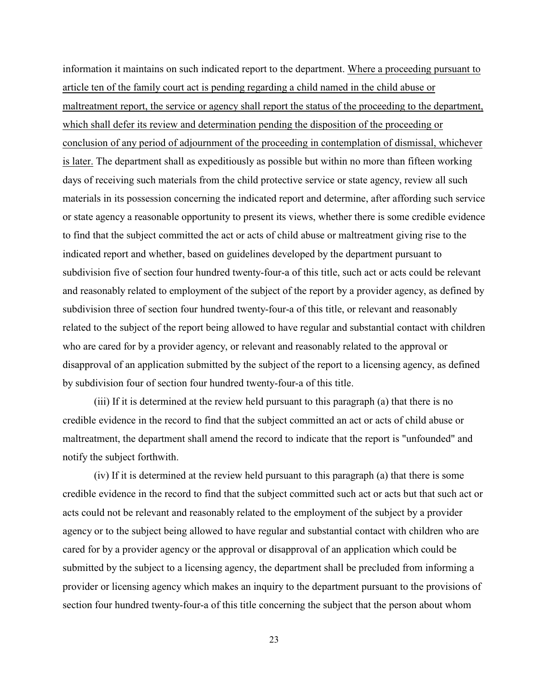information it maintains on such indicated report to the department. Where a proceeding pursuant to article ten of the family court act is pending regarding a child named in the child abuse or maltreatment report, the service or agency shall report the status of the proceeding to the department, which shall defer its review and determination pending the disposition of the proceeding or conclusion of any period of adjournment of the proceeding in contemplation of dismissal, whichever is later. The department shall as expeditiously as possible but within no more than fifteen working days of receiving such materials from the child protective service or state agency, review all such materials in its possession concerning the indicated report and determine, after affording such service or state agency a reasonable opportunity to present its views, whether there is some credible evidence to find that the subject committed the act or acts of child abuse or maltreatment giving rise to the indicated report and whether, based on guidelines developed by the department pursuant to subdivision five of section four hundred twenty-four-a of this title, such act or acts could be relevant and reasonably related to employment of the subject of the report by a provider agency, as defined by subdivision three of section four hundred twenty-four-a of this title, or relevant and reasonably related to the subject of the report being allowed to have regular and substantial contact with children who are cared for by a provider agency, or relevant and reasonably related to the approval or disapproval of an application submitted by the subject of the report to a licensing agency, as defined by subdivision four of section four hundred twenty-four-a of this title.

(iii) If it is determined at the review held pursuant to this paragraph (a) that there is no credible evidence in the record to find that the subject committed an act or acts of child abuse or maltreatment, the department shall amend the record to indicate that the report is "unfounded" and notify the subject forthwith.

(iv) If it is determined at the review held pursuant to this paragraph (a) that there is some credible evidence in the record to find that the subject committed such act or acts but that such act or acts could not be relevant and reasonably related to the employment of the subject by a provider agency or to the subject being allowed to have regular and substantial contact with children who are cared for by a provider agency or the approval or disapproval of an application which could be submitted by the subject to a licensing agency, the department shall be precluded from informing a provider or licensing agency which makes an inquiry to the department pursuant to the provisions of section four hundred twenty-four-a of this title concerning the subject that the person about whom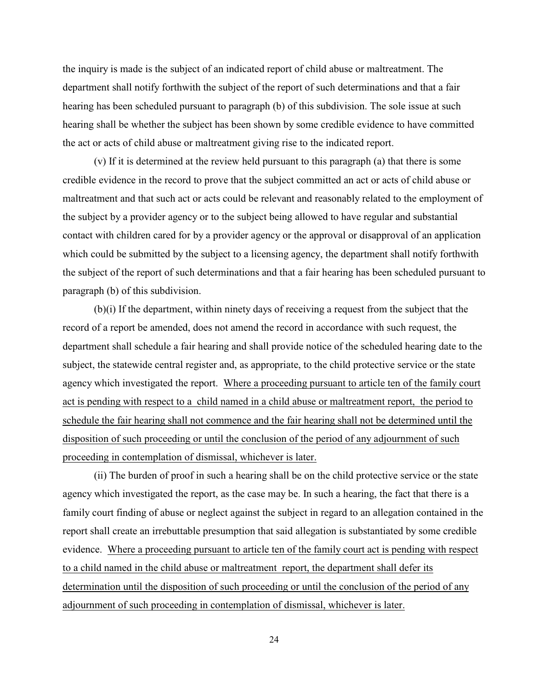the inquiry is made is the subject of an indicated report of child abuse or maltreatment. The department shall notify forthwith the subject of the report of such determinations and that a fair hearing has been scheduled pursuant to paragraph (b) of this subdivision. The sole issue at such hearing shall be whether the subject has been shown by some credible evidence to have committed the act or acts of child abuse or maltreatment giving rise to the indicated report.

(v) If it is determined at the review held pursuant to this paragraph (a) that there is some credible evidence in the record to prove that the subject committed an act or acts of child abuse or maltreatment and that such act or acts could be relevant and reasonably related to the employment of the subject by a provider agency or to the subject being allowed to have regular and substantial contact with children cared for by a provider agency or the approval or disapproval of an application which could be submitted by the subject to a licensing agency, the department shall notify forthwith the subject of the report of such determinations and that a fair hearing has been scheduled pursuant to paragraph (b) of this subdivision.

(b)(i) If the department, within ninety days of receiving a request from the subject that the record of a report be amended, does not amend the record in accordance with such request, the department shall schedule a fair hearing and shall provide notice of the scheduled hearing date to the subject, the statewide central register and, as appropriate, to the child protective service or the state agency which investigated the report. Where a proceeding pursuant to article ten of the family court act is pending with respect to a child named in a child abuse or maltreatment report, the period to schedule the fair hearing shall not commence and the fair hearing shall not be determined until the disposition of such proceeding or until the conclusion of the period of any adjournment of such proceeding in contemplation of dismissal, whichever is later.

(ii) The burden of proof in such a hearing shall be on the child protective service or the state agency which investigated the report, as the case may be. In such a hearing, the fact that there is a family court finding of abuse or neglect against the subject in regard to an allegation contained in the report shall create an irrebuttable presumption that said allegation is substantiated by some credible evidence. Where a proceeding pursuant to article ten of the family court act is pending with respect to a child named in the child abuse or maltreatment report, the department shall defer its determination until the disposition of such proceeding or until the conclusion of the period of any adjournment of such proceeding in contemplation of dismissal, whichever is later.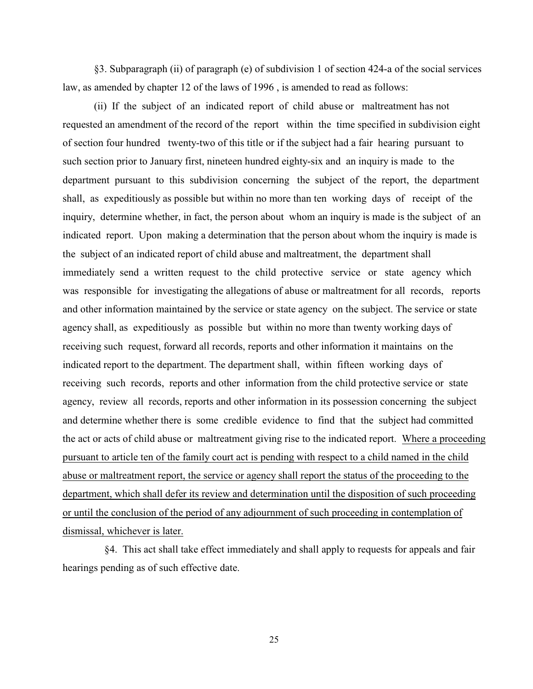§3. Subparagraph (ii) of paragraph (e) of subdivision 1 of section 424-a of the social services law, as amended by chapter 12 of the laws of 1996 , is amended to read as follows:

(ii) If the subject of an indicated report of child abuse or maltreatment has not requested an amendment of the record of the report within the time specified in subdivision eight of section four hundred twenty-two of this title or if the subject had a fair hearing pursuant to such section prior to January first, nineteen hundred eighty-six and an inquiry is made to the department pursuant to this subdivision concerning the subject of the report, the department shall, as expeditiously as possible but within no more than ten working days of receipt of the inquiry, determine whether, in fact, the person about whom an inquiry is made is the subject of an indicated report. Upon making a determination that the person about whom the inquiry is made is the subject of an indicated report of child abuse and maltreatment, the department shall immediately send a written request to the child protective service or state agency which was responsible for investigating the allegations of abuse or maltreatment for all records, reports and other information maintained by the service or state agency on the subject. The service or state agency shall, as expeditiously as possible but within no more than twenty working days of receiving such request, forward all records, reports and other information it maintains on the indicated report to the department. The department shall, within fifteen working days of receiving such records, reports and other information from the child protective service or state agency, review all records, reports and other information in its possession concerning the subject and determine whether there is some credible evidence to find that the subject had committed the act or acts of child abuse or maltreatment giving rise to the indicated report. Where a proceeding pursuant to article ten of the family court act is pending with respect to a child named in the child abuse or maltreatment report, the service or agency shall report the status of the proceeding to the department, which shall defer its review and determination until the disposition of such proceeding or until the conclusion of the period of any adjournment of such proceeding in contemplation of dismissal, whichever is later.

§4. This act shall take effect immediately and shall apply to requests for appeals and fair hearings pending as of such effective date.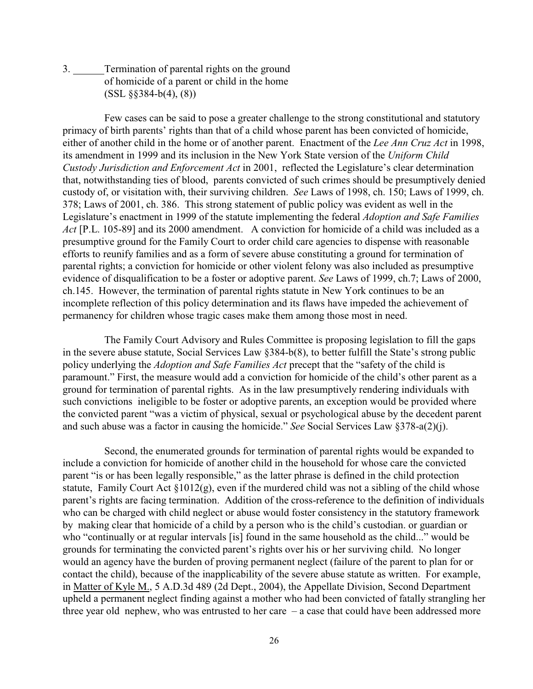3. Termination of parental rights on the ground of homicide of a parent or child in the home  $(SSL \$ §§384-b(4),  $(8)$ )

Few cases can be said to pose a greater challenge to the strong constitutional and statutory primacy of birth parents' rights than that of a child whose parent has been convicted of homicide, either of another child in the home or of another parent. Enactment of the *Lee Ann Cruz Act* in 1998, its amendment in 1999 and its inclusion in the New York State version of the *Uniform Child Custody Jurisdiction and Enforcement Act* in 2001, reflected the Legislature's clear determination that, notwithstanding ties of blood, parents convicted of such crimes should be presumptively denied custody of, or visitation with, their surviving children. *See* Laws of 1998, ch. 150; Laws of 1999, ch. 378; Laws of 2001, ch. 386. This strong statement of public policy was evident as well in the Legislature's enactment in 1999 of the statute implementing the federal *Adoption and Safe Families Act* [P.L. 105-89] and its 2000 amendment. A conviction for homicide of a child was included as a presumptive ground for the Family Court to order child care agencies to dispense with reasonable efforts to reunify families and as a form of severe abuse constituting a ground for termination of parental rights; a conviction for homicide or other violent felony was also included as presumptive evidence of disqualification to be a foster or adoptive parent. *See* Laws of 1999, ch.7; Laws of 2000, ch.145. However, the termination of parental rights statute in New York continues to be an incomplete reflection of this policy determination and its flaws have impeded the achievement of permanency for children whose tragic cases make them among those most in need.

The Family Court Advisory and Rules Committee is proposing legislation to fill the gaps in the severe abuse statute, Social Services Law §384-b(8), to better fulfill the State's strong public policy underlying the *Adoption and Safe Families Act* precept that the "safety of the child is paramount." First, the measure would add a conviction for homicide of the child's other parent as a ground for termination of parental rights. As in the law presumptively rendering individuals with such convictions ineligible to be foster or adoptive parents, an exception would be provided where the convicted parent "was a victim of physical, sexual or psychological abuse by the decedent parent and such abuse was a factor in causing the homicide." *See* Social Services Law §378-a(2)(j).

Second, the enumerated grounds for termination of parental rights would be expanded to include a conviction for homicide of another child in the household for whose care the convicted parent "is or has been legally responsible," as the latter phrase is defined in the child protection statute, Family Court Act §1012(g), even if the murdered child was not a sibling of the child whose parent's rights are facing termination. Addition of the cross-reference to the definition of individuals who can be charged with child neglect or abuse would foster consistency in the statutory framework by making clear that homicide of a child by a person who is the child's custodian. or guardian or who "continually or at regular intervals [is] found in the same household as the child..." would be grounds for terminating the convicted parent's rights over his or her surviving child. No longer would an agency have the burden of proving permanent neglect (failure of the parent to plan for or contact the child), because of the inapplicability of the severe abuse statute as written. For example, in Matter of Kyle M., 5 A.D.3d 489 (2d Dept., 2004), the Appellate Division, Second Department upheld a permanent neglect finding against a mother who had been convicted of fatally strangling her three year old nephew, who was entrusted to her care – a case that could have been addressed more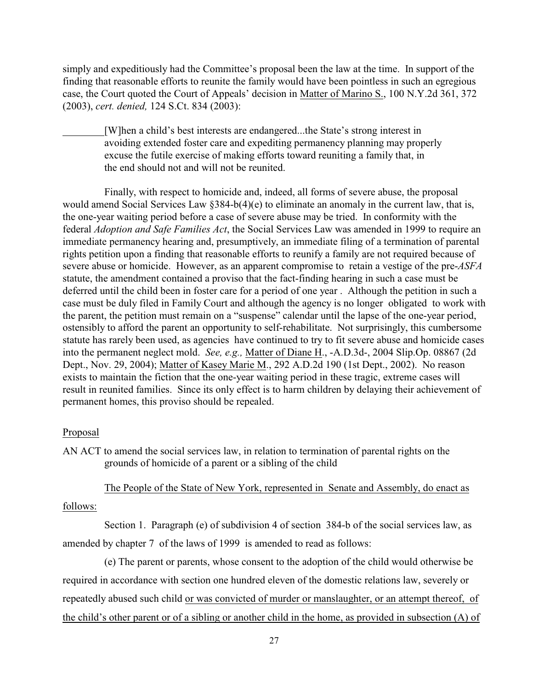simply and expeditiously had the Committee's proposal been the law at the time. In support of the finding that reasonable efforts to reunite the family would have been pointless in such an egregious case, the Court quoted the Court of Appeals' decision in Matter of Marino S., 100 N.Y.2d 361, 372 (2003), *cert. denied,* 124 S.Ct. 834 (2003):

[W]hen a child's best interests are endangered...the State's strong interest in avoiding extended foster care and expediting permanency planning may properly excuse the futile exercise of making efforts toward reuniting a family that, in the end should not and will not be reunited.

Finally, with respect to homicide and, indeed, all forms of severe abuse, the proposal would amend Social Services Law §384-b(4)(e) to eliminate an anomaly in the current law, that is, the one-year waiting period before a case of severe abuse may be tried. In conformity with the federal *Adoption and Safe Families Act*, the Social Services Law was amended in 1999 to require an immediate permanency hearing and, presumptively, an immediate filing of a termination of parental rights petition upon a finding that reasonable efforts to reunify a family are not required because of severe abuse or homicide. However, as an apparent compromise to retain a vestige of the pre-*ASFA* statute, the amendment contained a proviso that the fact-finding hearing in such a case must be deferred until the child been in foster care for a period of one year . Although the petition in such a case must be duly filed in Family Court and although the agency is no longer obligated to work with the parent, the petition must remain on a "suspense" calendar until the lapse of the one-year period, ostensibly to afford the parent an opportunity to self-rehabilitate. Not surprisingly, this cumbersome statute has rarely been used, as agencies have continued to try to fit severe abuse and homicide cases into the permanent neglect mold. *See, e.g.,* Matter of Diane H., -A.D.3d-, 2004 Slip.Op. 08867 (2d Dept., Nov. 29, 2004); Matter of Kasey Marie M., 292 A.D.2d 190 (1st Dept., 2002). No reason exists to maintain the fiction that the one-year waiting period in these tragic, extreme cases will result in reunited families. Since its only effect is to harm children by delaying their achievement of permanent homes, this proviso should be repealed.

#### Proposal

AN ACT to amend the social services law, in relation to termination of parental rights on the grounds of homicide of a parent or a sibling of the child

# The People of the State of New York, represented in Senate and Assembly, do enact as

# follows:

Section 1. Paragraph (e) of subdivision 4 of section 384-b of the social services law, as amended by chapter 7 of the laws of 1999 is amended to read as follows:

(e) The parent or parents, whose consent to the adoption of the child would otherwise be required in accordance with section one hundred eleven of the domestic relations law, severely or repeatedly abused such child or was convicted of murder or manslaughter, or an attempt thereof, of the child's other parent or of a sibling or another child in the home, as provided in subsection (A) of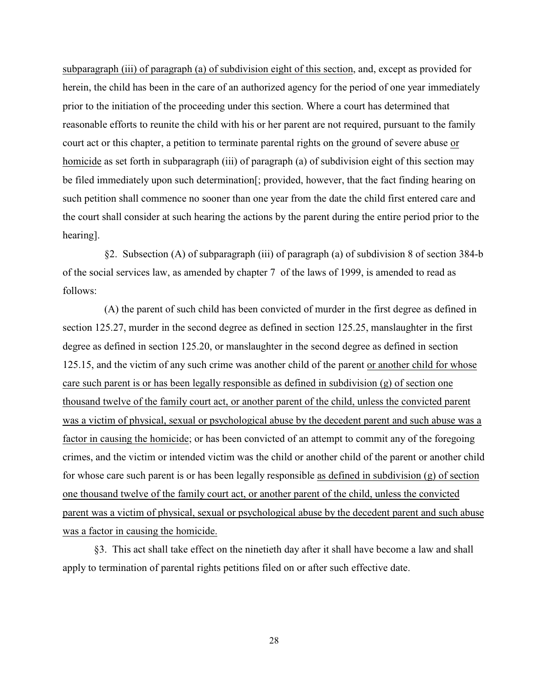subparagraph (iii) of paragraph (a) of subdivision eight of this section, and, except as provided for herein, the child has been in the care of an authorized agency for the period of one year immediately prior to the initiation of the proceeding under this section. Where a court has determined that reasonable efforts to reunite the child with his or her parent are not required, pursuant to the family court act or this chapter, a petition to terminate parental rights on the ground of severe abuse or homicide as set forth in subparagraph (iii) of paragraph (a) of subdivision eight of this section may be filed immediately upon such determination<sup>[</sup>; provided, however, that the fact finding hearing on such petition shall commence no sooner than one year from the date the child first entered care and the court shall consider at such hearing the actions by the parent during the entire period prior to the hearing].

§2. Subsection (A) of subparagraph (iii) of paragraph (a) of subdivision 8 of section 384-b of the social services law, as amended by chapter 7 of the laws of 1999, is amended to read as follows:

(A) the parent of such child has been convicted of murder in the first degree as defined in section 125.27, murder in the second degree as defined in section 125.25, manslaughter in the first degree as defined in section 125.20, or manslaughter in the second degree as defined in section 125.15, and the victim of any such crime was another child of the parent or another child for whose care such parent is or has been legally responsible as defined in subdivision (g) of section one thousand twelve of the family court act, or another parent of the child, unless the convicted parent was a victim of physical, sexual or psychological abuse by the decedent parent and such abuse was a factor in causing the homicide; or has been convicted of an attempt to commit any of the foregoing crimes, and the victim or intended victim was the child or another child of the parent or another child for whose care such parent is or has been legally responsible as defined in subdivision (g) of section one thousand twelve of the family court act, or another parent of the child, unless the convicted parent was a victim of physical, sexual or psychological abuse by the decedent parent and such abuse was a factor in causing the homicide.

§3. This act shall take effect on the ninetieth day after it shall have become a law and shall apply to termination of parental rights petitions filed on or after such effective date.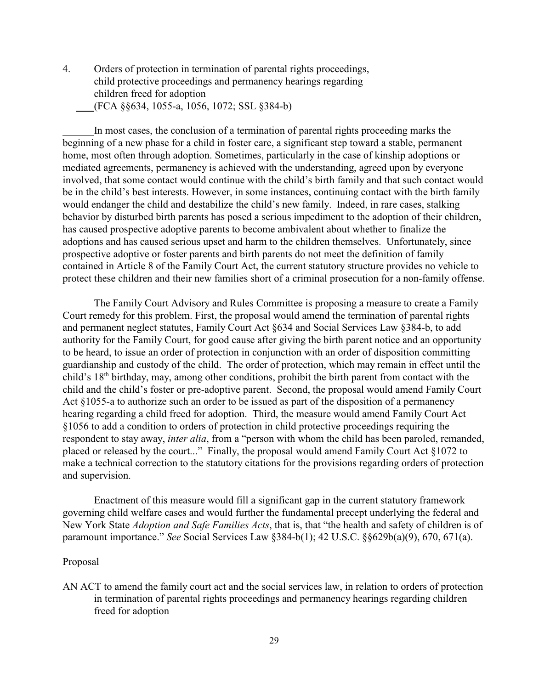4. Orders of protection in termination of parental rights proceedings, child protective proceedings and permanency hearings regarding children freed for adoption (FCA §§634, 1055-a, 1056, 1072; SSL §384-b)

In most cases, the conclusion of a termination of parental rights proceeding marks the beginning of a new phase for a child in foster care, a significant step toward a stable, permanent home, most often through adoption. Sometimes, particularly in the case of kinship adoptions or mediated agreements, permanency is achieved with the understanding, agreed upon by everyone involved, that some contact would continue with the child's birth family and that such contact would be in the child's best interests. However, in some instances, continuing contact with the birth family would endanger the child and destabilize the child's new family. Indeed, in rare cases, stalking behavior by disturbed birth parents has posed a serious impediment to the adoption of their children, has caused prospective adoptive parents to become ambivalent about whether to finalize the adoptions and has caused serious upset and harm to the children themselves. Unfortunately, since prospective adoptive or foster parents and birth parents do not meet the definition of family contained in Article 8 of the Family Court Act, the current statutory structure provides no vehicle to protect these children and their new families short of a criminal prosecution for a non-family offense.

The Family Court Advisory and Rules Committee is proposing a measure to create a Family Court remedy for this problem. First, the proposal would amend the termination of parental rights and permanent neglect statutes, Family Court Act §634 and Social Services Law §384-b, to add authority for the Family Court, for good cause after giving the birth parent notice and an opportunity to be heard, to issue an order of protection in conjunction with an order of disposition committing guardianship and custody of the child. The order of protection, which may remain in effect until the child's  $18<sup>th</sup>$  birthday, may, among other conditions, prohibit the birth parent from contact with the child and the child's foster or pre-adoptive parent. Second, the proposal would amend Family Court Act §1055-a to authorize such an order to be issued as part of the disposition of a permanency hearing regarding a child freed for adoption. Third, the measure would amend Family Court Act §1056 to add a condition to orders of protection in child protective proceedings requiring the respondent to stay away, *inter alia*, from a "person with whom the child has been paroled, remanded, placed or released by the court..." Finally, the proposal would amend Family Court Act §1072 to make a technical correction to the statutory citations for the provisions regarding orders of protection and supervision.

Enactment of this measure would fill a significant gap in the current statutory framework governing child welfare cases and would further the fundamental precept underlying the federal and New York State *Adoption and Safe Families Acts*, that is, that "the health and safety of children is of paramount importance." *See* Social Services Law §384-b(1); 42 U.S.C. §§629b(a)(9), 670, 671(a).

#### Proposal

AN ACT to amend the family court act and the social services law, in relation to orders of protection in termination of parental rights proceedings and permanency hearings regarding children freed for adoption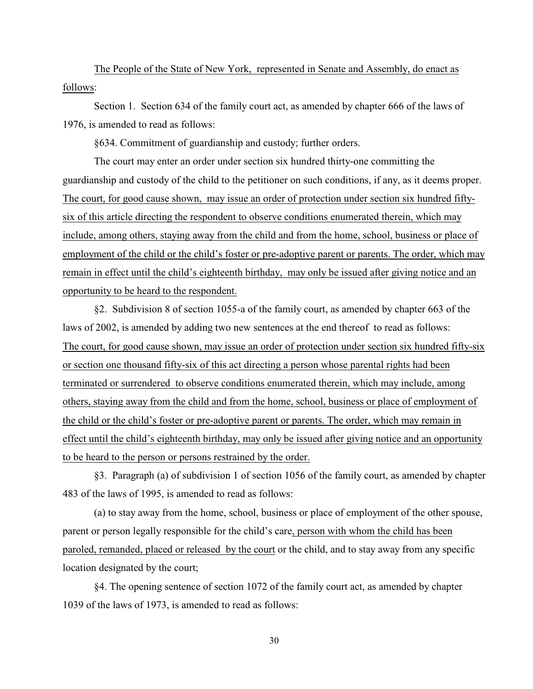The People of the State of New York, represented in Senate and Assembly, do enact as follows:

Section 1. Section 634 of the family court act, as amended by chapter 666 of the laws of 1976, is amended to read as follows:

§634. Commitment of guardianship and custody; further orders.

The court may enter an order under section six hundred thirty-one committing the guardianship and custody of the child to the petitioner on such conditions, if any, as it deems proper. The court, for good cause shown, may issue an order of protection under section six hundred fiftysix of this article directing the respondent to observe conditions enumerated therein, which may include, among others, staying away from the child and from the home, school, business or place of employment of the child or the child's foster or pre-adoptive parent or parents. The order, which may remain in effect until the child's eighteenth birthday, may only be issued after giving notice and an opportunity to be heard to the respondent.

§2. Subdivision 8 of section 1055-a of the family court, as amended by chapter 663 of the laws of 2002, is amended by adding two new sentences at the end thereof to read as follows: The court, for good cause shown, may issue an order of protection under section six hundred fifty-six or section one thousand fifty-six of this act directing a person whose parental rights had been terminated or surrendered to observe conditions enumerated therein, which may include, among others, staying away from the child and from the home, school, business or place of employment of the child or the child's foster or pre-adoptive parent or parents. The order, which may remain in effect until the child's eighteenth birthday, may only be issued after giving notice and an opportunity to be heard to the person or persons restrained by the order.

§3. Paragraph (a) of subdivision 1 of section 1056 of the family court, as amended by chapter 483 of the laws of 1995, is amended to read as follows:

(a) to stay away from the home, school, business or place of employment of the other spouse, parent or person legally responsible for the child's care, person with whom the child has been paroled, remanded, placed or released by the court or the child, and to stay away from any specific location designated by the court;

§4. The opening sentence of section 1072 of the family court act, as amended by chapter 1039 of the laws of 1973, is amended to read as follows: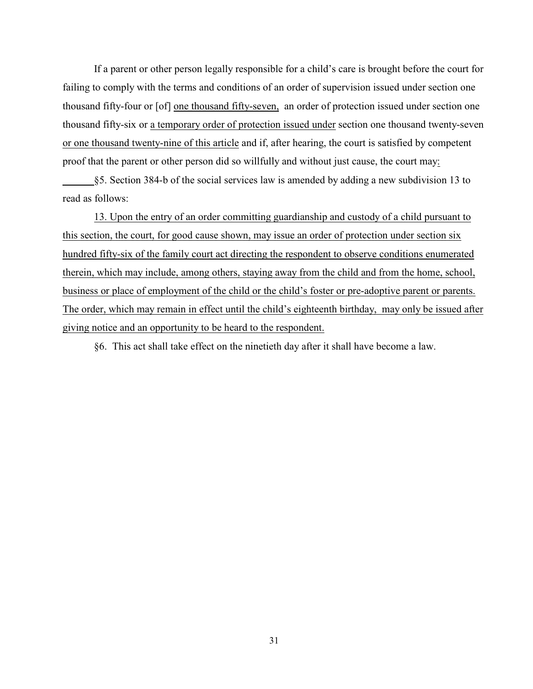If a parent or other person legally responsible for a child's care is brought before the court for failing to comply with the terms and conditions of an order of supervision issued under section one thousand fifty-four or [of] one thousand fifty-seven, an order of protection issued under section one thousand fifty-six or a temporary order of protection issued under section one thousand twenty-seven or one thousand twenty-nine of this article and if, after hearing, the court is satisfied by competent proof that the parent or other person did so willfully and without just cause, the court may:

§5. Section 384-b of the social services law is amended by adding a new subdivision 13 to read as follows:

13. Upon the entry of an order committing guardianship and custody of a child pursuant to this section, the court, for good cause shown, may issue an order of protection under section six hundred fifty-six of the family court act directing the respondent to observe conditions enumerated therein, which may include, among others, staying away from the child and from the home, school, business or place of employment of the child or the child's foster or pre-adoptive parent or parents. The order, which may remain in effect until the child's eighteenth birthday, may only be issued after giving notice and an opportunity to be heard to the respondent.

§6. This act shall take effect on the ninetieth day after it shall have become a law.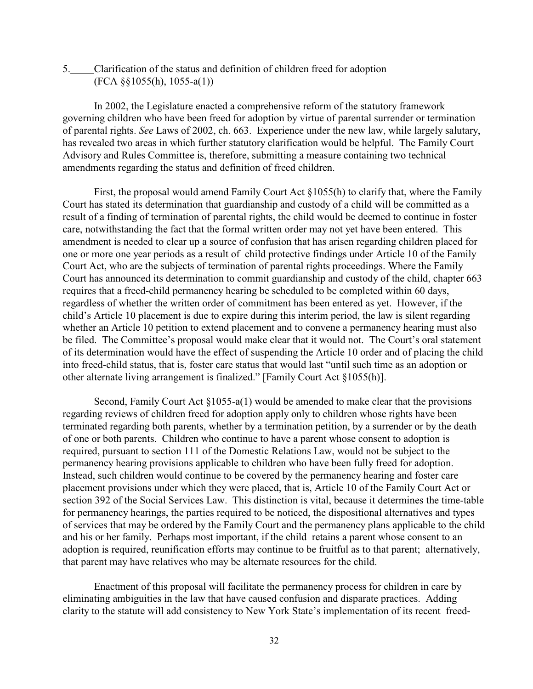5. Clarification of the status and definition of children freed for adoption (FCA §§1055(h), 1055-a(1))

In 2002, the Legislature enacted a comprehensive reform of the statutory framework governing children who have been freed for adoption by virtue of parental surrender or termination of parental rights. *See* Laws of 2002, ch. 663. Experience under the new law, while largely salutary, has revealed two areas in which further statutory clarification would be helpful. The Family Court Advisory and Rules Committee is, therefore, submitting a measure containing two technical amendments regarding the status and definition of freed children.

First, the proposal would amend Family Court Act §1055(h) to clarify that, where the Family Court has stated its determination that guardianship and custody of a child will be committed as a result of a finding of termination of parental rights, the child would be deemed to continue in foster care, notwithstanding the fact that the formal written order may not yet have been entered. This amendment is needed to clear up a source of confusion that has arisen regarding children placed for one or more one year periods as a result of child protective findings under Article 10 of the Family Court Act, who are the subjects of termination of parental rights proceedings. Where the Family Court has announced its determination to commit guardianship and custody of the child, chapter 663 requires that a freed-child permanency hearing be scheduled to be completed within 60 days, regardless of whether the written order of commitment has been entered as yet. However, if the child's Article 10 placement is due to expire during this interim period, the law is silent regarding whether an Article 10 petition to extend placement and to convene a permanency hearing must also be filed. The Committee's proposal would make clear that it would not. The Court's oral statement of its determination would have the effect of suspending the Article 10 order and of placing the child into freed-child status, that is, foster care status that would last "until such time as an adoption or other alternate living arrangement is finalized." [Family Court Act §1055(h)].

Second, Family Court Act §1055-a(1) would be amended to make clear that the provisions regarding reviews of children freed for adoption apply only to children whose rights have been terminated regarding both parents, whether by a termination petition, by a surrender or by the death of one or both parents. Children who continue to have a parent whose consent to adoption is required, pursuant to section 111 of the Domestic Relations Law, would not be subject to the permanency hearing provisions applicable to children who have been fully freed for adoption. Instead, such children would continue to be covered by the permanency hearing and foster care placement provisions under which they were placed, that is, Article 10 of the Family Court Act or section 392 of the Social Services Law. This distinction is vital, because it determines the time-table for permanency hearings, the parties required to be noticed, the dispositional alternatives and types of services that may be ordered by the Family Court and the permanency plans applicable to the child and his or her family. Perhaps most important, if the child retains a parent whose consent to an adoption is required, reunification efforts may continue to be fruitful as to that parent; alternatively, that parent may have relatives who may be alternate resources for the child.

Enactment of this proposal will facilitate the permanency process for children in care by eliminating ambiguities in the law that have caused confusion and disparate practices. Adding clarity to the statute will add consistency to New York State's implementation of its recent freed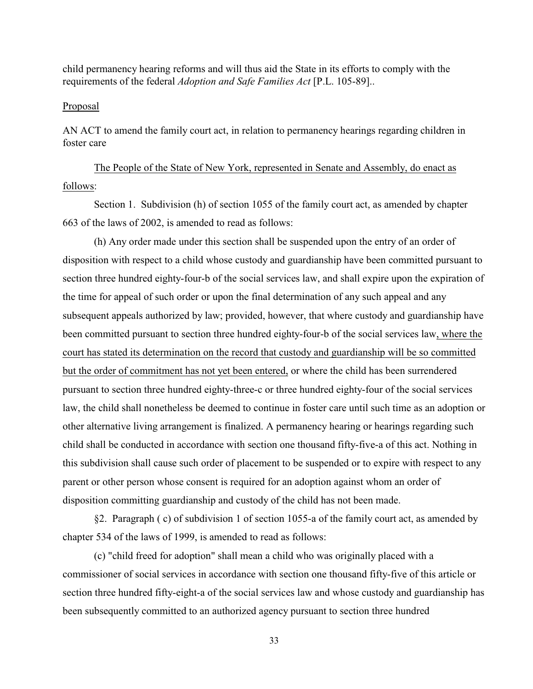child permanency hearing reforms and will thus aid the State in its efforts to comply with the requirements of the federal *Adoption and Safe Families Act* [P.L. 105-89]..

#### Proposal

AN ACT to amend the family court act, in relation to permanency hearings regarding children in foster care

The People of the State of New York, represented in Senate and Assembly, do enact as follows:

Section 1. Subdivision (h) of section 1055 of the family court act, as amended by chapter 663 of the laws of 2002, is amended to read as follows:

(h) Any order made under this section shall be suspended upon the entry of an order of disposition with respect to a child whose custody and guardianship have been committed pursuant to section three hundred eighty-four-b of the social services law, and shall expire upon the expiration of the time for appeal of such order or upon the final determination of any such appeal and any subsequent appeals authorized by law; provided, however, that where custody and guardianship have been committed pursuant to section three hundred eighty-four-b of the social services law, where the court has stated its determination on the record that custody and guardianship will be so committed but the order of commitment has not yet been entered, or where the child has been surrendered pursuant to section three hundred eighty-three-c or three hundred eighty-four of the social services law, the child shall nonetheless be deemed to continue in foster care until such time as an adoption or other alternative living arrangement is finalized. A permanency hearing or hearings regarding such child shall be conducted in accordance with section one thousand fifty-five-a of this act. Nothing in this subdivision shall cause such order of placement to be suspended or to expire with respect to any parent or other person whose consent is required for an adoption against whom an order of disposition committing guardianship and custody of the child has not been made.

§2. Paragraph ( c) of subdivision 1 of section 1055-a of the family court act, as amended by chapter 534 of the laws of 1999, is amended to read as follows:

(c) "child freed for adoption" shall mean a child who was originally placed with a commissioner of social services in accordance with section one thousand fifty-five of this article or section three hundred fifty-eight-a of the social services law and whose custody and guardianship has been subsequently committed to an authorized agency pursuant to section three hundred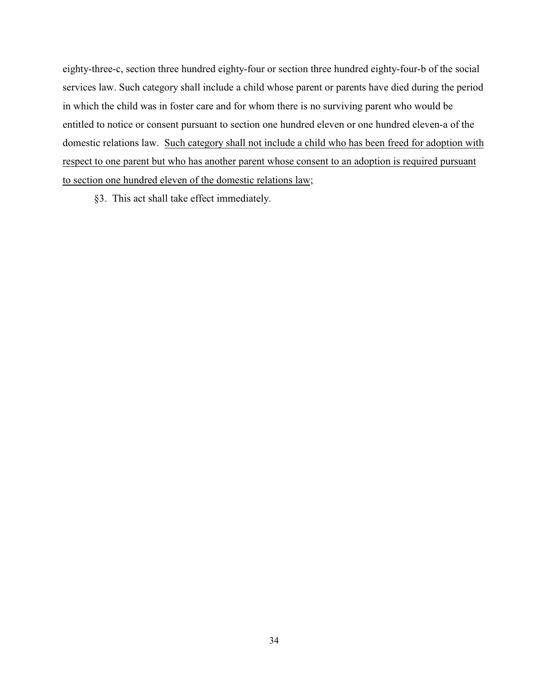eighty-three-c, section three hundred eighty-four or section three hundred eighty-four-b of the social services law. Such category shall include a child whose parent or parents have died during the period in which the child was in foster care and for whom there is no surviving parent who would be entitled to notice or consent pursuant to section one hundred eleven or one hundred eleven-a of the domestic relations law. Such category shall not include a child who has been freed for adoption with respect to one parent but who has another parent whose consent to an adoption is required pursuant to section one hundred eleven of the domestic relations law;

§3. This act shall take effect immediately.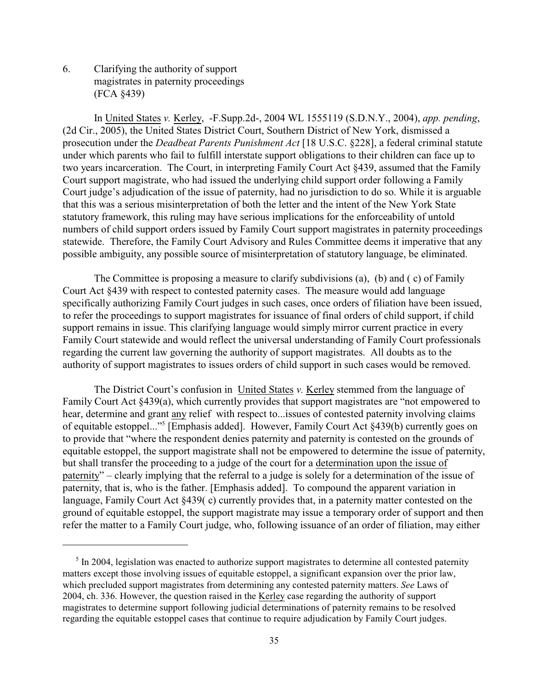6. Clarifying the authority of support magistrates in paternity proceedings (FCA §439)

In United States *v.* Kerley, -F.Supp.2d-, 2004 WL 1555119 (S.D.N.Y., 2004), *app. pending*, (2d Cir., 2005), the United States District Court, Southern District of New York, dismissed a prosecution under the *Deadbeat Parents Punishment Act* [18 U.S.C. §228], a federal criminal statute under which parents who fail to fulfill interstate support obligations to their children can face up to two years incarceration. The Court, in interpreting Family Court Act §439, assumed that the Family Court support magistrate, who had issued the underlying child support order following a Family Court judge's adjudication of the issue of paternity, had no jurisdiction to do so. While it is arguable that this was a serious misinterpretation of both the letter and the intent of the New York State statutory framework, this ruling may have serious implications for the enforceability of untold numbers of child support orders issued by Family Court support magistrates in paternity proceedings statewide. Therefore, the Family Court Advisory and Rules Committee deems it imperative that any possible ambiguity, any possible source of misinterpretation of statutory language, be eliminated.

The Committee is proposing a measure to clarify subdivisions (a), (b) and ( c) of Family Court Act §439 with respect to contested paternity cases. The measure would add language specifically authorizing Family Court judges in such cases, once orders of filiation have been issued, to refer the proceedings to support magistrates for issuance of final orders of child support, if child support remains in issue. This clarifying language would simply mirror current practice in every Family Court statewide and would reflect the universal understanding of Family Court professionals regarding the current law governing the authority of support magistrates. All doubts as to the authority of support magistrates to issues orders of child support in such cases would be removed.

The District Court's confusion in United States *v.* Kerley stemmed from the language of Family Court Act §439(a), which currently provides that support magistrates are "not empowered to hear, determine and grant any relief with respect to...issues of contested paternity involving claims of equitable estoppel..."<sup>5</sup> [Emphasis added]. However, Family Court Act §439(b) currently goes on to provide that "where the respondent denies paternity and paternity is contested on the grounds of equitable estoppel, the support magistrate shall not be empowered to determine the issue of paternity, but shall transfer the proceeding to a judge of the court for a determination upon the issue of paternity" – clearly implying that the referral to a judge is solely for a determination of the issue of paternity, that is, who is the father. [Emphasis added]. To compound the apparent variation in language, Family Court Act §439( c) currently provides that, in a paternity matter contested on the ground of equitable estoppel, the support magistrate may issue a temporary order of support and then refer the matter to a Family Court judge, who, following issuance of an order of filiation, may either

 $\frac{1}{2}$  In 2004, legislation was enacted to authorize support magistrates to determine all contested paternity matters except those involving issues of equitable estoppel, a significant expansion over the prior law, which precluded support magistrates from determining any contested paternity matters. *See* Laws of 2004, ch. 336. However, the question raised in the Kerley case regarding the authority of support magistrates to determine support following judicial determinations of paternity remains to be resolved regarding the equitable estoppel cases that continue to require adjudication by Family Court judges.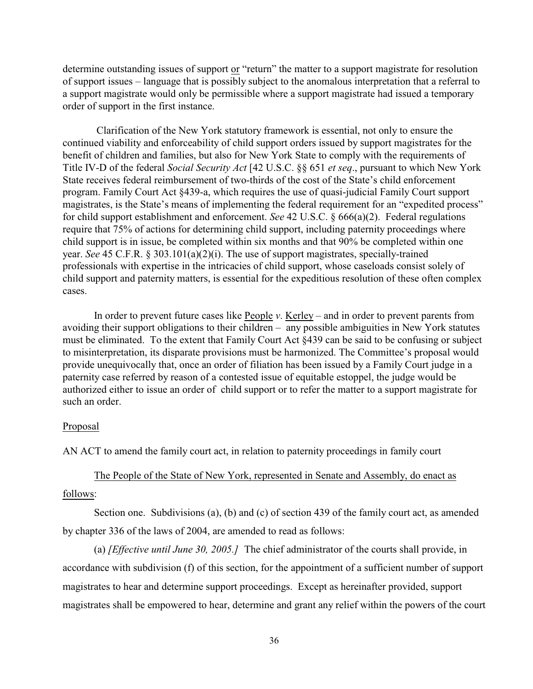determine outstanding issues of support or "return" the matter to a support magistrate for resolution of support issues – language that is possibly subject to the anomalous interpretation that a referral to a support magistrate would only be permissible where a support magistrate had issued a temporary order of support in the first instance.

 Clarification of the New York statutory framework is essential, not only to ensure the continued viability and enforceability of child support orders issued by support magistrates for the benefit of children and families, but also for New York State to comply with the requirements of Title IV-D of the federal *Social Security Act* [42 U.S.C. §§ 651 *et seq*., pursuant to which New York State receives federal reimbursement of two-thirds of the cost of the State's child enforcement program. Family Court Act §439-a, which requires the use of quasi-judicial Family Court support magistrates, is the State's means of implementing the federal requirement for an "expedited process" for child support establishment and enforcement. *See* 42 U.S.C. § 666(a)(2). Federal regulations require that 75% of actions for determining child support, including paternity proceedings where child support is in issue, be completed within six months and that 90% be completed within one year. *See* 45 C.F.R. § 303.101(a)(2)(i). The use of support magistrates, specially-trained professionals with expertise in the intricacies of child support, whose caseloads consist solely of child support and paternity matters, is essential for the expeditious resolution of these often complex cases.

In order to prevent future cases like People *v*. Kerley – and in order to prevent parents from avoiding their support obligations to their children – any possible ambiguities in New York statutes must be eliminated. To the extent that Family Court Act §439 can be said to be confusing or subject to misinterpretation, its disparate provisions must be harmonized. The Committee's proposal would provide unequivocally that, once an order of filiation has been issued by a Family Court judge in a paternity case referred by reason of a contested issue of equitable estoppel, the judge would be authorized either to issue an order of child support or to refer the matter to a support magistrate for such an order.

#### Proposal

AN ACT to amend the family court act, in relation to paternity proceedings in family court

## The People of the State of New York, represented in Senate and Assembly, do enact as follows:

Section one. Subdivisions (a), (b) and (c) of section 439 of the family court act, as amended by chapter 336 of the laws of 2004, are amended to read as follows:

(a) *[Effective until June 30, 2005.]* The chief administrator of the courts shall provide, in accordance with subdivision (f) of this section, for the appointment of a sufficient number of support magistrates to hear and determine support proceedings. Except as hereinafter provided, support magistrates shall be empowered to hear, determine and grant any relief within the powers of the court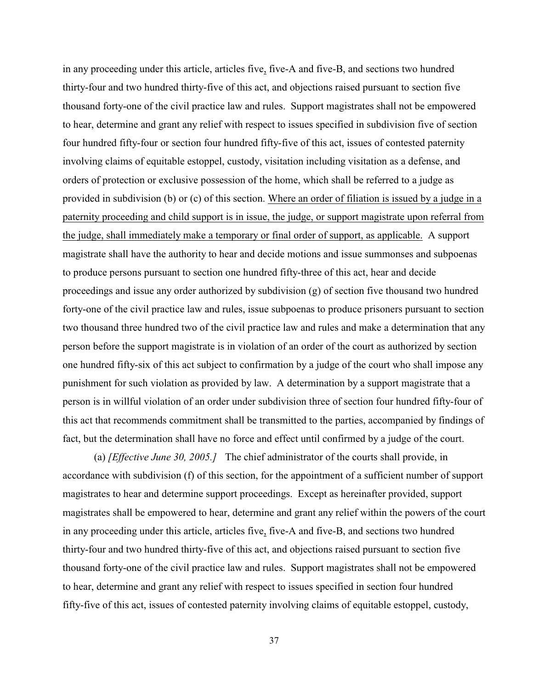in any proceeding under this article, articles five, five-A and five-B, and sections two hundred thirty-four and two hundred thirty-five of this act, and objections raised pursuant to section five thousand forty-one of the civil practice law and rules. Support magistrates shall not be empowered to hear, determine and grant any relief with respect to issues specified in subdivision five of section four hundred fifty-four or section four hundred fifty-five of this act, issues of contested paternity involving claims of equitable estoppel, custody, visitation including visitation as a defense, and orders of protection or exclusive possession of the home, which shall be referred to a judge as provided in subdivision (b) or (c) of this section. Where an order of filiation is issued by a judge in a paternity proceeding and child support is in issue, the judge, or support magistrate upon referral from the judge, shall immediately make a temporary or final order of support, as applicable. A support magistrate shall have the authority to hear and decide motions and issue summonses and subpoenas to produce persons pursuant to section one hundred fifty-three of this act, hear and decide proceedings and issue any order authorized by subdivision (g) of section five thousand two hundred forty-one of the civil practice law and rules, issue subpoenas to produce prisoners pursuant to section two thousand three hundred two of the civil practice law and rules and make a determination that any person before the support magistrate is in violation of an order of the court as authorized by section one hundred fifty-six of this act subject to confirmation by a judge of the court who shall impose any punishment for such violation as provided by law. A determination by a support magistrate that a person is in willful violation of an order under subdivision three of section four hundred fifty-four of this act that recommends commitment shall be transmitted to the parties, accompanied by findings of fact, but the determination shall have no force and effect until confirmed by a judge of the court.

(a) *[Effective June 30, 2005.]* The chief administrator of the courts shall provide, in accordance with subdivision (f) of this section, for the appointment of a sufficient number of support magistrates to hear and determine support proceedings. Except as hereinafter provided, support magistrates shall be empowered to hear, determine and grant any relief within the powers of the court in any proceeding under this article, articles five, five-A and five-B, and sections two hundred thirty-four and two hundred thirty-five of this act, and objections raised pursuant to section five thousand forty-one of the civil practice law and rules. Support magistrates shall not be empowered to hear, determine and grant any relief with respect to issues specified in section four hundred fifty-five of this act, issues of contested paternity involving claims of equitable estoppel, custody,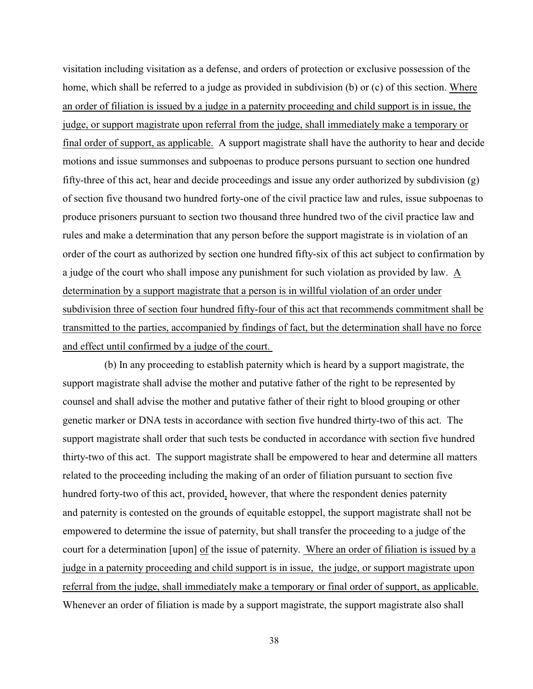visitation including visitation as a defense, and orders of protection or exclusive possession of the home, which shall be referred to a judge as provided in subdivision (b) or (c) of this section. Where an order of filiation is issued by a judge in a paternity proceeding and child support is in issue, the judge, or support magistrate upon referral from the judge, shall immediately make a temporary or final order of support, as applicable. A support magistrate shall have the authority to hear and decide motions and issue summonses and subpoenas to produce persons pursuant to section one hundred fifty-three of this act, hear and decide proceedings and issue any order authorized by subdivision (g) of section five thousand two hundred forty-one of the civil practice law and rules, issue subpoenas to produce prisoners pursuant to section two thousand three hundred two of the civil practice law and rules and make a determination that any person before the support magistrate is in violation of an order of the court as authorized by section one hundred fifty-six of this act subject to confirmation by a judge of the court who shall impose any punishment for such violation as provided by law. A determination by a support magistrate that a person is in willful violation of an order under subdivision three of section four hundred fifty-four of this act that recommends commitment shall be transmitted to the parties, accompanied by findings of fact, but the determination shall have no force and effect until confirmed by a judge of the court.

 (b) In any proceeding to establish paternity which is heard by a support magistrate, the support magistrate shall advise the mother and putative father of the right to be represented by counsel and shall advise the mother and putative father of their right to blood grouping or other genetic marker or DNA tests in accordance with section five hundred thirty-two of this act. The support magistrate shall order that such tests be conducted in accordance with section five hundred thirty-two of this act. The support magistrate shall be empowered to hear and determine all matters related to the proceeding including the making of an order of filiation pursuant to section five hundred forty-two of this act, provided, however, that where the respondent denies paternity and paternity is contested on the grounds of equitable estoppel, the support magistrate shall not be empowered to determine the issue of paternity, but shall transfer the proceeding to a judge of the court for a determination [upon] of the issue of paternity. Where an order of filiation is issued by a judge in a paternity proceeding and child support is in issue, the judge, or support magistrate upon referral from the judge, shall immediately make a temporary or final order of support, as applicable. Whenever an order of filiation is made by a support magistrate, the support magistrate also shall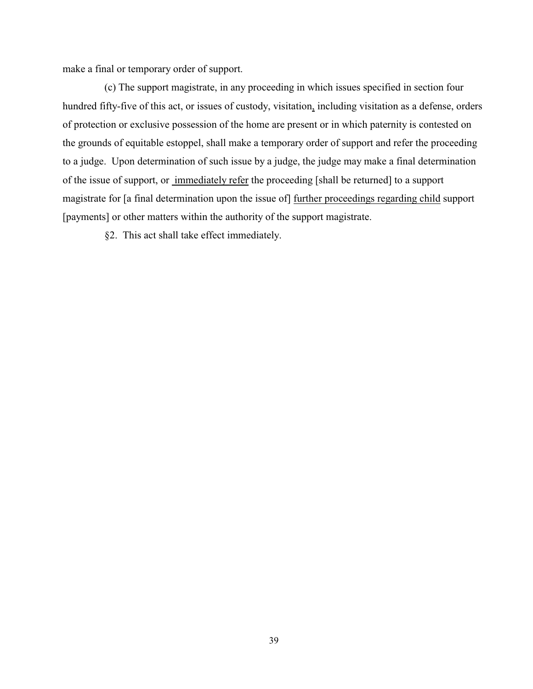make a final or temporary order of support.

 (c) The support magistrate, in any proceeding in which issues specified in section four hundred fifty-five of this act, or issues of custody, visitation, including visitation as a defense, orders of protection or exclusive possession of the home are present or in which paternity is contested on the grounds of equitable estoppel, shall make a temporary order of support and refer the proceeding to a judge. Upon determination of such issue by a judge, the judge may make a final determination of the issue of support, or immediately refer the proceeding [shall be returned] to a support magistrate for [a final determination upon the issue of] further proceedings regarding child support [payments] or other matters within the authority of the support magistrate.

§2. This act shall take effect immediately.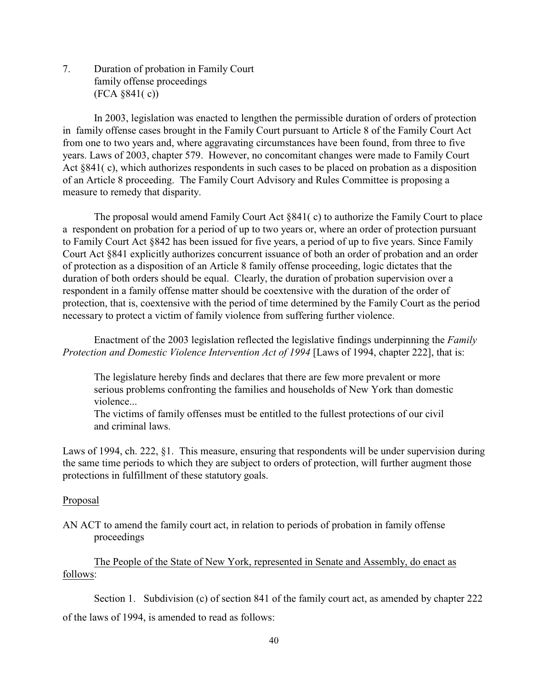7. Duration of probation in Family Court family offense proceedings (FCA §841( c))

In 2003, legislation was enacted to lengthen the permissible duration of orders of protection in family offense cases brought in the Family Court pursuant to Article 8 of the Family Court Act from one to two years and, where aggravating circumstances have been found, from three to five years. Laws of 2003, chapter 579. However, no concomitant changes were made to Family Court Act §841( c), which authorizes respondents in such cases to be placed on probation as a disposition of an Article 8 proceeding. The Family Court Advisory and Rules Committee is proposing a measure to remedy that disparity.

The proposal would amend Family Court Act §841( c) to authorize the Family Court to place a respondent on probation for a period of up to two years or, where an order of protection pursuant to Family Court Act §842 has been issued for five years, a period of up to five years. Since Family Court Act §841 explicitly authorizes concurrent issuance of both an order of probation and an order of protection as a disposition of an Article 8 family offense proceeding, logic dictates that the duration of both orders should be equal. Clearly, the duration of probation supervision over a respondent in a family offense matter should be coextensive with the duration of the order of protection, that is, coextensive with the period of time determined by the Family Court as the period necessary to protect a victim of family violence from suffering further violence.

Enactment of the 2003 legislation reflected the legislative findings underpinning the *Family Protection and Domestic Violence Intervention Act of 1994* [Laws of 1994, chapter 222], that is:

The legislature hereby finds and declares that there are few more prevalent or more serious problems confronting the families and households of New York than domestic violence...

The victims of family offenses must be entitled to the fullest protections of our civil and criminal laws.

Laws of 1994, ch. 222, §1. This measure, ensuring that respondents will be under supervision during the same time periods to which they are subject to orders of protection, will further augment those protections in fulfillment of these statutory goals.

## Proposal

AN ACT to amend the family court act, in relation to periods of probation in family offense proceedings

The People of the State of New York, represented in Senate and Assembly, do enact as follows:

Section 1. Subdivision (c) of section 841 of the family court act, as amended by chapter 222 of the laws of 1994, is amended to read as follows: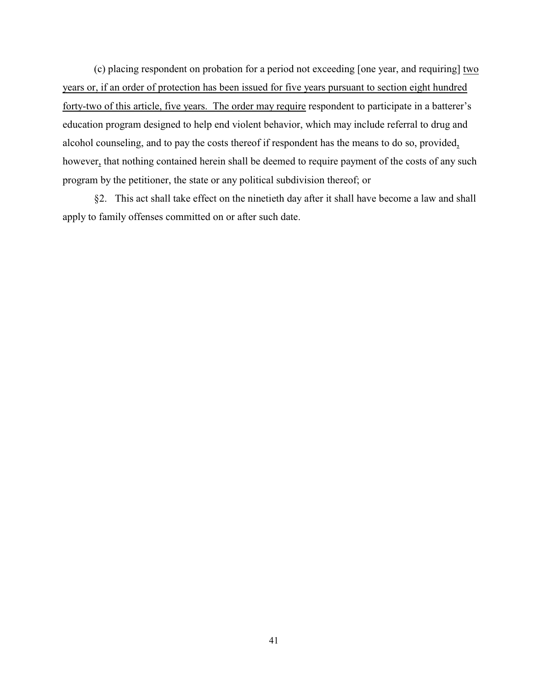(c) placing respondent on probation for a period not exceeding [one year, and requiring] two years or, if an order of protection has been issued for five years pursuant to section eight hundred forty-two of this article, five years. The order may require respondent to participate in a batterer's education program designed to help end violent behavior, which may include referral to drug and alcohol counseling, and to pay the costs thereof if respondent has the means to do so, provided, however, that nothing contained herein shall be deemed to require payment of the costs of any such program by the petitioner, the state or any political subdivision thereof; or

§2. This act shall take effect on the ninetieth day after it shall have become a law and shall apply to family offenses committed on or after such date.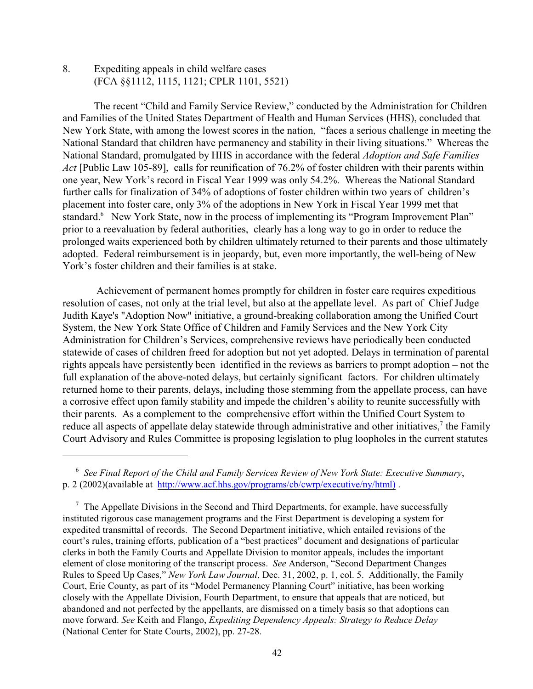8. Expediting appeals in child welfare cases (FCA §§1112, 1115, 1121; CPLR 1101, 5521)

The recent "Child and Family Service Review," conducted by the Administration for Children and Families of the United States Department of Health and Human Services (HHS), concluded that New York State, with among the lowest scores in the nation, "faces a serious challenge in meeting the National Standard that children have permanency and stability in their living situations." Whereas the National Standard, promulgated by HHS in accordance with the federal *Adoption and Safe Families Act* [Public Law 105-89], calls for reunification of 76.2% of foster children with their parents within one year, New York's record in Fiscal Year 1999 was only 54.2%. Whereas the National Standard further calls for finalization of 34% of adoptions of foster children within two years of children's placement into foster care, only 3% of the adoptions in New York in Fiscal Year 1999 met that standard.<sup>6</sup> New York State, now in the process of implementing its "Program Improvement Plan" prior to a reevaluation by federal authorities, clearly has a long way to go in order to reduce the prolonged waits experienced both by children ultimately returned to their parents and those ultimately adopted. Federal reimbursement is in jeopardy, but, even more importantly, the well-being of New York's foster children and their families is at stake.

 Achievement of permanent homes promptly for children in foster care requires expeditious resolution of cases, not only at the trial level, but also at the appellate level. As part of Chief Judge Judith Kaye's "Adoption Now" initiative, a ground-breaking collaboration among the Unified Court System, the New York State Office of Children and Family Services and the New York City Administration for Children's Services, comprehensive reviews have periodically been conducted statewide of cases of children freed for adoption but not yet adopted. Delays in termination of parental rights appeals have persistently been identified in the reviews as barriers to prompt adoption – not the full explanation of the above-noted delays, but certainly significant factors. For children ultimately returned home to their parents, delays, including those stemming from the appellate process, can have a corrosive effect upon family stability and impede the children's ability to reunite successfully with their parents. As a complement to the comprehensive effort within the Unified Court System to reduce all aspects of appellate delay statewide through administrative and other initiatives,<sup>7</sup> the Family Court Advisory and Rules Committee is proposing legislation to plug loopholes in the current statutes

<sup>&</sup>lt;sup>6</sup> See Final Report of the Child and Family Services Review of New York State: Executive Summary, p. 2 (2002)(available at [http://www.acf.hhs.gov/programs/cb/cwrp/executive/ny/html\)](http://(http://www.acf.hhs.gov/programs/cb/cwrp/executive/ny/html)) .

 $\frac{7}{1}$  The Appellate Divisions in the Second and Third Departments, for example, have successfully instituted rigorous case management programs and the First Department is developing a system for expedited transmittal of records. The Second Department initiative, which entailed revisions of the court's rules, training efforts, publication of a "best practices" document and designations of particular clerks in both the Family Courts and Appellate Division to monitor appeals, includes the important element of close monitoring of the transcript process. *See* Anderson, "Second Department Changes Rules to Speed Up Cases," *New York Law Journal*, Dec. 31, 2002, p. 1, col. 5. Additionally, the Family Court, Erie County, as part of its "Model Permanency Planning Court" initiative, has been working closely with the Appellate Division, Fourth Department, to ensure that appeals that are noticed, but abandoned and not perfected by the appellants, are dismissed on a timely basis so that adoptions can move forward. *See* Keith and Flango, *Expediting Dependency Appeals: Strategy to Reduce Delay* (National Center for State Courts, 2002), pp. 27-28.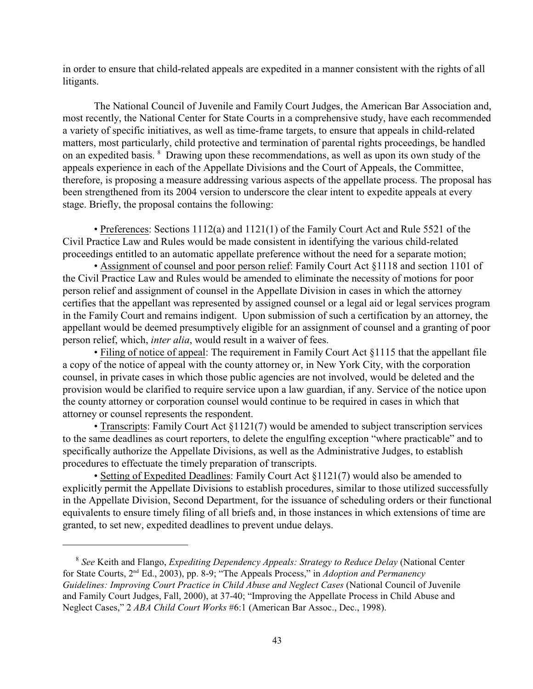in order to ensure that child-related appeals are expedited in a manner consistent with the rights of all litigants.

The National Council of Juvenile and Family Court Judges, the American Bar Association and, most recently, the National Center for State Courts in a comprehensive study, have each recommended a variety of specific initiatives, as well as time-frame targets, to ensure that appeals in child-related matters, most particularly, child protective and termination of parental rights proceedings, be handled on an expedited basis. <sup>8</sup> Drawing upon these recommendations, as well as upon its own study of the appeals experience in each of the Appellate Divisions and the Court of Appeals, the Committee, therefore, is proposing a measure addressing various aspects of the appellate process. The proposal has been strengthened from its 2004 version to underscore the clear intent to expedite appeals at every stage. Briefly, the proposal contains the following:

• Preferences: Sections 1112(a) and 1121(1) of the Family Court Act and Rule 5521 of the Civil Practice Law and Rules would be made consistent in identifying the various child-related proceedings entitled to an automatic appellate preference without the need for a separate motion;

• Assignment of counsel and poor person relief: Family Court Act §1118 and section 1101 of the Civil Practice Law and Rules would be amended to eliminate the necessity of motions for poor person relief and assignment of counsel in the Appellate Division in cases in which the attorney certifies that the appellant was represented by assigned counsel or a legal aid or legal services program in the Family Court and remains indigent. Upon submission of such a certification by an attorney, the appellant would be deemed presumptively eligible for an assignment of counsel and a granting of poor person relief, which, *inter alia*, would result in a waiver of fees.

• Filing of notice of appeal: The requirement in Family Court Act §1115 that the appellant file a copy of the notice of appeal with the county attorney or, in New York City, with the corporation counsel, in private cases in which those public agencies are not involved, would be deleted and the provision would be clarified to require service upon a law guardian, if any. Service of the notice upon the county attorney or corporation counsel would continue to be required in cases in which that attorney or counsel represents the respondent.

• Transcripts: Family Court Act §1121(7) would be amended to subject transcription services to the same deadlines as court reporters, to delete the engulfing exception "where practicable" and to specifically authorize the Appellate Divisions, as well as the Administrative Judges, to establish procedures to effectuate the timely preparation of transcripts.

• Setting of Expedited Deadlines: Family Court Act §1121(7) would also be amended to explicitly permit the Appellate Divisions to establish procedures, similar to those utilized successfully in the Appellate Division, Second Department, for the issuance of scheduling orders or their functional equivalents to ensure timely filing of all briefs and, in those instances in which extensions of time are granted, to set new, expedited deadlines to prevent undue delays.

<sup>&</sup>lt;sup>8</sup> See Keith and Flango, *Expediting Dependency Appeals: Strategy to Reduce Delay* (National Center for State Courts, 2<sup>nd</sup> Ed., 2003), pp. 8-9; "The Appeals Process," in *Adoption and Permanency Guidelines: Improving Court Practice in Child Abuse and Neglect Cases* (National Council of Juvenile and Family Court Judges, Fall, 2000), at 37-40; "Improving the Appellate Process in Child Abuse and Neglect Cases," 2 *ABA Child Court Works* #6:1 (American Bar Assoc., Dec., 1998).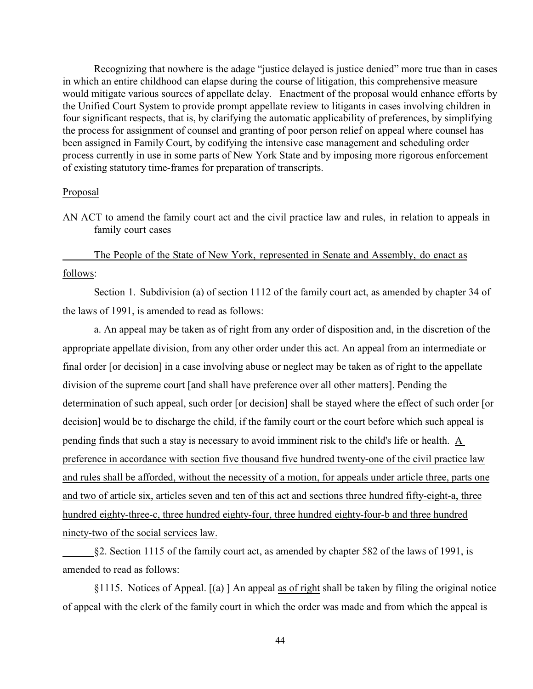Recognizing that nowhere is the adage "justice delayed is justice denied" more true than in cases in which an entire childhood can elapse during the course of litigation, this comprehensive measure would mitigate various sources of appellate delay. Enactment of the proposal would enhance efforts by the Unified Court System to provide prompt appellate review to litigants in cases involving children in four significant respects, that is, by clarifying the automatic applicability of preferences, by simplifying the process for assignment of counsel and granting of poor person relief on appeal where counsel has been assigned in Family Court, by codifying the intensive case management and scheduling order process currently in use in some parts of New York State and by imposing more rigorous enforcement of existing statutory time-frames for preparation of transcripts.

#### Proposal

AN ACT to amend the family court act and the civil practice law and rules, in relation to appeals in family court cases

# The People of the State of New York, represented in Senate and Assembly, do enact as follows:

Section 1. Subdivision (a) of section 1112 of the family court act, as amended by chapter 34 of the laws of 1991, is amended to read as follows:

a. An appeal may be taken as of right from any order of disposition and, in the discretion of the appropriate appellate division, from any other order under this act. An appeal from an intermediate or final order [or decision] in a case involving abuse or neglect may be taken as of right to the appellate division of the supreme court [and shall have preference over all other matters]. Pending the determination of such appeal, such order [or decision] shall be stayed where the effect of such order [or decision] would be to discharge the child, if the family court or the court before which such appeal is pending finds that such a stay is necessary to avoid imminent risk to the child's life or health. A preference in accordance with section five thousand five hundred twenty-one of the civil practice law and rules shall be afforded, without the necessity of a motion, for appeals under article three, parts one and two of article six, articles seven and ten of this act and sections three hundred fifty-eight-a, three hundred eighty-three-c, three hundred eighty-four, three hundred eighty-four-b and three hundred ninety-two of the social services law.

§2. Section 1115 of the family court act, as amended by chapter 582 of the laws of 1991, is amended to read as follows:

§1115. Notices of Appeal. [(a) ] An appeal as of right shall be taken by filing the original notice of appeal with the clerk of the family court in which the order was made and from which the appeal is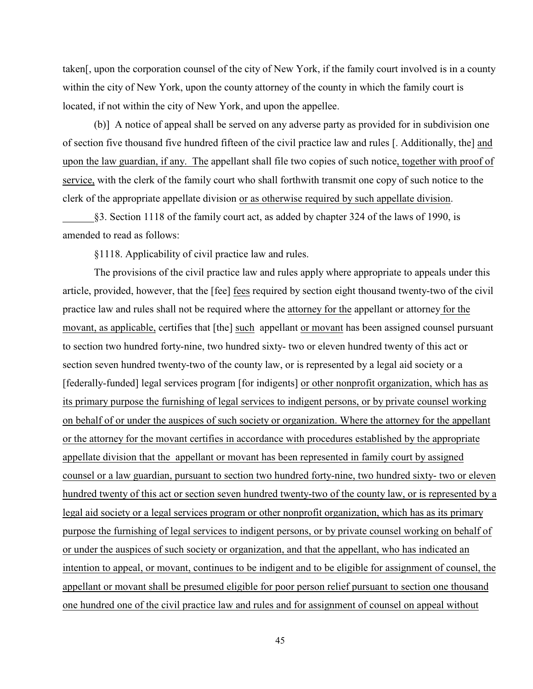taken[, upon the corporation counsel of the city of New York, if the family court involved is in a county within the city of New York, upon the county attorney of the county in which the family court is located, if not within the city of New York, and upon the appellee.

(b)] A notice of appeal shall be served on any adverse party as provided for in subdivision one of section five thousand five hundred fifteen of the civil practice law and rules [. Additionally, the] and upon the law guardian, if any. The appellant shall file two copies of such notice, together with proof of service, with the clerk of the family court who shall forthwith transmit one copy of such notice to the clerk of the appropriate appellate division or as otherwise required by such appellate division.

§3. Section 1118 of the family court act, as added by chapter 324 of the laws of 1990, is amended to read as follows:

§1118. Applicability of civil practice law and rules.

The provisions of the civil practice law and rules apply where appropriate to appeals under this article, provided, however, that the [fee] fees required by section eight thousand twenty-two of the civil practice law and rules shall not be required where the attorney for the appellant or attorney for the movant, as applicable, certifies that [the] such appellant or movant has been assigned counsel pursuant to section two hundred forty-nine, two hundred sixty- two or eleven hundred twenty of this act or section seven hundred twenty-two of the county law, or is represented by a legal aid society or a [federally-funded] legal services program [for indigents] or other nonprofit organization, which has as its primary purpose the furnishing of legal services to indigent persons, or by private counsel working on behalf of or under the auspices of such society or organization. Where the attorney for the appellant or the attorney for the movant certifies in accordance with procedures established by the appropriate appellate division that the appellant or movant has been represented in family court by assigned counsel or a law guardian, pursuant to section two hundred forty-nine, two hundred sixty- two or eleven hundred twenty of this act or section seven hundred twenty-two of the county law, or is represented by a legal aid society or a legal services program or other nonprofit organization, which has as its primary purpose the furnishing of legal services to indigent persons, or by private counsel working on behalf of or under the auspices of such society or organization, and that the appellant, who has indicated an intention to appeal, or movant, continues to be indigent and to be eligible for assignment of counsel, the appellant or movant shall be presumed eligible for poor person relief pursuant to section one thousand one hundred one of the civil practice law and rules and for assignment of counsel on appeal without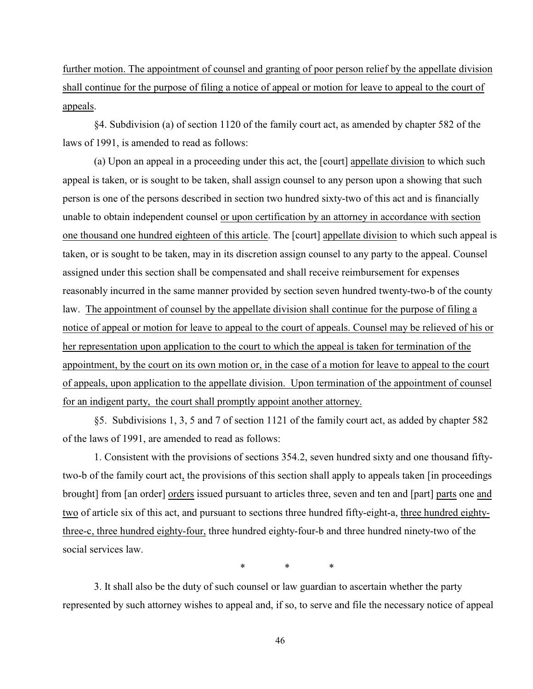further motion. The appointment of counsel and granting of poor person relief by the appellate division shall continue for the purpose of filing a notice of appeal or motion for leave to appeal to the court of appeals.

§4. Subdivision (a) of section 1120 of the family court act, as amended by chapter 582 of the laws of 1991, is amended to read as follows:

(a) Upon an appeal in a proceeding under this act, the [court] appellate division to which such appeal is taken, or is sought to be taken, shall assign counsel to any person upon a showing that such person is one of the persons described in section two hundred sixty-two of this act and is financially unable to obtain independent counsel or upon certification by an attorney in accordance with section one thousand one hundred eighteen of this article. The [court] appellate division to which such appeal is taken, or is sought to be taken, may in its discretion assign counsel to any party to the appeal. Counsel assigned under this section shall be compensated and shall receive reimbursement for expenses reasonably incurred in the same manner provided by section seven hundred twenty-two-b of the county law. The appointment of counsel by the appellate division shall continue for the purpose of filing a notice of appeal or motion for leave to appeal to the court of appeals. Counsel may be relieved of his or her representation upon application to the court to which the appeal is taken for termination of the appointment, by the court on its own motion or, in the case of a motion for leave to appeal to the court of appeals, upon application to the appellate division. Upon termination of the appointment of counsel for an indigent party, the court shall promptly appoint another attorney.

§5. Subdivisions 1, 3, 5 and 7 of section 1121 of the family court act, as added by chapter 582 of the laws of 1991, are amended to read as follows:

1. Consistent with the provisions of sections 354.2, seven hundred sixty and one thousand fiftytwo-b of the family court act, the provisions of this section shall apply to appeals taken [in proceedings brought] from [an order] orders issued pursuant to articles three, seven and ten and [part] parts one and two of article six of this act, and pursuant to sections three hundred fifty-eight-a, three hundred eightythree-c, three hundred eighty-four, three hundred eighty-four-b and three hundred ninety-two of the social services law.

\* \* \*

3. It shall also be the duty of such counsel or law guardian to ascertain whether the party represented by such attorney wishes to appeal and, if so, to serve and file the necessary notice of appeal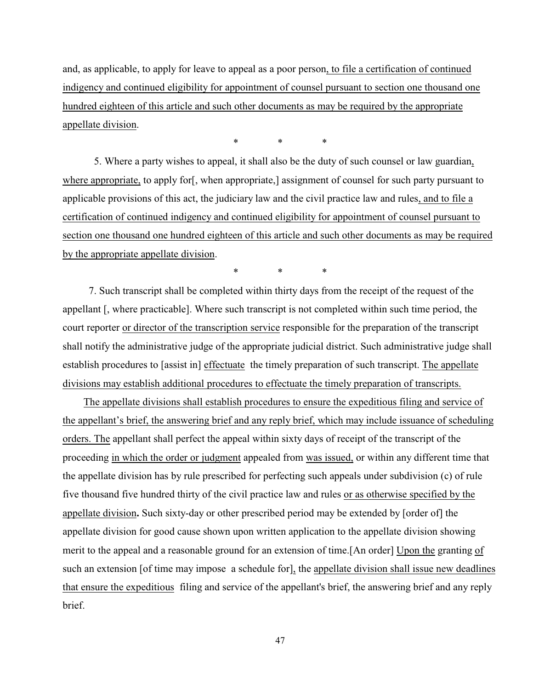and, as applicable, to apply for leave to appeal as a poor person, to file a certification of continued indigency and continued eligibility for appointment of counsel pursuant to section one thousand one hundred eighteen of this article and such other documents as may be required by the appropriate appellate division.

\* \* \*

 5. Where a party wishes to appeal, it shall also be the duty of such counsel or law guardian, where appropriate, to apply for [, when appropriate,] assignment of counsel for such party pursuant to applicable provisions of this act, the judiciary law and the civil practice law and rules, and to file a certification of continued indigency and continued eligibility for appointment of counsel pursuant to section one thousand one hundred eighteen of this article and such other documents as may be required by the appropriate appellate division.

\* \* \*

 7. Such transcript shall be completed within thirty days from the receipt of the request of the appellant [, where practicable]. Where such transcript is not completed within such time period, the court reporter or director of the transcription service responsible for the preparation of the transcript shall notify the administrative judge of the appropriate judicial district. Such administrative judge shall establish procedures to [assist in] effectuate the timely preparation of such transcript. The appellate divisions may establish additional procedures to effectuate the timely preparation of transcripts.

 The appellate divisions shall establish procedures to ensure the expeditious filing and service of the appellant's brief, the answering brief and any reply brief, which may include issuance of scheduling orders. The appellant shall perfect the appeal within sixty days of receipt of the transcript of the proceeding in which the order or judgment appealed from was issued, or within any different time that the appellate division has by rule prescribed for perfecting such appeals under subdivision (c) of rule five thousand five hundred thirty of the civil practice law and rules or as otherwise specified by the appellate division**.** Such sixty-day or other prescribed period may be extended by [order of] the appellate division for good cause shown upon written application to the appellate division showing merit to the appeal and a reasonable ground for an extension of time.[An order] Upon the granting of such an extension [of time may impose a schedule for], the appellate division shall issue new deadlines that ensure the expeditious filing and service of the appellant's brief, the answering brief and any reply brief.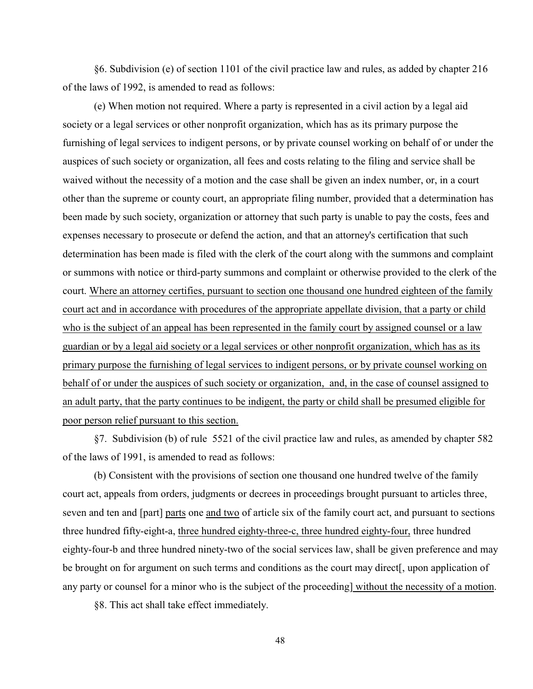§6. Subdivision (e) of section 1101 of the civil practice law and rules, as added by chapter 216 of the laws of 1992, is amended to read as follows:

(e) When motion not required. Where a party is represented in a civil action by a legal aid society or a legal services or other nonprofit organization, which has as its primary purpose the furnishing of legal services to indigent persons, or by private counsel working on behalf of or under the auspices of such society or organization, all fees and costs relating to the filing and service shall be waived without the necessity of a motion and the case shall be given an index number, or, in a court other than the supreme or county court, an appropriate filing number, provided that a determination has been made by such society, organization or attorney that such party is unable to pay the costs, fees and expenses necessary to prosecute or defend the action, and that an attorney's certification that such determination has been made is filed with the clerk of the court along with the summons and complaint or summons with notice or third-party summons and complaint or otherwise provided to the clerk of the court. Where an attorney certifies, pursuant to section one thousand one hundred eighteen of the family court act and in accordance with procedures of the appropriate appellate division, that a party or child who is the subject of an appeal has been represented in the family court by assigned counsel or a law guardian or by a legal aid society or a legal services or other nonprofit organization, which has as its primary purpose the furnishing of legal services to indigent persons, or by private counsel working on behalf of or under the auspices of such society or organization, and, in the case of counsel assigned to an adult party, that the party continues to be indigent, the party or child shall be presumed eligible for poor person relief pursuant to this section.

§7. Subdivision (b) of rule 5521 of the civil practice law and rules, as amended by chapter 582 of the laws of 1991, is amended to read as follows:

(b) Consistent with the provisions of section one thousand one hundred twelve of the family court act, appeals from orders, judgments or decrees in proceedings brought pursuant to articles three, seven and ten and [part] parts one and two of article six of the family court act, and pursuant to sections three hundred fifty-eight-a, three hundred eighty-three-c, three hundred eighty-four, three hundred eighty-four-b and three hundred ninety-two of the social services law, shall be given preference and may be brought on for argument on such terms and conditions as the court may direct<sup>[</sup>, upon application of any party or counsel for a minor who is the subject of the proceeding] without the necessity of a motion.

§8. This act shall take effect immediately.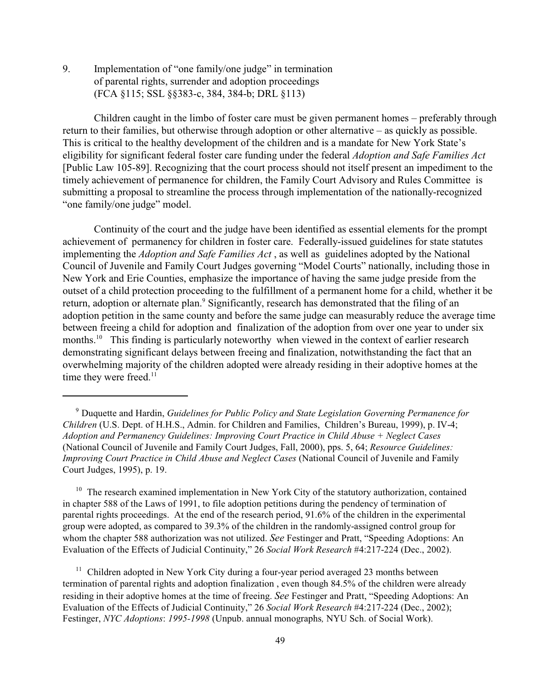9. Implementation of "one family/one judge" in termination of parental rights, surrender and adoption proceedings (FCA §115; SSL §§383-c, 384, 384-b; DRL §113)

Children caught in the limbo of foster care must be given permanent homes – preferably through return to their families, but otherwise through adoption or other alternative – as quickly as possible. This is critical to the healthy development of the children and is a mandate for New York State's eligibility for significant federal foster care funding under the federal *Adoption and Safe Families Act* [Public Law 105-89]. Recognizing that the court process should not itself present an impediment to the timely achievement of permanence for children, the Family Court Advisory and Rules Committee is submitting a proposal to streamline the process through implementation of the nationally-recognized "one family/one judge" model.

Continuity of the court and the judge have been identified as essential elements for the prompt achievement of permanency for children in foster care. Federally-issued guidelines for state statutes implementing the *Adoption and Safe Families Act* , as well as guidelines adopted by the National Council of Juvenile and Family Court Judges governing "Model Courts" nationally, including those in New York and Erie Counties, emphasize the importance of having the same judge preside from the outset of a child protection proceeding to the fulfillment of a permanent home for a child, whether it be return, adoption or alternate plan.<sup>9</sup> Significantly, research has demonstrated that the filing of an adoption petition in the same county and before the same judge can measurably reduce the average time between freeing a child for adoption and finalization of the adoption from over one year to under six months.<sup>10</sup> This finding is particularly noteworthy when viewed in the context of earlier research demonstrating significant delays between freeing and finalization, notwithstanding the fact that an overwhelming majority of the children adopted were already residing in their adoptive homes at the time they were freed.<sup>11</sup>

 $10$  The research examined implementation in New York City of the statutory authorization, contained in chapter 588 of the Laws of 1991, to file adoption petitions during the pendency of termination of parental rights proceedings. At the end of the research period, 91.6% of the children in the experimental group were adopted, as compared to 39.3% of the children in the randomly-assigned control group for whom the chapter 588 authorization was not utilized. *See* Festinger and Pratt, "Speeding Adoptions: An Evaluation of the Effects of Judicial Continuity," 26 *Social Work Research* #4:217-224 (Dec., 2002).

 $11$  Children adopted in New York City during a four-year period averaged 23 months between termination of parental rights and adoption finalization , even though 84.5% of the children were already residing in their adoptive homes at the time of freeing. *See* Festinger and Pratt, "Speeding Adoptions: An Evaluation of the Effects of Judicial Continuity," 26 *Social Work Research* #4:217-224 (Dec., 2002); Festinger, *NYC Adoptions*: *1995-1998* (Unpub. annual monographs*,* NYU Sch. of Social Work).

Duquette and Hardin, *Guidelines for Public Policy and State Legislation Governing Permanence for* <sup>9</sup> *Children* (U.S. Dept. of H.H.S., Admin. for Children and Families, Children's Bureau, 1999), p. IV-4; *Adoption and Permanency Guidelines: Improving Court Practice in Child Abuse + Neglect Cases* (National Council of Juvenile and Family Court Judges, Fall, 2000), pps. 5, 64; *Resource Guidelines: Improving Court Practice in Child Abuse and Neglect Cases* (National Council of Juvenile and Family Court Judges, 1995), p. 19.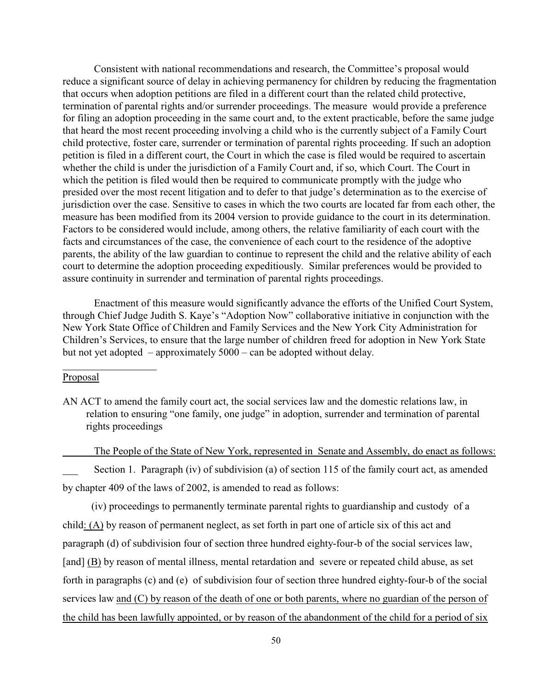Consistent with national recommendations and research, the Committee's proposal would reduce a significant source of delay in achieving permanency for children by reducing the fragmentation that occurs when adoption petitions are filed in a different court than the related child protective, termination of parental rights and/or surrender proceedings. The measure would provide a preference for filing an adoption proceeding in the same court and, to the extent practicable, before the same judge that heard the most recent proceeding involving a child who is the currently subject of a Family Court child protective, foster care, surrender or termination of parental rights proceeding. If such an adoption petition is filed in a different court, the Court in which the case is filed would be required to ascertain whether the child is under the jurisdiction of a Family Court and, if so, which Court. The Court in which the petition is filed would then be required to communicate promptly with the judge who presided over the most recent litigation and to defer to that judge's determination as to the exercise of jurisdiction over the case. Sensitive to cases in which the two courts are located far from each other, the measure has been modified from its 2004 version to provide guidance to the court in its determination. Factors to be considered would include, among others, the relative familiarity of each court with the facts and circumstances of the case, the convenience of each court to the residence of the adoptive parents, the ability of the law guardian to continue to represent the child and the relative ability of each court to determine the adoption proceeding expeditiously. Similar preferences would be provided to assure continuity in surrender and termination of parental rights proceedings.

Enactment of this measure would significantly advance the efforts of the Unified Court System, through Chief Judge Judith S. Kaye's "Adoption Now" collaborative initiative in conjunction with the New York State Office of Children and Family Services and the New York City Administration for Children's Services, to ensure that the large number of children freed for adoption in New York State but not yet adopted – approximately 5000 – can be adopted without delay.

### Proposal

AN ACT to amend the family court act, the social services law and the domestic relations law, in relation to ensuring "one family, one judge" in adoption, surrender and termination of parental rights proceedings

The People of the State of New York, represented in Senate and Assembly, do enact as follows:

 Section 1. Paragraph (iv) of subdivision (a) of section 115 of the family court act, as amended by chapter 409 of the laws of 2002, is amended to read as follows:

 (iv) proceedings to permanently terminate parental rights to guardianship and custody of a child: (A) by reason of permanent neglect, as set forth in part one of article six of this act and paragraph (d) of subdivision four of section three hundred eighty-four-b of the social services law, [and] (B) by reason of mental illness, mental retardation and severe or repeated child abuse, as set forth in paragraphs (c) and (e) of subdivision four of section three hundred eighty-four-b of the social services law and (C) by reason of the death of one or both parents, where no guardian of the person of the child has been lawfully appointed, or by reason of the abandonment of the child for a period of six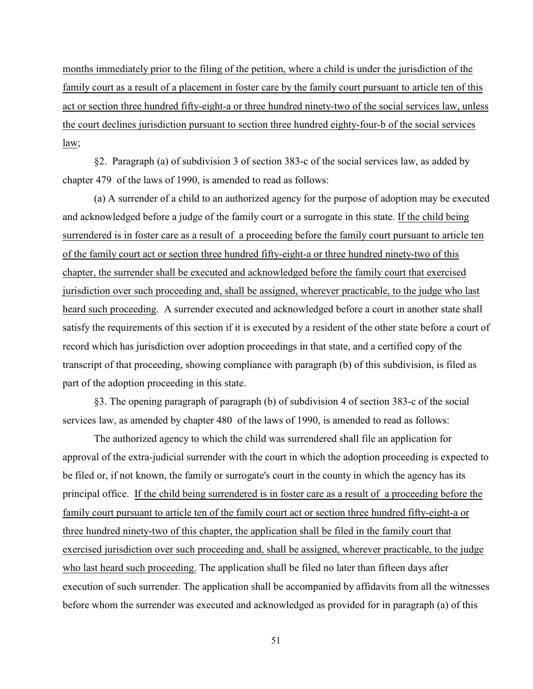months immediately prior to the filing of the petition, where a child is under the jurisdiction of the family court as a result of a placement in foster care by the family court pursuant to article ten of this act or section three hundred fifty-eight-a or three hundred ninety-two of the social services law, unless the court declines jurisdiction pursuant to section three hundred eighty-four-b of the social services law;

§2. Paragraph (a) of subdivision 3 of section 383-c of the social services law, as added by chapter 479 of the laws of 1990, is amended to read as follows:

(a) A surrender of a child to an authorized agency for the purpose of adoption may be executed and acknowledged before a judge of the family court or a surrogate in this state. If the child being surrendered is in foster care as a result of a proceeding before the family court pursuant to article ten of the family court act or section three hundred fifty-eight-a or three hundred ninety-two of this chapter, the surrender shall be executed and acknowledged before the family court that exercised jurisdiction over such proceeding and, shall be assigned, wherever practicable, to the judge who last heard such proceeding. A surrender executed and acknowledged before a court in another state shall satisfy the requirements of this section if it is executed by a resident of the other state before a court of record which has jurisdiction over adoption proceedings in that state, and a certified copy of the transcript of that proceeding, showing compliance with paragraph (b) of this subdivision, is filed as part of the adoption proceeding in this state.

§3. The opening paragraph of paragraph (b) of subdivision 4 of section 383-c of the social services law, as amended by chapter 480 of the laws of 1990, is amended to read as follows:

The authorized agency to which the child was surrendered shall file an application for approval of the extra-judicial surrender with the court in which the adoption proceeding is expected to be filed or, if not known, the family or surrogate's court in the county in which the agency has its principal office. If the child being surrendered is in foster care as a result of a proceeding before the family court pursuant to article ten of the family court act or section three hundred fifty-eight-a or three hundred ninety-two of this chapter, the application shall be filed in the family court that exercised jurisdiction over such proceeding and, shall be assigned, wherever practicable, to the judge who last heard such proceeding. The application shall be filed no later than fifteen days after execution of such surrender. The application shall be accompanied by affidavits from all the witnesses before whom the surrender was executed and acknowledged as provided for in paragraph (a) of this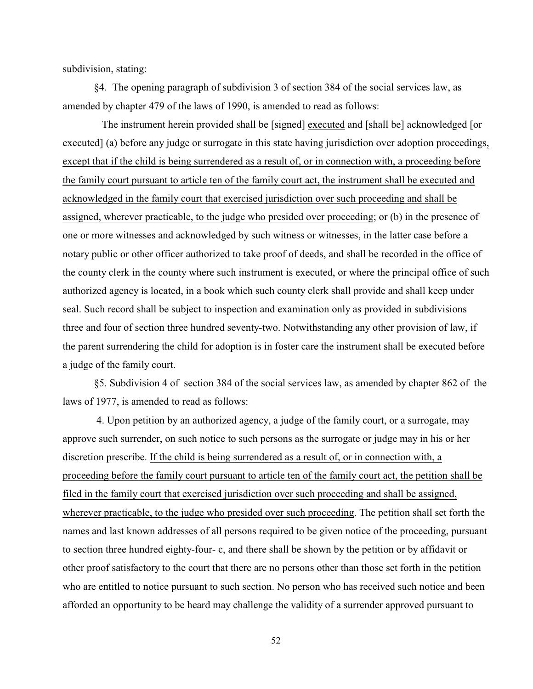subdivision, stating:

§4. The opening paragraph of subdivision 3 of section 384 of the social services law, as amended by chapter 479 of the laws of 1990, is amended to read as follows:

 The instrument herein provided shall be [signed] executed and [shall be] acknowledged [or executed] (a) before any judge or surrogate in this state having jurisdiction over adoption proceedings, except that if the child is being surrendered as a result of, or in connection with, a proceeding before the family court pursuant to article ten of the family court act, the instrument shall be executed and acknowledged in the family court that exercised jurisdiction over such proceeding and shall be assigned, wherever practicable, to the judge who presided over proceeding; or (b) in the presence of one or more witnesses and acknowledged by such witness or witnesses, in the latter case before a notary public or other officer authorized to take proof of deeds, and shall be recorded in the office of the county clerk in the county where such instrument is executed, or where the principal office of such authorized agency is located, in a book which such county clerk shall provide and shall keep under seal. Such record shall be subject to inspection and examination only as provided in subdivisions three and four of section three hundred seventy-two. Notwithstanding any other provision of law, if the parent surrendering the child for adoption is in foster care the instrument shall be executed before a judge of the family court.

§5. Subdivision 4 of section 384 of the social services law, as amended by chapter 862 of the laws of 1977, is amended to read as follows:

 4. Upon petition by an authorized agency, a judge of the family court, or a surrogate, may approve such surrender, on such notice to such persons as the surrogate or judge may in his or her discretion prescribe. If the child is being surrendered as a result of, or in connection with, a proceeding before the family court pursuant to article ten of the family court act, the petition shall be filed in the family court that exercised jurisdiction over such proceeding and shall be assigned, wherever practicable, to the judge who presided over such proceeding. The petition shall set forth the names and last known addresses of all persons required to be given notice of the proceeding, pursuant to section three hundred eighty-four- c, and there shall be shown by the petition or by affidavit or other proof satisfactory to the court that there are no persons other than those set forth in the petition who are entitled to notice pursuant to such section. No person who has received such notice and been afforded an opportunity to be heard may challenge the validity of a surrender approved pursuant to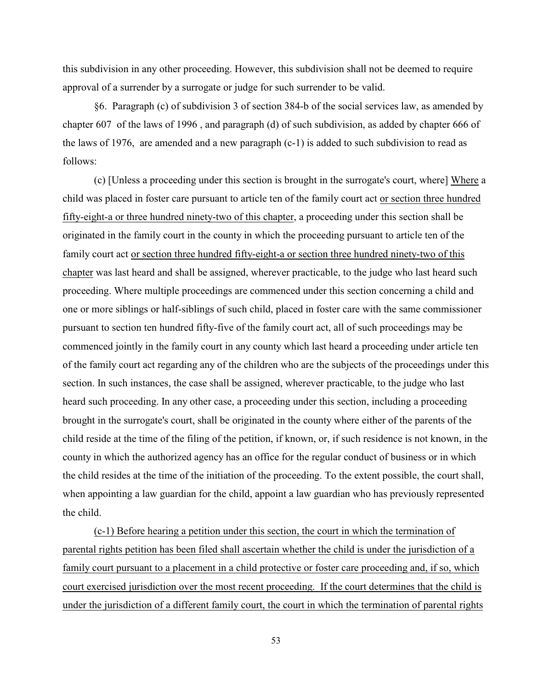this subdivision in any other proceeding. However, this subdivision shall not be deemed to require approval of a surrender by a surrogate or judge for such surrender to be valid.

§6. Paragraph (c) of subdivision 3 of section 384-b of the social services law, as amended by chapter 607 of the laws of 1996 , and paragraph (d) of such subdivision, as added by chapter 666 of the laws of 1976, are amended and a new paragraph (c-1) is added to such subdivision to read as follows:

 (c) [Unless a proceeding under this section is brought in the surrogate's court, where] Where a child was placed in foster care pursuant to article ten of the family court act or section three hundred fifty-eight-a or three hundred ninety-two of this chapter, a proceeding under this section shall be originated in the family court in the county in which the proceeding pursuant to article ten of the family court act or section three hundred fifty-eight-a or section three hundred ninety-two of this chapter was last heard and shall be assigned, wherever practicable, to the judge who last heard such proceeding. Where multiple proceedings are commenced under this section concerning a child and one or more siblings or half-siblings of such child, placed in foster care with the same commissioner pursuant to section ten hundred fifty-five of the family court act, all of such proceedings may be commenced jointly in the family court in any county which last heard a proceeding under article ten of the family court act regarding any of the children who are the subjects of the proceedings under this section. In such instances, the case shall be assigned, wherever practicable, to the judge who last heard such proceeding. In any other case, a proceeding under this section, including a proceeding brought in the surrogate's court, shall be originated in the county where either of the parents of the child reside at the time of the filing of the petition, if known, or, if such residence is not known, in the county in which the authorized agency has an office for the regular conduct of business or in which the child resides at the time of the initiation of the proceeding. To the extent possible, the court shall, when appointing a law guardian for the child, appoint a law guardian who has previously represented the child.

(c-1) Before hearing a petition under this section, the court in which the termination of parental rights petition has been filed shall ascertain whether the child is under the jurisdiction of a family court pursuant to a placement in a child protective or foster care proceeding and, if so, which court exercised jurisdiction over the most recent proceeding. If the court determines that the child is under the jurisdiction of a different family court, the court in which the termination of parental rights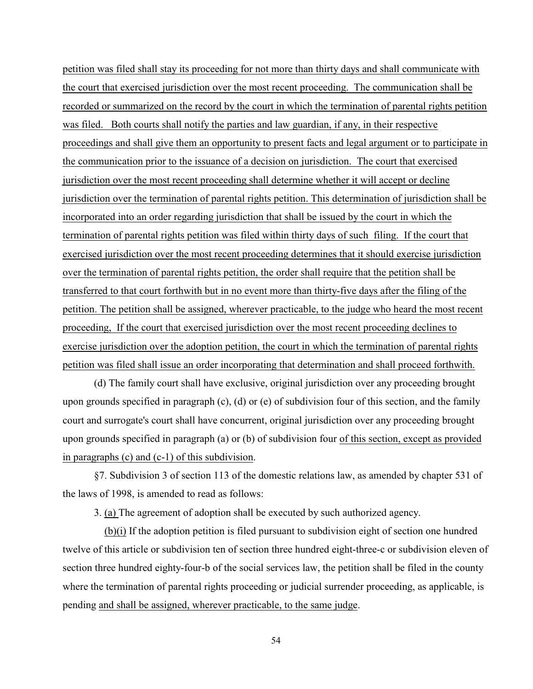petition was filed shall stay its proceeding for not more than thirty days and shall communicate with the court that exercised jurisdiction over the most recent proceeding. The communication shall be recorded or summarized on the record by the court in which the termination of parental rights petition was filed. Both courts shall notify the parties and law guardian, if any, in their respective proceedings and shall give them an opportunity to present facts and legal argument or to participate in the communication prior to the issuance of a decision on jurisdiction. The court that exercised jurisdiction over the most recent proceeding shall determine whether it will accept or decline jurisdiction over the termination of parental rights petition. This determination of jurisdiction shall be incorporated into an order regarding jurisdiction that shall be issued by the court in which the termination of parental rights petition was filed within thirty days of such filing. If the court that exercised jurisdiction over the most recent proceeding determines that it should exercise jurisdiction over the termination of parental rights petition, the order shall require that the petition shall be transferred to that court forthwith but in no event more than thirty-five days after the filing of the petition. The petition shall be assigned, wherever practicable, to the judge who heard the most recent proceeding, If the court that exercised jurisdiction over the most recent proceeding declines to exercise jurisdiction over the adoption petition, the court in which the termination of parental rights petition was filed shall issue an order incorporating that determination and shall proceed forthwith.

(d) The family court shall have exclusive, original jurisdiction over any proceeding brought upon grounds specified in paragraph (c), (d) or (e) of subdivision four of this section, and the family court and surrogate's court shall have concurrent, original jurisdiction over any proceeding brought upon grounds specified in paragraph (a) or (b) of subdivision four of this section, except as provided in paragraphs (c) and (c-1) of this subdivision.

§7. Subdivision 3 of section 113 of the domestic relations law, as amended by chapter 531 of the laws of 1998, is amended to read as follows:

3. (a) The agreement of adoption shall be executed by such authorized agency.

 (b)(i) If the adoption petition is filed pursuant to subdivision eight of section one hundred twelve of this article or subdivision ten of section three hundred eight-three-c or subdivision eleven of section three hundred eighty-four-b of the social services law, the petition shall be filed in the county where the termination of parental rights proceeding or judicial surrender proceeding, as applicable, is pending and shall be assigned, wherever practicable, to the same judge.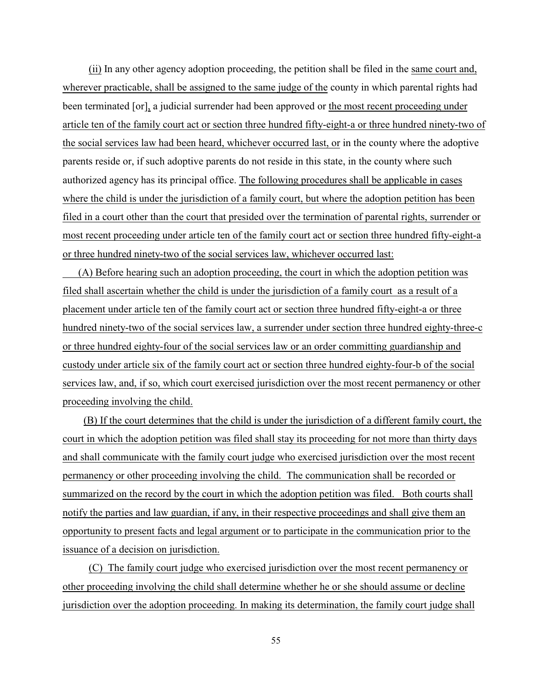(ii) In any other agency adoption proceeding, the petition shall be filed in the same court and, wherever practicable, shall be assigned to the same judge of the county in which parental rights had been terminated [or], a judicial surrender had been approved or the most recent proceeding under article ten of the family court act or section three hundred fifty-eight-a or three hundred ninety-two of the social services law had been heard, whichever occurred last, or in the county where the adoptive parents reside or, if such adoptive parents do not reside in this state, in the county where such authorized agency has its principal office. The following procedures shall be applicable in cases where the child is under the jurisdiction of a family court, but where the adoption petition has been filed in a court other than the court that presided over the termination of parental rights, surrender or most recent proceeding under article ten of the family court act or section three hundred fifty-eight-a or three hundred ninety-two of the social services law, whichever occurred last:

(A) Before hearing such an adoption proceeding, the court in which the adoption petition was filed shall ascertain whether the child is under the jurisdiction of a family court as a result of a placement under article ten of the family court act or section three hundred fifty-eight-a or three hundred ninety-two of the social services law, a surrender under section three hundred eighty-three-c or three hundred eighty-four of the social services law or an order committing guardianship and custody under article six of the family court act or section three hundred eighty-four-b of the social services law, and, if so, which court exercised jurisdiction over the most recent permanency or other proceeding involving the child.

 (B) If the court determines that the child is under the jurisdiction of a different family court, the court in which the adoption petition was filed shall stay its proceeding for not more than thirty days and shall communicate with the family court judge who exercised jurisdiction over the most recent permanency or other proceeding involving the child. The communication shall be recorded or summarized on the record by the court in which the adoption petition was filed. Both courts shall notify the parties and law guardian, if any, in their respective proceedings and shall give them an opportunity to present facts and legal argument or to participate in the communication prior to the issuance of a decision on jurisdiction.

 (C) The family court judge who exercised jurisdiction over the most recent permanency or other proceeding involving the child shall determine whether he or she should assume or decline jurisdiction over the adoption proceeding. In making its determination, the family court judge shall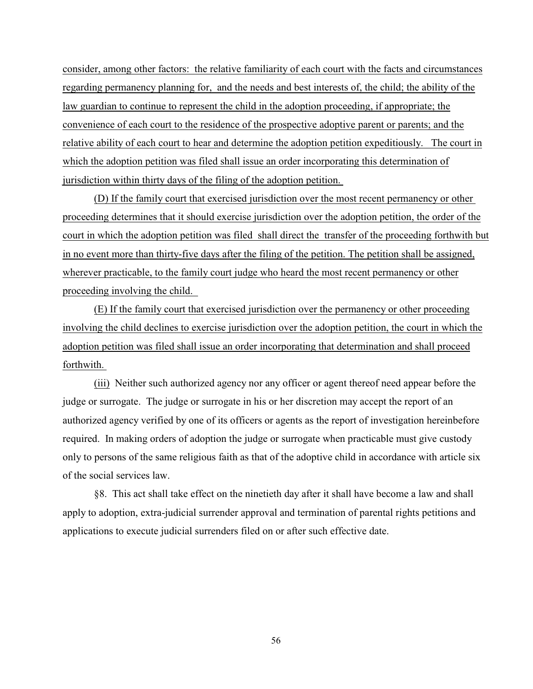consider, among other factors: the relative familiarity of each court with the facts and circumstances regarding permanency planning for, and the needs and best interests of, the child; the ability of the law guardian to continue to represent the child in the adoption proceeding, if appropriate; the convenience of each court to the residence of the prospective adoptive parent or parents; and the relative ability of each court to hear and determine the adoption petition expeditiously. The court in which the adoption petition was filed shall issue an order incorporating this determination of jurisdiction within thirty days of the filing of the adoption petition.

 (D) If the family court that exercised jurisdiction over the most recent permanency or other proceeding determines that it should exercise jurisdiction over the adoption petition, the order of the court in which the adoption petition was filed shall direct the transfer of the proceeding forthwith but in no event more than thirty-five days after the filing of the petition. The petition shall be assigned, wherever practicable, to the family court judge who heard the most recent permanency or other proceeding involving the child.

 (E) If the family court that exercised jurisdiction over the permanency or other proceeding involving the child declines to exercise jurisdiction over the adoption petition, the court in which the adoption petition was filed shall issue an order incorporating that determination and shall proceed forthwith.

(iii) Neither such authorized agency nor any officer or agent thereof need appear before the judge or surrogate. The judge or surrogate in his or her discretion may accept the report of an authorized agency verified by one of its officers or agents as the report of investigation hereinbefore required. In making orders of adoption the judge or surrogate when practicable must give custody only to persons of the same religious faith as that of the adoptive child in accordance with article six of the social services law.

 §8. This act shall take effect on the ninetieth day after it shall have become a law and shall apply to adoption, extra-judicial surrender approval and termination of parental rights petitions and applications to execute judicial surrenders filed on or after such effective date.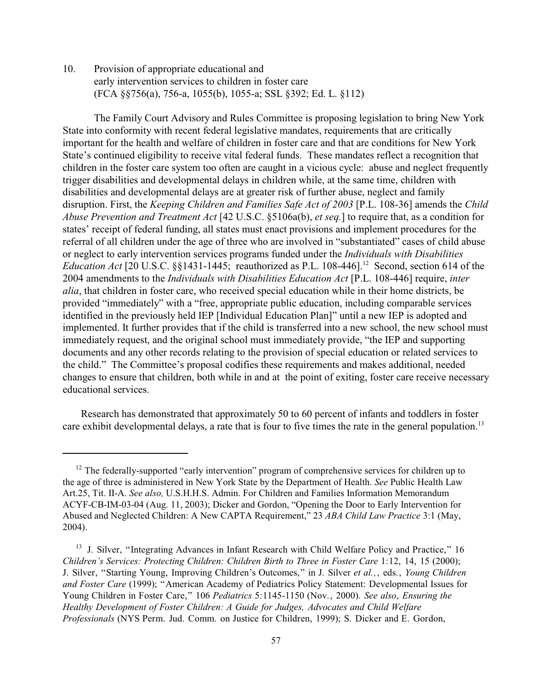10. Provision of appropriate educational and early intervention services to children in foster care (FCA §§756(a), 756-a, 1055(b), 1055-a; SSL §392; Ed. L. §112)

 The Family Court Advisory and Rules Committee is proposing legislation to bring New York State into conformity with recent federal legislative mandates, requirements that are critically important for the health and welfare of children in foster care and that are conditions for New York State's continued eligibility to receive vital federal funds. These mandates reflect a recognition that children in the foster care system too often are caught in a vicious cycle: abuse and neglect frequently trigger disabilities and developmental delays in children while, at the same time, children with disabilities and developmental delays are at greater risk of further abuse, neglect and family disruption. First, the *Keeping Children and Families Safe Act of 2003* [P.L. 108-36] amends the *Child Abuse Prevention and Treatment Act* [42 U.S.C. §5106a(b), *et seq.*] to require that, as a condition for states' receipt of federal funding, all states must enact provisions and implement procedures for the referral of all children under the age of three who are involved in "substantiated" cases of child abuse or neglect to early intervention services programs funded under the *Individuals with Disabilities Education Act* [20 U.S.C.  $\S$ ] 431-1445; reauthorized as P.L. 108-446].<sup>12</sup> Second, section 614 of the 2004 amendments to the *Individuals with Disabilities Education Act* [P.L. 108-446] require, *inter alia*, that children in foster care, who received special education while in their home districts, be provided "immediately" with a "free, appropriate public education, including comparable services identified in the previously held IEP [Individual Education Plan]" until a new IEP is adopted and implemented. It further provides that if the child is transferred into a new school, the new school must immediately request, and the original school must immediately provide, "the IEP and supporting documents and any other records relating to the provision of special education or related services to the child." The Committee's proposal codifies these requirements and makes additional, needed changes to ensure that children, both while in and at the point of exiting, foster care receive necessary educational services.

 Research has demonstrated that approximately 50 to 60 percent of infants and toddlers in foster care exhibit developmental delays, a rate that is four to five times the rate in the general population.<sup>13</sup>

 $12$  The federally-supported "early intervention" program of comprehensive services for children up to the age of three is administered in New York State by the Department of Health. *See* Public Health Law Art.25, Tit. II-A. *See also,* U.S.H.H.S. Admin. For Children and Families Information Memorandum ACYF-CB-IM-03-04 (Aug. 11, 2003); Dicker and Gordon, "Opening the Door to Early Intervention for Abused and Neglected Children: A New CAPTA Requirement," 23 *ABA Child Law Practice* 3:1 (May, 2004).

 $13$  J. Silver, "Integrating Advances in Infant Research with Child Welfare Policy and Practice," 16 *Children's Services: Protecting Children: Children Birth to Three in Foster Care* 1:12, 14, 15 (2000); J. Silver, "Starting Young, Improving Children's Outcomes," in J. Silver *et al.,*, eds., *Young Children and Foster Care* (1999); "American Academy of Pediatrics Policy Statement: Developmental Issues for Young Children in Foster Care," 106 *Pediatrics* 5:1145-1150 (Nov., 2000). *See also*, *Ensuring the Healthy Development of Foster Children: A Guide for Judges, Advocates and Child Welfare Professionals* (NYS Perm. Jud. Comm. on Justice for Children, 1999); S. Dicker and E. Gordon,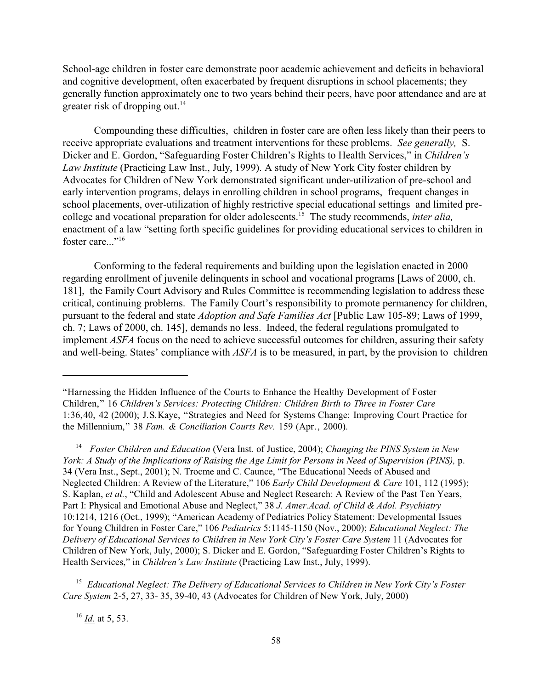School-age children in foster care demonstrate poor academic achievement and deficits in behavioral and cognitive development, often exacerbated by frequent disruptions in school placements; they generally function approximately one to two years behind their peers, have poor attendance and are at greater risk of dropping out.<sup>14</sup>

 Compounding these difficulties, children in foster care are often less likely than their peers to receive appropriate evaluations and treatment interventions for these problems. *See generally,* S. Dicker and E. Gordon, "Safeguarding Foster Children's Rights to Health Services," in *Children's Law Institute* (Practicing Law Inst., July, 1999). A study of New York City foster children by Advocates for Children of New York demonstrated significant under-utilization of pre-school and early intervention programs, delays in enrolling children in school programs, frequent changes in school placements, over-utilization of highly restrictive special educational settings and limited precollege and vocational preparation for older adolescents.<sup>15</sup> The study recommends, *inter alia*, enactment of a law "setting forth specific guidelines for providing educational services to children in foster care..."<sup>16</sup>

Conforming to the federal requirements and building upon the legislation enacted in 2000 regarding enrollment of juvenile delinquents in school and vocational programs [Laws of 2000, ch. 181], the Family Court Advisory and Rules Committee is recommending legislation to address these critical, continuing problems. The Family Court's responsibility to promote permanency for children, pursuant to the federal and state *Adoption and Safe Families Act* [Public Law 105-89; Laws of 1999, ch. 7; Laws of 2000, ch. 145], demands no less. Indeed, the federal regulations promulgated to implement *ASFA* focus on the need to achieve successful outcomes for children, assuring their safety and well-being. States' compliance with *ASFA* is to be measured, in part, by the provision to children

<sup>15</sup> Educational Neglect: The Delivery of Educational Services to Children in New York City's Foster *Care System* 2-5, 27, 33- 35, 39-40, 43 (Advocates for Children of New York, July, 2000)

 $\frac{16}{\underline{1d}}$ . at 5, 53.

<sup>&</sup>quot;Harnessing the Hidden Influence of the Courts to Enhance the Healthy Development of Foster Children," 16 *Children's Services: Protecting Children: Children Birth to Three in Foster Care* 1:36,40, 42 (2000); J.S.Kaye, "Strategies and Need for Systems Change: Improving Court Practice for the Millennium," 38 *Fam. & Conciliation Courts Rev.* 159 (Apr., 2000).

<sup>&</sup>lt;sup>14</sup> Foster Children and Education (Vera Inst. of Justice, 2004); *Changing the PINS System in New York: A Study of the Implications of Raising the Age Limit for Persons in Need of Supervision (PINS),* p. 34 (Vera Inst., Sept., 2001); N. Trocme and C. Caunce, "The Educational Needs of Abused and Neglected Children: A Review of the Literature," 106 *Early Child Development & Care* 101, 112 (1995); S. Kaplan, *et al.*, "Child and Adolescent Abuse and Neglect Research: A Review of the Past Ten Years, Part I: Physical and Emotional Abuse and Neglect," 38 *J. Amer.Acad. of Child & Adol. Psychiatry* 10:1214, 1216 (Oct., 1999); "American Academy of Pediatrics Policy Statement: Developmental Issues for Young Children in Foster Care," 106 *Pediatrics* 5:1145-1150 (Nov., 2000); *Educational Neglect: The Delivery of Educational Services to Children in New York City's Foster Care System* 11 (Advocates for Children of New York, July, 2000); S. Dicker and E. Gordon, "Safeguarding Foster Children's Rights to Health Services," in *Children's Law Institute* (Practicing Law Inst., July, 1999).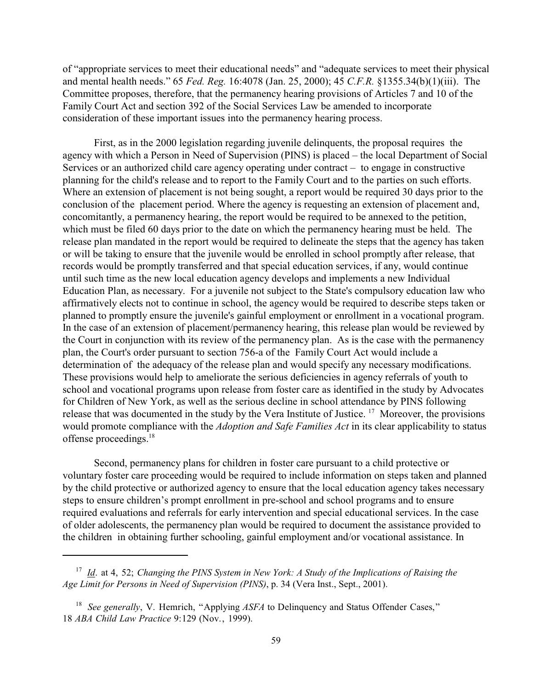of "appropriate services to meet their educational needs" and "adequate services to meet their physical and mental health needs." 65 *Fed. Reg.* 16:4078 (Jan. 25, 2000); 45 *C.F.R.* §1355.34(b)(1)(iii). The Committee proposes, therefore, that the permanency hearing provisions of Articles 7 and 10 of the Family Court Act and section 392 of the Social Services Law be amended to incorporate consideration of these important issues into the permanency hearing process.

First, as in the 2000 legislation regarding juvenile delinquents, the proposal requires the agency with which a Person in Need of Supervision (PINS) is placed – the local Department of Social Services or an authorized child care agency operating under contract – to engage in constructive planning for the child's release and to report to the Family Court and to the parties on such efforts. Where an extension of placement is not being sought, a report would be required 30 days prior to the conclusion of the placement period. Where the agency is requesting an extension of placement and, concomitantly, a permanency hearing, the report would be required to be annexed to the petition, which must be filed 60 days prior to the date on which the permanency hearing must be held. The release plan mandated in the report would be required to delineate the steps that the agency has taken or will be taking to ensure that the juvenile would be enrolled in school promptly after release, that records would be promptly transferred and that special education services, if any, would continue until such time as the new local education agency develops and implements a new Individual Education Plan, as necessary. For a juvenile not subject to the State's compulsory education law who affirmatively elects not to continue in school, the agency would be required to describe steps taken or planned to promptly ensure the juvenile's gainful employment or enrollment in a vocational program. In the case of an extension of placement/permanency hearing, this release plan would be reviewed by the Court in conjunction with its review of the permanency plan. As is the case with the permanency plan, the Court's order pursuant to section 756-a of the Family Court Act would include a determination of the adequacy of the release plan and would specify any necessary modifications. These provisions would help to ameliorate the serious deficiencies in agency referrals of youth to school and vocational programs upon release from foster care as identified in the study by Advocates for Children of New York, as well as the serious decline in school attendance by PINS following release that was documented in the study by the Vera Institute of Justice.  $17$  Moreover, the provisions would promote compliance with the *Adoption and Safe Families Act* in its clear applicability to status offense proceedings.<sup>18</sup>

Second, permanency plans for children in foster care pursuant to a child protective or voluntary foster care proceeding would be required to include information on steps taken and planned by the child protective or authorized agency to ensure that the local education agency takes necessary steps to ensure children's prompt enrollment in pre-school and school programs and to ensure required evaluations and referrals for early intervention and special educational services. In the case of older adolescents, the permanency plan would be required to document the assistance provided to the children in obtaining further schooling, gainful employment and/or vocational assistance. In

<sup>&</sup>lt;sup>17</sup> Id. at 4, 52; *Changing the PINS System in New York: A Study of the Implications of Raising the Age Limit for Persons in Need of Supervision (PINS)*, p. 34 (Vera Inst., Sept., 2001).

<sup>&</sup>lt;sup>18</sup> See generally, V. Hemrich, "Applying ASFA to Delinquency and Status Offender Cases," 18 *ABA Child Law Practice* 9:129 (Nov., 1999).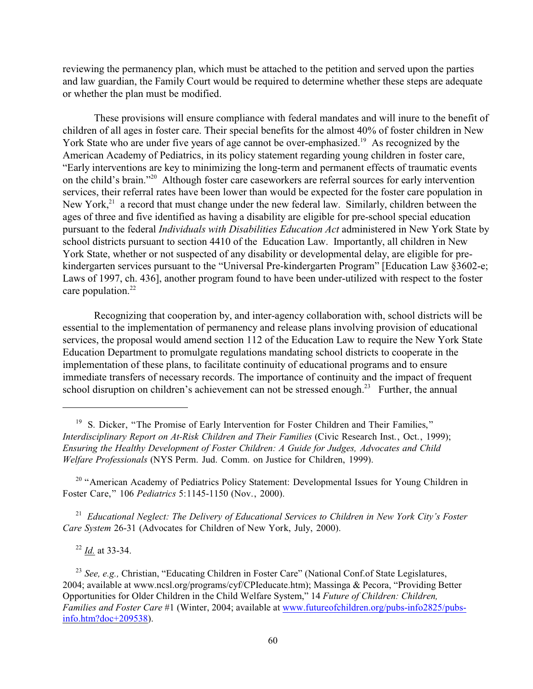reviewing the permanency plan, which must be attached to the petition and served upon the parties and law guardian, the Family Court would be required to determine whether these steps are adequate or whether the plan must be modified.

These provisions will ensure compliance with federal mandates and will inure to the benefit of children of all ages in foster care. Their special benefits for the almost 40% of foster children in New York State who are under five years of age cannot be over-emphasized.<sup>19</sup> As recognized by the American Academy of Pediatrics, in its policy statement regarding young children in foster care, "Early interventions are key to minimizing the long-term and permanent effects of traumatic events on the child's brain."<sup>20</sup> Although foster care caseworkers are referral sources for early intervention services, their referral rates have been lower than would be expected for the foster care population in New York, $^{21}$  a record that must change under the new federal law. Similarly, children between the ages of three and five identified as having a disability are eligible for pre-school special education pursuant to the federal *Individuals with Disabilities Education Act* administered in New York State by school districts pursuant to section 4410 of the Education Law. Importantly, all children in New York State, whether or not suspected of any disability or developmental delay, are eligible for prekindergarten services pursuant to the "Universal Pre-kindergarten Program" [Education Law §3602-e; Laws of 1997, ch. 436], another program found to have been under-utilized with respect to the foster care population.<sup>22</sup>

Recognizing that cooperation by, and inter-agency collaboration with, school districts will be essential to the implementation of permanency and release plans involving provision of educational services, the proposal would amend section 112 of the Education Law to require the New York State Education Department to promulgate regulations mandating school districts to cooperate in the implementation of these plans, to facilitate continuity of educational programs and to ensure immediate transfers of necessary records. The importance of continuity and the impact of frequent school disruption on children's achievement can not be stressed enough.<sup>23</sup> Further, the annual

<sup>21</sup> Educational Neglect: The Delivery of Educational Services to Children in New York City's Foster *Care System* 26-31 (Advocates for Children of New York, July, 2000).

 $^{22}$  *Id.* at 33-34.

<sup>&</sup>lt;sup>19</sup> S. Dicker, "The Promise of Early Intervention for Foster Children and Their Families," *Interdisciplinary Report on At-Risk Children and Their Families* (Civic Research Inst., Oct., 1999); *Ensuring the Healthy Development of Foster Children: A Guide for Judges, Advocates and Child Welfare Professionals* (NYS Perm. Jud. Comm. on Justice for Children, 1999).

<sup>&</sup>lt;sup>20</sup> "American Academy of Pediatrics Policy Statement: Developmental Issues for Young Children in Foster Care," 106 *Pediatrics* 5:1145-1150 (Nov., 2000).

<sup>&</sup>lt;sup>23</sup> See, e.g., Christian, "Educating Children in Foster Care" (National Conf.of State Legislatures, 2004; available at www.ncsl.org/programs/cyf/CPIeducate.htm); Massinga & Pecora, "Providing Better Opportunities for Older Children in the Child Welfare System," 14 *Future of Children: Children, Families and Foster Care* #1 (Winter, 2004; available at [www.futureofchildren.org/pubs-info2825/pubs](http://www.futureofchildren.org/pubs-info2825/pubs-info.htm?doc+209538))[info.htm?doc+209538](http://www.futureofchildren.org/pubs-info2825/pubs-info.htm?doc+209538))).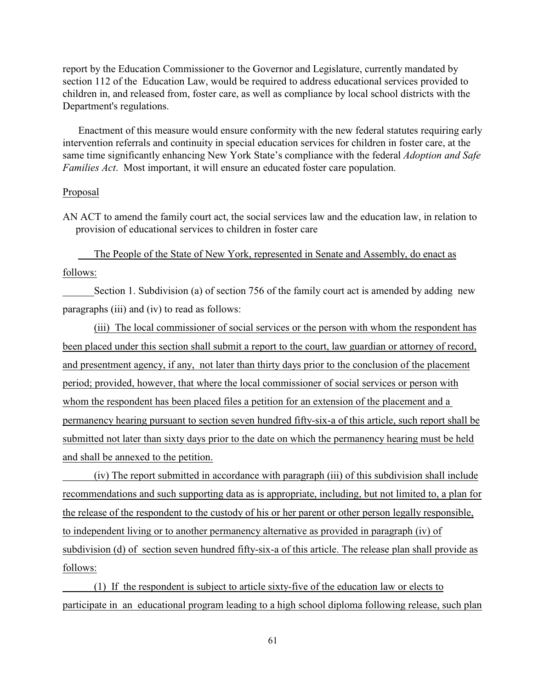report by the Education Commissioner to the Governor and Legislature, currently mandated by section 112 of the Education Law, would be required to address educational services provided to children in, and released from, foster care, as well as compliance by local school districts with the Department's regulations.

Enactment of this measure would ensure conformity with the new federal statutes requiring early intervention referrals and continuity in special education services for children in foster care, at the same time significantly enhancing New York State's compliance with the federal *Adoption and Safe Families Act*. Most important, it will ensure an educated foster care population.

#### Proposal

AN ACT to amend the family court act, the social services law and the education law, in relation to provision of educational services to children in foster care

The People of the State of New York, represented in Senate and Assembly, do enact as

## follows:

Section 1. Subdivision (a) of section 756 of the family court act is amended by adding new paragraphs (iii) and (iv) to read as follows:

(iii) The local commissioner of social services or the person with whom the respondent has been placed under this section shall submit a report to the court, law guardian or attorney of record, and presentment agency, if any, not later than thirty days prior to the conclusion of the placement period; provided, however, that where the local commissioner of social services or person with whom the respondent has been placed files a petition for an extension of the placement and a permanency hearing pursuant to section seven hundred fifty-six-a of this article, such report shall be submitted not later than sixty days prior to the date on which the permanency hearing must be held and shall be annexed to the petition.

(iv) The report submitted in accordance with paragraph (iii) of this subdivision shall include recommendations and such supporting data as is appropriate, including, but not limited to, a plan for the release of the respondent to the custody of his or her parent or other person legally responsible, to independent living or to another permanency alternative as provided in paragraph (iv) of subdivision (d) of section seven hundred fifty-six-a of this article. The release plan shall provide as follows:

(1) If the respondent is subject to article sixty-five of the education law or elects to participate in an educational program leading to a high school diploma following release, such plan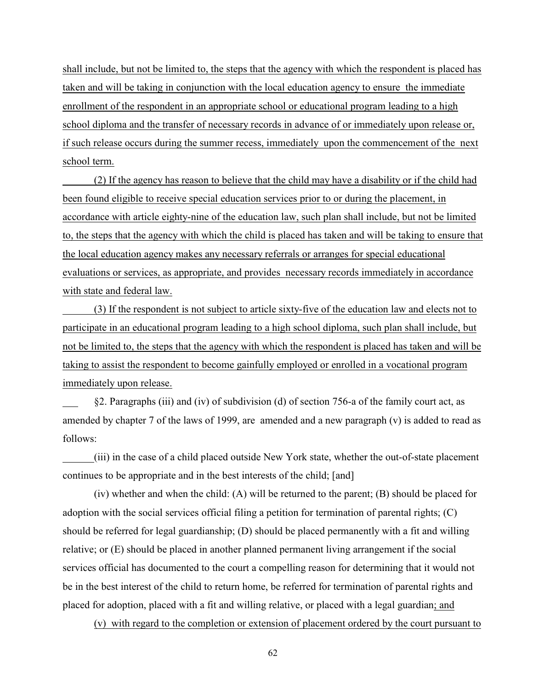shall include, but not be limited to, the steps that the agency with which the respondent is placed has taken and will be taking in conjunction with the local education agency to ensure the immediate enrollment of the respondent in an appropriate school or educational program leading to a high school diploma and the transfer of necessary records in advance of or immediately upon release or, if such release occurs during the summer recess, immediately upon the commencement of the next school term.

(2) If the agency has reason to believe that the child may have a disability or if the child had been found eligible to receive special education services prior to or during the placement, in accordance with article eighty-nine of the education law, such plan shall include, but not be limited to, the steps that the agency with which the child is placed has taken and will be taking to ensure that the local education agency makes any necessary referrals or arranges for special educational evaluations or services, as appropriate, and provides necessary records immediately in accordance with state and federal law.

(3) If the respondent is not subject to article sixty-five of the education law and elects not to participate in an educational program leading to a high school diploma, such plan shall include, but not be limited to, the steps that the agency with which the respondent is placed has taken and will be taking to assist the respondent to become gainfully employed or enrolled in a vocational program immediately upon release.

 §2. Paragraphs (iii) and (iv) of subdivision (d) of section 756-a of the family court act, as amended by chapter 7 of the laws of 1999, are amended and a new paragraph (v) is added to read as follows:

(iii) in the case of a child placed outside New York state, whether the out-of-state placement continues to be appropriate and in the best interests of the child; [and]

(iv) whether and when the child: (A) will be returned to the parent; (B) should be placed for adoption with the social services official filing a petition for termination of parental rights; (C) should be referred for legal guardianship; (D) should be placed permanently with a fit and willing relative; or (E) should be placed in another planned permanent living arrangement if the social services official has documented to the court a compelling reason for determining that it would not be in the best interest of the child to return home, be referred for termination of parental rights and placed for adoption, placed with a fit and willing relative, or placed with a legal guardian; and

(v) with regard to the completion or extension of placement ordered by the court pursuant to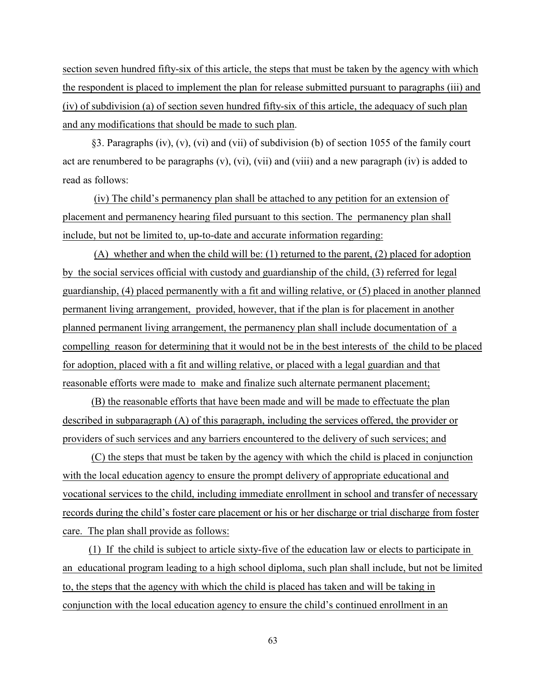section seven hundred fifty-six of this article, the steps that must be taken by the agency with which the respondent is placed to implement the plan for release submitted pursuant to paragraphs (iii) and (iv) of subdivision (a) of section seven hundred fifty-six of this article, the adequacy of such plan and any modifications that should be made to such plan.

 §3. Paragraphs (iv), (v), (vi) and (vii) of subdivision (b) of section 1055 of the family court act are renumbered to be paragraphs (v), (vi), (vii) and (viii) and a new paragraph (iv) is added to read as follows:

(iv) The child's permanency plan shall be attached to any petition for an extension of placement and permanency hearing filed pursuant to this section. The permanency plan shall include, but not be limited to, up-to-date and accurate information regarding:

(A) whether and when the child will be: (1) returned to the parent, (2) placed for adoption by the social services official with custody and guardianship of the child, (3) referred for legal guardianship, (4) placed permanently with a fit and willing relative, or (5) placed in another planned permanent living arrangement, provided, however, that if the plan is for placement in another planned permanent living arrangement, the permanency plan shall include documentation of a compelling reason for determining that it would not be in the best interests of the child to be placed for adoption, placed with a fit and willing relative, or placed with a legal guardian and that reasonable efforts were made to make and finalize such alternate permanent placement;

 (B) the reasonable efforts that have been made and will be made to effectuate the plan described in subparagraph (A) of this paragraph, including the services offered, the provider or providers of such services and any barriers encountered to the delivery of such services; and

 (C) the steps that must be taken by the agency with which the child is placed in conjunction with the local education agency to ensure the prompt delivery of appropriate educational and vocational services to the child, including immediate enrollment in school and transfer of necessary records during the child's foster care placement or his or her discharge or trial discharge from foster care. The plan shall provide as follows:

 (1) If the child is subject to article sixty-five of the education law or elects to participate in an educational program leading to a high school diploma, such plan shall include, but not be limited to, the steps that the agency with which the child is placed has taken and will be taking in conjunction with the local education agency to ensure the child's continued enrollment in an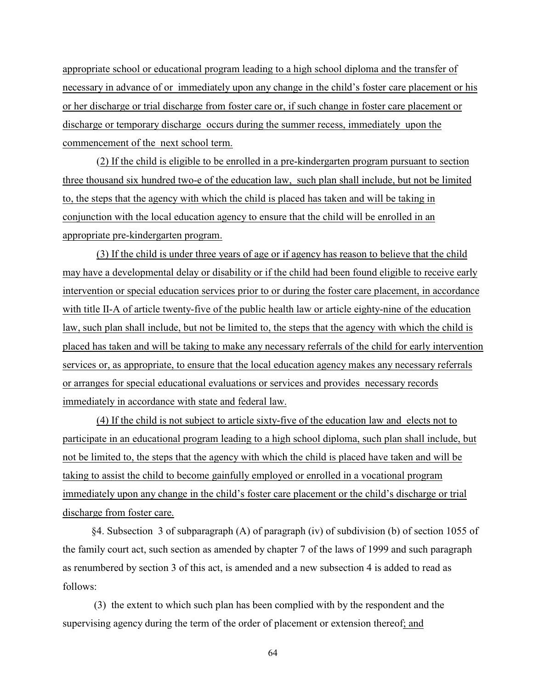appropriate school or educational program leading to a high school diploma and the transfer of necessary in advance of or immediately upon any change in the child's foster care placement or his or her discharge or trial discharge from foster care or, if such change in foster care placement or discharge or temporary discharge occurs during the summer recess, immediately upon the commencement of the next school term.

 (2) If the child is eligible to be enrolled in a pre-kindergarten program pursuant to section three thousand six hundred two-e of the education law, such plan shall include, but not be limited to, the steps that the agency with which the child is placed has taken and will be taking in conjunction with the local education agency to ensure that the child will be enrolled in an appropriate pre-kindergarten program.

 (3) If the child is under three years of age or if agency has reason to believe that the child may have a developmental delay or disability or if the child had been found eligible to receive early intervention or special education services prior to or during the foster care placement, in accordance with title II-A of article twenty-five of the public health law or article eighty-nine of the education law, such plan shall include, but not be limited to, the steps that the agency with which the child is placed has taken and will be taking to make any necessary referrals of the child for early intervention services or, as appropriate, to ensure that the local education agency makes any necessary referrals or arranges for special educational evaluations or services and provides necessary records immediately in accordance with state and federal law.

 (4) If the child is not subject to article sixty-five of the education law and elects not to participate in an educational program leading to a high school diploma, such plan shall include, but not be limited to, the steps that the agency with which the child is placed have taken and will be taking to assist the child to become gainfully employed or enrolled in a vocational program immediately upon any change in the child's foster care placement or the child's discharge or trial discharge from foster care.

 §4. Subsection 3 of subparagraph (A) of paragraph (iv) of subdivision (b) of section 1055 of the family court act, such section as amended by chapter 7 of the laws of 1999 and such paragraph as renumbered by section 3 of this act, is amended and a new subsection 4 is added to read as follows:

(3) the extent to which such plan has been complied with by the respondent and the supervising agency during the term of the order of placement or extension thereof; and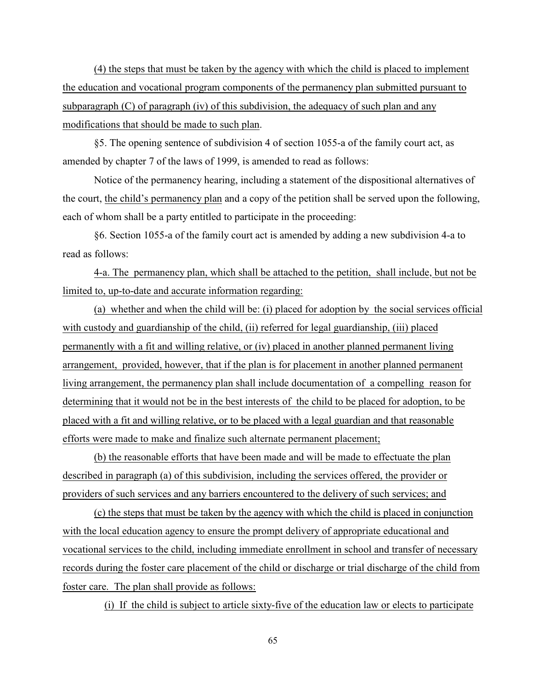(4) the steps that must be taken by the agency with which the child is placed to implement the education and vocational program components of the permanency plan submitted pursuant to subparagraph (C) of paragraph (iv) of this subdivision, the adequacy of such plan and any modifications that should be made to such plan.

§5. The opening sentence of subdivision 4 of section 1055-a of the family court act, as amended by chapter 7 of the laws of 1999, is amended to read as follows:

Notice of the permanency hearing, including a statement of the dispositional alternatives of the court, the child's permanency plan and a copy of the petition shall be served upon the following, each of whom shall be a party entitled to participate in the proceeding:

§6. Section 1055-a of the family court act is amended by adding a new subdivision 4-a to read as follows:

4-a. The permanency plan, which shall be attached to the petition, shall include, but not be limited to, up-to-date and accurate information regarding:

(a) whether and when the child will be: (i) placed for adoption by the social services official with custody and guardianship of the child, (ii) referred for legal guardianship, (iii) placed permanently with a fit and willing relative, or (iv) placed in another planned permanent living arrangement, provided, however, that if the plan is for placement in another planned permanent living arrangement, the permanency plan shall include documentation of a compelling reason for determining that it would not be in the best interests of the child to be placed for adoption, to be placed with a fit and willing relative, or to be placed with a legal guardian and that reasonable efforts were made to make and finalize such alternate permanent placement;

(b) the reasonable efforts that have been made and will be made to effectuate the plan described in paragraph (a) of this subdivision, including the services offered, the provider or providers of such services and any barriers encountered to the delivery of such services; and

(c) the steps that must be taken by the agency with which the child is placed in conjunction with the local education agency to ensure the prompt delivery of appropriate educational and vocational services to the child, including immediate enrollment in school and transfer of necessary records during the foster care placement of the child or discharge or trial discharge of the child from foster care. The plan shall provide as follows:

(i) If the child is subject to article sixty-five of the education law or elects to participate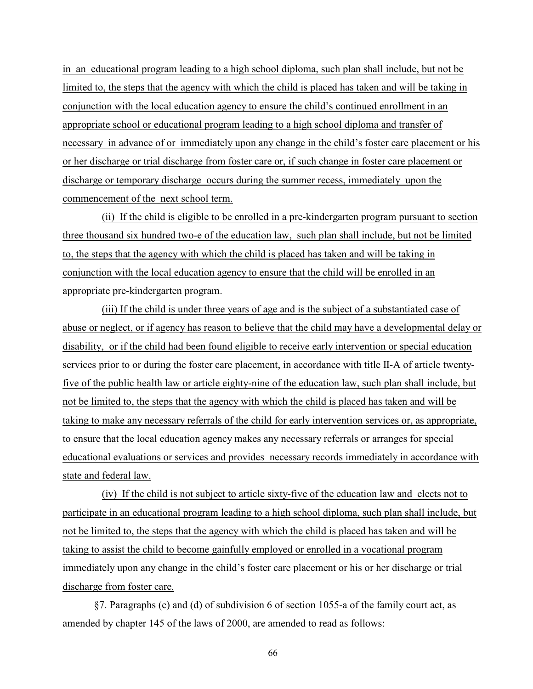in an educational program leading to a high school diploma, such plan shall include, but not be limited to, the steps that the agency with which the child is placed has taken and will be taking in conjunction with the local education agency to ensure the child's continued enrollment in an appropriate school or educational program leading to a high school diploma and transfer of necessary in advance of or immediately upon any change in the child's foster care placement or his or her discharge or trial discharge from foster care or, if such change in foster care placement or discharge or temporary discharge occurs during the summer recess, immediately upon the commencement of the next school term.

 (ii) If the child is eligible to be enrolled in a pre-kindergarten program pursuant to section three thousand six hundred two-e of the education law, such plan shall include, but not be limited to, the steps that the agency with which the child is placed has taken and will be taking in conjunction with the local education agency to ensure that the child will be enrolled in an appropriate pre-kindergarten program.

 (iii) If the child is under three years of age and is the subject of a substantiated case of abuse or neglect, or if agency has reason to believe that the child may have a developmental delay or disability, or if the child had been found eligible to receive early intervention or special education services prior to or during the foster care placement, in accordance with title II-A of article twentyfive of the public health law or article eighty-nine of the education law, such plan shall include, but not be limited to, the steps that the agency with which the child is placed has taken and will be taking to make any necessary referrals of the child for early intervention services or, as appropriate, to ensure that the local education agency makes any necessary referrals or arranges for special educational evaluations or services and provides necessary records immediately in accordance with state and federal law.

 (iv) If the child is not subject to article sixty-five of the education law and elects not to participate in an educational program leading to a high school diploma, such plan shall include, but not be limited to, the steps that the agency with which the child is placed has taken and will be taking to assist the child to become gainfully employed or enrolled in a vocational program immediately upon any change in the child's foster care placement or his or her discharge or trial discharge from foster care.

§7. Paragraphs (c) and (d) of subdivision 6 of section 1055-a of the family court act, as amended by chapter 145 of the laws of 2000, are amended to read as follows: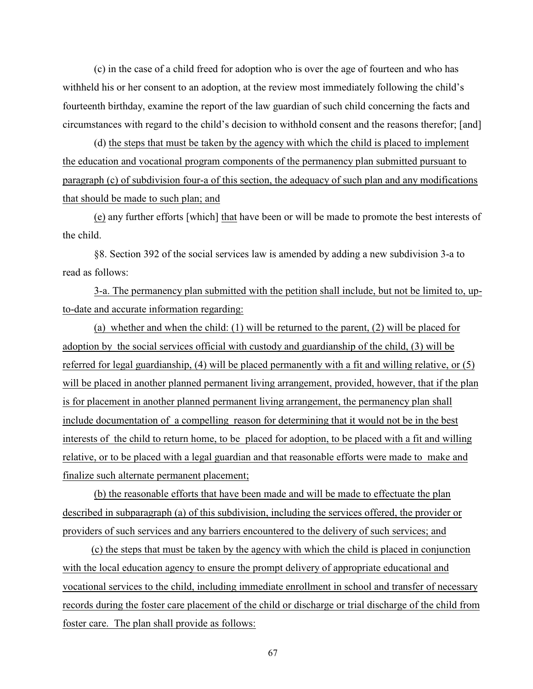(c) in the case of a child freed for adoption who is over the age of fourteen and who has withheld his or her consent to an adoption, at the review most immediately following the child's fourteenth birthday, examine the report of the law guardian of such child concerning the facts and circumstances with regard to the child's decision to withhold consent and the reasons therefor; [and]

(d) the steps that must be taken by the agency with which the child is placed to implement the education and vocational program components of the permanency plan submitted pursuant to paragraph (c) of subdivision four-a of this section, the adequacy of such plan and any modifications that should be made to such plan; and

(e) any further efforts [which] that have been or will be made to promote the best interests of the child.

§8. Section 392 of the social services law is amended by adding a new subdivision 3-a to read as follows:

3-a. The permanency plan submitted with the petition shall include, but not be limited to, upto-date and accurate information regarding:

(a) whether and when the child: (1) will be returned to the parent, (2) will be placed for adoption by the social services official with custody and guardianship of the child, (3) will be referred for legal guardianship, (4) will be placed permanently with a fit and willing relative, or (5) will be placed in another planned permanent living arrangement, provided, however, that if the plan is for placement in another planned permanent living arrangement, the permanency plan shall include documentation of a compelling reason for determining that it would not be in the best interests of the child to return home, to be placed for adoption, to be placed with a fit and willing relative, or to be placed with a legal guardian and that reasonable efforts were made to make and finalize such alternate permanent placement;

(b) the reasonable efforts that have been made and will be made to effectuate the plan described in subparagraph (a) of this subdivision, including the services offered, the provider or providers of such services and any barriers encountered to the delivery of such services; and

 (c) the steps that must be taken by the agency with which the child is placed in conjunction with the local education agency to ensure the prompt delivery of appropriate educational and vocational services to the child, including immediate enrollment in school and transfer of necessary records during the foster care placement of the child or discharge or trial discharge of the child from foster care. The plan shall provide as follows: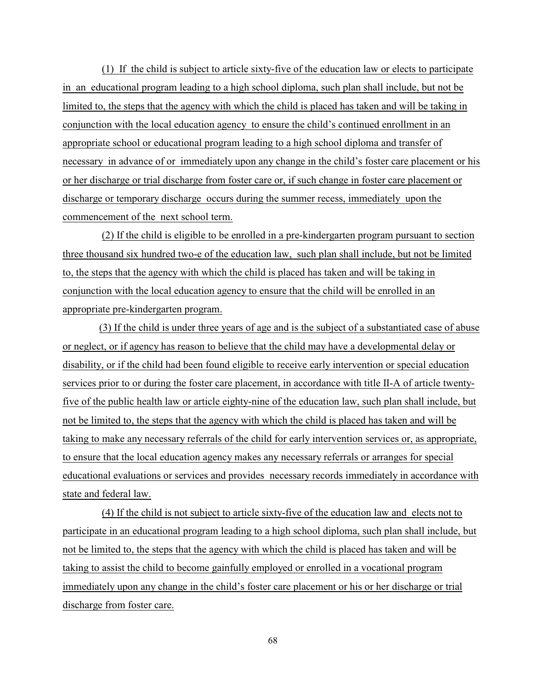(1) If the child is subject to article sixty-five of the education law or elects to participate in an educational program leading to a high school diploma, such plan shall include, but not be limited to, the steps that the agency with which the child is placed has taken and will be taking in conjunction with the local education agency to ensure the child's continued enrollment in an appropriate school or educational program leading to a high school diploma and transfer of necessary in advance of or immediately upon any change in the child's foster care placement or his or her discharge or trial discharge from foster care or, if such change in foster care placement or discharge or temporary discharge occurs during the summer recess, immediately upon the commencement of the next school term.

 (2) If the child is eligible to be enrolled in a pre-kindergarten program pursuant to section three thousand six hundred two-e of the education law, such plan shall include, but not be limited to, the steps that the agency with which the child is placed has taken and will be taking in conjunction with the local education agency to ensure that the child will be enrolled in an appropriate pre-kindergarten program.

 (3) If the child is under three years of age and is the subject of a substantiated case of abuse or neglect, or if agency has reason to believe that the child may have a developmental delay or disability, or if the child had been found eligible to receive early intervention or special education services prior to or during the foster care placement, in accordance with title II-A of article twentyfive of the public health law or article eighty-nine of the education law, such plan shall include, but not be limited to, the steps that the agency with which the child is placed has taken and will be taking to make any necessary referrals of the child for early intervention services or, as appropriate, to ensure that the local education agency makes any necessary referrals or arranges for special educational evaluations or services and provides necessary records immediately in accordance with state and federal law.

 (4) If the child is not subject to article sixty-five of the education law and elects not to participate in an educational program leading to a high school diploma, such plan shall include, but not be limited to, the steps that the agency with which the child is placed has taken and will be taking to assist the child to become gainfully employed or enrolled in a vocational program immediately upon any change in the child's foster care placement or his or her discharge or trial discharge from foster care.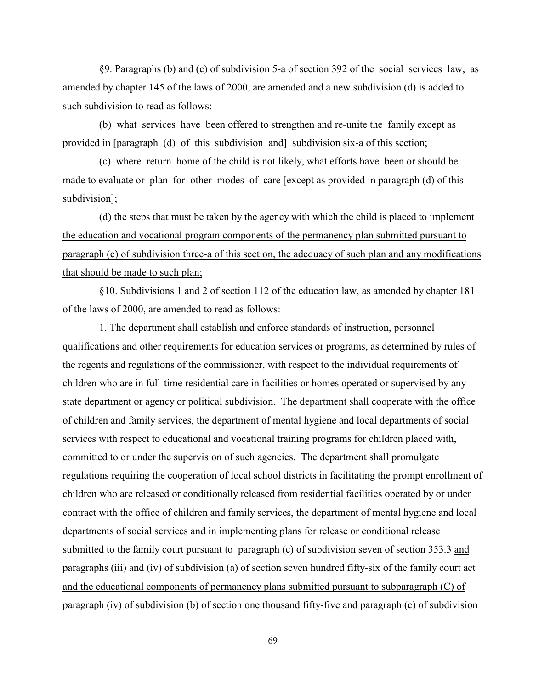§9. Paragraphs (b) and (c) of subdivision 5-a of section 392 of the social services law, as amended by chapter 145 of the laws of 2000, are amended and a new subdivision (d) is added to such subdivision to read as follows:

 (b) what services have been offered to strengthen and re-unite the family except as provided in [paragraph (d) of this subdivision and] subdivision six-a of this section;

 (c) where return home of the child is not likely, what efforts have been or should be made to evaluate or plan for other modes of care [except as provided in paragraph (d) of this subdivision];

 (d) the steps that must be taken by the agency with which the child is placed to implement the education and vocational program components of the permanency plan submitted pursuant to paragraph (c) of subdivision three-a of this section, the adequacy of such plan and any modifications that should be made to such plan;

 §10. Subdivisions 1 and 2 of section 112 of the education law, as amended by chapter 181 of the laws of 2000, are amended to read as follows:

 1. The department shall establish and enforce standards of instruction, personnel qualifications and other requirements for education services or programs, as determined by rules of the regents and regulations of the commissioner, with respect to the individual requirements of children who are in full-time residential care in facilities or homes operated or supervised by any state department or agency or political subdivision. The department shall cooperate with the office of children and family services, the department of mental hygiene and local departments of social services with respect to educational and vocational training programs for children placed with, committed to or under the supervision of such agencies. The department shall promulgate regulations requiring the cooperation of local school districts in facilitating the prompt enrollment of children who are released or conditionally released from residential facilities operated by or under contract with the office of children and family services, the department of mental hygiene and local departments of social services and in implementing plans for release or conditional release submitted to the family court pursuant to paragraph (c) of subdivision seven of section 353.3 and paragraphs (iii) and (iv) of subdivision (a) of section seven hundred fifty-six of the family court act and the educational components of permanency plans submitted pursuant to subparagraph (C) of paragraph (iv) of subdivision (b) of section one thousand fifty-five and paragraph (c) of subdivision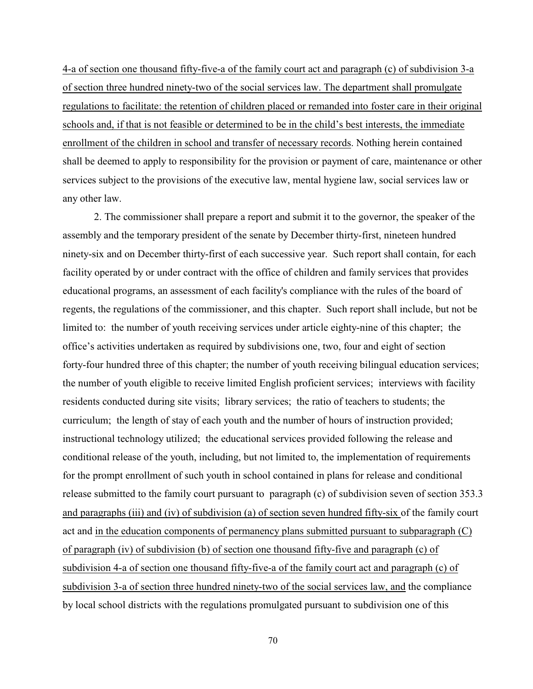4-a of section one thousand fifty-five-a of the family court act and paragraph (c) of subdivision 3-a of section three hundred ninety-two of the social services law. The department shall promulgate regulations to facilitate: the retention of children placed or remanded into foster care in their original schools and, if that is not feasible or determined to be in the child's best interests, the immediate enrollment of the children in school and transfer of necessary records. Nothing herein contained shall be deemed to apply to responsibility for the provision or payment of care, maintenance or other services subject to the provisions of the executive law, mental hygiene law, social services law or any other law.

2. The commissioner shall prepare a report and submit it to the governor, the speaker of the assembly and the temporary president of the senate by December thirty-first, nineteen hundred ninety-six and on December thirty-first of each successive year. Such report shall contain, for each facility operated by or under contract with the office of children and family services that provides educational programs, an assessment of each facility's compliance with the rules of the board of regents, the regulations of the commissioner, and this chapter. Such report shall include, but not be limited to: the number of youth receiving services under article eighty-nine of this chapter; the office's activities undertaken as required by subdivisions one, two, four and eight of section forty-four hundred three of this chapter; the number of youth receiving bilingual education services; the number of youth eligible to receive limited English proficient services; interviews with facility residents conducted during site visits; library services; the ratio of teachers to students; the curriculum; the length of stay of each youth and the number of hours of instruction provided; instructional technology utilized; the educational services provided following the release and conditional release of the youth, including, but not limited to, the implementation of requirements for the prompt enrollment of such youth in school contained in plans for release and conditional release submitted to the family court pursuant to paragraph (c) of subdivision seven of section 353.3 and paragraphs (iii) and (iv) of subdivision (a) of section seven hundred fifty-six of the family court act and in the education components of permanency plans submitted pursuant to subparagraph (C) of paragraph (iv) of subdivision (b) of section one thousand fifty-five and paragraph (c) of subdivision 4-a of section one thousand fifty-five-a of the family court act and paragraph (c) of subdivision 3-a of section three hundred ninety-two of the social services law, and the compliance by local school districts with the regulations promulgated pursuant to subdivision one of this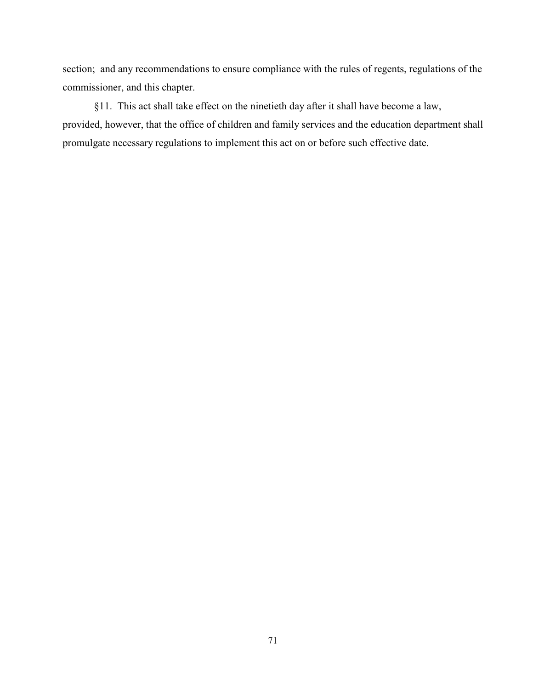section; and any recommendations to ensure compliance with the rules of regents, regulations of the commissioner, and this chapter.

§11. This act shall take effect on the ninetieth day after it shall have become a law, provided, however, that the office of children and family services and the education department shall promulgate necessary regulations to implement this act on or before such effective date.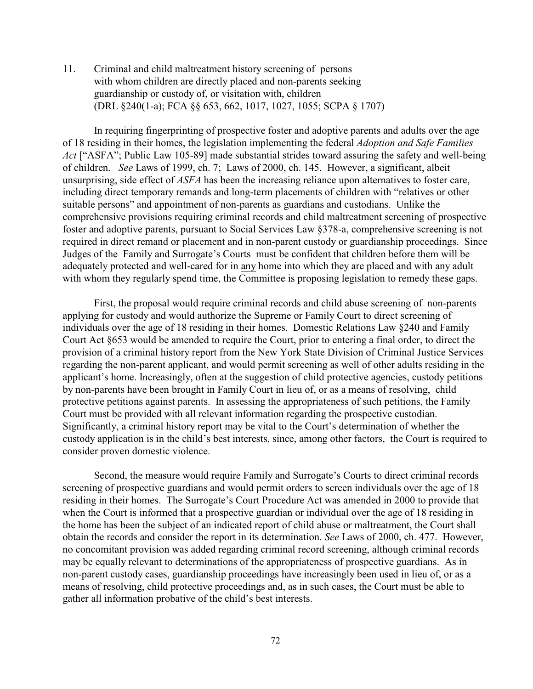11. Criminal and child maltreatment history screening of persons with whom children are directly placed and non-parents seeking guardianship or custody of, or visitation with, children (DRL §240(1-a); FCA §§ 653, 662, 1017, 1027, 1055; SCPA § 1707)

In requiring fingerprinting of prospective foster and adoptive parents and adults over the age of 18 residing in their homes, the legislation implementing the federal *Adoption and Safe Families Act* ["ASFA"; Public Law 105-89] made substantial strides toward assuring the safety and well-being of children. *See* Laws of 1999, ch. 7; Laws of 2000, ch. 145. However, a significant, albeit unsurprising, side effect of *ASFA* has been the increasing reliance upon alternatives to foster care, including direct temporary remands and long-term placements of children with "relatives or other suitable persons" and appointment of non-parents as guardians and custodians. Unlike the comprehensive provisions requiring criminal records and child maltreatment screening of prospective foster and adoptive parents, pursuant to Social Services Law §378-a, comprehensive screening is not required in direct remand or placement and in non-parent custody or guardianship proceedings. Since Judges of the Family and Surrogate's Courts must be confident that children before them will be adequately protected and well-cared for in any home into which they are placed and with any adult with whom they regularly spend time, the Committee is proposing legislation to remedy these gaps.

First, the proposal would require criminal records and child abuse screening of non-parents applying for custody and would authorize the Supreme or Family Court to direct screening of individuals over the age of 18 residing in their homes. Domestic Relations Law §240 and Family Court Act §653 would be amended to require the Court, prior to entering a final order, to direct the provision of a criminal history report from the New York State Division of Criminal Justice Services regarding the non-parent applicant, and would permit screening as well of other adults residing in the applicant's home. Increasingly, often at the suggestion of child protective agencies, custody petitions by non-parents have been brought in Family Court in lieu of, or as a means of resolving, child protective petitions against parents. In assessing the appropriateness of such petitions, the Family Court must be provided with all relevant information regarding the prospective custodian. Significantly, a criminal history report may be vital to the Court's determination of whether the custody application is in the child's best interests, since, among other factors, the Court is required to consider proven domestic violence.

Second, the measure would require Family and Surrogate's Courts to direct criminal records screening of prospective guardians and would permit orders to screen individuals over the age of 18 residing in their homes. The Surrogate's Court Procedure Act was amended in 2000 to provide that when the Court is informed that a prospective guardian or individual over the age of 18 residing in the home has been the subject of an indicated report of child abuse or maltreatment, the Court shall obtain the records and consider the report in its determination. *See* Laws of 2000, ch. 477. However, no concomitant provision was added regarding criminal record screening, although criminal records may be equally relevant to determinations of the appropriateness of prospective guardians. As in non-parent custody cases, guardianship proceedings have increasingly been used in lieu of, or as a means of resolving, child protective proceedings and, as in such cases, the Court must be able to gather all information probative of the child's best interests.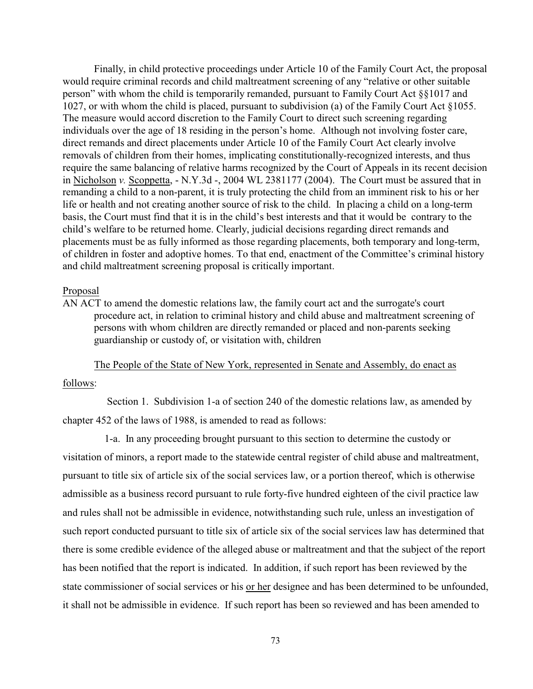Finally, in child protective proceedings under Article 10 of the Family Court Act, the proposal would require criminal records and child maltreatment screening of any "relative or other suitable person" with whom the child is temporarily remanded, pursuant to Family Court Act §§1017 and 1027, or with whom the child is placed, pursuant to subdivision (a) of the Family Court Act §1055. The measure would accord discretion to the Family Court to direct such screening regarding individuals over the age of 18 residing in the person's home. Although not involving foster care, direct remands and direct placements under Article 10 of the Family Court Act clearly involve removals of children from their homes, implicating constitutionally-recognized interests, and thus require the same balancing of relative harms recognized by the Court of Appeals in its recent decision in Nicholson *v.* Scoppetta, - N.Y.3d -, 2004 WL 2381177 (2004). The Court must be assured that in remanding a child to a non-parent, it is truly protecting the child from an imminent risk to his or her life or health and not creating another source of risk to the child. In placing a child on a long-term basis, the Court must find that it is in the child's best interests and that it would be contrary to the child's welfare to be returned home. Clearly, judicial decisions regarding direct remands and placements must be as fully informed as those regarding placements, both temporary and long-term, of children in foster and adoptive homes. To that end, enactment of the Committee's criminal history and child maltreatment screening proposal is critically important.

#### Proposal

AN ACT to amend the domestic relations law, the family court act and the surrogate's court procedure act, in relation to criminal history and child abuse and maltreatment screening of persons with whom children are directly remanded or placed and non-parents seeking guardianship or custody of, or visitation with, children

The People of the State of New York, represented in Senate and Assembly, do enact as follows:

 Section 1. Subdivision 1-a of section 240 of the domestic relations law, as amended by chapter 452 of the laws of 1988, is amended to read as follows:

 1-a. In any proceeding brought pursuant to this section to determine the custody or visitation of minors, a report made to the statewide central register of child abuse and maltreatment, pursuant to title six of article six of the social services law, or a portion thereof, which is otherwise admissible as a business record pursuant to rule forty-five hundred eighteen of the civil practice law and rules shall not be admissible in evidence, notwithstanding such rule, unless an investigation of such report conducted pursuant to title six of article six of the social services law has determined that there is some credible evidence of the alleged abuse or maltreatment and that the subject of the report has been notified that the report is indicated. In addition, if such report has been reviewed by the state commissioner of social services or his or her designee and has been determined to be unfounded, it shall not be admissible in evidence. If such report has been so reviewed and has been amended to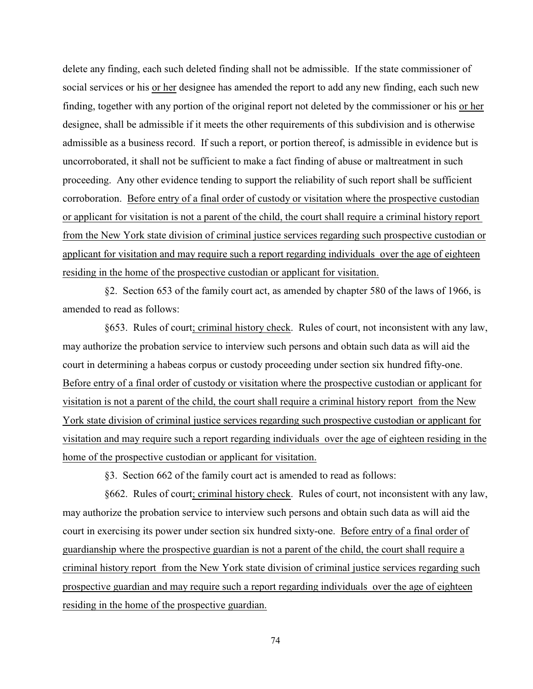delete any finding, each such deleted finding shall not be admissible. If the state commissioner of social services or his or her designee has amended the report to add any new finding, each such new finding, together with any portion of the original report not deleted by the commissioner or his or her designee, shall be admissible if it meets the other requirements of this subdivision and is otherwise admissible as a business record. If such a report, or portion thereof, is admissible in evidence but is uncorroborated, it shall not be sufficient to make a fact finding of abuse or maltreatment in such proceeding. Any other evidence tending to support the reliability of such report shall be sufficient corroboration. Before entry of a final order of custody or visitation where the prospective custodian or applicant for visitation is not a parent of the child, the court shall require a criminal history report from the New York state division of criminal justice services regarding such prospective custodian or applicant for visitation and may require such a report regarding individuals over the age of eighteen residing in the home of the prospective custodian or applicant for visitation.

 §2. Section 653 of the family court act, as amended by chapter 580 of the laws of 1966, is amended to read as follows:

 §653. Rules of court; criminal history check. Rules of court, not inconsistent with any law, may authorize the probation service to interview such persons and obtain such data as will aid the court in determining a habeas corpus or custody proceeding under section six hundred fifty-one. Before entry of a final order of custody or visitation where the prospective custodian or applicant for visitation is not a parent of the child, the court shall require a criminal history report from the New York state division of criminal justice services regarding such prospective custodian or applicant for visitation and may require such a report regarding individuals over the age of eighteen residing in the home of the prospective custodian or applicant for visitation.

§3. Section 662 of the family court act is amended to read as follows:

 §662. Rules of court; criminal history check. Rules of court, not inconsistent with any law, may authorize the probation service to interview such persons and obtain such data as will aid the court in exercising its power under section six hundred sixty-one. Before entry of a final order of guardianship where the prospective guardian is not a parent of the child, the court shall require a criminal history report from the New York state division of criminal justice services regarding such prospective guardian and may require such a report regarding individuals over the age of eighteen residing in the home of the prospective guardian.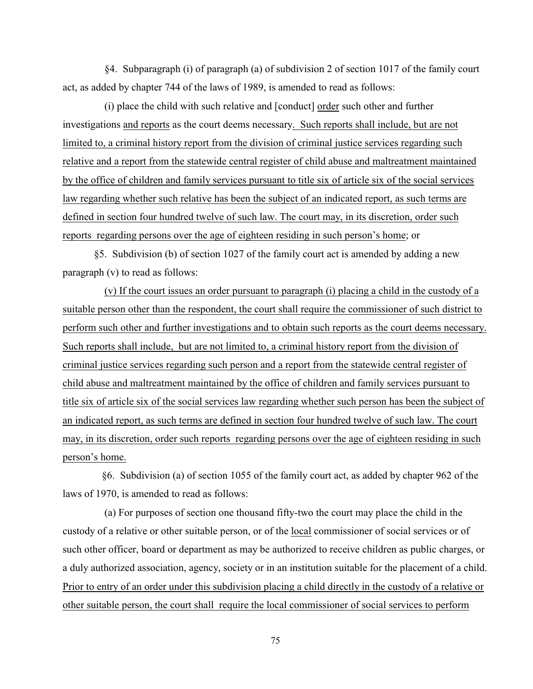§4. Subparagraph (i) of paragraph (a) of subdivision 2 of section 1017 of the family court act, as added by chapter 744 of the laws of 1989, is amended to read as follows:

 (i) place the child with such relative and [conduct] order such other and further investigations and reports as the court deems necessary. Such reports shall include, but are not limited to, a criminal history report from the division of criminal justice services regarding such relative and a report from the statewide central register of child abuse and maltreatment maintained by the office of children and family services pursuant to title six of article six of the social services law regarding whether such relative has been the subject of an indicated report, as such terms are defined in section four hundred twelve of such law. The court may, in its discretion, order such reports regarding persons over the age of eighteen residing in such person's home; or

§5. Subdivision (b) of section 1027 of the family court act is amended by adding a new paragraph (v) to read as follows:

 (v) If the court issues an order pursuant to paragraph (i) placing a child in the custody of a suitable person other than the respondent, the court shall require the commissioner of such district to perform such other and further investigations and to obtain such reports as the court deems necessary. Such reports shall include, but are not limited to, a criminal history report from the division of criminal justice services regarding such person and a report from the statewide central register of child abuse and maltreatment maintained by the office of children and family services pursuant to title six of article six of the social services law regarding whether such person has been the subject of an indicated report, as such terms are defined in section four hundred twelve of such law. The court may, in its discretion, order such reports regarding persons over the age of eighteen residing in such person's home.

 §6. Subdivision (a) of section 1055 of the family court act, as added by chapter 962 of the laws of 1970, is amended to read as follows:

 (a) For purposes of section one thousand fifty-two the court may place the child in the custody of a relative or other suitable person, or of the local commissioner of social services or of such other officer, board or department as may be authorized to receive children as public charges, or a duly authorized association, agency, society or in an institution suitable for the placement of a child. Prior to entry of an order under this subdivision placing a child directly in the custody of a relative or other suitable person, the court shall require the local commissioner of social services to perform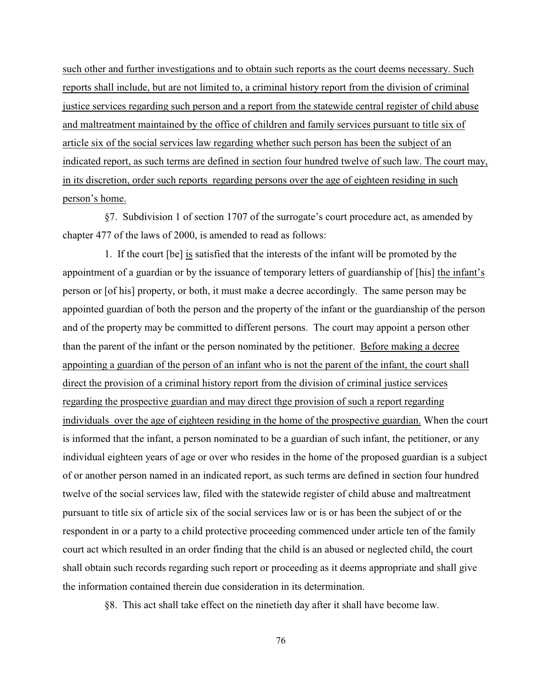such other and further investigations and to obtain such reports as the court deems necessary. Such reports shall include, but are not limited to, a criminal history report from the division of criminal justice services regarding such person and a report from the statewide central register of child abuse and maltreatment maintained by the office of children and family services pursuant to title six of article six of the social services law regarding whether such person has been the subject of an indicated report, as such terms are defined in section four hundred twelve of such law. The court may, in its discretion, order such reports regarding persons over the age of eighteen residing in such person's home.

 §7. Subdivision 1 of section 1707 of the surrogate's court procedure act, as amended by chapter 477 of the laws of 2000, is amended to read as follows:

 1. If the court [be] is satisfied that the interests of the infant will be promoted by the appointment of a guardian or by the issuance of temporary letters of guardianship of [his] the infant's person or [of his] property, or both, it must make a decree accordingly. The same person may be appointed guardian of both the person and the property of the infant or the guardianship of the person and of the property may be committed to different persons. The court may appoint a person other than the parent of the infant or the person nominated by the petitioner. Before making a decree appointing a guardian of the person of an infant who is not the parent of the infant, the court shall direct the provision of a criminal history report from the division of criminal justice services regarding the prospective guardian and may direct thge provision of such a report regarding individuals over the age of eighteen residing in the home of the prospective guardian. When the court is informed that the infant, a person nominated to be a guardian of such infant, the petitioner, or any individual eighteen years of age or over who resides in the home of the proposed guardian is a subject of or another person named in an indicated report, as such terms are defined in section four hundred twelve of the social services law, filed with the statewide register of child abuse and maltreatment pursuant to title six of article six of the social services law or is or has been the subject of or the respondent in or a party to a child protective proceeding commenced under article ten of the family court act which resulted in an order finding that the child is an abused or neglected child, the court shall obtain such records regarding such report or proceeding as it deems appropriate and shall give the information contained therein due consideration in its determination.

§8. This act shall take effect on the ninetieth day after it shall have become law.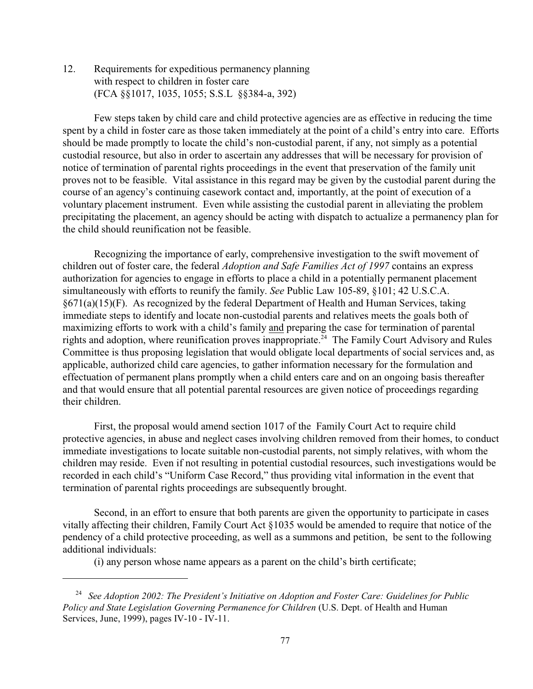12. Requirements for expeditious permanency planning with respect to children in foster care (FCA §§1017, 1035, 1055; S.S.L §§384-a, 392)

Few steps taken by child care and child protective agencies are as effective in reducing the time spent by a child in foster care as those taken immediately at the point of a child's entry into care. Efforts should be made promptly to locate the child's non-custodial parent, if any, not simply as a potential custodial resource, but also in order to ascertain any addresses that will be necessary for provision of notice of termination of parental rights proceedings in the event that preservation of the family unit proves not to be feasible. Vital assistance in this regard may be given by the custodial parent during the course of an agency's continuing casework contact and, importantly, at the point of execution of a voluntary placement instrument. Even while assisting the custodial parent in alleviating the problem precipitating the placement, an agency should be acting with dispatch to actualize a permanency plan for the child should reunification not be feasible.

Recognizing the importance of early, comprehensive investigation to the swift movement of children out of foster care, the federal *Adoption and Safe Families Act of 1997* contains an express authorization for agencies to engage in efforts to place a child in a potentially permanent placement simultaneously with efforts to reunify the family. *See* Public Law 105-89, §101; 42 U.S.C.A. §671(a)(15)(F). As recognized by the federal Department of Health and Human Services, taking immediate steps to identify and locate non-custodial parents and relatives meets the goals both of maximizing efforts to work with a child's family and preparing the case for termination of parental rights and adoption, where reunification proves inappropriate.<sup> $24$ </sup> The Family Court Advisory and Rules Committee is thus proposing legislation that would obligate local departments of social services and, as applicable, authorized child care agencies, to gather information necessary for the formulation and effectuation of permanent plans promptly when a child enters care and on an ongoing basis thereafter and that would ensure that all potential parental resources are given notice of proceedings regarding their children.

First, the proposal would amend section 1017 of the Family Court Act to require child protective agencies, in abuse and neglect cases involving children removed from their homes, to conduct immediate investigations to locate suitable non-custodial parents, not simply relatives, with whom the children may reside. Even if not resulting in potential custodial resources, such investigations would be recorded in each child's "Uniform Case Record," thus providing vital information in the event that termination of parental rights proceedings are subsequently brought.

Second, in an effort to ensure that both parents are given the opportunity to participate in cases vitally affecting their children, Family Court Act §1035 would be amended to require that notice of the pendency of a child protective proceeding, as well as a summons and petition, be sent to the following additional individuals:

(i) any person whose name appears as a parent on the child's birth certificate;

<sup>&</sup>lt;sup>24</sup> See Adoption 2002: The President's Initiative on Adoption and Foster Care: Guidelines for Public *Policy and State Legislation Governing Permanence for Children* (U.S. Dept. of Health and Human Services, June, 1999), pages IV-10 - IV-11.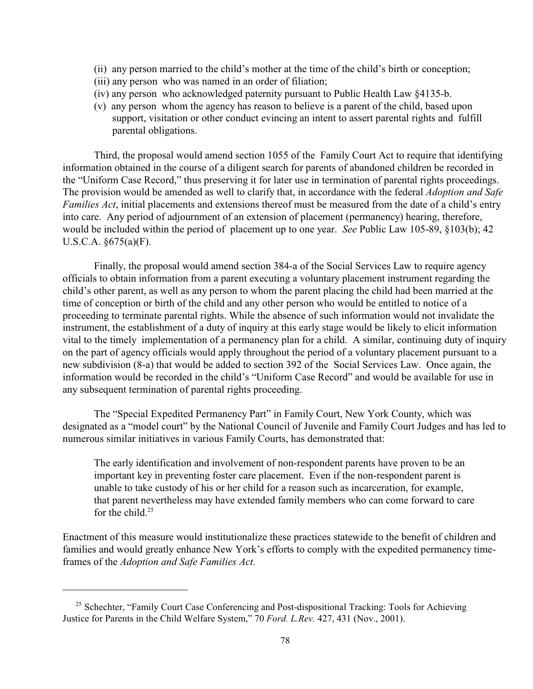- (ii) any person married to the child's mother at the time of the child's birth or conception;
- (iii) any person who was named in an order of filiation;
- (iv) any person who acknowledged paternity pursuant to Public Health Law §4135-b.
- (v) any person whom the agency has reason to believe is a parent of the child, based upon support, visitation or other conduct evincing an intent to assert parental rights and fulfill parental obligations.

Third, the proposal would amend section 1055 of the Family Court Act to require that identifying information obtained in the course of a diligent search for parents of abandoned children be recorded in the "Uniform Case Record," thus preserving it for later use in termination of parental rights proceedings. The provision would be amended as well to clarify that, in accordance with the federal *Adoption and Safe Families Act*, initial placements and extensions thereof must be measured from the date of a child's entry into care. Any period of adjournment of an extension of placement (permanency) hearing, therefore, would be included within the period of placement up to one year. *See* Public Law 105-89, §103(b); 42 U.S.C.A. §675(a)(F).

Finally, the proposal would amend section 384-a of the Social Services Law to require agency officials to obtain information from a parent executing a voluntary placement instrument regarding the child's other parent, as well as any person to whom the parent placing the child had been married at the time of conception or birth of the child and any other person who would be entitled to notice of a proceeding to terminate parental rights. While the absence of such information would not invalidate the instrument, the establishment of a duty of inquiry at this early stage would be likely to elicit information vital to the timely implementation of a permanency plan for a child. A similar, continuing duty of inquiry on the part of agency officials would apply throughout the period of a voluntary placement pursuant to a new subdivision (8-a) that would be added to section 392 of the Social Services Law. Once again, the information would be recorded in the child's "Uniform Case Record" and would be available for use in any subsequent termination of parental rights proceeding.

The "Special Expedited Permanency Part" in Family Court, New York County, which was designated as a "model court" by the National Council of Juvenile and Family Court Judges and has led to numerous similar initiatives in various Family Courts, has demonstrated that:

The early identification and involvement of non-respondent parents have proven to be an important key in preventing foster care placement. Even if the non-respondent parent is unable to take custody of his or her child for a reason such as incarceration, for example, that parent nevertheless may have extended family members who can come forward to care for the child. $25$ 

Enactment of this measure would institutionalize these practices statewide to the benefit of children and families and would greatly enhance New York's efforts to comply with the expedited permanency timeframes of the *Adoption and Safe Families Act.*

<sup>&</sup>lt;sup>25</sup> Schechter, "Family Court Case Conferencing and Post-dispositional Tracking: Tools for Achieving Justice for Parents in the Child Welfare System," 70 *Ford. L.Rev.* 427, 431 (Nov., 2001).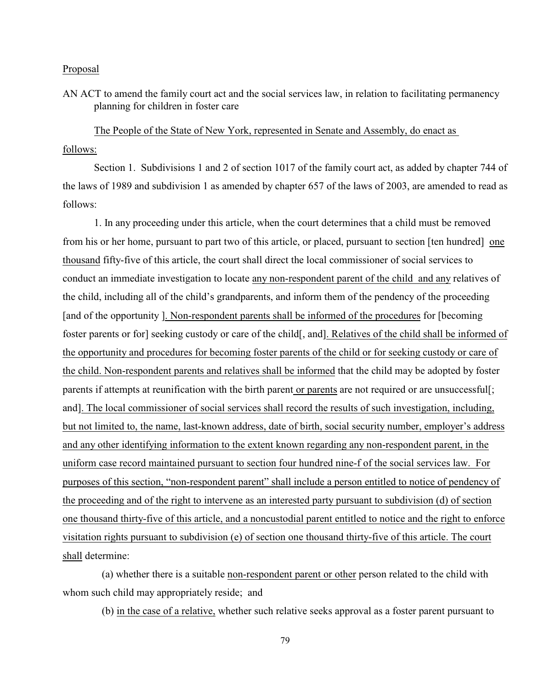#### Proposal

AN ACT to amend the family court act and the social services law, in relation to facilitating permanency planning for children in foster care

The People of the State of New York, represented in Senate and Assembly, do enact as follows:

Section 1. Subdivisions 1 and 2 of section 1017 of the family court act, as added by chapter 744 of the laws of 1989 and subdivision 1 as amended by chapter 657 of the laws of 2003, are amended to read as follows:

1. In any proceeding under this article, when the court determines that a child must be removed from his or her home, pursuant to part two of this article, or placed, pursuant to section [ten hundred] one thousand fifty-five of this article, the court shall direct the local commissioner of social services to conduct an immediate investigation to locate any non-respondent parent of the child and any relatives of the child, including all of the child's grandparents, and inform them of the pendency of the proceeding [and of the opportunity ]. Non-respondent parents shall be informed of the procedures for [becoming foster parents or for] seeking custody or care of the child[, and]. Relatives of the child shall be informed of the opportunity and procedures for becoming foster parents of the child or for seeking custody or care of the child. Non-respondent parents and relatives shall be informed that the child may be adopted by foster parents if attempts at reunification with the birth parent or parents are not required or are unsuccessful[; and]. The local commissioner of social services shall record the results of such investigation, including, but not limited to, the name, last-known address, date of birth, social security number, employer's address and any other identifying information to the extent known regarding any non-respondent parent, in the uniform case record maintained pursuant to section four hundred nine-f of the social services law. For purposes of this section, "non-respondent parent" shall include a person entitled to notice of pendency of the proceeding and of the right to intervene as an interested party pursuant to subdivision (d) of section one thousand thirty-five of this article, and a noncustodial parent entitled to notice and the right to enforce visitation rights pursuant to subdivision (e) of section one thousand thirty-five of this article. The court shall determine:

 (a) whether there is a suitable non-respondent parent or other person related to the child with whom such child may appropriately reside; and

(b) in the case of a relative, whether such relative seeks approval as a foster parent pursuant to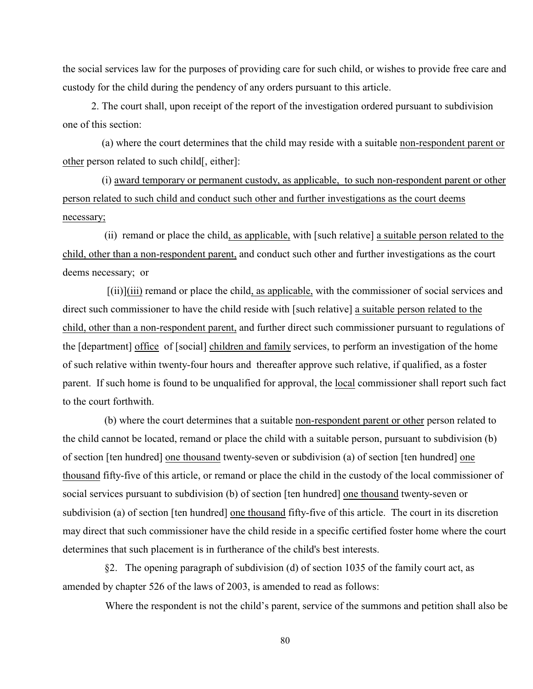the social services law for the purposes of providing care for such child, or wishes to provide free care and custody for the child during the pendency of any orders pursuant to this article.

 2. The court shall, upon receipt of the report of the investigation ordered pursuant to subdivision one of this section:

 (a) where the court determines that the child may reside with a suitable non-respondent parent or other person related to such child[, either]:

 (i) award temporary or permanent custody, as applicable, to such non-respondent parent or other person related to such child and conduct such other and further investigations as the court deems necessary;

 (ii) remand or place the child, as applicable, with [such relative] a suitable person related to the child, other than a non-respondent parent, and conduct such other and further investigations as the court deems necessary; or

 [(ii)](iii) remand or place the child, as applicable, with the commissioner of social services and direct such commissioner to have the child reside with [such relative] a suitable person related to the child, other than a non-respondent parent, and further direct such commissioner pursuant to regulations of the [department] office of [social] children and family services, to perform an investigation of the home of such relative within twenty-four hours and thereafter approve such relative, if qualified, as a foster parent. If such home is found to be unqualified for approval, the local commissioner shall report such fact to the court forthwith.

 (b) where the court determines that a suitable non-respondent parent or other person related to the child cannot be located, remand or place the child with a suitable person, pursuant to subdivision (b) of section [ten hundred] one thousand twenty-seven or subdivision (a) of section [ten hundred] one thousand fifty-five of this article, or remand or place the child in the custody of the local commissioner of social services pursuant to subdivision (b) of section [ten hundred] one thousand twenty-seven or subdivision (a) of section [ten hundred] one thousand fifty-five of this article. The court in its discretion may direct that such commissioner have the child reside in a specific certified foster home where the court determines that such placement is in furtherance of the child's best interests.

 §2. The opening paragraph of subdivision (d) of section 1035 of the family court act, as amended by chapter 526 of the laws of 2003, is amended to read as follows:

Where the respondent is not the child's parent, service of the summons and petition shall also be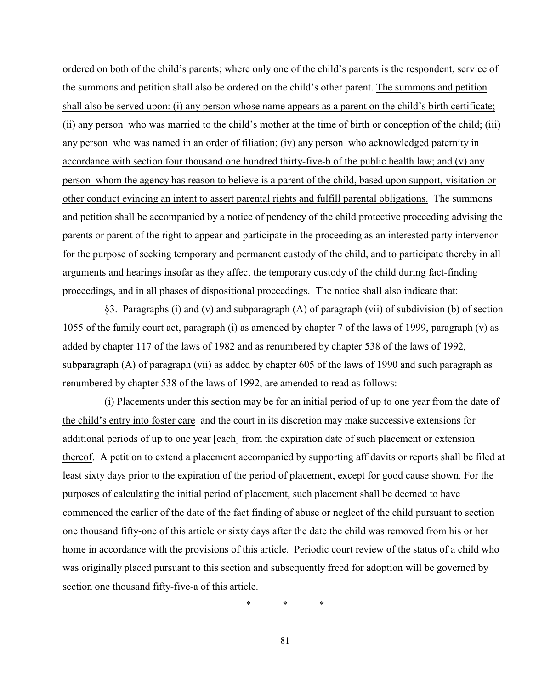ordered on both of the child's parents; where only one of the child's parents is the respondent, service of the summons and petition shall also be ordered on the child's other parent. The summons and petition shall also be served upon: (i) any person whose name appears as a parent on the child's birth certificate; (ii) any person who was married to the child's mother at the time of birth or conception of the child; (iii) any person who was named in an order of filiation; (iv) any person who acknowledged paternity in accordance with section four thousand one hundred thirty-five-b of the public health law; and (v) any person whom the agency has reason to believe is a parent of the child, based upon support, visitation or other conduct evincing an intent to assert parental rights and fulfill parental obligations. The summons and petition shall be accompanied by a notice of pendency of the child protective proceeding advising the parents or parent of the right to appear and participate in the proceeding as an interested party intervenor for the purpose of seeking temporary and permanent custody of the child, and to participate thereby in all arguments and hearings insofar as they affect the temporary custody of the child during fact-finding proceedings, and in all phases of dispositional proceedings. The notice shall also indicate that:

 §3. Paragraphs (i) and (v) and subparagraph (A) of paragraph (vii) of subdivision (b) of section 1055 of the family court act, paragraph (i) as amended by chapter 7 of the laws of 1999, paragraph (v) as added by chapter 117 of the laws of 1982 and as renumbered by chapter 538 of the laws of 1992, subparagraph (A) of paragraph (vii) as added by chapter 605 of the laws of 1990 and such paragraph as renumbered by chapter 538 of the laws of 1992, are amended to read as follows:

 (i) Placements under this section may be for an initial period of up to one year from the date of the child's entry into foster care and the court in its discretion may make successive extensions for additional periods of up to one year [each] from the expiration date of such placement or extension thereof. A petition to extend a placement accompanied by supporting affidavits or reports shall be filed at least sixty days prior to the expiration of the period of placement, except for good cause shown. For the purposes of calculating the initial period of placement, such placement shall be deemed to have commenced the earlier of the date of the fact finding of abuse or neglect of the child pursuant to section one thousand fifty-one of this article or sixty days after the date the child was removed from his or her home in accordance with the provisions of this article. Periodic court review of the status of a child who was originally placed pursuant to this section and subsequently freed for adoption will be governed by section one thousand fifty-five-a of this article.

\* \* \*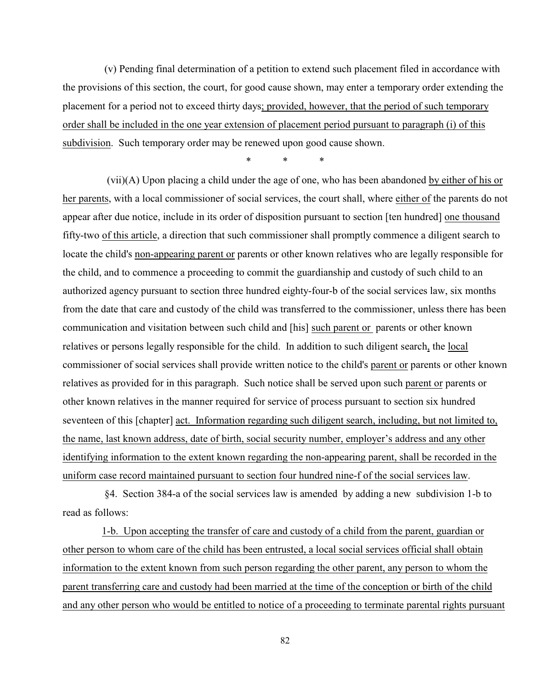(v) Pending final determination of a petition to extend such placement filed in accordance with the provisions of this section, the court, for good cause shown, may enter a temporary order extending the placement for a period not to exceed thirty days; provided, however, that the period of such temporary order shall be included in the one year extension of placement period pursuant to paragraph (i) of this subdivision. Such temporary order may be renewed upon good cause shown.

\* \* \*

 (vii)(A) Upon placing a child under the age of one, who has been abandoned by either of his or her parents, with a local commissioner of social services, the court shall, where either of the parents do not appear after due notice, include in its order of disposition pursuant to section [ten hundred] one thousand fifty-two of this article, a direction that such commissioner shall promptly commence a diligent search to locate the child's non-appearing parent or parents or other known relatives who are legally responsible for the child, and to commence a proceeding to commit the guardianship and custody of such child to an authorized agency pursuant to section three hundred eighty-four-b of the social services law, six months from the date that care and custody of the child was transferred to the commissioner, unless there has been communication and visitation between such child and [his] such parent or parents or other known relatives or persons legally responsible for the child. In addition to such diligent search, the local commissioner of social services shall provide written notice to the child's parent or parents or other known relatives as provided for in this paragraph. Such notice shall be served upon such parent or parents or other known relatives in the manner required for service of process pursuant to section six hundred seventeen of this [chapter] act. Information regarding such diligent search, including, but not limited to, the name, last known address, date of birth, social security number, employer's address and any other identifying information to the extent known regarding the non-appearing parent, shall be recorded in the uniform case record maintained pursuant to section four hundred nine-f of the social services law.

 §4. Section 384-a of the social services law is amended by adding a new subdivision 1-b to read as follows:

 1-b. Upon accepting the transfer of care and custody of a child from the parent, guardian or other person to whom care of the child has been entrusted, a local social services official shall obtain information to the extent known from such person regarding the other parent, any person to whom the parent transferring care and custody had been married at the time of the conception or birth of the child and any other person who would be entitled to notice of a proceeding to terminate parental rights pursuant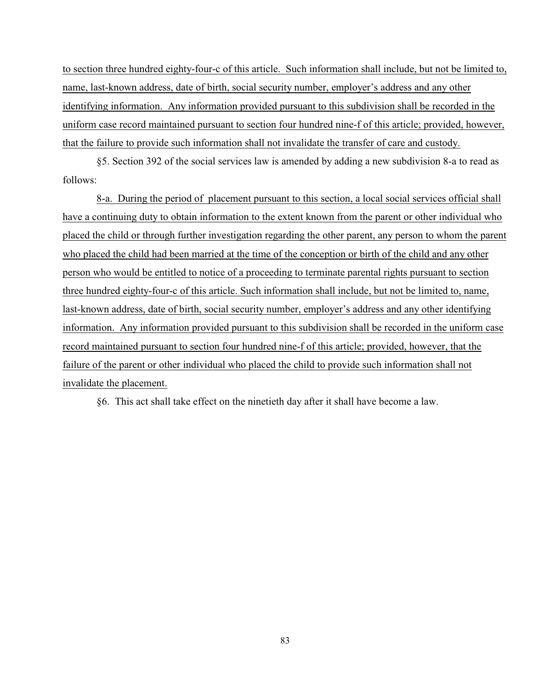to section three hundred eighty-four-c of this article. Such information shall include, but not be limited to, name, last-known address, date of birth, social security number, employer's address and any other identifying information. Any information provided pursuant to this subdivision shall be recorded in the uniform case record maintained pursuant to section four hundred nine-f of this article; provided, however, that the failure to provide such information shall not invalidate the transfer of care and custody.

 §5. Section 392 of the social services law is amended by adding a new subdivision 8-a to read as follows:

 8-a. During the period of placement pursuant to this section, a local social services official shall have a continuing duty to obtain information to the extent known from the parent or other individual who placed the child or through further investigation regarding the other parent, any person to whom the parent who placed the child had been married at the time of the conception or birth of the child and any other person who would be entitled to notice of a proceeding to terminate parental rights pursuant to section three hundred eighty-four-c of this article. Such information shall include, but not be limited to, name, last-known address, date of birth, social security number, employer's address and any other identifying information. Any information provided pursuant to this subdivision shall be recorded in the uniform case record maintained pursuant to section four hundred nine-f of this article; provided, however, that the failure of the parent or other individual who placed the child to provide such information shall not invalidate the placement.

§6. This act shall take effect on the ninetieth day after it shall have become a law.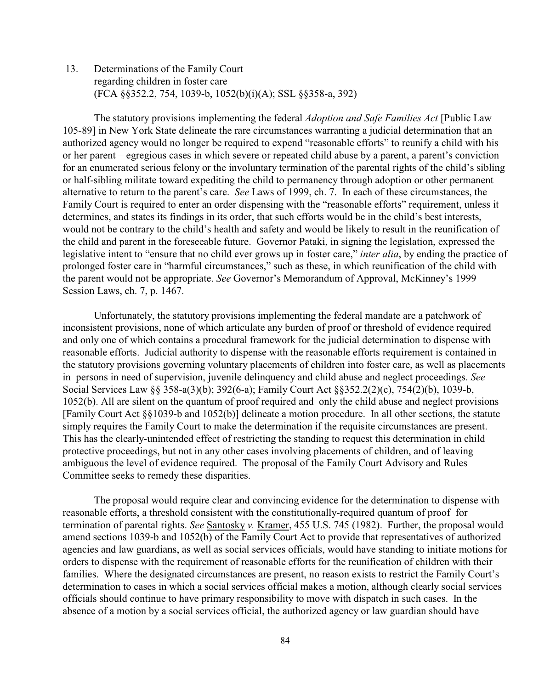13. Determinations of the Family Court regarding children in foster care (FCA §§352.2, 754, 1039-b, 1052(b)(i)(A); SSL §§358-a, 392)

The statutory provisions implementing the federal *Adoption and Safe Families Act* [Public Law 105-89] in New York State delineate the rare circumstances warranting a judicial determination that an authorized agency would no longer be required to expend "reasonable efforts" to reunify a child with his or her parent – egregious cases in which severe or repeated child abuse by a parent, a parent's conviction for an enumerated serious felony or the involuntary termination of the parental rights of the child's sibling or half-sibling militate toward expediting the child to permanency through adoption or other permanent alternative to return to the parent's care. *See* Laws of 1999, ch. 7. In each of these circumstances, the Family Court is required to enter an order dispensing with the "reasonable efforts" requirement, unless it determines, and states its findings in its order, that such efforts would be in the child's best interests, would not be contrary to the child's health and safety and would be likely to result in the reunification of the child and parent in the foreseeable future. Governor Pataki, in signing the legislation, expressed the legislative intent to "ensure that no child ever grows up in foster care," *inter alia*, by ending the practice of prolonged foster care in "harmful circumstances," such as these, in which reunification of the child with the parent would not be appropriate. *See* Governor's Memorandum of Approval, McKinney's 1999 Session Laws, ch. 7, p. 1467.

Unfortunately, the statutory provisions implementing the federal mandate are a patchwork of inconsistent provisions, none of which articulate any burden of proof or threshold of evidence required and only one of which contains a procedural framework for the judicial determination to dispense with reasonable efforts. Judicial authority to dispense with the reasonable efforts requirement is contained in the statutory provisions governing voluntary placements of children into foster care, as well as placements in persons in need of supervision, juvenile delinquency and child abuse and neglect proceedings. *See* Social Services Law §§ 358-a(3)(b); 392(6-a); Family Court Act §§352.2(2)(c), 754(2)(b), 1039-b, 1052(b). All are silent on the quantum of proof required and only the child abuse and neglect provisions [Family Court Act §§1039-b and 1052(b)] delineate a motion procedure. In all other sections, the statute simply requires the Family Court to make the determination if the requisite circumstances are present. This has the clearly-unintended effect of restricting the standing to request this determination in child protective proceedings, but not in any other cases involving placements of children, and of leaving ambiguous the level of evidence required. The proposal of the Family Court Advisory and Rules Committee seeks to remedy these disparities.

The proposal would require clear and convincing evidence for the determination to dispense with reasonable efforts, a threshold consistent with the constitutionally-required quantum of proof for termination of parental rights. *See* Santosky *v.* Kramer, 455 U.S. 745 (1982). Further, the proposal would amend sections 1039-b and 1052(b) of the Family Court Act to provide that representatives of authorized agencies and law guardians, as well as social services officials, would have standing to initiate motions for orders to dispense with the requirement of reasonable efforts for the reunification of children with their families. Where the designated circumstances are present, no reason exists to restrict the Family Court's determination to cases in which a social services official makes a motion, although clearly social services officials should continue to have primary responsibility to move with dispatch in such cases. In the absence of a motion by a social services official, the authorized agency or law guardian should have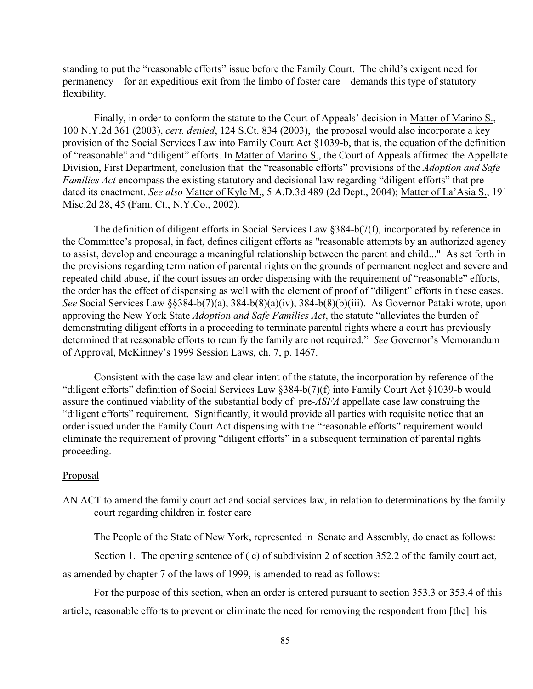standing to put the "reasonable efforts" issue before the Family Court. The child's exigent need for permanency – for an expeditious exit from the limbo of foster care – demands this type of statutory flexibility.

Finally, in order to conform the statute to the Court of Appeals' decision in Matter of Marino S., 100 N.Y.2d 361 (2003), *cert. denied*, 124 S.Ct. 834 (2003), the proposal would also incorporate a key provision of the Social Services Law into Family Court Act §1039-b, that is, the equation of the definition of "reasonable" and "diligent" efforts. In Matter of Marino S., the Court of Appeals affirmed the Appellate Division, First Department, conclusion that the "reasonable efforts" provisions of the *Adoption and Safe Families Act* encompass the existing statutory and decisional law regarding "diligent efforts" that predated its enactment. *See also* Matter of Kyle M., 5 A.D.3d 489 (2d Dept., 2004); Matter of La'Asia S., 191 Misc.2d 28, 45 (Fam. Ct., N.Y.Co., 2002).

The definition of diligent efforts in Social Services Law §384-b(7(f), incorporated by reference in the Committee's proposal, in fact, defines diligent efforts as "reasonable attempts by an authorized agency to assist, develop and encourage a meaningful relationship between the parent and child..." As set forth in the provisions regarding termination of parental rights on the grounds of permanent neglect and severe and repeated child abuse, if the court issues an order dispensing with the requirement of "reasonable" efforts, the order has the effect of dispensing as well with the element of proof of "diligent" efforts in these cases. *See* Social Services Law §§384-b(7)(a), 384-b(8)(a)(iv), 384-b(8)(b)(iii). As Governor Pataki wrote, upon approving the New York State *Adoption and Safe Families Act*, the statute "alleviates the burden of demonstrating diligent efforts in a proceeding to terminate parental rights where a court has previously determined that reasonable efforts to reunify the family are not required." *See* Governor's Memorandum of Approval, McKinney's 1999 Session Laws, ch. 7, p. 1467.

Consistent with the case law and clear intent of the statute, the incorporation by reference of the "diligent efforts" definition of Social Services Law §384-b(7)(f) into Family Court Act §1039-b would assure the continued viability of the substantial body of pre*-ASFA* appellate case law construing the "diligent efforts" requirement. Significantly, it would provide all parties with requisite notice that an order issued under the Family Court Act dispensing with the "reasonable efforts" requirement would eliminate the requirement of proving "diligent efforts" in a subsequent termination of parental rights proceeding.

## Proposal

AN ACT to amend the family court act and social services law, in relation to determinations by the family court regarding children in foster care

### The People of the State of New York, represented in Senate and Assembly, do enact as follows:

Section 1. The opening sentence of (c) of subdivision 2 of section 352.2 of the family court act, as amended by chapter 7 of the laws of 1999, is amended to read as follows:

For the purpose of this section, when an order is entered pursuant to section 353.3 or 353.4 of this article, reasonable efforts to prevent or eliminate the need for removing the respondent from [the] his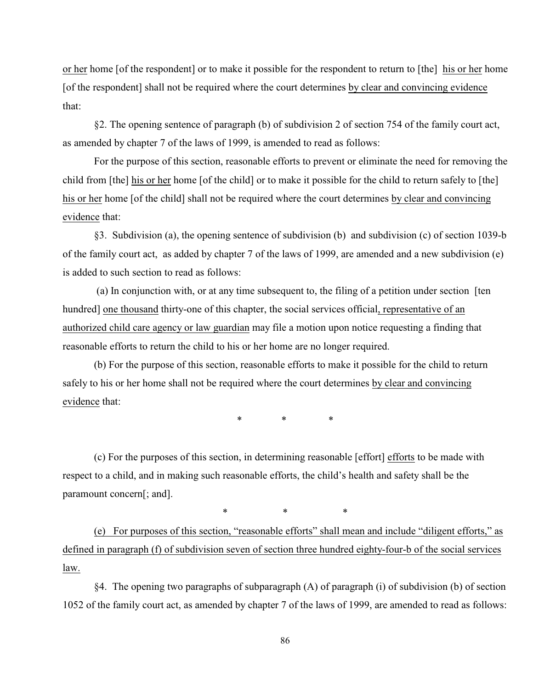or her home [of the respondent] or to make it possible for the respondent to return to [the] his or her home [of the respondent] shall not be required where the court determines by clear and convincing evidence that:

§2. The opening sentence of paragraph (b) of subdivision 2 of section 754 of the family court act, as amended by chapter 7 of the laws of 1999, is amended to read as follows:

For the purpose of this section, reasonable efforts to prevent or eliminate the need for removing the child from [the] his or her home [of the child] or to make it possible for the child to return safely to [the] his or her home [of the child] shall not be required where the court determines by clear and convincing evidence that:

§3. Subdivision (a), the opening sentence of subdivision (b) and subdivision (c) of section 1039-b of the family court act, as added by chapter 7 of the laws of 1999, are amended and a new subdivision (e) is added to such section to read as follows:

 (a) In conjunction with, or at any time subsequent to, the filing of a petition under section [ten hundred] one thousand thirty-one of this chapter, the social services official, representative of an authorized child care agency or law guardian may file a motion upon notice requesting a finding that reasonable efforts to return the child to his or her home are no longer required.

(b) For the purpose of this section, reasonable efforts to make it possible for the child to return safely to his or her home shall not be required where the court determines by clear and convincing evidence that:

\* \* \*

(c) For the purposes of this section, in determining reasonable [effort] efforts to be made with respect to a child, and in making such reasonable efforts, the child's health and safety shall be the paramount concern[; and].

\* \* \*

(e) For purposes of this section, "reasonable efforts" shall mean and include "diligent efforts," as defined in paragraph (f) of subdivision seven of section three hundred eighty-four-b of the social services law.

 $§4.$  The opening two paragraphs of subparagraph (A) of paragraph (i) of subdivision (b) of section 1052 of the family court act, as amended by chapter 7 of the laws of 1999, are amended to read as follows: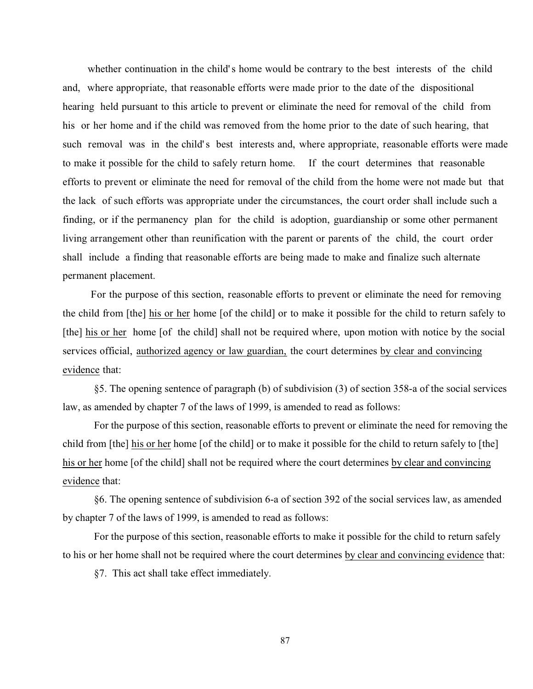whether continuation in the child's home would be contrary to the best interests of the child and, where appropriate, that reasonable efforts were made prior to the date of the dispositional hearing held pursuant to this article to prevent or eliminate the need for removal of the child from his or her home and if the child was removed from the home prior to the date of such hearing, that such removal was in the child's best interests and, where appropriate, reasonable efforts were made to make it possible for the child to safely return home. If the court determines that reasonable efforts to prevent or eliminate the need for removal of the child from the home were not made but that the lack of such efforts was appropriate under the circumstances, the court order shall include such a finding, or if the permanency plan for the child is adoption, guardianship or some other permanent living arrangement other than reunification with the parent or parents of the child, the court order shall include a finding that reasonable efforts are being made to make and finalize such alternate permanent placement.

 For the purpose of this section, reasonable efforts to prevent or eliminate the need for removing the child from [the] his or her home [of the child] or to make it possible for the child to return safely to [the] his or her home [of the child] shall not be required where, upon motion with notice by the social services official, authorized agency or law guardian, the court determines by clear and convincing evidence that:

§5. The opening sentence of paragraph (b) of subdivision (3) of section 358-a of the social services law, as amended by chapter 7 of the laws of 1999, is amended to read as follows:

For the purpose of this section, reasonable efforts to prevent or eliminate the need for removing the child from [the] his or her home [of the child] or to make it possible for the child to return safely to [the] his or her home [of the child] shall not be required where the court determines by clear and convincing evidence that:

§6. The opening sentence of subdivision 6-a of section 392 of the social services law, as amended by chapter 7 of the laws of 1999, is amended to read as follows:

For the purpose of this section, reasonable efforts to make it possible for the child to return safely to his or her home shall not be required where the court determines by clear and convincing evidence that:

§7. This act shall take effect immediately.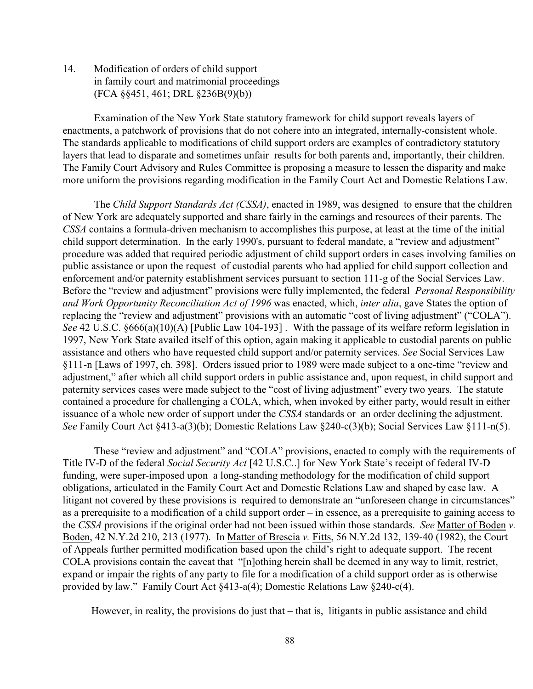14. Modification of orders of child support in family court and matrimonial proceedings (FCA §§451, 461; DRL §236B(9)(b))

Examination of the New York State statutory framework for child support reveals layers of enactments, a patchwork of provisions that do not cohere into an integrated, internally-consistent whole. The standards applicable to modifications of child support orders are examples of contradictory statutory layers that lead to disparate and sometimes unfair results for both parents and, importantly, their children. The Family Court Advisory and Rules Committee is proposing a measure to lessen the disparity and make more uniform the provisions regarding modification in the Family Court Act and Domestic Relations Law.

The *Child Support Standards Act (CSSA)*, enacted in 1989, was designed to ensure that the children of New York are adequately supported and share fairly in the earnings and resources of their parents. The *CSSA* contains a formula-driven mechanism to accomplishes this purpose, at least at the time of the initial child support determination. In the early 1990's, pursuant to federal mandate, a "review and adjustment" procedure was added that required periodic adjustment of child support orders in cases involving families on public assistance or upon the request of custodial parents who had applied for child support collection and enforcement and/or paternity establishment services pursuant to section 111-g of the Social Services Law. Before the "review and adjustment" provisions were fully implemented, the federal *Personal Responsibility and Work Opportunity Reconciliation Act of 1996* was enacted, which, *inter alia*, gave States the option of replacing the "review and adjustment" provisions with an automatic "cost of living adjustment" ("COLA"). *See* 42 U.S.C. §666(a)(10)(A) [Public Law 104-193] . With the passage of its welfare reform legislation in 1997, New York State availed itself of this option, again making it applicable to custodial parents on public assistance and others who have requested child support and/or paternity services. *See* Social Services Law §111-n [Laws of 1997, ch. 398]. Orders issued prior to 1989 were made subject to a one-time "review and adjustment," after which all child support orders in public assistance and, upon request, in child support and paternity services cases were made subject to the "cost of living adjustment" every two years. The statute contained a procedure for challenging a COLA, which, when invoked by either party, would result in either issuance of a whole new order of support under the *CSSA* standards or an order declining the adjustment. *See* Family Court Act §413-a(3)(b); Domestic Relations Law §240-c(3)(b); Social Services Law §111-n(5).

These "review and adjustment" and "COLA" provisions, enacted to comply with the requirements of Title IV-D of the federal *Social Security Act* [42 U.S.C..] for New York State's receipt of federal IV-D funding, were super-imposed upon a long-standing methodology for the modification of child support obligations, articulated in the Family Court Act and Domestic Relations Law and shaped by case law. A litigant not covered by these provisions is required to demonstrate an "unforeseen change in circumstances" as a prerequisite to a modification of a child support order – in essence, as a prerequisite to gaining access to the *CSSA* provisions if the original order had not been issued within those standards. *See* Matter of Boden *v.* Boden, 42 N.Y.2d 210, 213 (1977). In Matter of Brescia *v.* Fitts, 56 N.Y.2d 132, 139-40 (1982), the Court of Appeals further permitted modification based upon the child's right to adequate support. The recent COLA provisions contain the caveat that "[n]othing herein shall be deemed in any way to limit, restrict, expand or impair the rights of any party to file for a modification of a child support order as is otherwise provided by law." Family Court Act §413-a(4); Domestic Relations Law §240-c(4).

However, in reality, the provisions do just that – that is, litigants in public assistance and child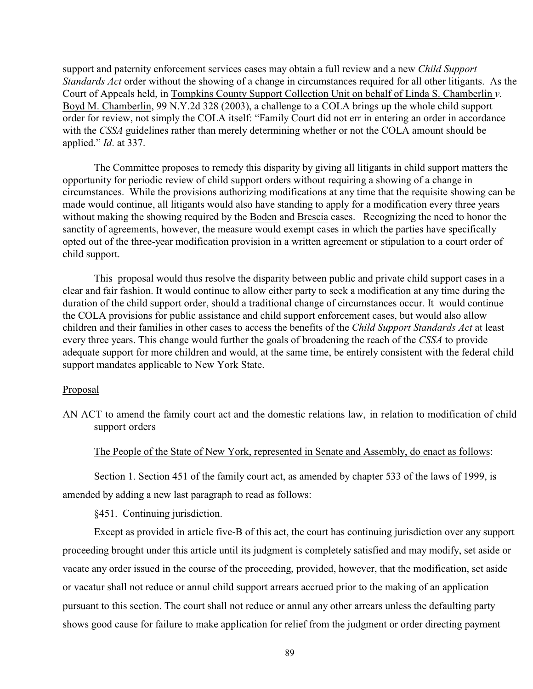support and paternity enforcement services cases may obtain a full review and a new *Child Support Standards Act* order without the showing of a change in circumstances required for all other litigants. As the Court of Appeals held, in Tompkins County Support Collection Unit on behalf of Linda S. Chamberlin *v.* Boyd M. Chamberlin, 99 N.Y.2d 328 (2003), a challenge to a COLA brings up the whole child support order for review, not simply the COLA itself: "Family Court did not err in entering an order in accordance with the *CSSA* guidelines rather than merely determining whether or not the COLA amount should be applied." *Id*. at 337.

The Committee proposes to remedy this disparity by giving all litigants in child support matters the opportunity for periodic review of child support orders without requiring a showing of a change in circumstances. While the provisions authorizing modifications at any time that the requisite showing can be made would continue, all litigants would also have standing to apply for a modification every three years without making the showing required by the Boden and Brescia cases. Recognizing the need to honor the sanctity of agreements, however, the measure would exempt cases in which the parties have specifically opted out of the three-year modification provision in a written agreement or stipulation to a court order of child support.

 This proposal would thus resolve the disparity between public and private child support cases in a clear and fair fashion. It would continue to allow either party to seek a modification at any time during the duration of the child support order, should a traditional change of circumstances occur. It would continue the COLA provisions for public assistance and child support enforcement cases, but would also allow children and their families in other cases to access the benefits of the *Child Support Standards Act* at least every three years. This change would further the goals of broadening the reach of the *CSSA* to provide adequate support for more children and would, at the same time, be entirely consistent with the federal child support mandates applicable to New York State.

## Proposal

AN ACT to amend the family court act and the domestic relations law, in relation to modification of child support orders

### The People of the State of New York, represented in Senate and Assembly, do enact as follows:

Section 1. Section 451 of the family court act, as amended by chapter 533 of the laws of 1999, is amended by adding a new last paragraph to read as follows:

§451. Continuing jurisdiction.

Except as provided in article five-B of this act, the court has continuing jurisdiction over any support proceeding brought under this article until its judgment is completely satisfied and may modify, set aside or vacate any order issued in the course of the proceeding, provided, however, that the modification, set aside or vacatur shall not reduce or annul child support arrears accrued prior to the making of an application pursuant to this section. The court shall not reduce or annul any other arrears unless the defaulting party shows good cause for failure to make application for relief from the judgment or order directing payment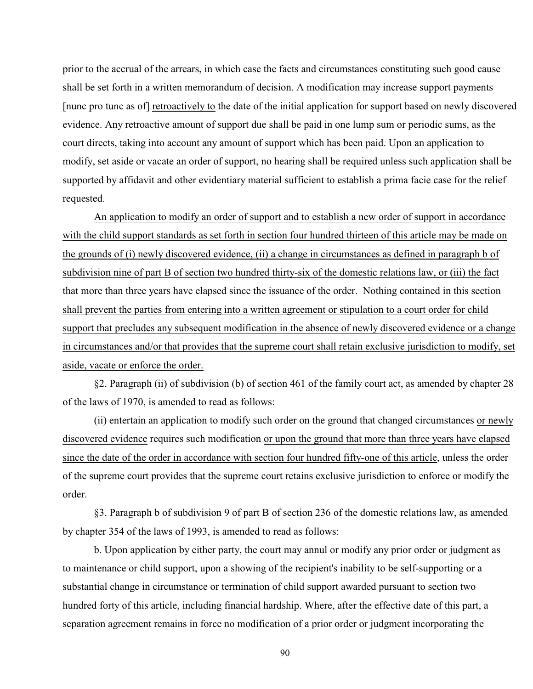prior to the accrual of the arrears, in which case the facts and circumstances constituting such good cause shall be set forth in a written memorandum of decision. A modification may increase support payments [nunc pro tunc as of] retroactively to the date of the initial application for support based on newly discovered evidence. Any retroactive amount of support due shall be paid in one lump sum or periodic sums, as the court directs, taking into account any amount of support which has been paid. Upon an application to modify, set aside or vacate an order of support, no hearing shall be required unless such application shall be supported by affidavit and other evidentiary material sufficient to establish a prima facie case for the relief requested.

An application to modify an order of support and to establish a new order of support in accordance with the child support standards as set forth in section four hundred thirteen of this article may be made on the grounds of (i) newly discovered evidence, (ii) a change in circumstances as defined in paragraph b of subdivision nine of part B of section two hundred thirty-six of the domestic relations law, or (iii) the fact that more than three years have elapsed since the issuance of the order.Nothing contained in this section shall prevent the parties from entering into a written agreement or stipulation to a court order for child support that precludes any subsequent modification in the absence of newly discovered evidence or a change in circumstances and/or that provides that the supreme court shall retain exclusive jurisdiction to modify, set aside, vacate or enforce the order.

§2. Paragraph (ii) of subdivision (b) of section 461 of the family court act, as amended by chapter 28 of the laws of 1970, is amended to read as follows:

(ii) entertain an application to modify such order on the ground that changed circumstances or newly discovered evidence requires such modification or upon the ground that more than three years have elapsed since the date of the order in accordance with section four hundred fifty-one of this article, unless the order of the supreme court provides that the supreme court retains exclusive jurisdiction to enforce or modify the order.

§3. Paragraph b of subdivision 9 of part B of section 236 of the domestic relations law, as amended by chapter 354 of the laws of 1993, is amended to read as follows:

b. Upon application by either party, the court may annul or modify any prior order or judgment as to maintenance or child support, upon a showing of the recipient's inability to be self-supporting or a substantial change in circumstance or termination of child support awarded pursuant to section two hundred forty of this article, including financial hardship. Where, after the effective date of this part, a separation agreement remains in force no modification of a prior order or judgment incorporating the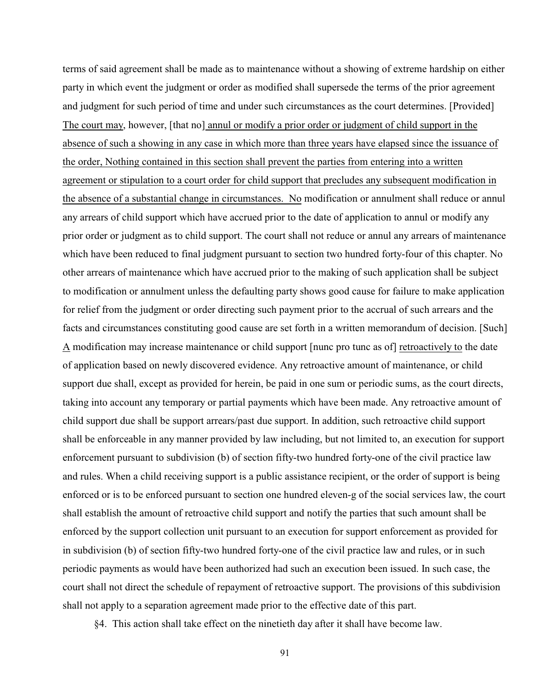terms of said agreement shall be made as to maintenance without a showing of extreme hardship on either party in which event the judgment or order as modified shall supersede the terms of the prior agreement and judgment for such period of time and under such circumstances as the court determines. [Provided] The court may, however, [that no] annul or modify a prior order or judgment of child support in the absence of such a showing in any case in which more than three years have elapsed since the issuance of the order, Nothing contained in this section shall prevent the parties from entering into a written agreement or stipulation to a court order for child support that precludes any subsequent modification in the absence of a substantial change in circumstances. No modification or annulment shall reduce or annul any arrears of child support which have accrued prior to the date of application to annul or modify any prior order or judgment as to child support. The court shall not reduce or annul any arrears of maintenance which have been reduced to final judgment pursuant to section two hundred forty-four of this chapter. No other arrears of maintenance which have accrued prior to the making of such application shall be subject to modification or annulment unless the defaulting party shows good cause for failure to make application for relief from the judgment or order directing such payment prior to the accrual of such arrears and the facts and circumstances constituting good cause are set forth in a written memorandum of decision. [Such] A modification may increase maintenance or child support [nunc pro tunc as of] retroactively to the date of application based on newly discovered evidence. Any retroactive amount of maintenance, or child support due shall, except as provided for herein, be paid in one sum or periodic sums, as the court directs, taking into account any temporary or partial payments which have been made. Any retroactive amount of child support due shall be support arrears/past due support. In addition, such retroactive child support shall be enforceable in any manner provided by law including, but not limited to, an execution for support enforcement pursuant to subdivision (b) of section fifty-two hundred forty-one of the civil practice law and rules. When a child receiving support is a public assistance recipient, or the order of support is being enforced or is to be enforced pursuant to section one hundred eleven-g of the social services law, the court shall establish the amount of retroactive child support and notify the parties that such amount shall be enforced by the support collection unit pursuant to an execution for support enforcement as provided for in subdivision (b) of section fifty-two hundred forty-one of the civil practice law and rules, or in such periodic payments as would have been authorized had such an execution been issued. In such case, the court shall not direct the schedule of repayment of retroactive support. The provisions of this subdivision shall not apply to a separation agreement made prior to the effective date of this part.

§4. This action shall take effect on the ninetieth day after it shall have become law.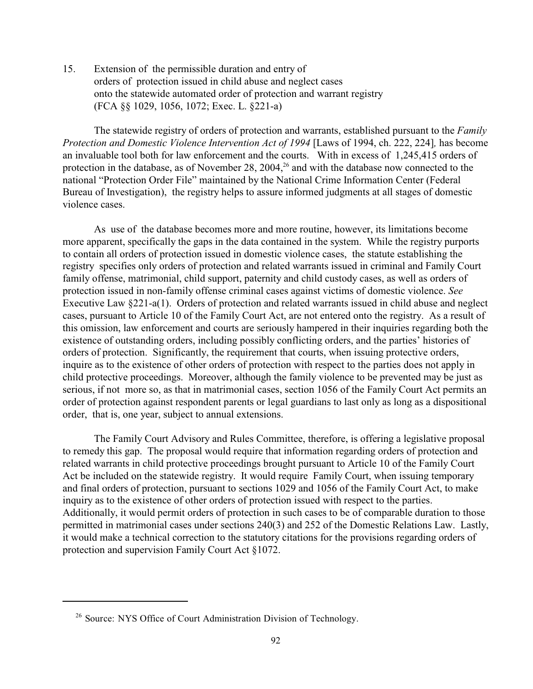15. Extension of the permissible duration and entry of orders of protection issued in child abuse and neglect cases onto the statewide automated order of protection and warrant registry (FCA §§ 1029, 1056, 1072; Exec. L. §221-a)

The statewide registry of orders of protection and warrants, established pursuant to the *Family Protection and Domestic Violence Intervention Act of 1994* [Laws of 1994, ch. 222, 224]*,* has become an invaluable tool both for law enforcement and the courts. With in excess of 1,245,415 orders of protection in the database, as of November 28, 2004, $^{26}$  and with the database now connected to the national "Protection Order File" maintained by the National Crime Information Center (Federal Bureau of Investigation), the registry helps to assure informed judgments at all stages of domestic violence cases.

As use of the database becomes more and more routine, however, its limitations become more apparent, specifically the gaps in the data contained in the system. While the registry purports to contain all orders of protection issued in domestic violence cases, the statute establishing the registry specifies only orders of protection and related warrants issued in criminal and Family Court family offense, matrimonial, child support, paternity and child custody cases, as well as orders of protection issued in non-family offense criminal cases against victims of domestic violence. *See* Executive Law §221-a(1). Orders of protection and related warrants issued in child abuse and neglect cases, pursuant to Article 10 of the Family Court Act, are not entered onto the registry. As a result of this omission, law enforcement and courts are seriously hampered in their inquiries regarding both the existence of outstanding orders, including possibly conflicting orders, and the parties' histories of orders of protection. Significantly, the requirement that courts, when issuing protective orders, inquire as to the existence of other orders of protection with respect to the parties does not apply in child protective proceedings. Moreover, although the family violence to be prevented may be just as serious, if not more so, as that in matrimonial cases, section 1056 of the Family Court Act permits an order of protection against respondent parents or legal guardians to last only as long as a dispositional order, that is, one year, subject to annual extensions.

The Family Court Advisory and Rules Committee, therefore, is offering a legislative proposal to remedy this gap. The proposal would require that information regarding orders of protection and related warrants in child protective proceedings brought pursuant to Article 10 of the Family Court Act be included on the statewide registry. It would require Family Court, when issuing temporary and final orders of protection, pursuant to sections 1029 and 1056 of the Family Court Act, to make inquiry as to the existence of other orders of protection issued with respect to the parties. Additionally, it would permit orders of protection in such cases to be of comparable duration to those permitted in matrimonial cases under sections 240(3) and 252 of the Domestic Relations Law. Lastly, it would make a technical correction to the statutory citations for the provisions regarding orders of protection and supervision Family Court Act §1072.

<sup>&</sup>lt;sup>26</sup> Source: NYS Office of Court Administration Division of Technology.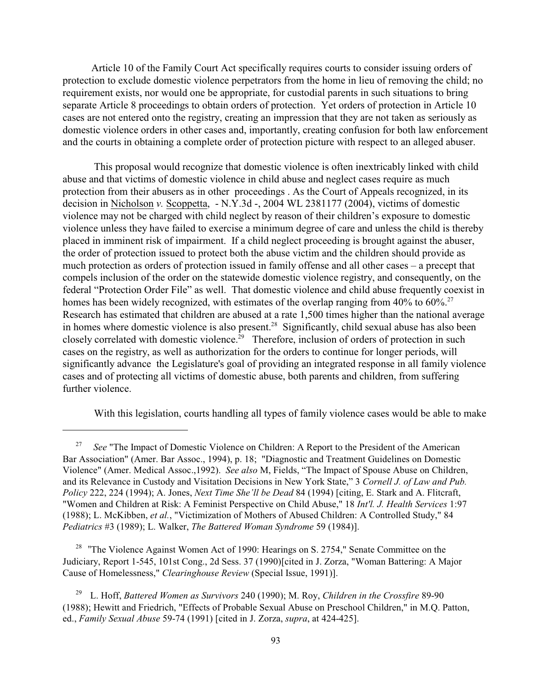Article 10 of the Family Court Act specifically requires courts to consider issuing orders of protection to exclude domestic violence perpetrators from the home in lieu of removing the child; no requirement exists, nor would one be appropriate, for custodial parents in such situations to bring separate Article 8 proceedings to obtain orders of protection. Yet orders of protection in Article 10 cases are not entered onto the registry, creating an impression that they are not taken as seriously as domestic violence orders in other cases and, importantly, creating confusion for both law enforcement and the courts in obtaining a complete order of protection picture with respect to an alleged abuser.

This proposal would recognize that domestic violence is often inextricably linked with child abuse and that victims of domestic violence in child abuse and neglect cases require as much protection from their abusers as in other proceedings . As the Court of Appeals recognized, in its decision in Nicholson *v.* Scoppetta, - N.Y.3d -, 2004 WL 2381177 (2004), victims of domestic violence may not be charged with child neglect by reason of their children's exposure to domestic violence unless they have failed to exercise a minimum degree of care and unless the child is thereby placed in imminent risk of impairment. If a child neglect proceeding is brought against the abuser, the order of protection issued to protect both the abuse victim and the children should provide as much protection as orders of protection issued in family offense and all other cases – a precept that compels inclusion of the order on the statewide domestic violence registry, and consequently, on the federal "Protection Order File" as well. That domestic violence and child abuse frequently coexist in homes has been widely recognized, with estimates of the overlap ranging from 40% to 60%.<sup>27</sup> Research has estimated that children are abused at a rate 1,500 times higher than the national average in homes where domestic violence is also present.<sup>28</sup> Significantly, child sexual abuse has also been closely correlated with domestic violence.<sup>29</sup> Therefore, inclusion of orders of protection in such cases on the registry, as well as authorization for the orders to continue for longer periods, will significantly advance the Legislature's goal of providing an integrated response in all family violence cases and of protecting all victims of domestic abuse, both parents and children, from suffering further violence.

With this legislation, courts handling all types of family violence cases would be able to make

<sup>28</sup> "The Violence Against Women Act of 1990: Hearings on S. 2754," Senate Committee on the Judiciary, Report 1-545, 101st Cong., 2d Sess. 37 (1990)[cited in J. Zorza, "Woman Battering: A Major Cause of Homelessness," *Clearinghouse Review* (Special Issue, 1991)].

<sup>29</sup> L. Hoff, *Battered Women as Survivors* 240 (1990); M. Roy, *Children in the Crossfire* 89-90 (1988); Hewitt and Friedrich, "Effects of Probable Sexual Abuse on Preschool Children," in M.Q. Patton, ed., *Family Sexual Abuse* 59-74 (1991) [cited in J. Zorza, *supra*, at 424-425].

*See* "The Impact of Domestic Violence on Children: A Report to the President of the American Bar Association" (Amer. Bar Assoc., 1994), p. 18; "Diagnostic and Treatment Guidelines on Domestic Violence" (Amer. Medical Assoc.,1992). *See also* M, Fields, "The Impact of Spouse Abuse on Children, and its Relevance in Custody and Visitation Decisions in New York State," 3 *Cornell J. of Law and Pub. Policy* 222, 224 (1994); A. Jones, *Next Time She'll be Dead* 84 (1994) [citing, E. Stark and A. Flitcraft, "Women and Children at Risk: A Feminist Perspective on Child Abuse," 18 *Int'l. J. Health Services* 1:97 (1988); L. McKibben, *et al.*, "Victimization of Mothers of Abused Children: A Controlled Study," 84 *Pediatrics* #3 (1989); L. Walker, *The Battered Woman Syndrome* 59 (1984)].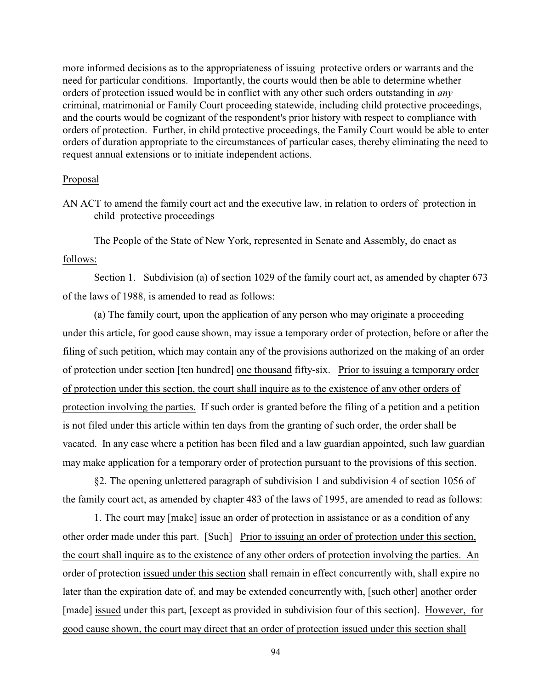more informed decisions as to the appropriateness of issuing protective orders or warrants and the need for particular conditions. Importantly, the courts would then be able to determine whether orders of protection issued would be in conflict with any other such orders outstanding in *any* criminal, matrimonial or Family Court proceeding statewide, including child protective proceedings, and the courts would be cognizant of the respondent's prior history with respect to compliance with orders of protection. Further, in child protective proceedings, the Family Court would be able to enter orders of duration appropriate to the circumstances of particular cases, thereby eliminating the need to request annual extensions or to initiate independent actions.

### Proposal

AN ACT to amend the family court act and the executive law, in relation to orders of protection in child protective proceedings

The People of the State of New York, represented in Senate and Assembly, do enact as follows:

Section 1. Subdivision (a) of section 1029 of the family court act, as amended by chapter 673 of the laws of 1988, is amended to read as follows:

(a) The family court, upon the application of any person who may originate a proceeding under this article, for good cause shown, may issue a temporary order of protection, before or after the filing of such petition, which may contain any of the provisions authorized on the making of an order of protection under section [ten hundred] one thousand fifty-six. Prior to issuing a temporary order of protection under this section, the court shall inquire as to the existence of any other orders of protection involving the parties. If such order is granted before the filing of a petition and a petition is not filed under this article within ten days from the granting of such order, the order shall be vacated. In any case where a petition has been filed and a law guardian appointed, such law guardian may make application for a temporary order of protection pursuant to the provisions of this section.

§2. The opening unlettered paragraph of subdivision 1 and subdivision 4 of section 1056 of the family court act, as amended by chapter 483 of the laws of 1995, are amended to read as follows:

1. The court may [make] issue an order of protection in assistance or as a condition of any other order made under this part. [Such] Prior to issuing an order of protection under this section, the court shall inquire as to the existence of any other orders of protection involving the parties. An order of protection issued under this section shall remain in effect concurrently with, shall expire no later than the expiration date of, and may be extended concurrently with, [such other] another order [made] issued under this part, [except as provided in subdivision four of this section]. However, for good cause shown, the court may direct that an order of protection issued under this section shall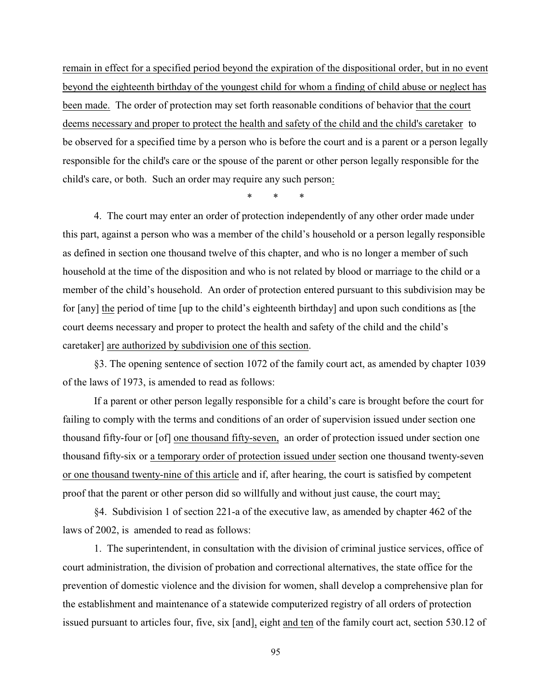remain in effect for a specified period beyond the expiration of the dispositional order, but in no event beyond the eighteenth birthday of the youngest child for whom a finding of child abuse or neglect has been made. The order of protection may set forth reasonable conditions of behavior that the court deems necessary and proper to protect the health and safety of the child and the child's caretaker to be observed for a specified time by a person who is before the court and is a parent or a person legally responsible for the child's care or the spouse of the parent or other person legally responsible for the child's care, or both. Such an order may require any such person:

\* \* \*

4. The court may enter an order of protection independently of any other order made under this part, against a person who was a member of the child's household or a person legally responsible as defined in section one thousand twelve of this chapter, and who is no longer a member of such household at the time of the disposition and who is not related by blood or marriage to the child or a member of the child's household. An order of protection entered pursuant to this subdivision may be for [any] the period of time [up to the child's eighteenth birthday] and upon such conditions as [the court deems necessary and proper to protect the health and safety of the child and the child's caretaker] are authorized by subdivision one of this section.

§3. The opening sentence of section 1072 of the family court act, as amended by chapter 1039 of the laws of 1973, is amended to read as follows:

If a parent or other person legally responsible for a child's care is brought before the court for failing to comply with the terms and conditions of an order of supervision issued under section one thousand fifty-four or [of] one thousand fifty-seven, an order of protection issued under section one thousand fifty-six or a temporary order of protection issued under section one thousand twenty-seven or one thousand twenty-nine of this article and if, after hearing, the court is satisfied by competent proof that the parent or other person did so willfully and without just cause, the court may:

§4. Subdivision 1 of section 221-a of the executive law, as amended by chapter 462 of the laws of 2002, is amended to read as follows:

1. The superintendent, in consultation with the division of criminal justice services, office of court administration, the division of probation and correctional alternatives, the state office for the prevention of domestic violence and the division for women, shall develop a comprehensive plan for the establishment and maintenance of a statewide computerized registry of all orders of protection issued pursuant to articles four, five, six [and], eight and ten of the family court act, section 530.12 of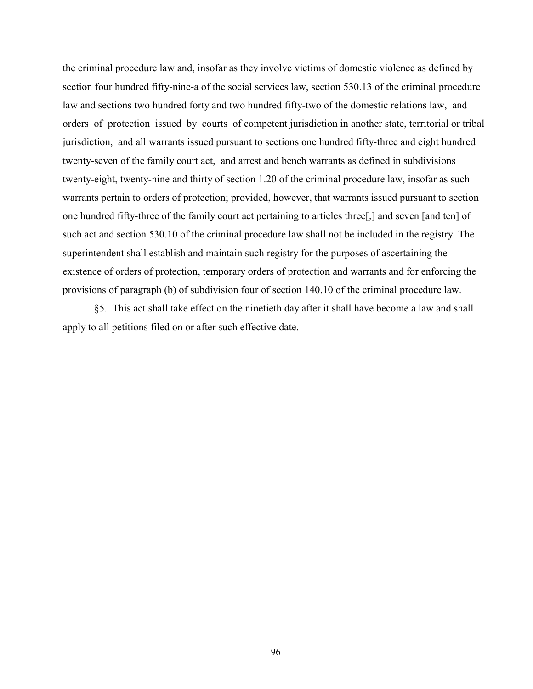the criminal procedure law and, insofar as they involve victims of domestic violence as defined by section four hundred fifty-nine-a of the social services law, section 530.13 of the criminal procedure law and sections two hundred forty and two hundred fifty-two of the domestic relations law, and orders of protection issued by courts of competent jurisdiction in another state, territorial or tribal jurisdiction, and all warrants issued pursuant to sections one hundred fifty-three and eight hundred twenty-seven of the family court act, and arrest and bench warrants as defined in subdivisions twenty-eight, twenty-nine and thirty of section 1.20 of the criminal procedure law, insofar as such warrants pertain to orders of protection; provided, however, that warrants issued pursuant to section one hundred fifty-three of the family court act pertaining to articles three[,] and seven [and ten] of such act and section 530.10 of the criminal procedure law shall not be included in the registry. The superintendent shall establish and maintain such registry for the purposes of ascertaining the existence of orders of protection, temporary orders of protection and warrants and for enforcing the provisions of paragraph (b) of subdivision four of section 140.10 of the criminal procedure law.

§5. This act shall take effect on the ninetieth day after it shall have become a law and shall apply to all petitions filed on or after such effective date.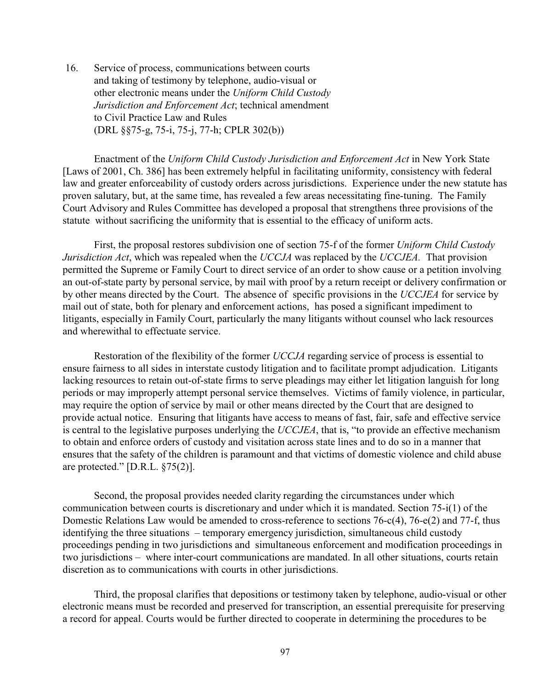16. Service of process, communications between courts and taking of testimony by telephone, audio-visual or other electronic means under the *Uniform Child Custody Jurisdiction and Enforcement Act*; technical amendment to Civil Practice Law and Rules (DRL §§75-g, 75-i, 75-j, 77-h; CPLR 302(b))

Enactment of the *Uniform Child Custody Jurisdiction and Enforcement Act* in New York State [Laws of 2001, Ch. 386] has been extremely helpful in facilitating uniformity, consistency with federal law and greater enforceability of custody orders across jurisdictions. Experience under the new statute has proven salutary, but, at the same time, has revealed a few areas necessitating fine-tuning. The Family Court Advisory and Rules Committee has developed a proposal that strengthens three provisions of the statute without sacrificing the uniformity that is essential to the efficacy of uniform acts.

First, the proposal restores subdivision one of section 75-f of the former *Uniform Child Custody Jurisdiction Act*, which was repealed when the *UCCJA* was replaced by the *UCCJEA.* That provision permitted the Supreme or Family Court to direct service of an order to show cause or a petition involving an out-of-state party by personal service, by mail with proof by a return receipt or delivery confirmation or by other means directed by the Court. The absence of specific provisions in the *UCCJEA* for service by mail out of state, both for plenary and enforcement actions, has posed a significant impediment to litigants, especially in Family Court, particularly the many litigants without counsel who lack resources and wherewithal to effectuate service.

Restoration of the flexibility of the former *UCCJA* regarding service of process is essential to ensure fairness to all sides in interstate custody litigation and to facilitate prompt adjudication. Litigants lacking resources to retain out-of-state firms to serve pleadings may either let litigation languish for long periods or may improperly attempt personal service themselves. Victims of family violence, in particular, may require the option of service by mail or other means directed by the Court that are designed to provide actual notice. Ensuring that litigants have access to means of fast, fair, safe and effective service is central to the legislative purposes underlying the *UCCJEA*, that is, "to provide an effective mechanism to obtain and enforce orders of custody and visitation across state lines and to do so in a manner that ensures that the safety of the children is paramount and that victims of domestic violence and child abuse are protected." [D.R.L. §75(2)].

Second, the proposal provides needed clarity regarding the circumstances under which communication between courts is discretionary and under which it is mandated. Section 75-i(1) of the Domestic Relations Law would be amended to cross-reference to sections 76-c(4), 76-e(2) and 77-f, thus identifying the three situations – temporary emergency jurisdiction, simultaneous child custody proceedings pending in two jurisdictions and simultaneous enforcement and modification proceedings in two jurisdictions – where inter-court communications are mandated. In all other situations, courts retain discretion as to communications with courts in other jurisdictions.

Third, the proposal clarifies that depositions or testimony taken by telephone, audio-visual or other electronic means must be recorded and preserved for transcription, an essential prerequisite for preserving a record for appeal. Courts would be further directed to cooperate in determining the procedures to be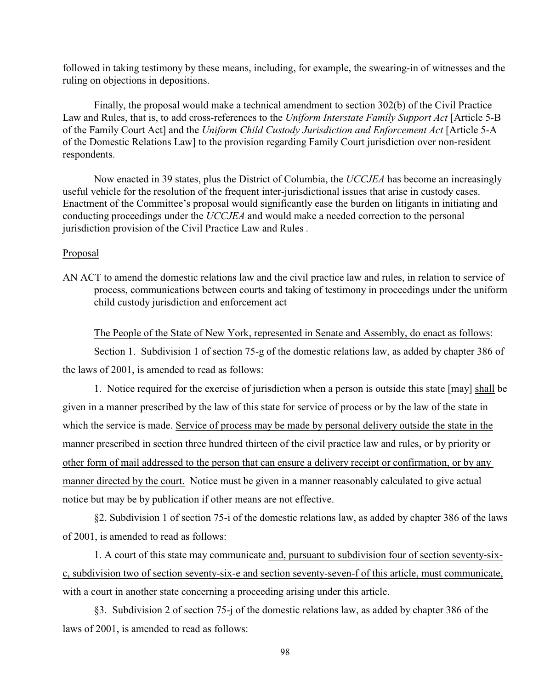followed in taking testimony by these means, including, for example, the swearing-in of witnesses and the ruling on objections in depositions.

Finally, the proposal would make a technical amendment to section 302(b) of the Civil Practice Law and Rules, that is, to add cross-references to the *Uniform Interstate Family Support Act* [Article 5-B of the Family Court Act] and the *Uniform Child Custody Jurisdiction and Enforcement Act* [Article 5-A of the Domestic Relations Law] to the provision regarding Family Court jurisdiction over non-resident respondents.

Now enacted in 39 states, plus the District of Columbia, the *UCCJEA* has become an increasingly useful vehicle for the resolution of the frequent inter-jurisdictional issues that arise in custody cases. Enactment of the Committee's proposal would significantly ease the burden on litigants in initiating and conducting proceedings under the *UCCJEA* and would make a needed correction to the personal jurisdiction provision of the Civil Practice Law and Rules *.*

# Proposal

AN ACT to amend the domestic relations law and the civil practice law and rules, in relation to service of process, communications between courts and taking of testimony in proceedings under the uniform child custody jurisdiction and enforcement act

# The People of the State of New York, represented in Senate and Assembly, do enact as follows:

Section 1. Subdivision 1 of section 75-g of the domestic relations law, as added by chapter 386 of the laws of 2001, is amended to read as follows:

1. Notice required for the exercise of jurisdiction when a person is outside this state [may] shall be given in a manner prescribed by the law of this state for service of process or by the law of the state in which the service is made. Service of process may be made by personal delivery outside the state in the manner prescribed in section three hundred thirteen of the civil practice law and rules, or by priority or other form of mail addressed to the person that can ensure a delivery receipt or confirmation, or by any manner directed by the court. Notice must be given in a manner reasonably calculated to give actual notice but may be by publication if other means are not effective.

§2. Subdivision 1 of section 75-i of the domestic relations law, as added by chapter 386 of the laws of 2001, is amended to read as follows:

1. A court of this state may communicate and, pursuant to subdivision four of section seventy-sixc, subdivision two of section seventy-six-e and section seventy-seven-f of this article, must communicate, with a court in another state concerning a proceeding arising under this article.

§3. Subdivision 2 of section 75-j of the domestic relations law, as added by chapter 386 of the laws of 2001, is amended to read as follows: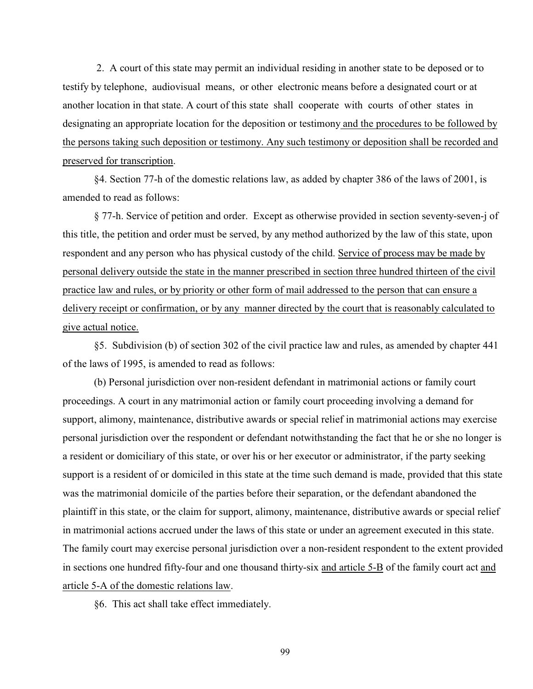2. A court of this state may permit an individual residing in another state to be deposed or to testify by telephone, audiovisual means, or other electronic means before a designated court or at another location in that state. A court of this state shall cooperate with courts of other states in designating an appropriate location for the deposition or testimony and the procedures to be followed by the persons taking such deposition or testimony. Any such testimony or deposition shall be recorded and preserved for transcription.

§4. Section 77-h of the domestic relations law, as added by chapter 386 of the laws of 2001, is amended to read as follows:

§ 77-h. Service of petition and order. Except as otherwise provided in section seventy-seven-j of this title, the petition and order must be served, by any method authorized by the law of this state, upon respondent and any person who has physical custody of the child. Service of process may be made by personal delivery outside the state in the manner prescribed in section three hundred thirteen of the civil practice law and rules, or by priority or other form of mail addressed to the person that can ensure a delivery receipt or confirmation, or by any manner directed by the court that is reasonably calculated to give actual notice.

§5. Subdivision (b) of section 302 of the civil practice law and rules, as amended by chapter 441 of the laws of 1995, is amended to read as follows:

(b) Personal jurisdiction over non-resident defendant in matrimonial actions or family court proceedings. A court in any matrimonial action or family court proceeding involving a demand for support, alimony, maintenance, distributive awards or special relief in matrimonial actions may exercise personal jurisdiction over the respondent or defendant notwithstanding the fact that he or she no longer is a resident or domiciliary of this state, or over his or her executor or administrator, if the party seeking support is a resident of or domiciled in this state at the time such demand is made, provided that this state was the matrimonial domicile of the parties before their separation, or the defendant abandoned the plaintiff in this state, or the claim for support, alimony, maintenance, distributive awards or special relief in matrimonial actions accrued under the laws of this state or under an agreement executed in this state. The family court may exercise personal jurisdiction over a non-resident respondent to the extent provided in sections one hundred fifty-four and one thousand thirty-six and article 5-B of the family court act and article 5-A of the domestic relations law.

§6. This act shall take effect immediately.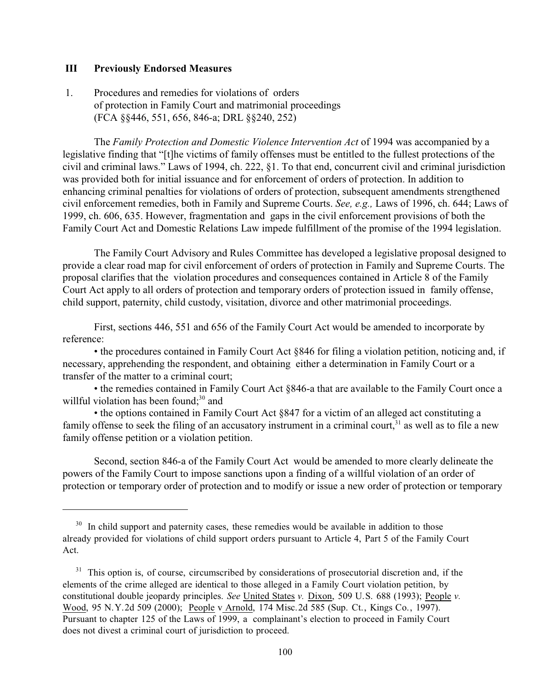## **III Previously Endorsed Measures**

 1. Procedures and remedies for violations of orders of protection in Family Court and matrimonial proceedings (FCA §§446, 551, 656, 846-a; DRL §§240, 252)

The *Family Protection and Domestic Violence Intervention Act* of 1994 was accompanied by a legislative finding that "[t]he victims of family offenses must be entitled to the fullest protections of the civil and criminal laws." Laws of 1994, ch. 222, §1. To that end, concurrent civil and criminal jurisdiction was provided both for initial issuance and for enforcement of orders of protection. In addition to enhancing criminal penalties for violations of orders of protection, subsequent amendments strengthened civil enforcement remedies, both in Family and Supreme Courts. *See, e.g.,* Laws of 1996, ch. 644; Laws of 1999, ch. 606, 635. However, fragmentation and gaps in the civil enforcement provisions of both the Family Court Act and Domestic Relations Law impede fulfillment of the promise of the 1994 legislation.

The Family Court Advisory and Rules Committee has developed a legislative proposal designed to provide a clear road map for civil enforcement of orders of protection in Family and Supreme Courts. The proposal clarifies that the violation procedures and consequences contained in Article 8 of the Family Court Act apply to all orders of protection and temporary orders of protection issued in family offense, child support, paternity, child custody, visitation, divorce and other matrimonial proceedings.

First, sections 446, 551 and 656 of the Family Court Act would be amended to incorporate by reference:

• the procedures contained in Family Court Act §846 for filing a violation petition, noticing and, if necessary, apprehending the respondent, and obtaining either a determination in Family Court or a transfer of the matter to a criminal court;

• the remedies contained in Family Court Act §846-a that are available to the Family Court once a willful violation has been found; $30$  and

• the options contained in Family Court Act §847 for a victim of an alleged act constituting a family offense to seek the filing of an accusatory instrument in a criminal court.<sup>31</sup> as well as to file a new family offense petition or a violation petition.

Second, section 846-a of the Family Court Act would be amended to more clearly delineate the powers of the Family Court to impose sanctions upon a finding of a willful violation of an order of protection or temporary order of protection and to modify or issue a new order of protection or temporary

 $30$  In child support and paternity cases, these remedies would be available in addition to those already provided for violations of child support orders pursuant to Article 4, Part 5 of the Family Court Act.

 $31$  This option is, of course, circumscribed by considerations of prosecutorial discretion and, if the elements of the crime alleged are identical to those alleged in a Family Court violation petition, by constitutional double jeopardy principles. *See* United States *v.* Dixon, 509 U.S. 688 (1993); People *v.* Wood, 95 N.Y.2d 509 (2000); People v Arnold, 174 Misc.2d 585 (Sup. Ct., Kings Co., 1997). Pursuant to chapter 125 of the Laws of 1999, a complainant's election to proceed in Family Court does not divest a criminal court of jurisdiction to proceed.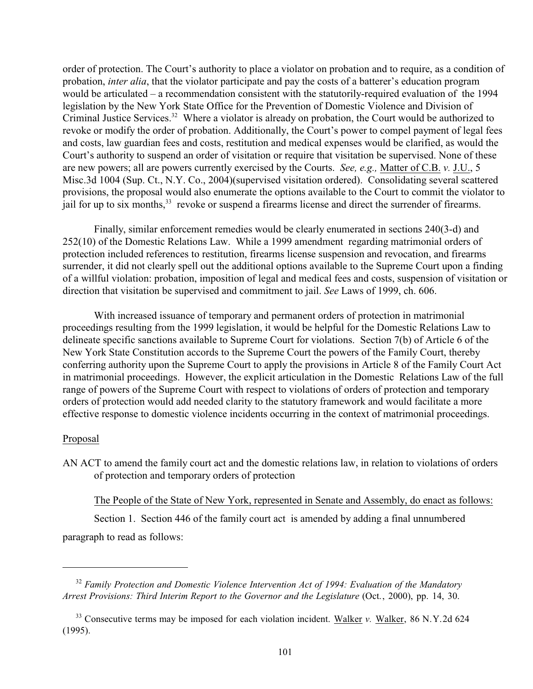order of protection. The Court's authority to place a violator on probation and to require, as a condition of probation, *inter alia*, that the violator participate and pay the costs of a batterer's education program would be articulated – a recommendation consistent with the statutorily-required evaluation of the 1994 legislation by the New York State Office for the Prevention of Domestic Violence and Division of Criminal Justice Services.<sup>32</sup> Where a violator is already on probation, the Court would be authorized to revoke or modify the order of probation. Additionally, the Court's power to compel payment of legal fees and costs, law guardian fees and costs, restitution and medical expenses would be clarified, as would the Court's authority to suspend an order of visitation or require that visitation be supervised. None of these are new powers; all are powers currently exercised by the Courts. *See, e.g.,* Matter of C.B. *v.* J.U., 5 Misc.3d 1004 (Sup. Ct., N.Y. Co., 2004)(supervised visitation ordered). Consolidating several scattered provisions, the proposal would also enumerate the options available to the Court to commit the violator to jail for up to six months,<sup>33</sup> revoke or suspend a firearms license and direct the surrender of firearms.

Finally, similar enforcement remedies would be clearly enumerated in sections 240(3-d) and 252(10) of the Domestic Relations Law. While a 1999 amendment regarding matrimonial orders of protection included references to restitution, firearms license suspension and revocation, and firearms surrender, it did not clearly spell out the additional options available to the Supreme Court upon a finding of a willful violation: probation, imposition of legal and medical fees and costs, suspension of visitation or direction that visitation be supervised and commitment to jail. *See* Laws of 1999, ch. 606.

With increased issuance of temporary and permanent orders of protection in matrimonial proceedings resulting from the 1999 legislation, it would be helpful for the Domestic Relations Law to delineate specific sanctions available to Supreme Court for violations. Section 7(b) of Article 6 of the New York State Constitution accords to the Supreme Court the powers of the Family Court, thereby conferring authority upon the Supreme Court to apply the provisions in Article 8 of the Family Court Act in matrimonial proceedings. However, the explicit articulation in the Domestic Relations Law of the full range of powers of the Supreme Court with respect to violations of orders of protection and temporary orders of protection would add needed clarity to the statutory framework and would facilitate a more effective response to domestic violence incidents occurring in the context of matrimonial proceedings.

# Proposal

AN ACT to amend the family court act and the domestic relations law, in relation to violations of orders of protection and temporary orders of protection

# The People of the State of New York, represented in Senate and Assembly, do enact as follows:

Section 1. Section 446 of the family court act is amended by adding a final unnumbered paragraph to read as follows:

<sup>&</sup>lt;sup>32</sup> Family Protection and Domestic Violence Intervention Act of 1994: Evaluation of the Mandatory *Arrest Provisions: Third Interim Report to the Governor and the Legislature* (Oct., 2000), pp. 14, 30.

<sup>&</sup>lt;sup>33</sup> Consecutive terms may be imposed for each violation incident. Walker *v.* Walker, 86 N.Y.2d 624 (1995).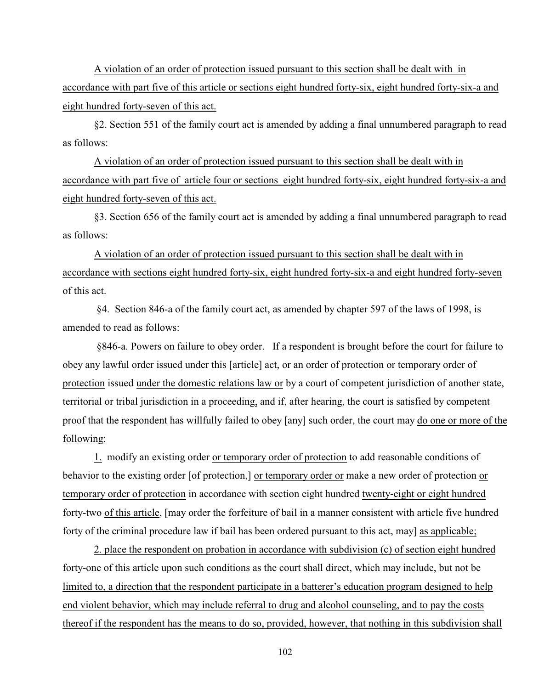A violation of an order of protection issued pursuant to this section shall be dealt with in accordance with part five of this article or sections eight hundred forty-six, eight hundred forty-six-a and eight hundred forty-seven of this act.

§2. Section 551 of the family court act is amended by adding a final unnumbered paragraph to read as follows:

A violation of an order of protection issued pursuant to this section shall be dealt with in accordance with part five of article four or sections eight hundred forty-six, eight hundred forty-six-a and eight hundred forty-seven of this act.

§3. Section 656 of the family court act is amended by adding a final unnumbered paragraph to read as follows:

A violation of an order of protection issued pursuant to this section shall be dealt with in accordance with sections eight hundred forty-six, eight hundred forty-six-a and eight hundred forty-seven of this act.

 §4. Section 846-a of the family court act, as amended by chapter 597 of the laws of 1998, is amended to read as follows:

 §846-a. Powers on failure to obey order. If a respondent is brought before the court for failure to obey any lawful order issued under this [article] act, or an order of protection or temporary order of protection issued under the domestic relations law or by a court of competent jurisdiction of another state, territorial or tribal jurisdiction in a proceeding, and if, after hearing, the court is satisfied by competent proof that the respondent has willfully failed to obey [any] such order, the court may do one or more of the following:

1. modify an existing order or temporary order of protection to add reasonable conditions of behavior to the existing order [of protection,] or temporary order or make a new order of protection or temporary order of protection in accordance with section eight hundred twenty-eight or eight hundred forty-two of this article, [may order the forfeiture of bail in a manner consistent with article five hundred forty of the criminal procedure law if bail has been ordered pursuant to this act, may] as applicable;

2. place the respondent on probation in accordance with subdivision (c) of section eight hundred forty-one of this article upon such conditions as the court shall direct, which may include, but not be limited to, a direction that the respondent participate in a batterer's education program designed to help end violent behavior, which may include referral to drug and alcohol counseling, and to pay the costs thereof if the respondent has the means to do so, provided, however, that nothing in this subdivision shall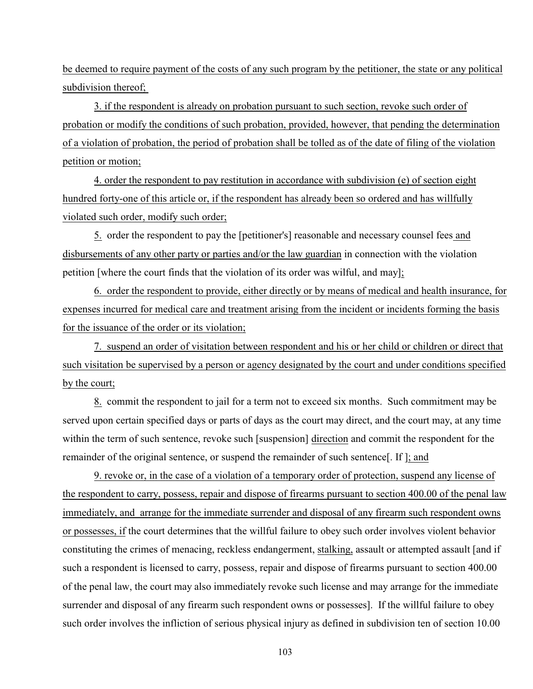be deemed to require payment of the costs of any such program by the petitioner, the state or any political subdivision thereof;

3. if the respondent is already on probation pursuant to such section, revoke such order of probation or modify the conditions of such probation, provided, however, that pending the determination of a violation of probation, the period of probation shall be tolled as of the date of filing of the violation petition or motion;

4. order the respondent to pay restitution in accordance with subdivision (e) of section eight hundred forty-one of this article or, if the respondent has already been so ordered and has willfully violated such order, modify such order;

5. order the respondent to pay the [petitioner's] reasonable and necessary counsel fees and disbursements of any other party or parties and/or the law guardian in connection with the violation petition [where the court finds that the violation of its order was wilful, and may];

6. order the respondent to provide, either directly or by means of medical and health insurance, for expenses incurred for medical care and treatment arising from the incident or incidents forming the basis for the issuance of the order or its violation;

7. suspend an order of visitation between respondent and his or her child or children or direct that such visitation be supervised by a person or agency designated by the court and under conditions specified by the court;

8. commit the respondent to jail for a term not to exceed six months. Such commitment may be served upon certain specified days or parts of days as the court may direct, and the court may, at any time within the term of such sentence, revoke such [suspension] direction and commit the respondent for the remainder of the original sentence, or suspend the remainder of such sentence[. If ]; and

9. revoke or, in the case of a violation of a temporary order of protection, suspend any license of the respondent to carry, possess, repair and dispose of firearms pursuant to section 400.00 of the penal law immediately, and arrange for the immediate surrender and disposal of any firearm such respondent owns or possesses, if the court determines that the willful failure to obey such order involves violent behavior constituting the crimes of menacing, reckless endangerment, stalking, assault or attempted assault [and if such a respondent is licensed to carry, possess, repair and dispose of firearms pursuant to section 400.00 of the penal law, the court may also immediately revoke such license and may arrange for the immediate surrender and disposal of any firearm such respondent owns or possesses]. If the willful failure to obey such order involves the infliction of serious physical injury as defined in subdivision ten of section 10.00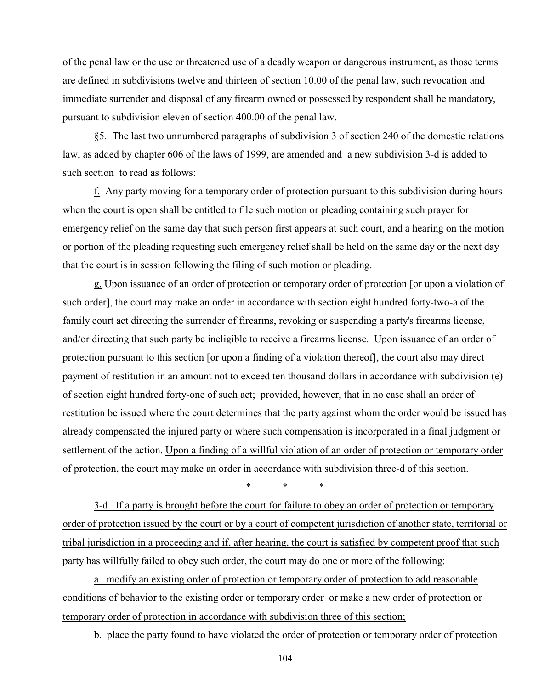of the penal law or the use or threatened use of a deadly weapon or dangerous instrument, as those terms are defined in subdivisions twelve and thirteen of section 10.00 of the penal law, such revocation and immediate surrender and disposal of any firearm owned or possessed by respondent shall be mandatory, pursuant to subdivision eleven of section 400.00 of the penal law.

§5. The last two unnumbered paragraphs of subdivision 3 of section 240 of the domestic relations law, as added by chapter 606 of the laws of 1999, are amended and a new subdivision 3-d is added to such section to read as follows:

f. Any party moving for a temporary order of protection pursuant to this subdivision during hours when the court is open shall be entitled to file such motion or pleading containing such prayer for emergency relief on the same day that such person first appears at such court, and a hearing on the motion or portion of the pleading requesting such emergency relief shall be held on the same day or the next day that the court is in session following the filing of such motion or pleading.

g. Upon issuance of an order of protection or temporary order of protection [or upon a violation of such order], the court may make an order in accordance with section eight hundred forty-two-a of the family court act directing the surrender of firearms, revoking or suspending a party's firearms license, and/or directing that such party be ineligible to receive a firearms license. Upon issuance of an order of protection pursuant to this section [or upon a finding of a violation thereof], the court also may direct payment of restitution in an amount not to exceed ten thousand dollars in accordance with subdivision (e) of section eight hundred forty-one of such act; provided, however, that in no case shall an order of restitution be issued where the court determines that the party against whom the order would be issued has already compensated the injured party or where such compensation is incorporated in a final judgment or settlement of the action. Upon a finding of a willful violation of an order of protection or temporary order of protection, the court may make an order in accordance with subdivision three-d of this section.

\* \* \*

3-d. If a party is brought before the court for failure to obey an order of protection or temporary order of protection issued by the court or by a court of competent jurisdiction of another state, territorial or tribal jurisdiction in a proceeding and if, after hearing, the court is satisfied by competent proof that such party has willfully failed to obey such order, the court may do one or more of the following:

a. modify an existing order of protection or temporary order of protection to add reasonable conditions of behavior to the existing order or temporary order or make a new order of protection or temporary order of protection in accordance with subdivision three of this section;

b. place the party found to have violated the order of protection or temporary order of protection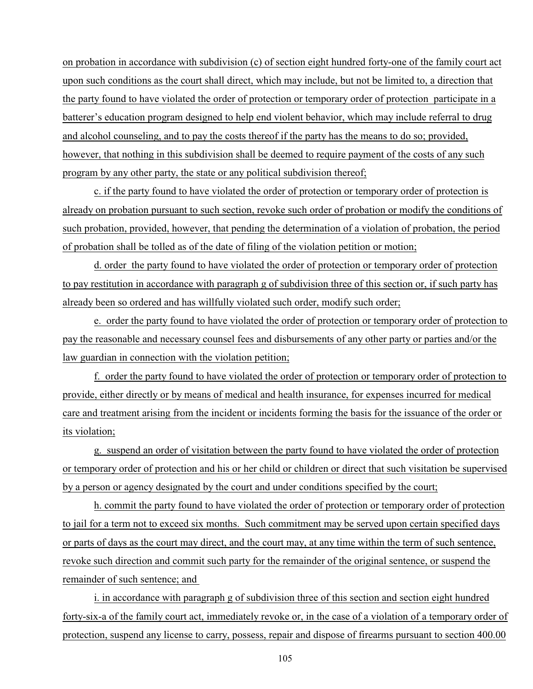on probation in accordance with subdivision (c) of section eight hundred forty-one of the family court act upon such conditions as the court shall direct, which may include, but not be limited to, a direction that the party found to have violated the order of protection or temporary order of protection participate in a batterer's education program designed to help end violent behavior, which may include referral to drug and alcohol counseling, and to pay the costs thereof if the party has the means to do so; provided, however, that nothing in this subdivision shall be deemed to require payment of the costs of any such program by any other party, the state or any political subdivision thereof;

c. if the party found to have violated the order of protection or temporary order of protection is already on probation pursuant to such section, revoke such order of probation or modify the conditions of such probation, provided, however, that pending the determination of a violation of probation, the period of probation shall be tolled as of the date of filing of the violation petition or motion;

d. order the party found to have violated the order of protection or temporary order of protection to pay restitution in accordance with paragraph g of subdivision three of this section or, if such party has already been so ordered and has willfully violated such order, modify such order;

e. order the party found to have violated the order of protection or temporary order of protection to pay the reasonable and necessary counsel fees and disbursements of any other party or parties and/or the law guardian in connection with the violation petition;

f. order the party found to have violated the order of protection or temporary order of protection to provide, either directly or by means of medical and health insurance, for expenses incurred for medical care and treatment arising from the incident or incidents forming the basis for the issuance of the order or its violation;

g. suspend an order of visitation between the party found to have violated the order of protection or temporary order of protection and his or her child or children or direct that such visitation be supervised by a person or agency designated by the court and under conditions specified by the court;

h. commit the party found to have violated the order of protection or temporary order of protection to jail for a term not to exceed six months. Such commitment may be served upon certain specified days or parts of days as the court may direct, and the court may, at any time within the term of such sentence, revoke such direction and commit such party for the remainder of the original sentence, or suspend the remainder of such sentence; and

i. in accordance with paragraph g of subdivision three of this section and section eight hundred forty-six-a of the family court act, immediately revoke or, in the case of a violation of a temporary order of protection, suspend any license to carry, possess, repair and dispose of firearms pursuant to section 400.00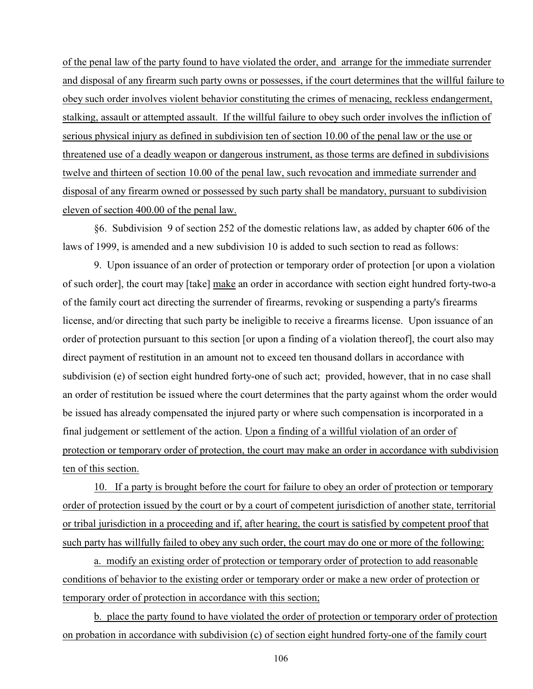of the penal law of the party found to have violated the order, and arrange for the immediate surrender and disposal of any firearm such party owns or possesses, if the court determines that the willful failure to obey such order involves violent behavior constituting the crimes of menacing, reckless endangerment, stalking, assault or attempted assault. If the willful failure to obey such order involves the infliction of serious physical injury as defined in subdivision ten of section 10.00 of the penal law or the use or threatened use of a deadly weapon or dangerous instrument, as those terms are defined in subdivisions twelve and thirteen of section 10.00 of the penal law, such revocation and immediate surrender and disposal of any firearm owned or possessed by such party shall be mandatory, pursuant to subdivision eleven of section 400.00 of the penal law.

§6. Subdivision 9 of section 252 of the domestic relations law, as added by chapter 606 of the laws of 1999, is amended and a new subdivision 10 is added to such section to read as follows:

9. Upon issuance of an order of protection or temporary order of protection [or upon a violation of such order], the court may [take] make an order in accordance with section eight hundred forty-two-a of the family court act directing the surrender of firearms, revoking or suspending a party's firearms license, and/or directing that such party be ineligible to receive a firearms license. Upon issuance of an order of protection pursuant to this section [or upon a finding of a violation thereof], the court also may direct payment of restitution in an amount not to exceed ten thousand dollars in accordance with subdivision (e) of section eight hundred forty-one of such act; provided, however, that in no case shall an order of restitution be issued where the court determines that the party against whom the order would be issued has already compensated the injured party or where such compensation is incorporated in a final judgement or settlement of the action. Upon a finding of a willful violation of an order of protection or temporary order of protection, the court may make an order in accordance with subdivision ten of this section.

10. If a party is brought before the court for failure to obey an order of protection or temporary order of protection issued by the court or by a court of competent jurisdiction of another state, territorial or tribal jurisdiction in a proceeding and if, after hearing, the court is satisfied by competent proof that such party has willfully failed to obey any such order, the court may do one or more of the following:

a. modify an existing order of protection or temporary order of protection to add reasonable conditions of behavior to the existing order or temporary order or make a new order of protection or temporary order of protection in accordance with this section;

b. place the party found to have violated the order of protection or temporary order of protection on probation in accordance with subdivision (c) of section eight hundred forty-one of the family court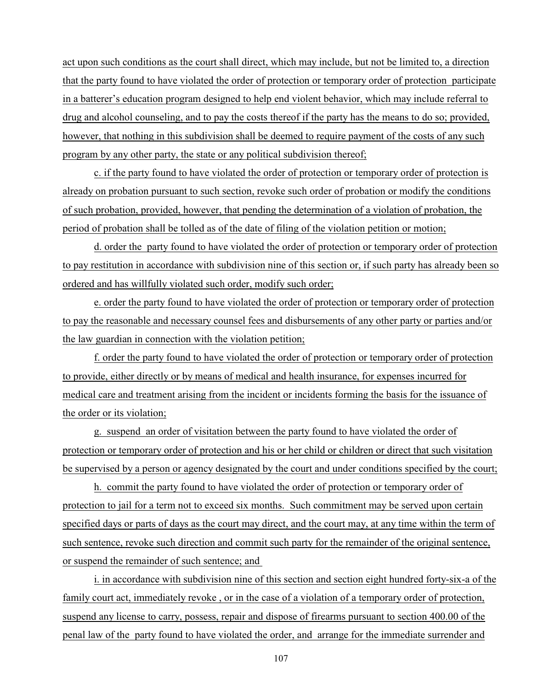act upon such conditions as the court shall direct, which may include, but not be limited to, a direction that the party found to have violated the order of protection or temporary order of protection participate in a batterer's education program designed to help end violent behavior, which may include referral to drug and alcohol counseling, and to pay the costs thereof if the party has the means to do so; provided, however, that nothing in this subdivision shall be deemed to require payment of the costs of any such program by any other party, the state or any political subdivision thereof;

c. if the party found to have violated the order of protection or temporary order of protection is already on probation pursuant to such section, revoke such order of probation or modify the conditions of such probation, provided, however, that pending the determination of a violation of probation, the period of probation shall be tolled as of the date of filing of the violation petition or motion;

d. order the party found to have violated the order of protection or temporary order of protection to pay restitution in accordance with subdivision nine of this section or, if such party has already been so ordered and has willfully violated such order, modify such order;

e. order the party found to have violated the order of protection or temporary order of protection to pay the reasonable and necessary counsel fees and disbursements of any other party or parties and/or the law guardian in connection with the violation petition;

f. order the party found to have violated the order of protection or temporary order of protection to provide, either directly or by means of medical and health insurance, for expenses incurred for medical care and treatment arising from the incident or incidents forming the basis for the issuance of the order or its violation;

g. suspend an order of visitation between the party found to have violated the order of protection or temporary order of protection and his or her child or children or direct that such visitation be supervised by a person or agency designated by the court and under conditions specified by the court;

h. commit the party found to have violated the order of protection or temporary order of protection to jail for a term not to exceed six months. Such commitment may be served upon certain specified days or parts of days as the court may direct, and the court may, at any time within the term of such sentence, revoke such direction and commit such party for the remainder of the original sentence, or suspend the remainder of such sentence; and

i. in accordance with subdivision nine of this section and section eight hundred forty-six-a of the family court act, immediately revoke , or in the case of a violation of a temporary order of protection, suspend any license to carry, possess, repair and dispose of firearms pursuant to section 400.00 of the penal law of the party found to have violated the order, and arrange for the immediate surrender and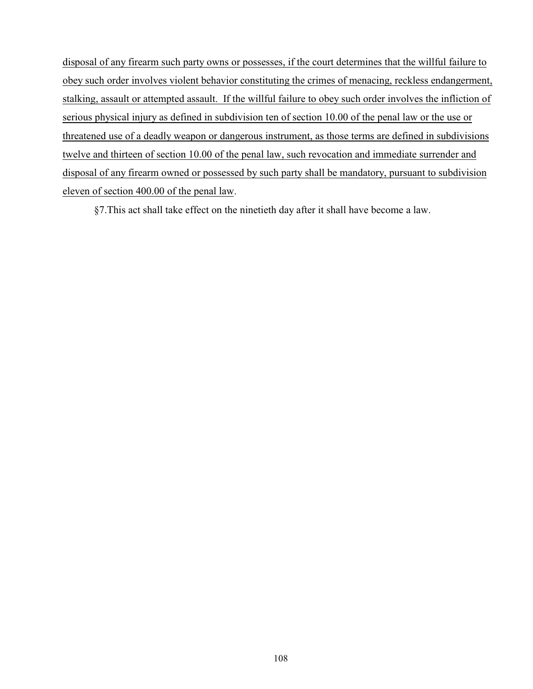disposal of any firearm such party owns or possesses, if the court determines that the willful failure to obey such order involves violent behavior constituting the crimes of menacing, reckless endangerment, stalking, assault or attempted assault. If the willful failure to obey such order involves the infliction of serious physical injury as defined in subdivision ten of section 10.00 of the penal law or the use or threatened use of a deadly weapon or dangerous instrument, as those terms are defined in subdivisions twelve and thirteen of section 10.00 of the penal law, such revocation and immediate surrender and disposal of any firearm owned or possessed by such party shall be mandatory, pursuant to subdivision eleven of section 400.00 of the penal law.

§7.This act shall take effect on the ninetieth day after it shall have become a law.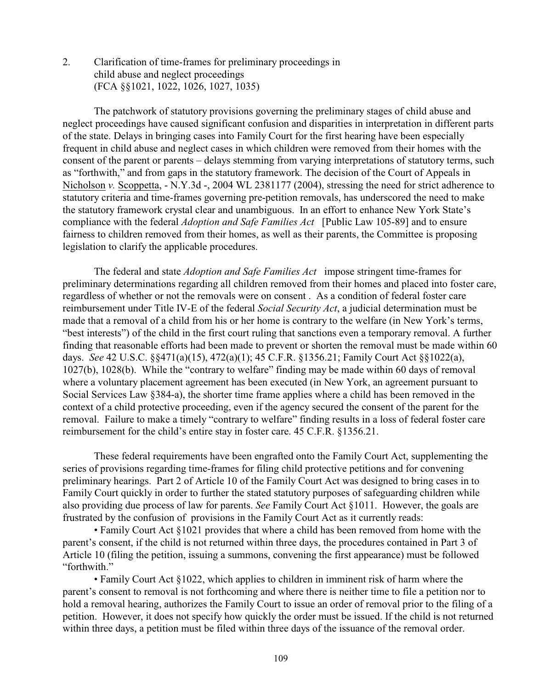2. Clarification of time-frames for preliminary proceedings in child abuse and neglect proceedings (FCA §§1021, 1022, 1026, 1027, 1035)

The patchwork of statutory provisions governing the preliminary stages of child abuse and neglect proceedings have caused significant confusion and disparities in interpretation in different parts of the state. Delays in bringing cases into Family Court for the first hearing have been especially frequent in child abuse and neglect cases in which children were removed from their homes with the consent of the parent or parents – delays stemming from varying interpretations of statutory terms, such as "forthwith," and from gaps in the statutory framework. The decision of the Court of Appeals in Nicholson *v*. Scoppetta,  $- N.Y.3d - 2004 WL 2381177 (2004)$ , stressing the need for strict adherence to statutory criteria and time-frames governing pre-petition removals, has underscored the need to make the statutory framework crystal clear and unambiguous. In an effort to enhance New York State's compliance with the federal *Adoption and Safe Families Act* [Public Law 105-89] and to ensure fairness to children removed from their homes, as well as their parents, the Committee is proposing legislation to clarify the applicable procedures.

The federal and state *Adoption and Safe Families Act* impose stringent time-frames for preliminary determinations regarding all children removed from their homes and placed into foster care, regardless of whether or not the removals were on consent . As a condition of federal foster care reimbursement under Title IV-E of the federal *Social Security Act*, a judicial determination must be made that a removal of a child from his or her home is contrary to the welfare (in New York's terms, "best interests") of the child in the first court ruling that sanctions even a temporary removal. A further finding that reasonable efforts had been made to prevent or shorten the removal must be made within 60 days. *See* 42 U.S.C. §§471(a)(15), 472(a)(1); 45 C.F.R. §1356.21; Family Court Act §§1022(a), 1027(b), 1028(b). While the "contrary to welfare" finding may be made within 60 days of removal where a voluntary placement agreement has been executed (in New York, an agreement pursuant to Social Services Law §384-a), the shorter time frame applies where a child has been removed in the context of a child protective proceeding, even if the agency secured the consent of the parent for the removal. Failure to make a timely "contrary to welfare" finding results in a loss of federal foster care reimbursement for the child's entire stay in foster care. 45 C.F.R. §1356.21.

These federal requirements have been engrafted onto the Family Court Act, supplementing the series of provisions regarding time-frames for filing child protective petitions and for convening preliminary hearings. Part 2 of Article 10 of the Family Court Act was designed to bring cases in to Family Court quickly in order to further the stated statutory purposes of safeguarding children while also providing due process of law for parents. *See* Family Court Act §1011. However, the goals are frustrated by the confusion of provisions in the Family Court Act as it currently reads:

• Family Court Act §1021 provides that where a child has been removed from home with the parent's consent, if the child is not returned within three days, the procedures contained in Part 3 of Article 10 (filing the petition, issuing a summons, convening the first appearance) must be followed "forthwith."

• Family Court Act §1022, which applies to children in imminent risk of harm where the parent's consent to removal is not forthcoming and where there is neither time to file a petition nor to hold a removal hearing, authorizes the Family Court to issue an order of removal prior to the filing of a petition. However, it does not specify how quickly the order must be issued. If the child is not returned within three days, a petition must be filed within three days of the issuance of the removal order.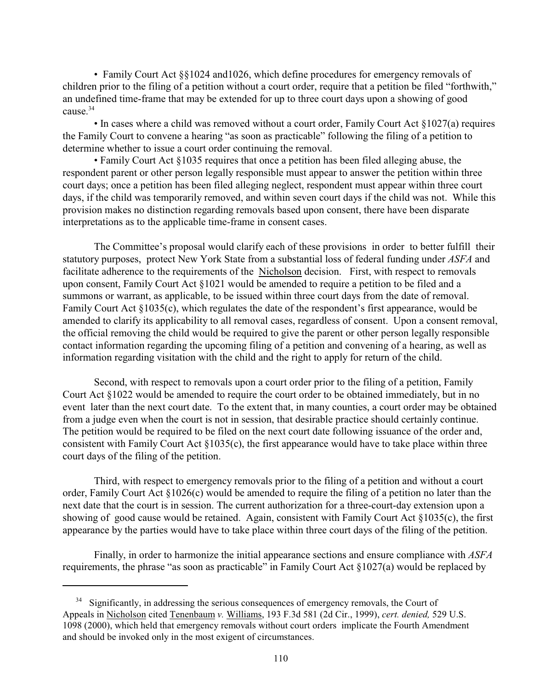• Family Court Act §§1024 and 1026, which define procedures for emergency removals of children prior to the filing of a petition without a court order, require that a petition be filed "forthwith," an undefined time-frame that may be extended for up to three court days upon a showing of good cause. 34

• In cases where a child was removed without a court order, Family Court Act §1027(a) requires the Family Court to convene a hearing "as soon as practicable" following the filing of a petition to determine whether to issue a court order continuing the removal.

• Family Court Act §1035 requires that once a petition has been filed alleging abuse, the respondent parent or other person legally responsible must appear to answer the petition within three court days; once a petition has been filed alleging neglect, respondent must appear within three court days, if the child was temporarily removed, and within seven court days if the child was not. While this provision makes no distinction regarding removals based upon consent, there have been disparate interpretations as to the applicable time-frame in consent cases.

The Committee's proposal would clarify each of these provisions in order to better fulfill their statutory purposes, protect New York State from a substantial loss of federal funding under *ASFA* and facilitate adherence to the requirements of the Nicholson decision. First, with respect to removals upon consent, Family Court Act §1021 would be amended to require a petition to be filed and a summons or warrant, as applicable, to be issued within three court days from the date of removal. Family Court Act §1035(c), which regulates the date of the respondent's first appearance, would be amended to clarify its applicability to all removal cases, regardless of consent. Upon a consent removal, the official removing the child would be required to give the parent or other person legally responsible contact information regarding the upcoming filing of a petition and convening of a hearing, as well as information regarding visitation with the child and the right to apply for return of the child.

Second, with respect to removals upon a court order prior to the filing of a petition, Family Court Act §1022 would be amended to require the court order to be obtained immediately, but in no event later than the next court date. To the extent that, in many counties, a court order may be obtained from a judge even when the court is not in session, that desirable practice should certainly continue. The petition would be required to be filed on the next court date following issuance of the order and, consistent with Family Court Act §1035(c), the first appearance would have to take place within three court days of the filing of the petition.

Third, with respect to emergency removals prior to the filing of a petition and without a court order, Family Court Act §1026(c) would be amended to require the filing of a petition no later than the next date that the court is in session. The current authorization for a three-court-day extension upon a showing of good cause would be retained. Again, consistent with Family Court Act §1035(c), the first appearance by the parties would have to take place within three court days of the filing of the petition.

Finally, in order to harmonize the initial appearance sections and ensure compliance with *ASFA* requirements, the phrase "as soon as practicable" in Family Court Act §1027(a) would be replaced by

 $34$  Significantly, in addressing the serious consequences of emergency removals, the Court of Appeals in Nicholson cited Tenenbaum *v.* Williams, 193 F.3d 581 (2d Cir., 1999), *cert. denied,* 529 U.S. 1098 (2000), which held that emergency removals without court orders implicate the Fourth Amendment and should be invoked only in the most exigent of circumstances.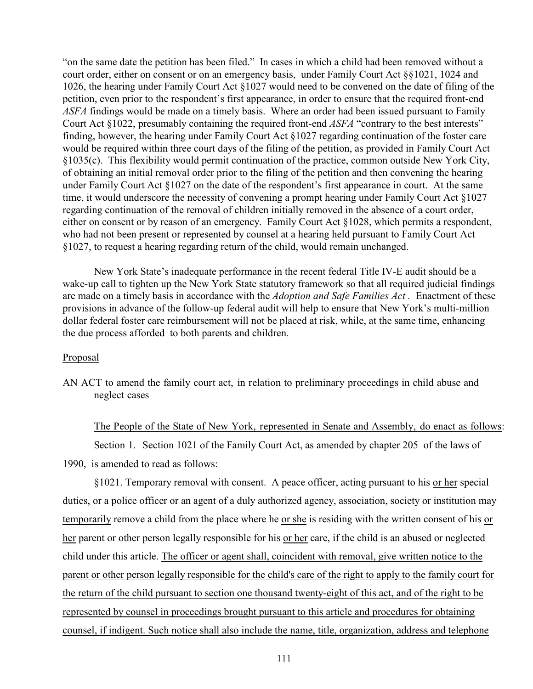"on the same date the petition has been filed." In cases in which a child had been removed without a court order, either on consent or on an emergency basis, under Family Court Act §§1021, 1024 and 1026, the hearing under Family Court Act §1027 would need to be convened on the date of filing of the petition, even prior to the respondent's first appearance, in order to ensure that the required front-end *ASFA* findings would be made on a timely basis. Where an order had been issued pursuant to Family Court Act §1022, presumably containing the required front-end *ASFA* "contrary to the best interests" finding, however, the hearing under Family Court Act §1027 regarding continuation of the foster care would be required within three court days of the filing of the petition, as provided in Family Court Act §1035(c). This flexibility would permit continuation of the practice, common outside New York City, of obtaining an initial removal order prior to the filing of the petition and then convening the hearing under Family Court Act §1027 on the date of the respondent's first appearance in court. At the same time, it would underscore the necessity of convening a prompt hearing under Family Court Act §1027 regarding continuation of the removal of children initially removed in the absence of a court order, either on consent or by reason of an emergency. Family Court Act §1028, which permits a respondent, who had not been present or represented by counsel at a hearing held pursuant to Family Court Act §1027, to request a hearing regarding return of the child, would remain unchanged.

New York State's inadequate performance in the recent federal Title IV-E audit should be a wake-up call to tighten up the New York State statutory framework so that all required judicial findings are made on a timely basis in accordance with the *Adoption and Safe Families Act .* Enactment of these provisions in advance of the follow-up federal audit will help to ensure that New York's multi-million dollar federal foster care reimbursement will not be placed at risk, while, at the same time, enhancing the due process afforded to both parents and children.

#### Proposal

AN ACT to amend the family court act, in relation to preliminary proceedings in child abuse and neglect cases

The People of the State of New York, represented in Senate and Assembly, do enact as follows:

Section 1. Section 1021 of the Family Court Act, as amended by chapter 205 of the laws of

1990, is amended to read as follows:

§1021. Temporary removal with consent. A peace officer, acting pursuant to his or her special duties, or a police officer or an agent of a duly authorized agency, association, society or institution may temporarily remove a child from the place where he or she is residing with the written consent of his or her parent or other person legally responsible for his or her care, if the child is an abused or neglected child under this article. The officer or agent shall, coincident with removal, give written notice to the parent or other person legally responsible for the child's care of the right to apply to the family court for the return of the child pursuant to section one thousand twenty-eight of this act, and of the right to be represented by counsel in proceedings brought pursuant to this article and procedures for obtaining counsel, if indigent. Such notice shall also include the name, title, organization, address and telephone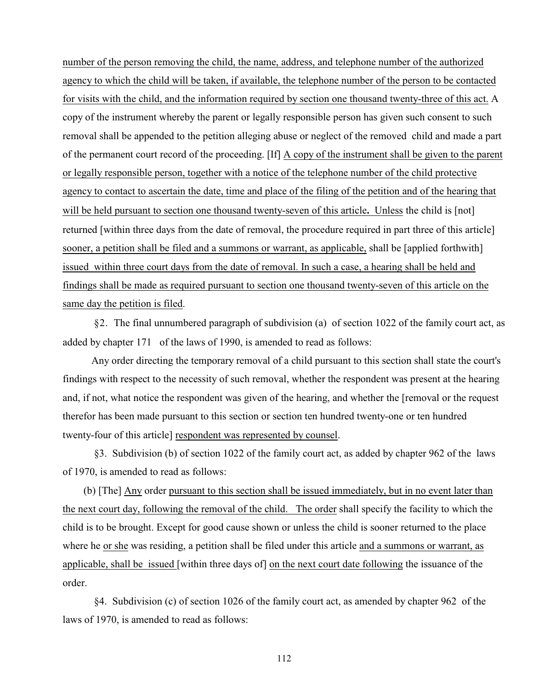number of the person removing the child, the name, address, and telephone number of the authorized agency to which the child will be taken, if available, the telephone number of the person to be contacted for visits with the child, and the information required by section one thousand twenty-three of this act. A copy of the instrument whereby the parent or legally responsible person has given such consent to such removal shall be appended to the petition alleging abuse or neglect of the removed child and made a part of the permanent court record of the proceeding. [If] A copy of the instrument shall be given to the parent or legally responsible person, together with a notice of the telephone number of the child protective agency to contact to ascertain the date, time and place of the filing of the petition and of the hearing that will be held pursuant to section one thousand twenty-seven of this article**.** Unless the child is [not] returned [within three days from the date of removal, the procedure required in part three of this article] sooner, a petition shall be filed and a summons or warrant, as applicable, shall be [applied forthwith] issued within three court days from the date of removal. In such a case, a hearing shall be held and findings shall be made as required pursuant to section one thousand twenty-seven of this article on the same day the petition is filed.

§2. The final unnumbered paragraph of subdivision (a) of section 1022 of the family court act, as added by chapter 171 of the laws of 1990, is amended to read as follows:

 Any order directing the temporary removal of a child pursuant to this section shall state the court's findings with respect to the necessity of such removal, whether the respondent was present at the hearing and, if not, what notice the respondent was given of the hearing, and whether the [removal or the request therefor has been made pursuant to this section or section ten hundred twenty-one or ten hundred twenty-four of this article] respondent was represented by counsel.

§3. Subdivision (b) of section 1022 of the family court act, as added by chapter 962 of the laws of 1970, is amended to read as follows:

 (b) [The] Any order pursuant to this section shall be issued immediately, but in no event later than the next court day, following the removal of the child. The order shall specify the facility to which the child is to be brought. Except for good cause shown or unless the child is sooner returned to the place where he or she was residing, a petition shall be filed under this article and a summons or warrant, as applicable, shall be issued [within three days of] on the next court date following the issuance of the order.

§4. Subdivision (c) of section 1026 of the family court act, as amended by chapter 962 of the laws of 1970, is amended to read as follows: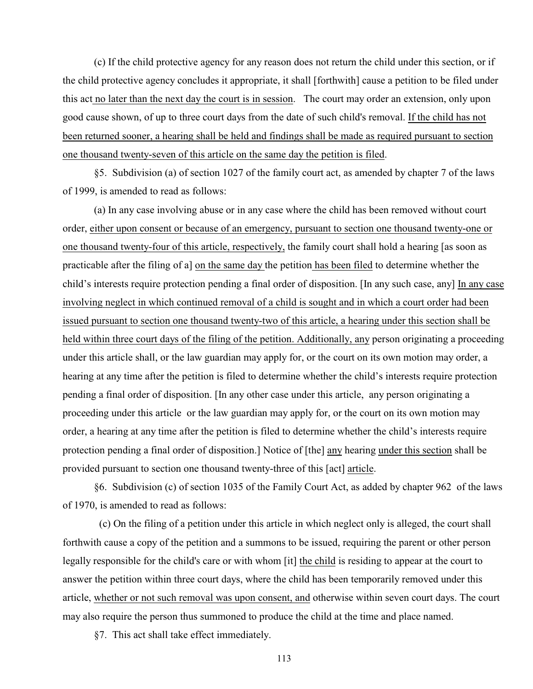(c) If the child protective agency for any reason does not return the child under this section, or if the child protective agency concludes it appropriate, it shall [forthwith] cause a petition to be filed under this act no later than the next day the court is in session. The court may order an extension, only upon good cause shown, of up to three court days from the date of such child's removal. If the child has not been returned sooner, a hearing shall be held and findings shall be made as required pursuant to section one thousand twenty-seven of this article on the same day the petition is filed.

§5. Subdivision (a) of section 1027 of the family court act, as amended by chapter 7 of the laws of 1999, is amended to read as follows:

(a) In any case involving abuse or in any case where the child has been removed without court order, either upon consent or because of an emergency, pursuant to section one thousand twenty-one or one thousand twenty-four of this article, respectively, the family court shall hold a hearing [as soon as practicable after the filing of a] on the same day the petition has been filed to determine whether the child's interests require protection pending a final order of disposition. [In any such case, any] In any case involving neglect in which continued removal of a child is sought and in which a court order had been issued pursuant to section one thousand twenty-two of this article, a hearing under this section shall be held within three court days of the filing of the petition. Additionally, any person originating a proceeding under this article shall, or the law guardian may apply for, or the court on its own motion may order, a hearing at any time after the petition is filed to determine whether the child's interests require protection pending a final order of disposition. [In any other case under this article, any person originating a proceeding under this article or the law guardian may apply for, or the court on its own motion may order, a hearing at any time after the petition is filed to determine whether the child's interests require protection pending a final order of disposition.] Notice of [the] any hearing under this section shall be provided pursuant to section one thousand twenty-three of this [act] article.

§6. Subdivision (c) of section 1035 of the Family Court Act, as added by chapter 962 of the laws of 1970, is amended to read as follows:

 (c) On the filing of a petition under this article in which neglect only is alleged, the court shall forthwith cause a copy of the petition and a summons to be issued, requiring the parent or other person legally responsible for the child's care or with whom [it] the child is residing to appear at the court to answer the petition within three court days, where the child has been temporarily removed under this article, whether or not such removal was upon consent, and otherwise within seven court days. The court may also require the person thus summoned to produce the child at the time and place named.

§7. This act shall take effect immediately.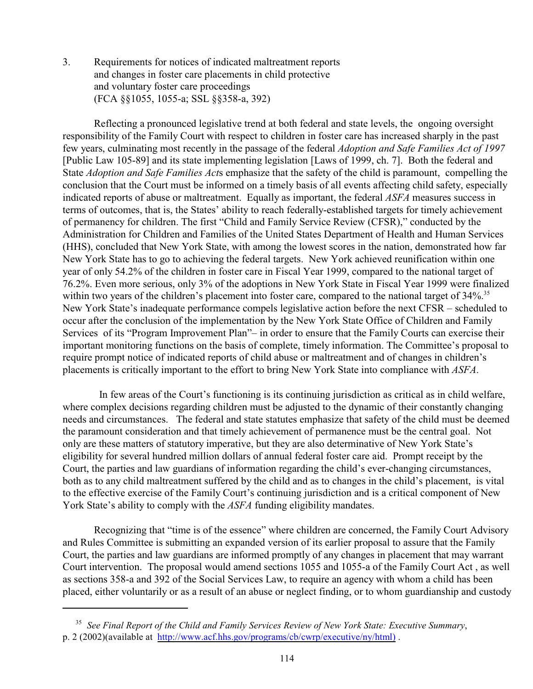3. Requirements for notices of indicated maltreatment reports and changes in foster care placements in child protective and voluntary foster care proceedings (FCA §§1055, 1055-a; SSL §§358-a, 392)

Reflecting a pronounced legislative trend at both federal and state levels, the ongoing oversight responsibility of the Family Court with respect to children in foster care has increased sharply in the past few years, culminating most recently in the passage of the federal *Adoption and Safe Families Act of 1997* [Public Law 105-89] and its state implementing legislation [Laws of 1999, ch. 7]. Both the federal and State *Adoption and Safe Families Act*s emphasize that the safety of the child is paramount, compelling the conclusion that the Court must be informed on a timely basis of all events affecting child safety, especially indicated reports of abuse or maltreatment. Equally as important, the federal *ASFA* measures success in terms of outcomes, that is, the States' ability to reach federally-established targets for timely achievement of permanency for children. The first "Child and Family Service Review (CFSR)," conducted by the Administration for Children and Families of the United States Department of Health and Human Services (HHS), concluded that New York State, with among the lowest scores in the nation, demonstrated how far New York State has to go to achieving the federal targets. New York achieved reunification within one year of only 54.2% of the children in foster care in Fiscal Year 1999, compared to the national target of 76.2%. Even more serious, only 3% of the adoptions in New York State in Fiscal Year 1999 were finalized within two years of the children's placement into foster care, compared to the national target of 34%.<sup>35</sup> New York State's inadequate performance compels legislative action before the next CFSR – scheduled to occur after the conclusion of the implementation by the New York State Office of Children and Family Services of its "Program Improvement Plan"– in order to ensure that the Family Courts can exercise their important monitoring functions on the basis of complete, timely information. The Committee's proposal to require prompt notice of indicated reports of child abuse or maltreatment and of changes in children's placements is critically important to the effort to bring New York State into compliance with *ASFA*.

 In few areas of the Court's functioning is its continuing jurisdiction as critical as in child welfare, where complex decisions regarding children must be adjusted to the dynamic of their constantly changing needs and circumstances. The federal and state statutes emphasize that safety of the child must be deemed the paramount consideration and that timely achievement of permanence must be the central goal. Not only are these matters of statutory imperative, but they are also determinative of New York State's eligibility for several hundred million dollars of annual federal foster care aid. Prompt receipt by the Court, the parties and law guardians of information regarding the child's ever-changing circumstances, both as to any child maltreatment suffered by the child and as to changes in the child's placement, is vital to the effective exercise of the Family Court's continuing jurisdiction and is a critical component of New York State's ability to comply with the *ASFA* funding eligibility mandates.

Recognizing that "time is of the essence" where children are concerned, the Family Court Advisory and Rules Committee is submitting an expanded version of its earlier proposal to assure that the Family Court, the parties and law guardians are informed promptly of any changes in placement that may warrant Court intervention. The proposal would amend sections 1055 and 1055-a of the Family Court Act , as well as sections 358-a and 392 of the Social Services Law, to require an agency with whom a child has been placed, either voluntarily or as a result of an abuse or neglect finding, or to whom guardianship and custody

<sup>&</sup>lt;sup>35</sup> See Final Report of the Child and Family Services Review of New York State: Executive Summary, p. 2 (2002)(available at [http://www.acf.hhs.gov/programs/cb/cwrp/executive/ny/html\)](http://(http://www.acf.hhs.gov/programs/cb/cwrp/executive/ny/html)) .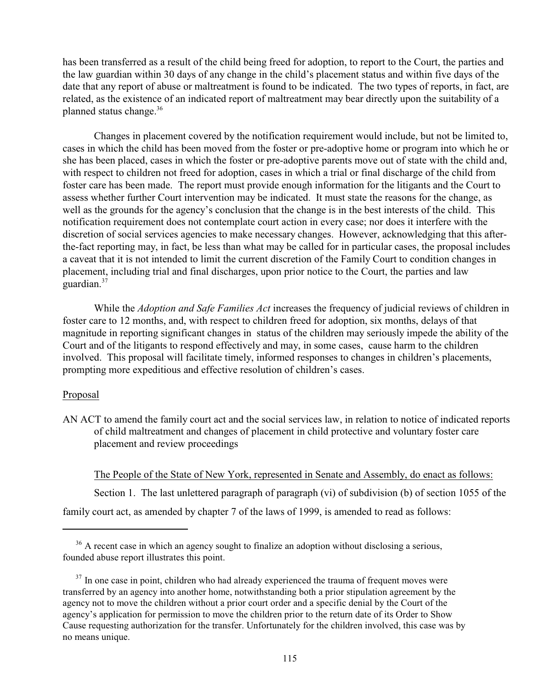has been transferred as a result of the child being freed for adoption, to report to the Court, the parties and the law guardian within 30 days of any change in the child's placement status and within five days of the date that any report of abuse or maltreatment is found to be indicated. The two types of reports, in fact, are related, as the existence of an indicated report of maltreatment may bear directly upon the suitability of a planned status change.<sup>36</sup>

Changes in placement covered by the notification requirement would include, but not be limited to, cases in which the child has been moved from the foster or pre-adoptive home or program into which he or she has been placed, cases in which the foster or pre-adoptive parents move out of state with the child and, with respect to children not freed for adoption, cases in which a trial or final discharge of the child from foster care has been made. The report must provide enough information for the litigants and the Court to assess whether further Court intervention may be indicated. It must state the reasons for the change, as well as the grounds for the agency's conclusion that the change is in the best interests of the child. This notification requirement does not contemplate court action in every case; nor does it interfere with the discretion of social services agencies to make necessary changes. However, acknowledging that this afterthe-fact reporting may, in fact, be less than what may be called for in particular cases, the proposal includes a caveat that it is not intended to limit the current discretion of the Family Court to condition changes in placement, including trial and final discharges, upon prior notice to the Court, the parties and law guardian.<sup>37</sup>

While the *Adoption and Safe Families Act* increases the frequency of judicial reviews of children in foster care to 12 months, and, with respect to children freed for adoption, six months, delays of that magnitude in reporting significant changes in status of the children may seriously impede the ability of the Court and of the litigants to respond effectively and may, in some cases, cause harm to the children involved. This proposal will facilitate timely, informed responses to changes in children's placements, prompting more expeditious and effective resolution of children's cases.

# Proposal

AN ACT to amend the family court act and the social services law, in relation to notice of indicated reports of child maltreatment and changes of placement in child protective and voluntary foster care placement and review proceedings

The People of the State of New York, represented in Senate and Assembly, do enact as follows:

Section 1. The last unlettered paragraph of paragraph (vi) of subdivision (b) of section 1055 of the family court act, as amended by chapter 7 of the laws of 1999, is amended to read as follows:

<sup>&</sup>lt;sup>36</sup> A recent case in which an agency sought to finalize an adoption without disclosing a serious, founded abuse report illustrates this point.

 $37$  In one case in point, children who had already experienced the trauma of frequent moves were transferred by an agency into another home, notwithstanding both a prior stipulation agreement by the agency not to move the children without a prior court order and a specific denial by the Court of the agency's application for permission to move the children prior to the return date of its Order to Show Cause requesting authorization for the transfer. Unfortunately for the children involved, this case was by no means unique.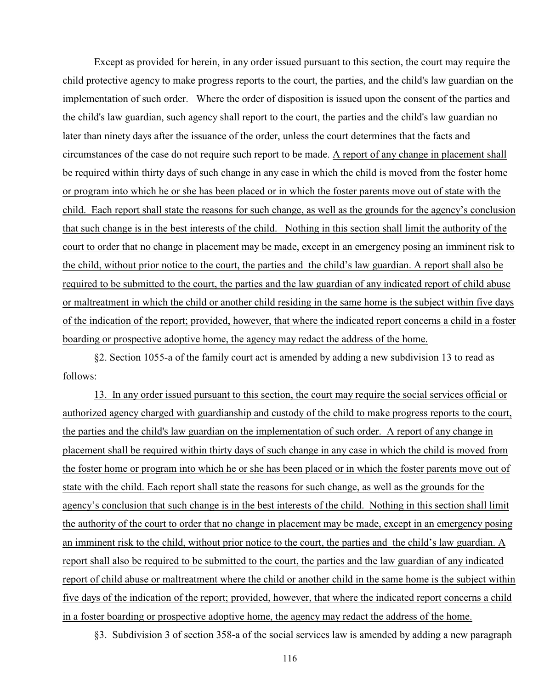Except as provided for herein, in any order issued pursuant to this section, the court may require the child protective agency to make progress reports to the court, the parties, and the child's law guardian on the implementation of such order. Where the order of disposition is issued upon the consent of the parties and the child's law guardian, such agency shall report to the court, the parties and the child's law guardian no later than ninety days after the issuance of the order, unless the court determines that the facts and circumstances of the case do not require such report to be made. A report of any change in placement shall be required within thirty days of such change in any case in which the child is moved from the foster home or program into which he or she has been placed or in which the foster parents move out of state with the child. Each report shall state the reasons for such change, as well as the grounds for the agency's conclusion that such change is in the best interests of the child. Nothing in this section shall limit the authority of the court to order that no change in placement may be made, except in an emergency posing an imminent risk to the child, without prior notice to the court, the parties and the child's law guardian. A report shall also be required to be submitted to the court, the parties and the law guardian of any indicated report of child abuse or maltreatment in which the child or another child residing in the same home is the subject within five days of the indication of the report; provided, however, that where the indicated report concerns a child in a foster boarding or prospective adoptive home, the agency may redact the address of the home.

§2. Section 1055-a of the family court act is amended by adding a new subdivision 13 to read as follows:

13. In any order issued pursuant to this section, the court may require the social services official or authorized agency charged with guardianship and custody of the child to make progress reports to the court, the parties and the child's law guardian on the implementation of such order. A report of any change in placement shall be required within thirty days of such change in any case in which the child is moved from the foster home or program into which he or she has been placed or in which the foster parents move out of state with the child. Each report shall state the reasons for such change, as well as the grounds for the agency's conclusion that such change is in the best interests of the child. Nothing in this section shall limit the authority of the court to order that no change in placement may be made, except in an emergency posing an imminent risk to the child, without prior notice to the court, the parties and the child's law guardian. A report shall also be required to be submitted to the court, the parties and the law guardian of any indicated report of child abuse or maltreatment where the child or another child in the same home is the subject within five days of the indication of the report; provided, however, that where the indicated report concerns a child in a foster boarding or prospective adoptive home, the agency may redact the address of the home.

§3. Subdivision 3 of section 358-a of the social services law is amended by adding a new paragraph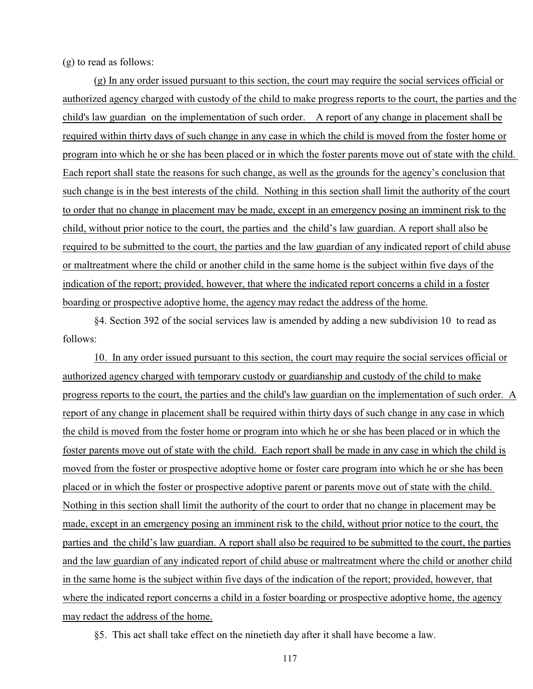(g) to read as follows:

(g) In any order issued pursuant to this section, the court may require the social services official or authorized agency charged with custody of the child to make progress reports to the court, the parties and the child's law guardian on the implementation of such order. A report of any change in placement shall be required within thirty days of such change in any case in which the child is moved from the foster home or program into which he or she has been placed or in which the foster parents move out of state with the child. Each report shall state the reasons for such change, as well as the grounds for the agency's conclusion that such change is in the best interests of the child. Nothing in this section shall limit the authority of the court to order that no change in placement may be made, except in an emergency posing an imminent risk to the child, without prior notice to the court, the parties and the child's law guardian. A report shall also be required to be submitted to the court, the parties and the law guardian of any indicated report of child abuse or maltreatment where the child or another child in the same home is the subject within five days of the indication of the report; provided, however, that where the indicated report concerns a child in a foster boarding or prospective adoptive home, the agency may redact the address of the home.

§4. Section 392 of the social services law is amended by adding a new subdivision 10 to read as follows:

10. In any order issued pursuant to this section, the court may require the social services official or authorized agency charged with temporary custody or guardianship and custody of the child to make progress reports to the court, the parties and the child's law guardian on the implementation of such order. A report of any change in placement shall be required within thirty days of such change in any case in which the child is moved from the foster home or program into which he or she has been placed or in which the foster parents move out of state with the child. Each report shall be made in any case in which the child is moved from the foster or prospective adoptive home or foster care program into which he or she has been placed or in which the foster or prospective adoptive parent or parents move out of state with the child. Nothing in this section shall limit the authority of the court to order that no change in placement may be made, except in an emergency posing an imminent risk to the child, without prior notice to the court, the parties and the child's law guardian. A report shall also be required to be submitted to the court, the parties and the law guardian of any indicated report of child abuse or maltreatment where the child or another child in the same home is the subject within five days of the indication of the report; provided, however, that where the indicated report concerns a child in a foster boarding or prospective adoptive home, the agency may redact the address of the home.

§5. This act shall take effect on the ninetieth day after it shall have become a law.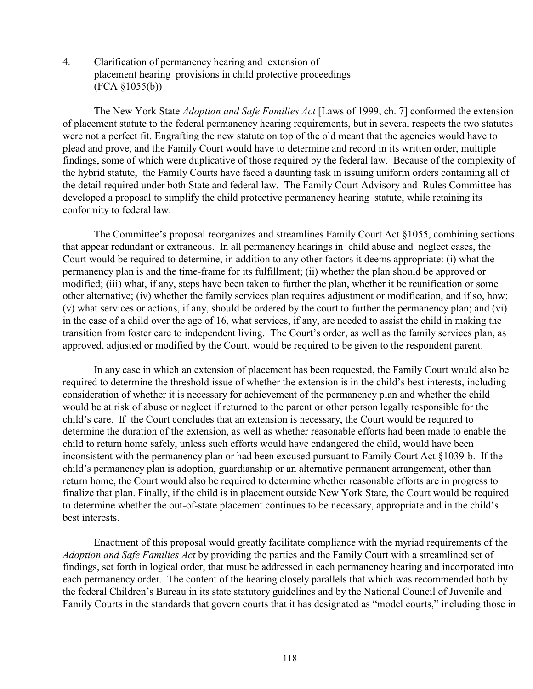4. Clarification of permanency hearing and extension of placement hearing provisions in child protective proceedings (FCA §1055(b))

The New York State *Adoption and Safe Families Act* [Laws of 1999, ch. 7] conformed the extension of placement statute to the federal permanency hearing requirements, but in several respects the two statutes were not a perfect fit. Engrafting the new statute on top of the old meant that the agencies would have to plead and prove, and the Family Court would have to determine and record in its written order, multiple findings, some of which were duplicative of those required by the federal law. Because of the complexity of the hybrid statute, the Family Courts have faced a daunting task in issuing uniform orders containing all of the detail required under both State and federal law. The Family Court Advisory and Rules Committee has developed a proposal to simplify the child protective permanency hearing statute, while retaining its conformity to federal law.

The Committee's proposal reorganizes and streamlines Family Court Act §1055, combining sections that appear redundant or extraneous. In all permanency hearings in child abuse and neglect cases, the Court would be required to determine, in addition to any other factors it deems appropriate: (i) what the permanency plan is and the time-frame for its fulfillment; (ii) whether the plan should be approved or modified; (iii) what, if any, steps have been taken to further the plan, whether it be reunification or some other alternative; (iv) whether the family services plan requires adjustment or modification, and if so, how; (v) what services or actions, if any, should be ordered by the court to further the permanency plan; and (vi) in the case of a child over the age of 16, what services, if any, are needed to assist the child in making the transition from foster care to independent living. The Court's order, as well as the family services plan, as approved, adjusted or modified by the Court, would be required to be given to the respondent parent.

In any case in which an extension of placement has been requested, the Family Court would also be required to determine the threshold issue of whether the extension is in the child's best interests, including consideration of whether it is necessary for achievement of the permanency plan and whether the child would be at risk of abuse or neglect if returned to the parent or other person legally responsible for the child's care. If the Court concludes that an extension is necessary, the Court would be required to determine the duration of the extension, as well as whether reasonable efforts had been made to enable the child to return home safely, unless such efforts would have endangered the child, would have been inconsistent with the permanency plan or had been excused pursuant to Family Court Act §1039-b. If the child's permanency plan is adoption, guardianship or an alternative permanent arrangement, other than return home, the Court would also be required to determine whether reasonable efforts are in progress to finalize that plan. Finally, if the child is in placement outside New York State, the Court would be required to determine whether the out-of-state placement continues to be necessary, appropriate and in the child's best interests.

Enactment of this proposal would greatly facilitate compliance with the myriad requirements of the *Adoption and Safe Families Act* by providing the parties and the Family Court with a streamlined set of findings, set forth in logical order, that must be addressed in each permanency hearing and incorporated into each permanency order. The content of the hearing closely parallels that which was recommended both by the federal Children's Bureau in its state statutory guidelines and by the National Council of Juvenile and Family Courts in the standards that govern courts that it has designated as "model courts," including those in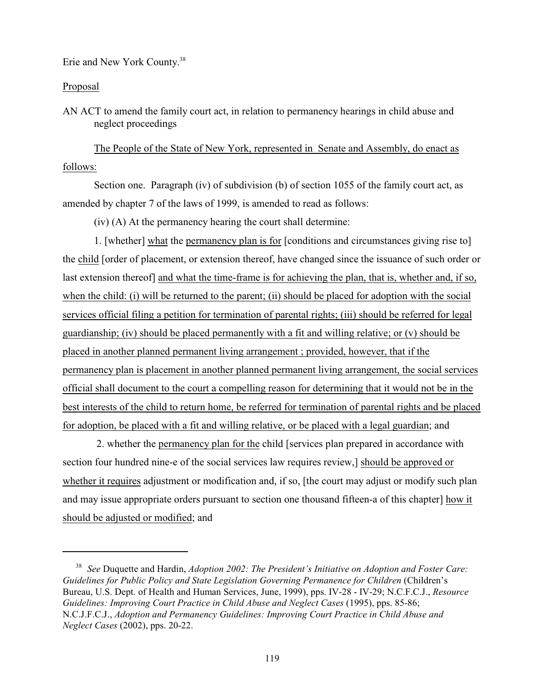#### Erie and New York County.<sup>38</sup>

#### Proposal

AN ACT to amend the family court act, in relation to permanency hearings in child abuse and neglect proceedings

The People of the State of New York, represented in Senate and Assembly, do enact as follows:

Section one. Paragraph (iv) of subdivision (b) of section 1055 of the family court act, as amended by chapter 7 of the laws of 1999, is amended to read as follows:

(iv) (A) At the permanency hearing the court shall determine:

 1. [whether] what the permanency plan is for [conditions and circumstances giving rise to] the child [order of placement, or extension thereof, have changed since the issuance of such order or last extension thereof] and what the time-frame is for achieving the plan, that is, whether and, if so, when the child: (i) will be returned to the parent; (ii) should be placed for adoption with the social services official filing a petition for termination of parental rights; (iii) should be referred for legal guardianship; (iv) should be placed permanently with a fit and willing relative; or (v) should be placed in another planned permanent living arrangement ; provided, however, that if the permanency plan is placement in another planned permanent living arrangement, the social services official shall document to the court a compelling reason for determining that it would not be in the best interests of the child to return home, be referred for termination of parental rights and be placed for adoption, be placed with a fit and willing relative, or be placed with a legal guardian; and

 2. whether the permanency plan for the child [services plan prepared in accordance with section four hundred nine-e of the social services law requires review,] should be approved or whether it requires adjustment or modification and, if so, [the court may adjust or modify such plan and may issue appropriate orders pursuant to section one thousand fifteen-a of this chapter] how it should be adjusted or modified; and

*See* Duquette and Hardin, *Adoption 2002: The President's Initiative on Adoption and Foster Care:* <sup>38</sup> *Guidelines for Public Policy and State Legislation Governing Permanence for Children* (Children's Bureau, U.S. Dept. of Health and Human Services, June, 1999), pps. IV-28 - IV-29; N.C.F.C.J., *Resource Guidelines: Improving Court Practice in Child Abuse and Neglect Cases* (1995), pps. 85-86; N.C.J.F.C.J., *Adoption and Permanency Guidelines: Improving Court Practice in Child Abuse and Neglect Cases* (2002), pps. 20-22.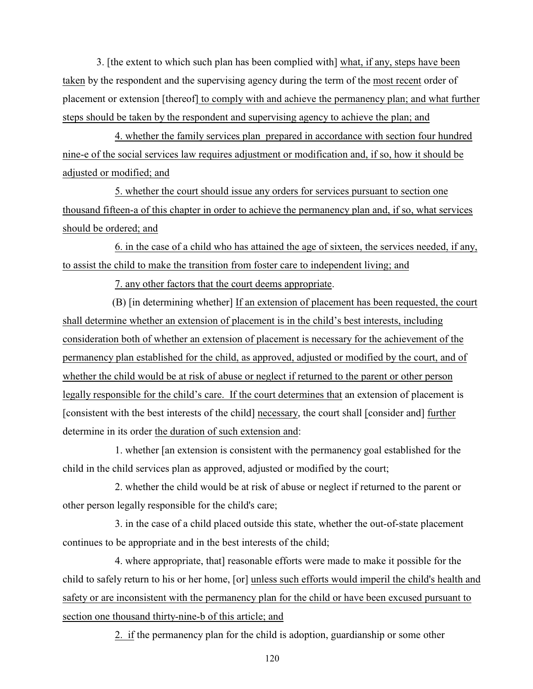3. [the extent to which such plan has been complied with] what, if any, steps have been taken by the respondent and the supervising agency during the term of the most recent order of placement or extension [thereof] to comply with and achieve the permanency plan; and what further steps should be taken by the respondent and supervising agency to achieve the plan; and

 4. whether the family services plan prepared in accordance with section four hundred nine-e of the social services law requires adjustment or modification and, if so, how it should be adjusted or modified; and

 5. whether the court should issue any orders for services pursuant to section one thousand fifteen-a of this chapter in order to achieve the permanency plan and, if so, what services should be ordered; and

 6. in the case of a child who has attained the age of sixteen, the services needed, if any, to assist the child to make the transition from foster care to independent living; and

7. any other factors that the court deems appropriate.

 (B) [in determining whether] If an extension of placement has been requested, the court shall determine whether an extension of placement is in the child's best interests, including consideration both of whether an extension of placement is necessary for the achievement of the permanency plan established for the child, as approved, adjusted or modified by the court, and of whether the child would be at risk of abuse or neglect if returned to the parent or other person legally responsible for the child's care. If the court determines that an extension of placement is [consistent with the best interests of the child] necessary, the court shall [consider and] further determine in its order the duration of such extension and:

 1. whether [an extension is consistent with the permanency goal established for the child in the child services plan as approved, adjusted or modified by the court;

 2. whether the child would be at risk of abuse or neglect if returned to the parent or other person legally responsible for the child's care;

 3. in the case of a child placed outside this state, whether the out-of-state placement continues to be appropriate and in the best interests of the child;

 4. where appropriate, that] reasonable efforts were made to make it possible for the child to safely return to his or her home, [or] unless such efforts would imperil the child's health and safety or are inconsistent with the permanency plan for the child or have been excused pursuant to section one thousand thirty-nine-b of this article; and

2. if the permanency plan for the child is adoption, guardianship or some other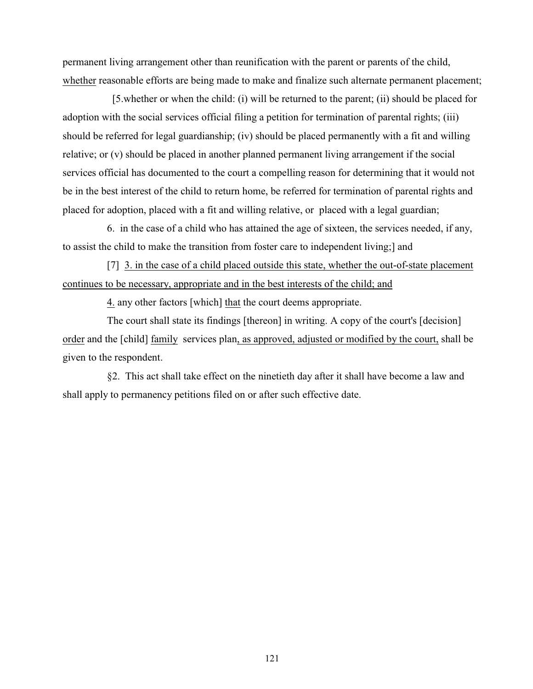permanent living arrangement other than reunification with the parent or parents of the child, whether reasonable efforts are being made to make and finalize such alternate permanent placement;

 [5.whether or when the child: (i) will be returned to the parent; (ii) should be placed for adoption with the social services official filing a petition for termination of parental rights; (iii) should be referred for legal guardianship; (iv) should be placed permanently with a fit and willing relative; or (v) should be placed in another planned permanent living arrangement if the social services official has documented to the court a compelling reason for determining that it would not be in the best interest of the child to return home, be referred for termination of parental rights and placed for adoption, placed with a fit and willing relative, or placed with a legal guardian;

 6. in the case of a child who has attained the age of sixteen, the services needed, if any, to assist the child to make the transition from foster care to independent living;] and

 [7] 3. in the case of a child placed outside this state, whether the out-of-state placement continues to be necessary, appropriate and in the best interests of the child; and

4. any other factors [which] that the court deems appropriate.

 The court shall state its findings [thereon] in writing. A copy of the court's [decision] order and the [child] family services plan, as approved, adjusted or modified by the court, shall be given to the respondent.

 §2. This act shall take effect on the ninetieth day after it shall have become a law and shall apply to permanency petitions filed on or after such effective date.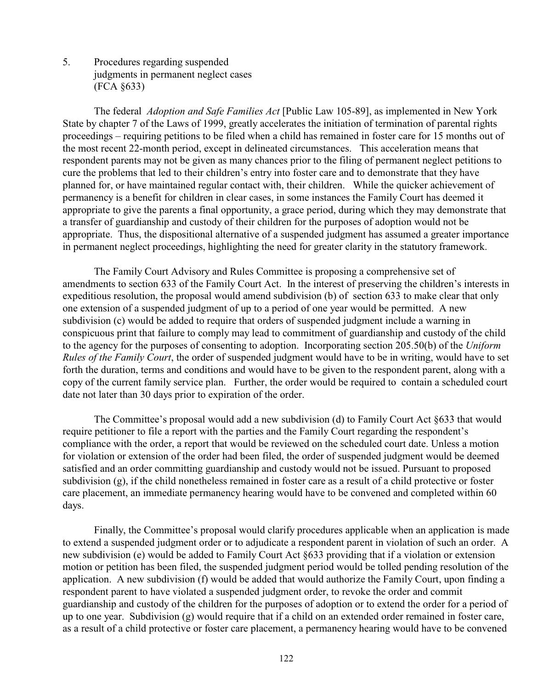5. Procedures regarding suspended judgments in permanent neglect cases (FCA §633)

The federal *Adoption and Safe Families Act* [Public Law 105-89], as implemented in New York State by chapter 7 of the Laws of 1999, greatly accelerates the initiation of termination of parental rights proceedings – requiring petitions to be filed when a child has remained in foster care for 15 months out of the most recent 22-month period, except in delineated circumstances. This acceleration means that respondent parents may not be given as many chances prior to the filing of permanent neglect petitions to cure the problems that led to their children's entry into foster care and to demonstrate that they have planned for, or have maintained regular contact with, their children. While the quicker achievement of permanency is a benefit for children in clear cases, in some instances the Family Court has deemed it appropriate to give the parents a final opportunity, a grace period, during which they may demonstrate that a transfer of guardianship and custody of their children for the purposes of adoption would not be appropriate. Thus, the dispositional alternative of a suspended judgment has assumed a greater importance in permanent neglect proceedings, highlighting the need for greater clarity in the statutory framework.

The Family Court Advisory and Rules Committee is proposing a comprehensive set of amendments to section 633 of the Family Court Act. In the interest of preserving the children's interests in expeditious resolution, the proposal would amend subdivision (b) of section 633 to make clear that only one extension of a suspended judgment of up to a period of one year would be permitted. A new subdivision (c) would be added to require that orders of suspended judgment include a warning in conspicuous print that failure to comply may lead to commitment of guardianship and custody of the child to the agency for the purposes of consenting to adoption. Incorporating section 205.50(b) of the *Uniform Rules of the Family Court*, the order of suspended judgment would have to be in writing, would have to set forth the duration, terms and conditions and would have to be given to the respondent parent, along with a copy of the current family service plan. Further, the order would be required to contain a scheduled court date not later than 30 days prior to expiration of the order.

The Committee's proposal would add a new subdivision (d) to Family Court Act §633 that would require petitioner to file a report with the parties and the Family Court regarding the respondent's compliance with the order, a report that would be reviewed on the scheduled court date. Unless a motion for violation or extension of the order had been filed, the order of suspended judgment would be deemed satisfied and an order committing guardianship and custody would not be issued. Pursuant to proposed subdivision (g), if the child nonetheless remained in foster care as a result of a child protective or foster care placement, an immediate permanency hearing would have to be convened and completed within 60 days.

Finally, the Committee's proposal would clarify procedures applicable when an application is made to extend a suspended judgment order or to adjudicate a respondent parent in violation of such an order. A new subdivision (e) would be added to Family Court Act §633 providing that if a violation or extension motion or petition has been filed, the suspended judgment period would be tolled pending resolution of the application. A new subdivision (f) would be added that would authorize the Family Court, upon finding a respondent parent to have violated a suspended judgment order, to revoke the order and commit guardianship and custody of the children for the purposes of adoption or to extend the order for a period of up to one year. Subdivision (g) would require that if a child on an extended order remained in foster care, as a result of a child protective or foster care placement, a permanency hearing would have to be convened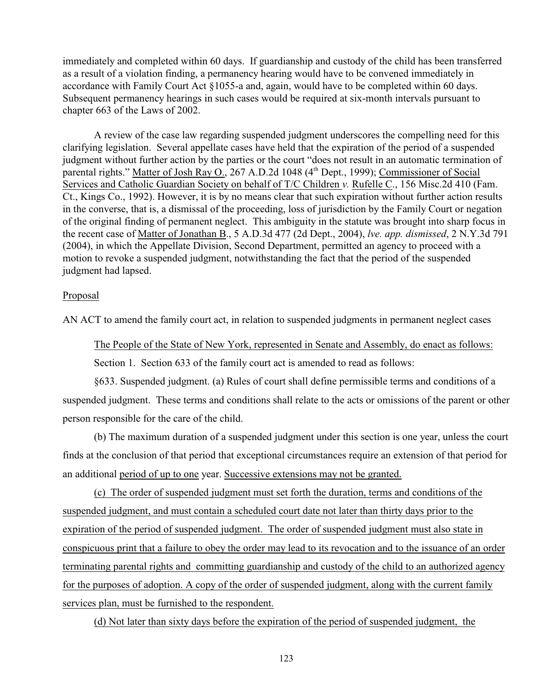immediately and completed within 60 days. If guardianship and custody of the child has been transferred as a result of a violation finding, a permanency hearing would have to be convened immediately in accordance with Family Court Act §1055-a and, again, would have to be completed within 60 days. Subsequent permanency hearings in such cases would be required at six-month intervals pursuant to chapter 663 of the Laws of 2002.

A review of the case law regarding suspended judgment underscores the compelling need for this clarifying legislation. Several appellate cases have held that the expiration of the period of a suspended judgment without further action by the parties or the court "does not result in an automatic termination of parental rights." Matter of Josh Ray O., 267 A.D.2d 1048 (4<sup>th</sup> Dept., 1999); Commissioner of Social Services and Catholic Guardian Society on behalf of T/C Children *v.* Rufelle C., 156 Misc.2d 410 (Fam. Ct., Kings Co., 1992). However, it is by no means clear that such expiration without further action results in the converse, that is, a dismissal of the proceeding, loss of jurisdiction by the Family Court or negation of the original finding of permanent neglect. This ambiguity in the statute was brought into sharp focus in the recent case of Matter of Jonathan B., 5 A.D.3d 477 (2d Dept., 2004), *lve. app. dismissed*, 2 N.Y.3d 791 (2004), in which the Appellate Division, Second Department, permitted an agency to proceed with a motion to revoke a suspended judgment, notwithstanding the fact that the period of the suspended judgment had lapsed.

# Proposal

AN ACT to amend the family court act, in relation to suspended judgments in permanent neglect cases

The People of the State of New York, represented in Senate and Assembly, do enact as follows:

Section 1. Section 633 of the family court act is amended to read as follows:

§633. Suspended judgment. (a) Rules of court shall define permissible terms and conditions of a suspended judgment. These terms and conditions shall relate to the acts or omissions of the parent or other person responsible for the care of the child.

(b) The maximum duration of a suspended judgment under this section is one year, unless the court finds at the conclusion of that period that exceptional circumstances require an extension of that period for an additional period of up to one year. Successive extensions may not be granted.

(c) The order of suspended judgment must set forth the duration, terms and conditions of the suspended judgment, and must contain a scheduled court date not later than thirty days prior to the expiration of the period of suspended judgment. The order of suspended judgment must also state in conspicuous print that a failure to obey the order may lead to its revocation and to the issuance of an order terminating parental rights and committing guardianship and custody of the child to an authorized agency for the purposes of adoption. A copy of the order of suspended judgment, along with the current family services plan, must be furnished to the respondent.

(d) Not later than sixty days before the expiration of the period of suspended judgment, the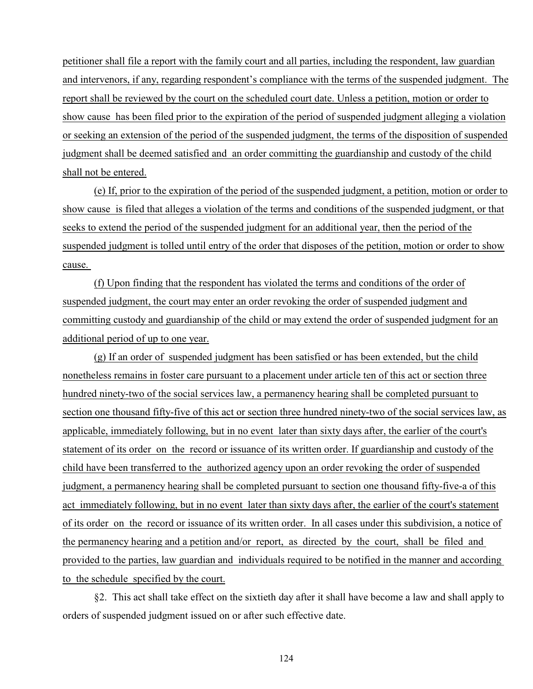petitioner shall file a report with the family court and all parties, including the respondent, law guardian and intervenors, if any, regarding respondent's compliance with the terms of the suspended judgment. The report shall be reviewed by the court on the scheduled court date. Unless a petition, motion or order to show cause has been filed prior to the expiration of the period of suspended judgment alleging a violation or seeking an extension of the period of the suspended judgment, the terms of the disposition of suspended judgment shall be deemed satisfied and an order committing the guardianship and custody of the child shall not be entered.

(e) If, prior to the expiration of the period of the suspended judgment, a petition, motion or order to show cause is filed that alleges a violation of the terms and conditions of the suspended judgment, or that seeks to extend the period of the suspended judgment for an additional year, then the period of the suspended judgment is tolled until entry of the order that disposes of the petition, motion or order to show cause.

(f) Upon finding that the respondent has violated the terms and conditions of the order of suspended judgment, the court may enter an order revoking the order of suspended judgment and committing custody and guardianship of the child or may extend the order of suspended judgment for an additional period of up to one year.

(g) If an order of suspended judgment has been satisfied or has been extended, but the child nonetheless remains in foster care pursuant to a placement under article ten of this act or section three hundred ninety-two of the social services law, a permanency hearing shall be completed pursuant to section one thousand fifty-five of this act or section three hundred ninety-two of the social services law, as applicable, immediately following, but in no event later than sixty days after, the earlier of the court's statement of its order on the record or issuance of its written order. If guardianship and custody of the child have been transferred to the authorized agency upon an order revoking the order of suspended judgment, a permanency hearing shall be completed pursuant to section one thousand fifty-five-a of this act immediately following, but in no event later than sixty days after, the earlier of the court's statement of its order on the record or issuance of its written order. In all cases under this subdivision, a notice of the permanency hearing and a petition and/or report, as directed by the court, shall be filed and provided to the parties, law guardian and individuals required to be notified in the manner and according to the schedule specified by the court.

§2. This act shall take effect on the sixtieth day after it shall have become a law and shall apply to orders of suspended judgment issued on or after such effective date.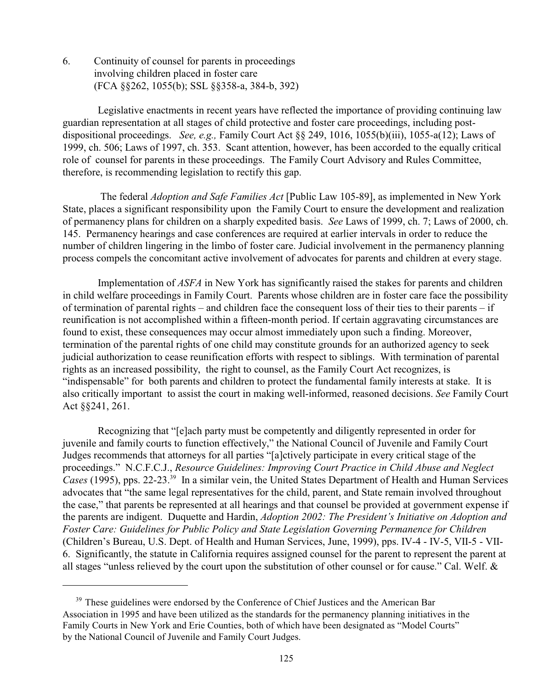6. Continuity of counsel for parents in proceedings involving children placed in foster care (FCA §§262, 1055(b); SSL §§358-a, 384-b, 392)

Legislative enactments in recent years have reflected the importance of providing continuing law guardian representation at all stages of child protective and foster care proceedings, including postdispositional proceedings. *See, e.g.,* Family Court Act §§ 249, 1016, 1055(b)(iii), 1055-a(12); Laws of 1999, ch. 506; Laws of 1997, ch. 353. Scant attention, however, has been accorded to the equally critical role of counsel for parents in these proceedings. The Family Court Advisory and Rules Committee, therefore, is recommending legislation to rectify this gap.

 The federal *Adoption and Safe Families Act* [Public Law 105-89], as implemented in New York State, places a significant responsibility upon the Family Court to ensure the development and realization of permanency plans for children on a sharply expedited basis. *See* Laws of 1999, ch. 7; Laws of 2000, ch. 145. Permanency hearings and case conferences are required at earlier intervals in order to reduce the number of children lingering in the limbo of foster care. Judicial involvement in the permanency planning process compels the concomitant active involvement of advocates for parents and children at every stage.

Implementation of *ASFA* in New York has significantly raised the stakes for parents and children in child welfare proceedings in Family Court. Parents whose children are in foster care face the possibility of termination of parental rights – and children face the consequent loss of their ties to their parents – if reunification is not accomplished within a fifteen-month period. If certain aggravating circumstances are found to exist, these consequences may occur almost immediately upon such a finding. Moreover, termination of the parental rights of one child may constitute grounds for an authorized agency to seek judicial authorization to cease reunification efforts with respect to siblings. With termination of parental rights as an increased possibility, the right to counsel, as the Family Court Act recognizes, is "indispensable" for both parents and children to protect the fundamental family interests at stake. It is also critically important to assist the court in making well-informed, reasoned decisions. *See* Family Court Act §§241, 261.

Recognizing that "[e]ach party must be competently and diligently represented in order for juvenile and family courts to function effectively," the National Council of Juvenile and Family Court Judges recommends that attorneys for all parties "[a]ctively participate in every critical stage of the proceedings." N.C.F.C.J., *Resource Guidelines: Improving Court Practice in Child Abuse and Neglect Cases* (1995), pps. 22-23.<sup>39</sup> In a similar vein, the United States Department of Health and Human Services advocates that "the same legal representatives for the child, parent, and State remain involved throughout the case," that parents be represented at all hearings and that counsel be provided at government expense if the parents are indigent. Duquette and Hardin, *Adoption 2002: The President's Initiative on Adoption and Foster Care: Guidelines for Public Policy and State Legislation Governing Permanence for Children* (Children's Bureau, U.S. Dept. of Health and Human Services, June, 1999), pps. IV-4 - IV-5, VII-5 - VII-6. Significantly, the statute in California requires assigned counsel for the parent to represent the parent at all stages "unless relieved by the court upon the substitution of other counsel or for cause." Cal. Welf. &

<sup>&</sup>lt;sup>39</sup> These guidelines were endorsed by the Conference of Chief Justices and the American Bar Association in 1995 and have been utilized as the standards for the permanency planning initiatives in the Family Courts in New York and Erie Counties, both of which have been designated as "Model Courts" by the National Council of Juvenile and Family Court Judges.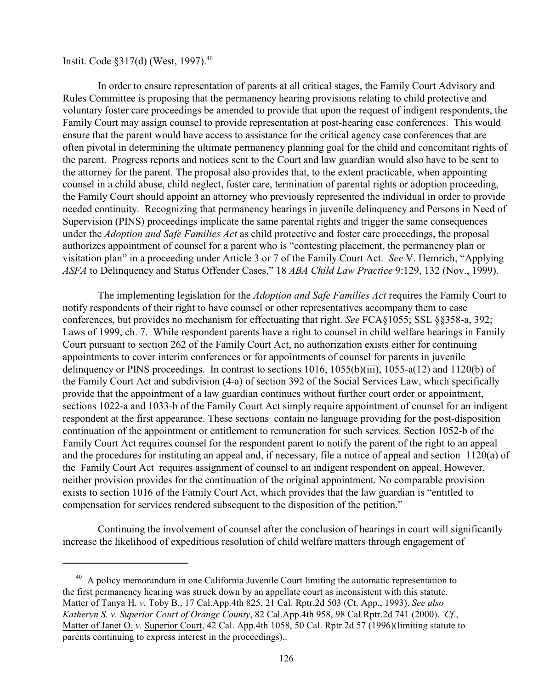### Instit. Code §317(d) (West, 1997).<sup>40</sup>

In order to ensure representation of parents at all critical stages, the Family Court Advisory and Rules Committee is proposing that the permanency hearing provisions relating to child protective and voluntary foster care proceedings be amended to provide that upon the request of indigent respondents, the Family Court may assign counsel to provide representation at post-hearing case conferences. This would ensure that the parent would have access to assistance for the critical agency case conferences that are often pivotal in determining the ultimate permanency planning goal for the child and concomitant rights of the parent. Progress reports and notices sent to the Court and law guardian would also have to be sent to the attorney for the parent. The proposal also provides that, to the extent practicable, when appointing counsel in a child abuse, child neglect, foster care, termination of parental rights or adoption proceeding, the Family Court should appoint an attorney who previously represented the individual in order to provide needed continuity. Recognizing that permanency hearings in juvenile delinquency and Persons in Need of Supervision (PINS) proceedings implicate the same parental rights and trigger the same consequences under the *Adoption and Safe Families Act* as child protective and foster care proceedings, the proposal authorizes appointment of counsel for a parent who is "contesting placement, the permanency plan or visitation plan" in a proceeding under Article 3 or 7 of the Family Court Act. *See* V. Hemrich, "Applying *ASFA* to Delinquency and Status Offender Cases," 18 *ABA Child Law Practice* 9:129, 132 (Nov., 1999).

The implementing legislation for the *Adoption and Safe Families Act* requires the Family Court to notify respondents of their right to have counsel or other representatives accompany them to case conferences, but provides no mechanism for effectuating that right. *See* FCA§1055; SSL §§358-a, 392; Laws of 1999, ch. 7. While respondent parents have a right to counsel in child welfare hearings in Family Court pursuant to section 262 of the Family Court Act, no authorization exists either for continuing appointments to cover interim conferences or for appointments of counsel for parents in juvenile delinquency or PINS proceedings. In contrast to sections 1016, 1055(b)(iii), 1055-a(12) and 1120(b) of the Family Court Act and subdivision (4-a) of section 392 of the Social Services Law, which specifically provide that the appointment of a law guardian continues without further court order or appointment, sections 1022-a and 1033-b of the Family Court Act simply require appointment of counsel for an indigent respondent at the first appearance. These sections contain no language providing for the post-disposition continuation of the appointment or entitlement to remuneration for such services. Section 1052-b of the Family Court Act requires counsel for the respondent parent to notify the parent of the right to an appeal and the procedures for instituting an appeal and, if necessary, file a notice of appeal and section 1120(a) of the Family Court Act requires assignment of counsel to an indigent respondent on appeal. However, neither provision provides for the continuation of the original appointment. No comparable provision exists to section 1016 of the Family Court Act, which provides that the law guardian is "entitled to compensation for services rendered subsequent to the disposition of the petition."

Continuing the involvement of counsel after the conclusion of hearings in court will significantly increase the likelihood of expeditious resolution of child welfare matters through engagement of

 $40$  A policy memorandum in one California Juvenile Court limiting the automatic representation to the first permanency hearing was struck down by an appellate court as inconsistent with this statute. Matter of Tanya H. *v.* Toby B., 17 Cal.App.4th 825, 21 Cal. Rptr.2d 503 (Ct. App., 1993). *See also Katheryn S. v. Superior Court of Orange County*, 82 Cal.App.4th 958, 98 Cal.Rptr.2d 741 (2000). *Cf.*, Matter of Janet O. *v.* Superior Court, 42 Cal. App.4th 1058, 50 Cal. Rptr.2d 57 (1996)(limiting statute to parents continuing to express interest in the proceedings)..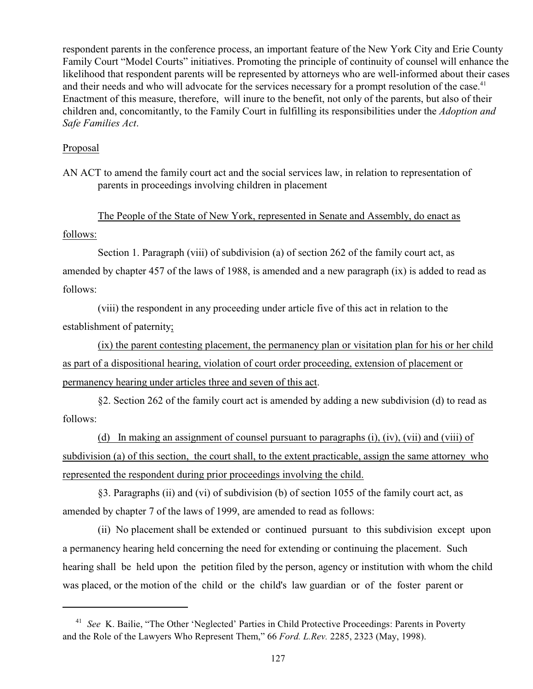respondent parents in the conference process, an important feature of the New York City and Erie County Family Court "Model Courts" initiatives. Promoting the principle of continuity of counsel will enhance the likelihood that respondent parents will be represented by attorneys who are well-informed about their cases and their needs and who will advocate for the services necessary for a prompt resolution of the case.<sup>41</sup> Enactment of this measure, therefore, will inure to the benefit, not only of the parents, but also of their children and, concomitantly, to the Family Court in fulfilling its responsibilities under the *Adoption and Safe Families Act*.

# Proposal

AN ACT to amend the family court act and the social services law, in relation to representation of parents in proceedings involving children in placement

# The People of the State of New York, represented in Senate and Assembly, do enact as follows:

Section 1. Paragraph (viii) of subdivision (a) of section 262 of the family court act, as amended by chapter 457 of the laws of 1988, is amended and a new paragraph (ix) is added to read as follows:

(viii) the respondent in any proceeding under article five of this act in relation to the establishment of paternity;

(ix) the parent contesting placement, the permanency plan or visitation plan for his or her child as part of a dispositional hearing, violation of court order proceeding, extension of placement or permanency hearing under articles three and seven of this act.

§2. Section 262 of the family court act is amended by adding a new subdivision (d) to read as follows:

(d) In making an assignment of counsel pursuant to paragraphs (i), (iv), (vii) and (viii) of subdivision (a) of this section, the court shall, to the extent practicable, assign the same attorney who represented the respondent during prior proceedings involving the child.

§3. Paragraphs (ii) and (vi) of subdivision (b) of section 1055 of the family court act, as amended by chapter 7 of the laws of 1999, are amended to read as follows:

(ii) No placement shall be extended or continued pursuant to this subdivision except upon a permanency hearing held concerning the need for extending or continuing the placement. Such hearing shall be held upon the petition filed by the person, agency or institution with whom the child was placed, or the motion of the child or the child's law guardian or of the foster parent or

<sup>&</sup>lt;sup>41</sup> See K. Bailie, "The Other 'Neglected' Parties in Child Protective Proceedings: Parents in Poverty and the Role of the Lawyers Who Represent Them," 66 *Ford. L.Rev.* 2285, 2323 (May, 1998).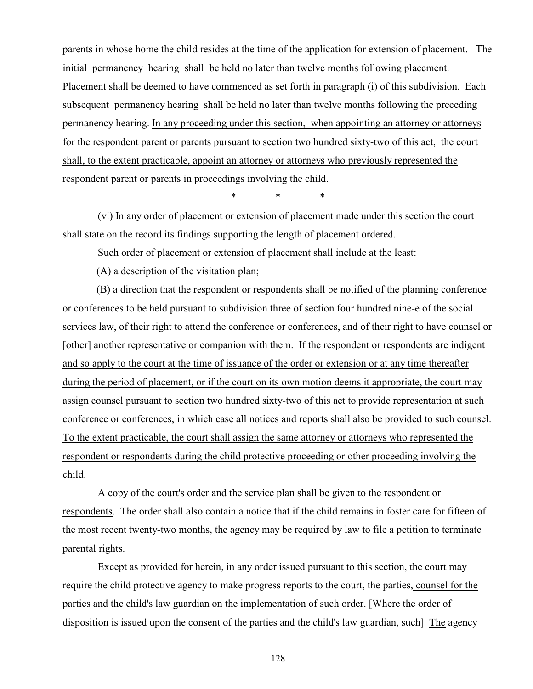parents in whose home the child resides at the time of the application for extension of placement. The initial permanency hearing shall be held no later than twelve months following placement. Placement shall be deemed to have commenced as set forth in paragraph (i) of this subdivision. Each subsequent permanency hearing shall be held no later than twelve months following the preceding permanency hearing. In any proceeding under this section, when appointing an attorney or attorneys for the respondent parent or parents pursuant to section two hundred sixty-two of this act, the court shall, to the extent practicable, appoint an attorney or attorneys who previously represented the respondent parent or parents in proceedings involving the child.

\* \* \*

(vi) In any order of placement or extension of placement made under this section the court shall state on the record its findings supporting the length of placement ordered.

Such order of placement or extension of placement shall include at the least:

(A) a description of the visitation plan;

 (B) a direction that the respondent or respondents shall be notified of the planning conference or conferences to be held pursuant to subdivision three of section four hundred nine-e of the social services law, of their right to attend the conference or conferences, and of their right to have counsel or [other] another representative or companion with them. If the respondent or respondents are indigent and so apply to the court at the time of issuance of the order or extension or at any time thereafter during the period of placement, or if the court on its own motion deems it appropriate, the court may assign counsel pursuant to section two hundred sixty-two of this act to provide representation at such conference or conferences, in which case all notices and reports shall also be provided to such counsel. To the extent practicable, the court shall assign the same attorney or attorneys who represented the respondent or respondents during the child protective proceeding or other proceeding involving the child.

A copy of the court's order and the service plan shall be given to the respondent or respondents. The order shall also contain a notice that if the child remains in foster care for fifteen of the most recent twenty-two months, the agency may be required by law to file a petition to terminate parental rights.

Except as provided for herein, in any order issued pursuant to this section, the court may require the child protective agency to make progress reports to the court, the parties, counsel for the parties and the child's law guardian on the implementation of such order. [Where the order of disposition is issued upon the consent of the parties and the child's law guardian, such] The agency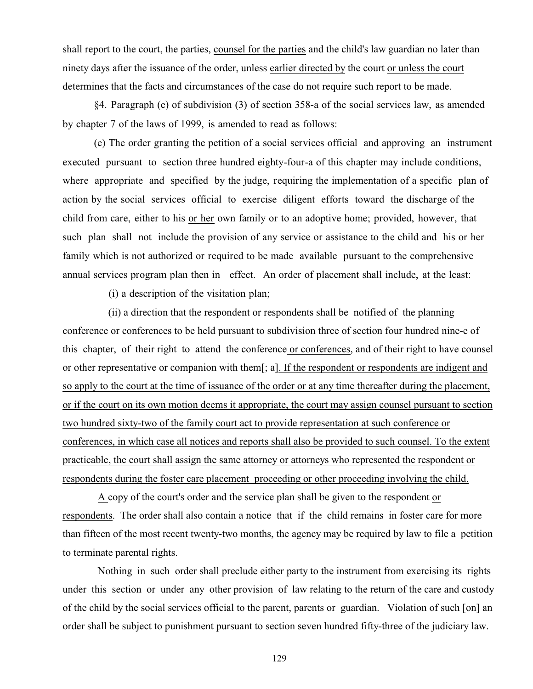shall report to the court, the parties, counsel for the parties and the child's law guardian no later than ninety days after the issuance of the order, unless earlier directed by the court or unless the court determines that the facts and circumstances of the case do not require such report to be made.

 §4. Paragraph (e) of subdivision (3) of section 358-a of the social services law, as amended by chapter 7 of the laws of 1999, is amended to read as follows:

 (e) The order granting the petition of a social services official and approving an instrument executed pursuant to section three hundred eighty-four-a of this chapter may include conditions, where appropriate and specified by the judge, requiring the implementation of a specific plan of action by the social services official to exercise diligent efforts toward the discharge of the child from care, either to his or her own family or to an adoptive home; provided, however, that such plan shall not include the provision of any service or assistance to the child and his or her family which is not authorized or required to be made available pursuant to the comprehensive annual services program plan then in effect. An order of placement shall include, at the least:

(i) a description of the visitation plan;

 (ii) a direction that the respondent or respondents shall be notified of the planning conference or conferences to be held pursuant to subdivision three of section four hundred nine-e of this chapter, of their right to attend the conference or conferences, and of their right to have counsel or other representative or companion with them[; a]. If the respondent or respondents are indigent and so apply to the court at the time of issuance of the order or at any time thereafter during the placement, or if the court on its own motion deems it appropriate, the court may assign counsel pursuant to section two hundred sixty-two of the family court act to provide representation at such conference or conferences, in which case all notices and reports shall also be provided to such counsel. To the extent practicable, the court shall assign the same attorney or attorneys who represented the respondent or respondents during the foster care placement proceeding or other proceeding involving the child.

A copy of the court's order and the service plan shall be given to the respondent or respondents. The order shall also contain a notice that if the child remains in foster care for more than fifteen of the most recent twenty-two months, the agency may be required by law to file a petition to terminate parental rights.

Nothing in such order shall preclude either party to the instrument from exercising its rights under this section or under any other provision of law relating to the return of the care and custody of the child by the social services official to the parent, parents or guardian. Violation of such [on] an order shall be subject to punishment pursuant to section seven hundred fifty-three of the judiciary law.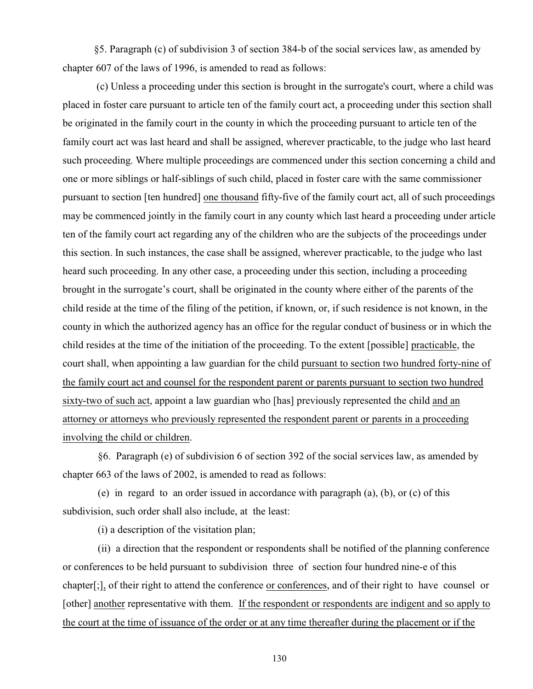§5. Paragraph (c) of subdivision 3 of section 384-b of the social services law, as amended by chapter 607 of the laws of 1996, is amended to read as follows:

 (c) Unless a proceeding under this section is brought in the surrogate's court, where a child was placed in foster care pursuant to article ten of the family court act, a proceeding under this section shall be originated in the family court in the county in which the proceeding pursuant to article ten of the family court act was last heard and shall be assigned, wherever practicable, to the judge who last heard such proceeding. Where multiple proceedings are commenced under this section concerning a child and one or more siblings or half-siblings of such child, placed in foster care with the same commissioner pursuant to section [ten hundred] one thousand fifty-five of the family court act, all of such proceedings may be commenced jointly in the family court in any county which last heard a proceeding under article ten of the family court act regarding any of the children who are the subjects of the proceedings under this section. In such instances, the case shall be assigned, wherever practicable, to the judge who last heard such proceeding. In any other case, a proceeding under this section, including a proceeding brought in the surrogate's court, shall be originated in the county where either of the parents of the child reside at the time of the filing of the petition, if known, or, if such residence is not known, in the county in which the authorized agency has an office for the regular conduct of business or in which the child resides at the time of the initiation of the proceeding. To the extent [possible] practicable, the court shall, when appointing a law guardian for the child pursuant to section two hundred forty-nine of the family court act and counsel for the respondent parent or parents pursuant to section two hundred sixty-two of such act, appoint a law guardian who [has] previously represented the child and an attorney or attorneys who previously represented the respondent parent or parents in a proceeding involving the child or children.

§6. Paragraph (e) of subdivision 6 of section 392 of the social services law, as amended by chapter 663 of the laws of 2002, is amended to read as follows:

(e) in regard to an order issued in accordance with paragraph (a), (b), or (c) of this subdivision, such order shall also include, at the least:

(i) a description of the visitation plan;

(ii) a direction that the respondent or respondents shall be notified of the planning conference or conferences to be held pursuant to subdivision three of section four hundred nine-e of this chapter[;], of their right to attend the conference or conferences, and of their right to have counsel or [other] another representative with them. If the respondent or respondents are indigent and so apply to the court at the time of issuance of the order or at any time thereafter during the placement or if the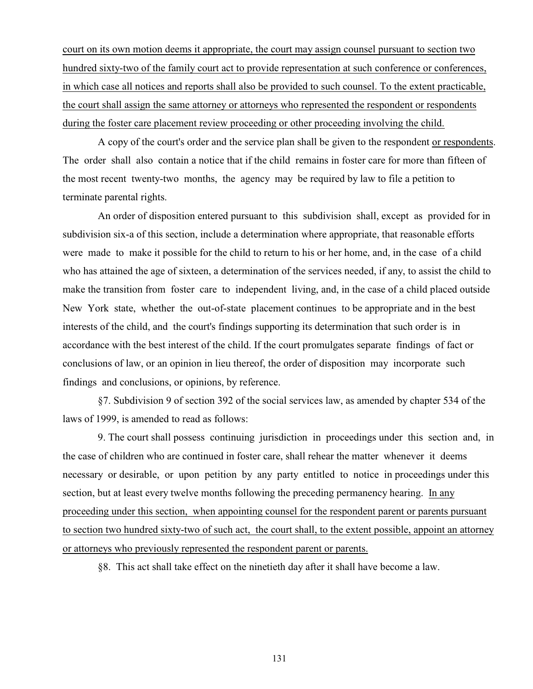court on its own motion deems it appropriate, the court may assign counsel pursuant to section two hundred sixty-two of the family court act to provide representation at such conference or conferences, in which case all notices and reports shall also be provided to such counsel. To the extent practicable, the court shall assign the same attorney or attorneys who represented the respondent or respondents during the foster care placement review proceeding or other proceeding involving the child.

A copy of the court's order and the service plan shall be given to the respondent or respondents. The order shall also contain a notice that if the child remains in foster care for more than fifteen of the most recent twenty-two months, the agency may be required by law to file a petition to terminate parental rights.

An order of disposition entered pursuant to this subdivision shall, except as provided for in subdivision six-a of this section, include a determination where appropriate, that reasonable efforts were made to make it possible for the child to return to his or her home, and, in the case of a child who has attained the age of sixteen, a determination of the services needed, if any, to assist the child to make the transition from foster care to independent living, and, in the case of a child placed outside New York state, whether the out-of-state placement continues to be appropriate and in the best interests of the child, and the court's findings supporting its determination that such order is in accordance with the best interest of the child. If the court promulgates separate findings of fact or conclusions of law, or an opinion in lieu thereof, the order of disposition may incorporate such findings and conclusions, or opinions, by reference.

§7. Subdivision 9 of section 392 of the social services law, as amended by chapter 534 of the laws of 1999, is amended to read as follows:

9. The court shall possess continuing jurisdiction in proceedings under this section and, in the case of children who are continued in foster care, shall rehear the matter whenever it deems necessary or desirable, or upon petition by any party entitled to notice in proceedings under this section, but at least every twelve months following the preceding permanency hearing. In any proceeding under this section, when appointing counsel for the respondent parent or parents pursuant to section two hundred sixty-two of such act, the court shall, to the extent possible, appoint an attorney or attorneys who previously represented the respondent parent or parents.

§8. This act shall take effect on the ninetieth day after it shall have become a law.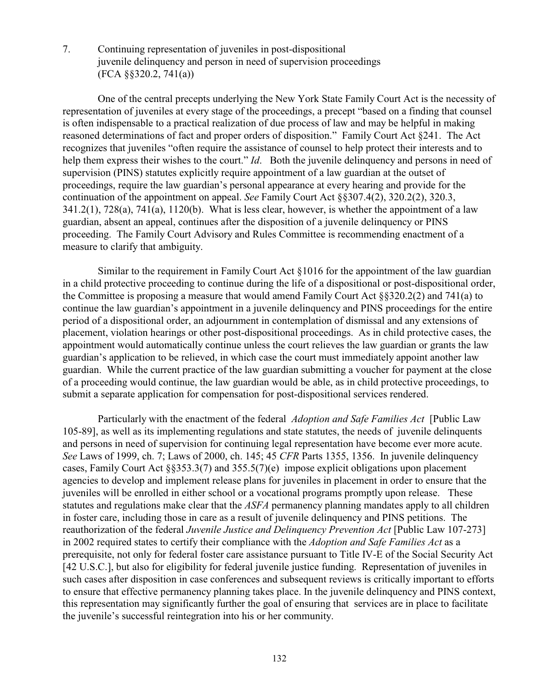7. Continuing representation of juveniles in post-dispositional juvenile delinquency and person in need of supervision proceedings (FCA §§320.2, 741(a))

One of the central precepts underlying the New York State Family Court Act is the necessity of representation of juveniles at every stage of the proceedings, a precept "based on a finding that counsel is often indispensable to a practical realization of due process of law and may be helpful in making reasoned determinations of fact and proper orders of disposition." Family Court Act §241. The Act recognizes that juveniles "often require the assistance of counsel to help protect their interests and to help them express their wishes to the court." *Id*. Both the juvenile delinquency and persons in need of supervision (PINS) statutes explicitly require appointment of a law guardian at the outset of proceedings, require the law guardian's personal appearance at every hearing and provide for the continuation of the appointment on appeal. *See* Family Court Act §§307.4(2), 320.2(2), 320.3,  $341.2(1)$ ,  $728(a)$ ,  $741(a)$ ,  $1120(b)$ . What is less clear, however, is whether the appointment of a law guardian, absent an appeal, continues after the disposition of a juvenile delinquency or PINS proceeding. The Family Court Advisory and Rules Committee is recommending enactment of a measure to clarify that ambiguity.

Similar to the requirement in Family Court Act §1016 for the appointment of the law guardian in a child protective proceeding to continue during the life of a dispositional or post-dispositional order, the Committee is proposing a measure that would amend Family Court Act §§320.2(2) and 741(a) to continue the law guardian's appointment in a juvenile delinquency and PINS proceedings for the entire period of a dispositional order, an adjournment in contemplation of dismissal and any extensions of placement, violation hearings or other post-dispositional proceedings. As in child protective cases, the appointment would automatically continue unless the court relieves the law guardian or grants the law guardian's application to be relieved, in which case the court must immediately appoint another law guardian. While the current practice of the law guardian submitting a voucher for payment at the close of a proceeding would continue, the law guardian would be able, as in child protective proceedings, to submit a separate application for compensation for post-dispositional services rendered.

Particularly with the enactment of the federal *Adoption and Safe Families Act* [Public Law 105-89], as well as its implementing regulations and state statutes, the needs of juvenile delinquents and persons in need of supervision for continuing legal representation have become ever more acute. *See* Laws of 1999, ch. 7; Laws of 2000, ch. 145; 45 *CFR* Parts 1355, 1356. In juvenile delinquency cases, Family Court Act §§353.3(7) and 355.5(7)(e) impose explicit obligations upon placement agencies to develop and implement release plans for juveniles in placement in order to ensure that the juveniles will be enrolled in either school or a vocational programs promptly upon release. These statutes and regulations make clear that the *ASFA* permanency planning mandates apply to all children in foster care, including those in care as a result of juvenile delinquency and PINS petitions. The reauthorization of the federal *Juvenile Justice and Delinquency Prevention Act* [Public Law 107-273] in 2002 required states to certify their compliance with the *Adoption and Safe Families Act* as a prerequisite, not only for federal foster care assistance pursuant to Title IV-E of the Social Security Act [42 U.S.C.], but also for eligibility for federal juvenile justice funding. Representation of juveniles in such cases after disposition in case conferences and subsequent reviews is critically important to efforts to ensure that effective permanency planning takes place. In the juvenile delinquency and PINS context, this representation may significantly further the goal of ensuring that services are in place to facilitate the juvenile's successful reintegration into his or her community.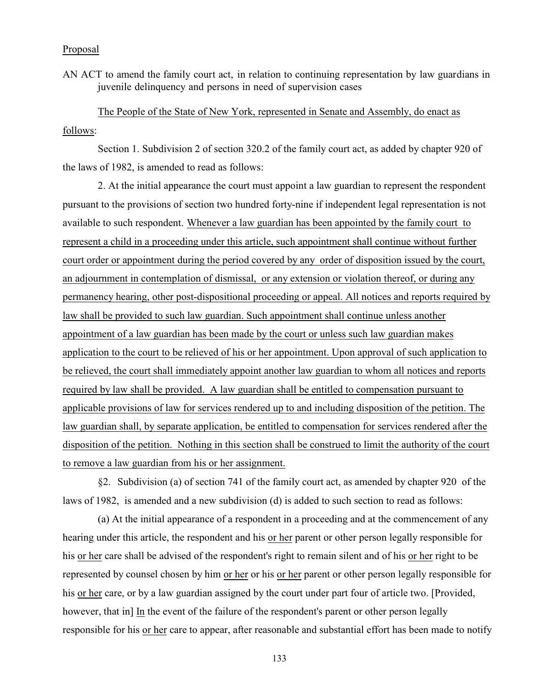#### Proposal

AN ACT to amend the family court act, in relation to continuing representation by law guardians in juvenile delinquency and persons in need of supervision cases

The People of the State of New York, represented in Senate and Assembly, do enact as follows:

Section 1. Subdivision 2 of section 320.2 of the family court act, as added by chapter 920 of the laws of 1982, is amended to read as follows:

2. At the initial appearance the court must appoint a law guardian to represent the respondent pursuant to the provisions of section two hundred forty-nine if independent legal representation is not available to such respondent. Whenever a law guardian has been appointed by the family court to represent a child in a proceeding under this article, such appointment shall continue without further court order or appointment during the period covered by any order of disposition issued by the court, an adjournment in contemplation of dismissal, or any extension or violation thereof, or during any permanency hearing, other post-dispositional proceeding or appeal. All notices and reports required by law shall be provided to such law guardian. Such appointment shall continue unless another appointment of a law guardian has been made by the court or unless such law guardian makes application to the court to be relieved of his or her appointment. Upon approval of such application to be relieved, the court shall immediately appoint another law guardian to whom all notices and reports required by law shall be provided. A law guardian shall be entitled to compensation pursuant to applicable provisions of law for services rendered up to and including disposition of the petition. The law guardian shall, by separate application, be entitled to compensation for services rendered after the disposition of the petition. Nothing in this section shall be construed to limit the authority of the court to remove a law guardian from his or her assignment.

§2. Subdivision (a) of section 741 of the family court act, as amended by chapter 920 of the laws of 1982, is amended and a new subdivision (d) is added to such section to read as follows:

(a) At the initial appearance of a respondent in a proceeding and at the commencement of any hearing under this article, the respondent and his or her parent or other person legally responsible for his or her care shall be advised of the respondent's right to remain silent and of his or her right to be represented by counsel chosen by him or her or his or her parent or other person legally responsible for his or her care, or by a law guardian assigned by the court under part four of article two. [Provided, however, that in] In the event of the failure of the respondent's parent or other person legally responsible for his or her care to appear, after reasonable and substantial effort has been made to notify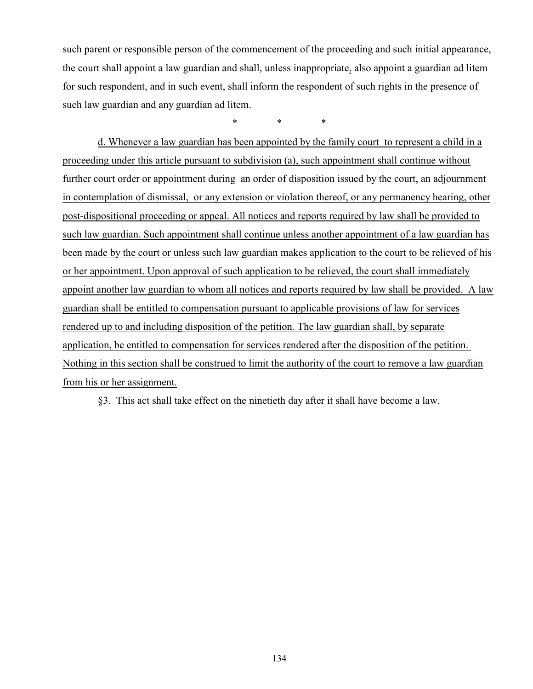such parent or responsible person of the commencement of the proceeding and such initial appearance, the court shall appoint a law guardian and shall, unless inappropriate, also appoint a guardian ad litem for such respondent, and in such event, shall inform the respondent of such rights in the presence of such law guardian and any guardian ad litem.

\* \* \*

d. Whenever a law guardian has been appointed by the family court to represent a child in a proceeding under this article pursuant to subdivision (a), such appointment shall continue without further court order or appointment during an order of disposition issued by the court, an adjournment in contemplation of dismissal, or any extension or violation thereof, or any permanency hearing, other post-dispositional proceeding or appeal. All notices and reports required by law shall be provided to such law guardian. Such appointment shall continue unless another appointment of a law guardian has been made by the court or unless such law guardian makes application to the court to be relieved of his or her appointment. Upon approval of such application to be relieved, the court shall immediately appoint another law guardian to whom all notices and reports required by law shall be provided. A law guardian shall be entitled to compensation pursuant to applicable provisions of law for services rendered up to and including disposition of the petition. The law guardian shall, by separate application, be entitled to compensation for services rendered after the disposition of the petition. Nothing in this section shall be construed to limit the authority of the court to remove a law guardian from his or her assignment.

§3. This act shall take effect on the ninetieth day after it shall have become a law.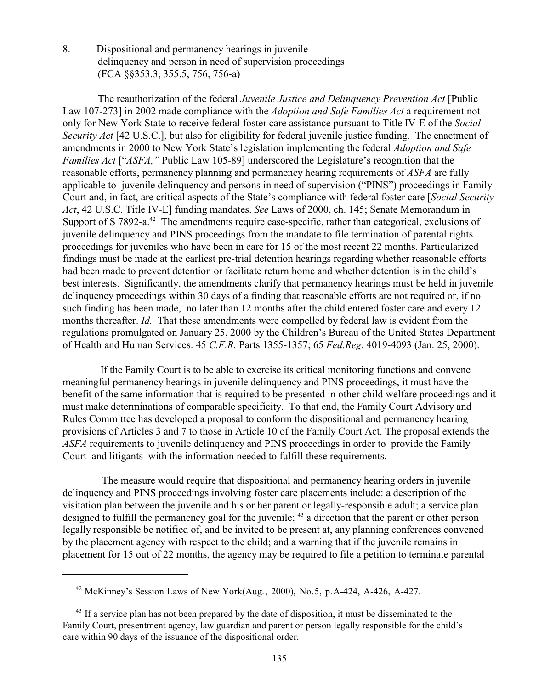8. Dispositional and permanency hearings in juvenile delinquency and person in need of supervision proceedings (FCA §§353.3, 355.5, 756, 756-a)

The reauthorization of the federal *Juvenile Justice and Delinquency Prevention Act* [Public Law 107-273] in 2002 made compliance with the *Adoption and Safe Families Act* a requirement not only for New York State to receive federal foster care assistance pursuant to Title IV-E of the *Social Security Act* [42 U.S.C.], but also for eligibility for federal juvenile justice funding. The enactment of amendments in 2000 to New York State's legislation implementing the federal *Adoption and Safe Families Act* ["*ASFA*," Public Law 105-89] underscored the Legislature's recognition that the reasonable efforts, permanency planning and permanency hearing requirements of *ASFA* are fully applicable to juvenile delinquency and persons in need of supervision ("PINS") proceedings in Family Court and, in fact, are critical aspects of the State's compliance with federal foster care [*Social Security Act*, 42 U.S.C. Title IV-E] funding mandates. *See* Laws of 2000, ch. 145; Senate Memorandum in Support of S 7892-a. $42$  The amendments require case-specific, rather than categorical, exclusions of juvenile delinquency and PINS proceedings from the mandate to file termination of parental rights proceedings for juveniles who have been in care for 15 of the most recent 22 months. Particularized findings must be made at the earliest pre-trial detention hearings regarding whether reasonable efforts had been made to prevent detention or facilitate return home and whether detention is in the child's best interests. Significantly, the amendments clarify that permanency hearings must be held in juvenile delinquency proceedings within 30 days of a finding that reasonable efforts are not required or, if no such finding has been made, no later than 12 months after the child entered foster care and every 12 months thereafter. *Id.* That these amendments were compelled by federal law is evident from the regulations promulgated on January 25, 2000 by the Children's Bureau of the United States Department of Health and Human Services. 45 *C.F.R.* Parts 1355-1357; 65 *Fed.Reg.* 4019-4093 (Jan. 25, 2000).

 If the Family Court is to be able to exercise its critical monitoring functions and convene meaningful permanency hearings in juvenile delinquency and PINS proceedings, it must have the benefit of the same information that is required to be presented in other child welfare proceedings and it must make determinations of comparable specificity. To that end, the Family Court Advisory and Rules Committee has developed a proposal to conform the dispositional and permanency hearing provisions of Articles 3 and 7 to those in Article 10 of the Family Court Act. The proposal extends the *ASFA* requirements to juvenile delinquency and PINS proceedings in order to provide the Family Court and litigants with the information needed to fulfill these requirements.

 The measure would require that dispositional and permanency hearing orders in juvenile delinquency and PINS proceedings involving foster care placements include: a description of the visitation plan between the juvenile and his or her parent or legally-responsible adult; a service plan designed to fulfill the permanency goal for the juvenile;  $43$  a direction that the parent or other person legally responsible be notified of, and be invited to be present at, any planning conferences convened by the placement agency with respect to the child; and a warning that if the juvenile remains in placement for 15 out of 22 months, the agency may be required to file a petition to terminate parental

 $42$  McKinney's Session Laws of New York(Aug., 2000), No.5, p.A-424, A-426, A-427.

 $^{43}$  If a service plan has not been prepared by the date of disposition, it must be disseminated to the Family Court, presentment agency, law guardian and parent or person legally responsible for the child's care within 90 days of the issuance of the dispositional order.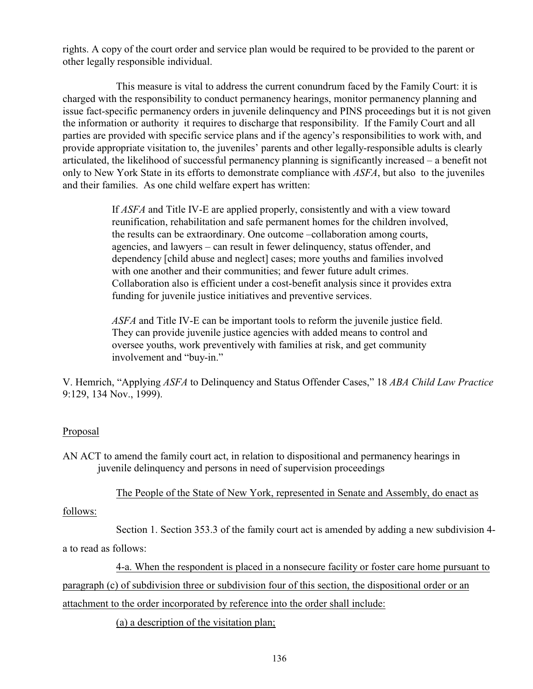rights. A copy of the court order and service plan would be required to be provided to the parent or other legally responsible individual.

 This measure is vital to address the current conundrum faced by the Family Court: it is charged with the responsibility to conduct permanency hearings, monitor permanency planning and issue fact-specific permanency orders in juvenile delinquency and PINS proceedings but it is not given the information or authority it requires to discharge that responsibility. If the Family Court and all parties are provided with specific service plans and if the agency's responsibilities to work with, and provide appropriate visitation to, the juveniles' parents and other legally-responsible adults is clearly articulated, the likelihood of successful permanency planning is significantly increased – a benefit not only to New York State in its efforts to demonstrate compliance with *ASFA*, but also to the juveniles and their families. As one child welfare expert has written:

> If *ASFA* and Title IV-E are applied properly, consistently and with a view toward reunification, rehabilitation and safe permanent homes for the children involved, the results can be extraordinary. One outcome –collaboration among courts, agencies, and lawyers – can result in fewer delinquency, status offender, and dependency [child abuse and neglect] cases; more youths and families involved with one another and their communities; and fewer future adult crimes. Collaboration also is efficient under a cost-benefit analysis since it provides extra funding for juvenile justice initiatives and preventive services.

*ASFA* and Title IV-E can be important tools to reform the juvenile justice field. They can provide juvenile justice agencies with added means to control and oversee youths, work preventively with families at risk, and get community involvement and "buy-in."

V. Hemrich, "Applying *ASFA* to Delinquency and Status Offender Cases," 18 *ABA Child Law Practice* 9:129, 134 Nov., 1999).

# Proposal

AN ACT to amend the family court act, in relation to dispositional and permanency hearings in juvenile delinquency and persons in need of supervision proceedings

The People of the State of New York, represented in Senate and Assembly, do enact as

#### follows:

 Section 1. Section 353.3 of the family court act is amended by adding a new subdivision 4 a to read as follows:

 4-a. When the respondent is placed in a nonsecure facility or foster care home pursuant to paragraph (c) of subdivision three or subdivision four of this section, the dispositional order or an

attachment to the order incorporated by reference into the order shall include:

(a) a description of the visitation plan;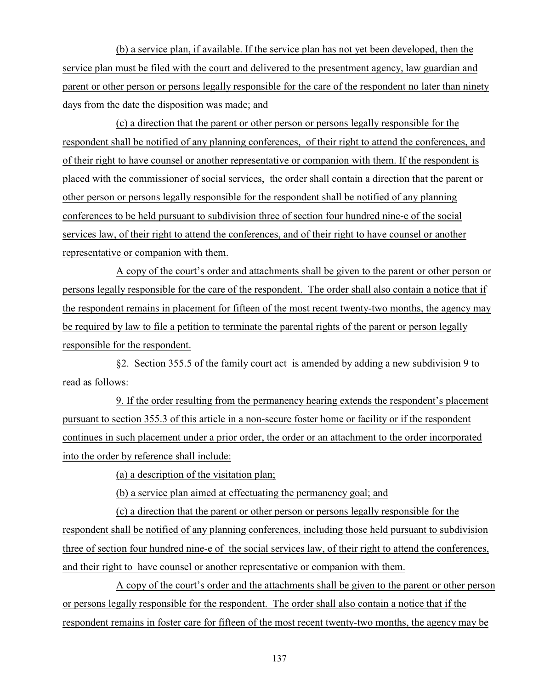(b) a service plan, if available. If the service plan has not yet been developed, then the service plan must be filed with the court and delivered to the presentment agency, law guardian and parent or other person or persons legally responsible for the care of the respondent no later than ninety days from the date the disposition was made; and

 (c) a direction that the parent or other person or persons legally responsible for the respondent shall be notified of any planning conferences, of their right to attend the conferences, and of their right to have counsel or another representative or companion with them. If the respondent is placed with the commissioner of social services, the order shall contain a direction that the parent or other person or persons legally responsible for the respondent shall be notified of any planning conferences to be held pursuant to subdivision three of section four hundred nine-e of the social services law, of their right to attend the conferences, and of their right to have counsel or another representative or companion with them.

 A copy of the court's order and attachments shall be given to the parent or other person or persons legally responsible for the care of the respondent. The order shall also contain a notice that if the respondent remains in placement for fifteen of the most recent twenty-two months, the agency may be required by law to file a petition to terminate the parental rights of the parent or person legally responsible for the respondent.

 §2. Section 355.5 of the family court act is amended by adding a new subdivision 9 to read as follows:

 9. If the order resulting from the permanency hearing extends the respondent's placement pursuant to section 355.3 of this article in a non-secure foster home or facility or if the respondent continues in such placement under a prior order, the order or an attachment to the order incorporated into the order by reference shall include:

(a) a description of the visitation plan;

(b) a service plan aimed at effectuating the permanency goal; and

 (c) a direction that the parent or other person or persons legally responsible for the respondent shall be notified of any planning conferences, including those held pursuant to subdivision three of section four hundred nine-e of the social services law, of their right to attend the conferences, and their right to have counsel or another representative or companion with them.

 A copy of the court's order and the attachments shall be given to the parent or other person or persons legally responsible for the respondent. The order shall also contain a notice that if the respondent remains in foster care for fifteen of the most recent twenty-two months, the agency may be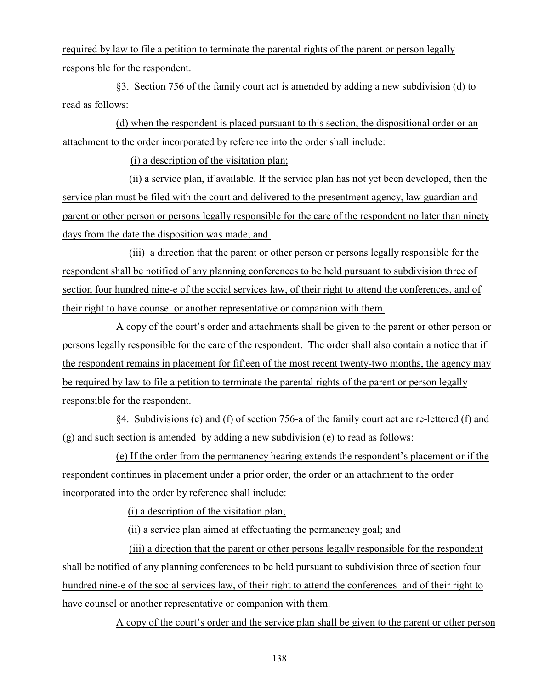required by law to file a petition to terminate the parental rights of the parent or person legally responsible for the respondent.

 §3. Section 756 of the family court act is amended by adding a new subdivision (d) to read as follows:

 (d) when the respondent is placed pursuant to this section, the dispositional order or an attachment to the order incorporated by reference into the order shall include:

(i) a description of the visitation plan;

 (ii) a service plan, if available. If the service plan has not yet been developed, then the service plan must be filed with the court and delivered to the presentment agency, law guardian and parent or other person or persons legally responsible for the care of the respondent no later than ninety days from the date the disposition was made; and

 (iii) a direction that the parent or other person or persons legally responsible for the respondent shall be notified of any planning conferences to be held pursuant to subdivision three of section four hundred nine-e of the social services law, of their right to attend the conferences, and of their right to have counsel or another representative or companion with them.

 A copy of the court's order and attachments shall be given to the parent or other person or persons legally responsible for the care of the respondent. The order shall also contain a notice that if the respondent remains in placement for fifteen of the most recent twenty-two months, the agency may be required by law to file a petition to terminate the parental rights of the parent or person legally responsible for the respondent.

 §4. Subdivisions (e) and (f) of section 756-a of the family court act are re-lettered (f) and (g) and such section is amended by adding a new subdivision (e) to read as follows:

 (e) If the order from the permanency hearing extends the respondent's placement or if the respondent continues in placement under a prior order, the order or an attachment to the order incorporated into the order by reference shall include:

(i) a description of the visitation plan;

(ii) a service plan aimed at effectuating the permanency goal; and

 (iii) a direction that the parent or other persons legally responsible for the respondent shall be notified of any planning conferences to be held pursuant to subdivision three of section four hundred nine-e of the social services law, of their right to attend the conferences and of their right to have counsel or another representative or companion with them.

A copy of the court's order and the service plan shall be given to the parent or other person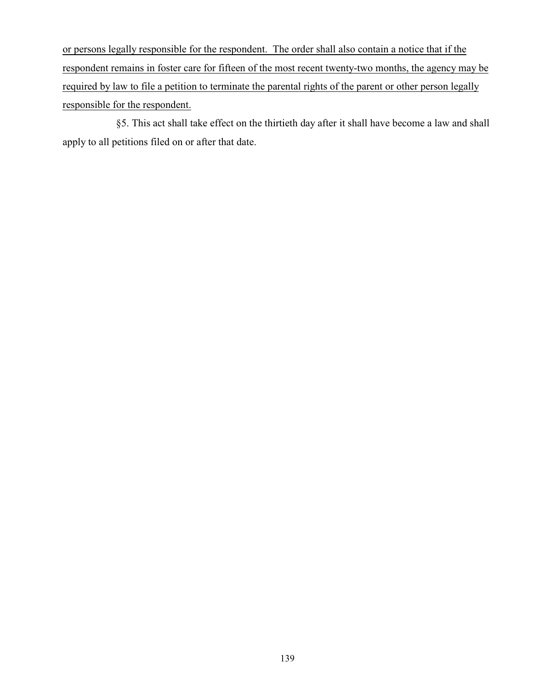or persons legally responsible for the respondent. The order shall also contain a notice that if the respondent remains in foster care for fifteen of the most recent twenty-two months, the agency may be required by law to file a petition to terminate the parental rights of the parent or other person legally responsible for the respondent.

 §5. This act shall take effect on the thirtieth day after it shall have become a law and shall apply to all petitions filed on or after that date.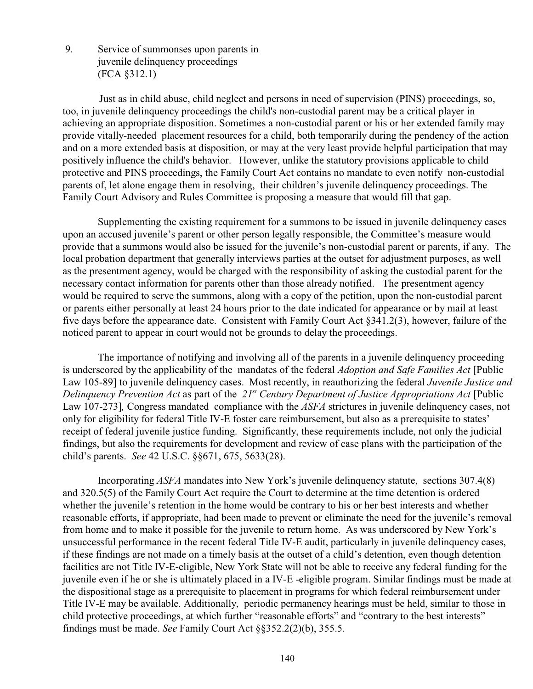9. Service of summonses upon parents in juvenile delinquency proceedings (FCA §312.1)

 Just as in child abuse, child neglect and persons in need of supervision (PINS) proceedings, so, too, in juvenile delinquency proceedings the child's non-custodial parent may be a critical player in achieving an appropriate disposition. Sometimes a non-custodial parent or his or her extended family may provide vitally-needed placement resources for a child, both temporarily during the pendency of the action and on a more extended basis at disposition, or may at the very least provide helpful participation that may positively influence the child's behavior. However, unlike the statutory provisions applicable to child protective and PINS proceedings, the Family Court Act contains no mandate to even notify non-custodial parents of, let alone engage them in resolving, their children's juvenile delinquency proceedings. The Family Court Advisory and Rules Committee is proposing a measure that would fill that gap.

Supplementing the existing requirement for a summons to be issued in juvenile delinquency cases upon an accused juvenile's parent or other person legally responsible, the Committee's measure would provide that a summons would also be issued for the juvenile's non-custodial parent or parents, if any. The local probation department that generally interviews parties at the outset for adjustment purposes, as well as the presentment agency, would be charged with the responsibility of asking the custodial parent for the necessary contact information for parents other than those already notified. The presentment agency would be required to serve the summons, along with a copy of the petition, upon the non-custodial parent or parents either personally at least 24 hours prior to the date indicated for appearance or by mail at least five days before the appearance date. Consistent with Family Court Act §341.2(3), however, failure of the noticed parent to appear in court would not be grounds to delay the proceedings.

The importance of notifying and involving all of the parents in a juvenile delinquency proceeding is underscored by the applicability of the mandates of the federal *Adoption and Safe Families Act* [Public Law 105-89] to juvenile delinquency cases. Most recently, in reauthorizing the federal *Juvenile Justice and Delinquency Prevention Act* as part of the 21<sup>st</sup> Century Department of Justice Appropriations Act [Public Law 107-273]*,* Congress mandated compliance with the *ASFA* strictures in juvenile delinquency cases, not only for eligibility for federal Title IV-E foster care reimbursement, but also as a prerequisite to states' receipt of federal juvenile justice funding. Significantly, these requirements include, not only the judicial findings, but also the requirements for development and review of case plans with the participation of the child's parents. *See* 42 U.S.C. §§671, 675, 5633(28).

Incorporating *ASFA* mandates into New York's juvenile delinquency statute, sections 307.4(8) and 320.5(5) of the Family Court Act require the Court to determine at the time detention is ordered whether the juvenile's retention in the home would be contrary to his or her best interests and whether reasonable efforts, if appropriate, had been made to prevent or eliminate the need for the juvenile's removal from home and to make it possible for the juvenile to return home. As was underscored by New York's unsuccessful performance in the recent federal Title IV-E audit, particularly in juvenile delinquency cases, if these findings are not made on a timely basis at the outset of a child's detention, even though detention facilities are not Title IV-E-eligible, New York State will not be able to receive any federal funding for the juvenile even if he or she is ultimately placed in a IV-E -eligible program. Similar findings must be made at the dispositional stage as a prerequisite to placement in programs for which federal reimbursement under Title IV-E may be available. Additionally, periodic permanency hearings must be held, similar to those in child protective proceedings, at which further "reasonable efforts" and "contrary to the best interests" findings must be made. *See* Family Court Act §§352.2(2)(b), 355.5.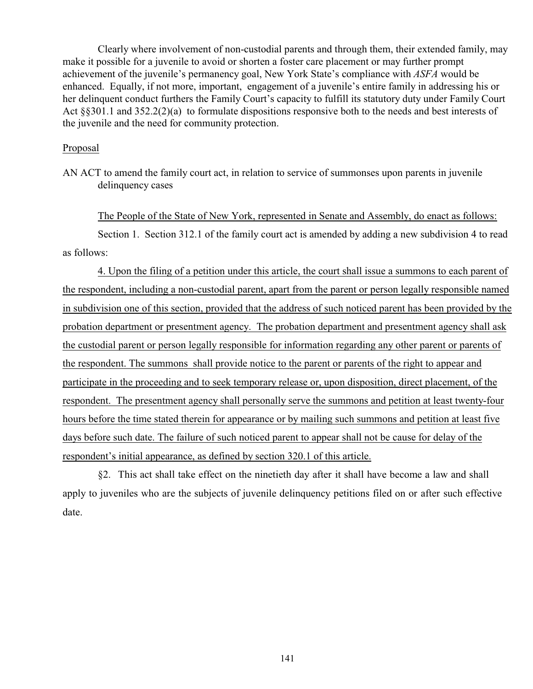Clearly where involvement of non-custodial parents and through them, their extended family, may make it possible for a juvenile to avoid or shorten a foster care placement or may further prompt achievement of the juvenile's permanency goal, New York State's compliance with *ASFA* would be enhanced. Equally, if not more, important, engagement of a juvenile's entire family in addressing his or her delinquent conduct furthers the Family Court's capacity to fulfill its statutory duty under Family Court Act §§301.1 and 352.2(2)(a) to formulate dispositions responsive both to the needs and best interests of the juvenile and the need for community protection.

## Proposal

AN ACT to amend the family court act, in relation to service of summonses upon parents in juvenile delinquency cases

### The People of the State of New York, represented in Senate and Assembly, do enact as follows:

Section 1. Section 312.1 of the family court act is amended by adding a new subdivision 4 to read as follows:

4. Upon the filing of a petition under this article, the court shall issue a summons to each parent of the respondent, including a non-custodial parent, apart from the parent or person legally responsible named in subdivision one of this section, provided that the address of such noticed parent has been provided by the probation department or presentment agency. The probation department and presentment agency shall ask the custodial parent or person legally responsible for information regarding any other parent or parents of the respondent. The summons shall provide notice to the parent or parents of the right to appear and participate in the proceeding and to seek temporary release or, upon disposition, direct placement, of the respondent. The presentment agency shall personally serve the summons and petition at least twenty-four hours before the time stated therein for appearance or by mailing such summons and petition at least five days before such date. The failure of such noticed parent to appear shall not be cause for delay of the respondent's initial appearance, as defined by section 320.1 of this article.

§2. This act shall take effect on the ninetieth day after it shall have become a law and shall apply to juveniles who are the subjects of juvenile delinquency petitions filed on or after such effective date.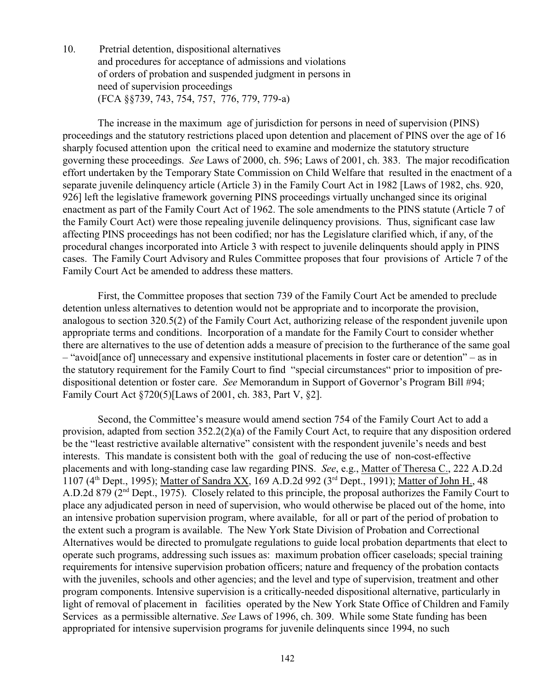10. Pretrial detention, dispositional alternatives and procedures for acceptance of admissions and violations of orders of probation and suspended judgment in persons in need of supervision proceedings (FCA §§739, 743, 754, 757, 776, 779, 779-a)

The increase in the maximum age of jurisdiction for persons in need of supervision (PINS) proceedings and the statutory restrictions placed upon detention and placement of PINS over the age of 16 sharply focused attention upon the critical need to examine and modernize the statutory structure governing these proceedings. *See* Laws of 2000, ch. 596; Laws of 2001, ch. 383. The major recodification effort undertaken by the Temporary State Commission on Child Welfare that resulted in the enactment of a separate juvenile delinquency article (Article 3) in the Family Court Act in 1982 [Laws of 1982, chs. 920, 926] left the legislative framework governing PINS proceedings virtually unchanged since its original enactment as part of the Family Court Act of 1962. The sole amendments to the PINS statute (Article 7 of the Family Court Act) were those repealing juvenile delinquency provisions. Thus, significant case law affecting PINS proceedings has not been codified; nor has the Legislature clarified which, if any, of the procedural changes incorporated into Article 3 with respect to juvenile delinquents should apply in PINS cases. The Family Court Advisory and Rules Committee proposes that four provisions of Article 7 of the Family Court Act be amended to address these matters.

First, the Committee proposes that section 739 of the Family Court Act be amended to preclude detention unless alternatives to detention would not be appropriate and to incorporate the provision, analogous to section 320.5(2) of the Family Court Act, authorizing release of the respondent juvenile upon appropriate terms and conditions. Incorporation of a mandate for the Family Court to consider whether there are alternatives to the use of detention adds a measure of precision to the furtherance of the same goal – "avoid[ance of] unnecessary and expensive institutional placements in foster care or detention" – as in the statutory requirement for the Family Court to find "special circumstances" prior to imposition of predispositional detention or foster care. *See* Memorandum in Support of Governor's Program Bill #94; Family Court Act §720(5)[Laws of 2001, ch. 383, Part V, §2].

Second, the Committee's measure would amend section 754 of the Family Court Act to add a provision, adapted from section 352.2(2)(a) of the Family Court Act, to require that any disposition ordered be the "least restrictive available alternative" consistent with the respondent juvenile's needs and best interests. This mandate is consistent both with the goal of reducing the use of non-cost-effective placements and with long-standing case law regarding PINS. *See*, e.g., Matter of Theresa C., 222 A.D.2d 1107 ( $4<sup>th</sup>$  Dept., 1995); Matter of Sandra XX, 169 A.D.2d 992 ( $3<sup>rd</sup>$  Dept., 1991); Matter of John H., 48 A.D.2d 879 ( $2<sup>nd</sup>$  Dept., 1975). Closely related to this principle, the proposal authorizes the Family Court to place any adjudicated person in need of supervision, who would otherwise be placed out of the home, into an intensive probation supervision program, where available, for all or part of the period of probation to the extent such a program is available. The New York State Division of Probation and Correctional Alternatives would be directed to promulgate regulations to guide local probation departments that elect to operate such programs, addressing such issues as: maximum probation officer caseloads; special training requirements for intensive supervision probation officers; nature and frequency of the probation contacts with the juveniles, schools and other agencies; and the level and type of supervision, treatment and other program components. Intensive supervision is a critically-needed dispositional alternative, particularly in light of removal of placement in facilities operated by the New York State Office of Children and Family Services as a permissible alternative. *See* Laws of 1996, ch. 309. While some State funding has been appropriated for intensive supervision programs for juvenile delinquents since 1994, no such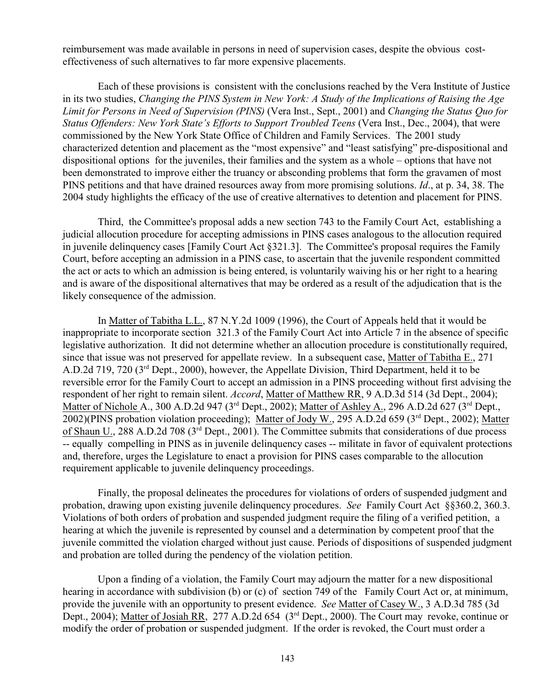reimbursement was made available in persons in need of supervision cases, despite the obvious costeffectiveness of such alternatives to far more expensive placements.

Each of these provisions is consistent with the conclusions reached by the Vera Institute of Justice in its two studies, *Changing the PINS System in New York: A Study of the Implications of Raising the Age Limit for Persons in Need of Supervision (PINS)* (Vera Inst., Sept., 2001) and *Changing the Status Quo for Status Offenders: New York State's Efforts to Support Troubled Teens* (Vera Inst., Dec., 2004), that were commissioned by the New York State Office of Children and Family Services. The 2001 study characterized detention and placement as the "most expensive" and "least satisfying" pre-dispositional and dispositional options for the juveniles, their families and the system as a whole – options that have not been demonstrated to improve either the truancy or absconding problems that form the gravamen of most PINS petitions and that have drained resources away from more promising solutions. *Id*., at p. 34, 38. The 2004 study highlights the efficacy of the use of creative alternatives to detention and placement for PINS.

Third, the Committee's proposal adds a new section 743 to the Family Court Act, establishing a judicial allocution procedure for accepting admissions in PINS cases analogous to the allocution required in juvenile delinquency cases [Family Court Act §321.3]. The Committee's proposal requires the Family Court, before accepting an admission in a PINS case, to ascertain that the juvenile respondent committed the act or acts to which an admission is being entered, is voluntarily waiving his or her right to a hearing and is aware of the dispositional alternatives that may be ordered as a result of the adjudication that is the likely consequence of the admission.

In Matter of Tabitha L.L., 87 N.Y.2d 1009 (1996), the Court of Appeals held that it would be inappropriate to incorporate section 321.3 of the Family Court Act into Article 7 in the absence of specific legislative authorization. It did not determine whether an allocution procedure is constitutionally required, since that issue was not preserved for appellate review. In a subsequent case, Matter of Tabitha E., 271 A.D.2d 719, 720 ( $3<sup>rd</sup>$  Dept., 2000), however, the Appellate Division, Third Department, held it to be reversible error for the Family Court to accept an admission in a PINS proceeding without first advising the respondent of her right to remain silent. *Accord*, Matter of Matthew RR, 9 A.D.3d 514 (3d Dept., 2004); Matter of Nichole A., 300 A.D.2d 947 ( $3<sup>rd</sup>$  Dept., 2002); Matter of Ashley A., 296 A.D.2d 627 ( $3<sup>rd</sup>$  Dept.,  $2002$ )(PINS probation violation proceeding); Matter of Jody W., 295 A.D.2d 659 (3<sup>rd</sup> Dept., 2002); Matter of Shaun U., 288 A.D.2d 708 ( $3<sup>rd</sup>$  Dept., 2001). The Committee submits that considerations of due process -- equally compelling in PINS as in juvenile delinquency cases -- militate in favor of equivalent protections and, therefore, urges the Legislature to enact a provision for PINS cases comparable to the allocution requirement applicable to juvenile delinquency proceedings.

Finally, the proposal delineates the procedures for violations of orders of suspended judgment and probation, drawing upon existing juvenile delinquency procedures. *See* Family Court Act §§360.2, 360.3. Violations of both orders of probation and suspended judgment require the filing of a verified petition, a hearing at which the juvenile is represented by counsel and a determination by competent proof that the juvenile committed the violation charged without just cause. Periods of dispositions of suspended judgment and probation are tolled during the pendency of the violation petition.

Upon a finding of a violation, the Family Court may adjourn the matter for a new dispositional hearing in accordance with subdivision (b) or (c) of section 749 of the Family Court Act or, at minimum, provide the juvenile with an opportunity to present evidence. *See* Matter of Casey W., 3 A.D.3d 785 (3d Dept., 2004); Matter of Josiah RR, 277 A.D.2d 654 ( $3<sup>rd</sup>$  Dept., 2000). The Court may revoke, continue or modify the order of probation or suspended judgment. If the order is revoked, the Court must order a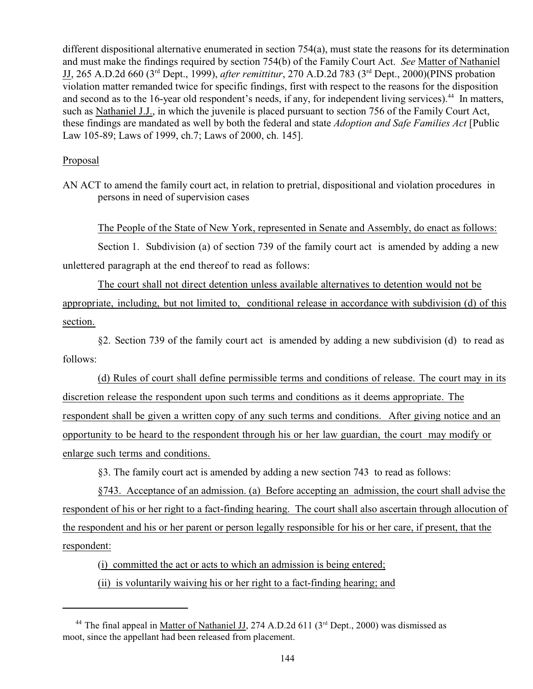different dispositional alternative enumerated in section 754(a), must state the reasons for its determination and must make the findings required by section 754(b) of the Family Court Act. *See* Matter of Nathaniel JJ, 265 A.D.2d 660 (3<sup>rd</sup> Dept., 1999), *after remittitur*, 270 A.D.2d 783 (3<sup>rd</sup> Dept., 2000)(PINS probation violation matter remanded twice for specific findings, first with respect to the reasons for the disposition and second as to the 16-year old respondent's needs, if any, for independent living services).<sup>44</sup> In matters, such as Nathaniel J.J., in which the juvenile is placed pursuant to section 756 of the Family Court Act. these findings are mandated as well by both the federal and state *Adoption and Safe Families Act* [Public Law 105-89; Laws of 1999, ch.7; Laws of 2000, ch. 145].

## Proposal

AN ACT to amend the family court act, in relation to pretrial, dispositional and violation procedures in persons in need of supervision cases

## The People of the State of New York, represented in Senate and Assembly, do enact as follows:

Section 1. Subdivision (a) of section 739 of the family court act is amended by adding a new unlettered paragraph at the end thereof to read as follows:

The court shall not direct detention unless available alternatives to detention would not be appropriate, including, but not limited to, conditional release in accordance with subdivision (d) of this section.

§2. Section 739 of the family court act is amended by adding a new subdivision (d) to read as follows:

(d) Rules of court shall define permissible terms and conditions of release. The court may in its discretion release the respondent upon such terms and conditions as it deems appropriate. The respondent shall be given a written copy of any such terms and conditions. After giving notice and an opportunity to be heard to the respondent through his or her law guardian, the court may modify or enlarge such terms and conditions.

§3. The family court act is amended by adding a new section 743 to read as follows:

§743. Acceptance of an admission. (a) Before accepting an admission, the court shall advise the respondent of his or her right to a fact-finding hearing. The court shall also ascertain through allocution of the respondent and his or her parent or person legally responsible for his or her care, if present, that the respondent:

(i) committed the act or acts to which an admission is being entered;

(ii) is voluntarily waiving his or her right to a fact-finding hearing; and

<sup>&</sup>lt;sup>44</sup> The final appeal in Matter of Nathaniel JJ, 274 A.D.2d  $611$  ( $3<sup>rd</sup>$  Dept., 2000) was dismissed as moot, since the appellant had been released from placement.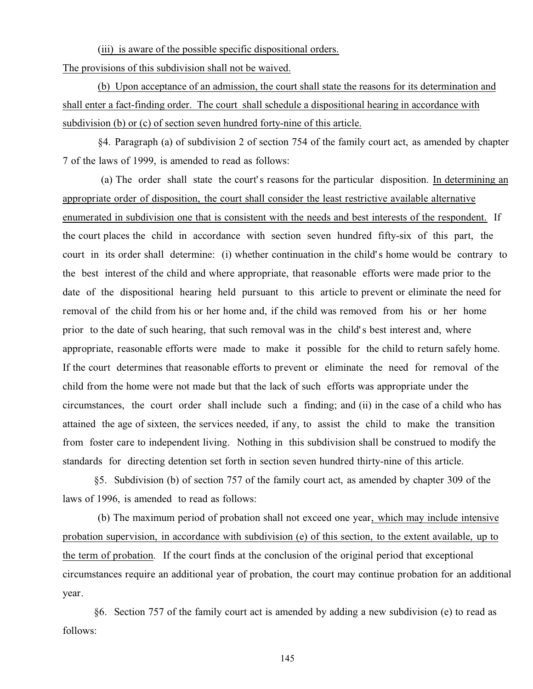(iii) is aware of the possible specific dispositional orders.

The provisions of this subdivision shall not be waived.

(b) Upon acceptance of an admission, the court shall state the reasons for its determination and shall enter a fact-finding order. The court shall schedule a dispositional hearing in accordance with subdivision (b) or (c) of section seven hundred forty-nine of this article.

§4. Paragraph (a) of subdivision 2 of section 754 of the family court act, as amended by chapter 7 of the laws of 1999, is amended to read as follows:

 (a) The order shall state the court's reasons for the particular disposition. In determining an appropriate order of disposition, the court shall consider the least restrictive available alternative enumerated in subdivision one that is consistent with the needs and best interests of the respondent. If the court places the child in accordance with section seven hundred fifty-six of this part, the court in its order shall determine: (i) whether continuation in the child's home would be contrary to the best interest of the child and where appropriate, that reasonable efforts were made prior to the date of the dispositional hearing held pursuant to this article to prevent or eliminate the need for removal of the child from his or her home and, if the child was removed from his or her home prior to the date of such hearing, that such removal was in the child's best interest and, where appropriate, reasonable efforts were made to make it possible for the child to return safely home. If the court determines that reasonable efforts to prevent or eliminate the need for removal of the child from the home were not made but that the lack of such efforts was appropriate under the circumstances, the court order shall include such a finding; and (ii) in the case of a child who has attained the age of sixteen, the services needed, if any, to assist the child to make the transition from foster care to independent living. Nothing in this subdivision shall be construed to modify the standards for directing detention set forth in section seven hundred thirty-nine of this article.

 §5. Subdivision (b) of section 757 of the family court act, as amended by chapter 309 of the laws of 1996, is amended to read as follows:

 (b) The maximum period of probation shall not exceed one year, which may include intensive probation supervision, in accordance with subdivision (e) of this section, to the extent available, up to the term of probation. If the court finds at the conclusion of the original period that exceptional circumstances require an additional year of probation, the court may continue probation for an additional year.

§6. Section 757 of the family court act is amended by adding a new subdivision (e) to read as follows:

145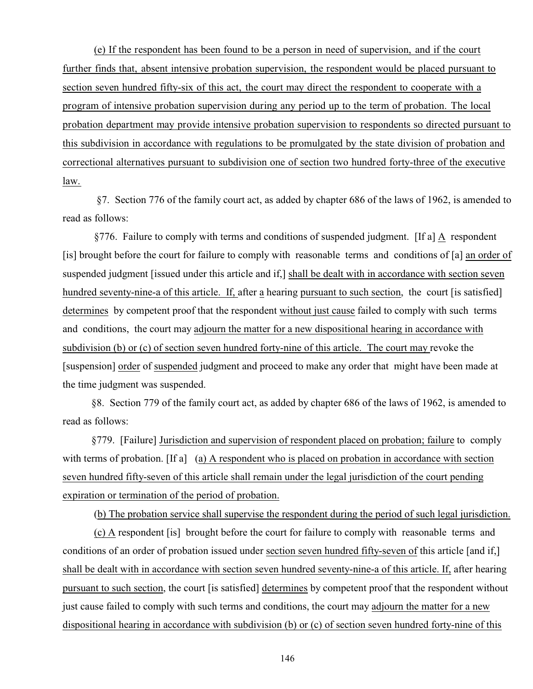(e) If the respondent has been found to be a person in need of supervision, and if the court further finds that, absent intensive probation supervision, the respondent would be placed pursuant to section seven hundred fifty-six of this act, the court may direct the respondent to cooperate with a program of intensive probation supervision during any period up to the term of probation. The local probation department may provide intensive probation supervision to respondents so directed pursuant to this subdivision in accordance with regulations to be promulgated by the state division of probation and correctional alternatives pursuant to subdivision one of section two hundred forty-three of the executive law.

 §7. Section 776 of the family court act, as added by chapter 686 of the laws of 1962, is amended to read as follows:

 §776. Failure to comply with terms and conditions of suspended judgment. [If a] A respondent [is] brought before the court for failure to comply with reasonable terms and conditions of [a] an order of suspended judgment [issued under this article and if,] shall be dealt with in accordance with section seven hundred seventy-nine-a of this article. If, after a hearing pursuant to such section, the court [is satisfied] determines by competent proof that the respondent without just cause failed to comply with such terms and conditions, the court may adjourn the matter for a new dispositional hearing in accordance with subdivision (b) or (c) of section seven hundred forty-nine of this article. The court may revoke the [suspension] order of suspended judgment and proceed to make any order that might have been made at the time judgment was suspended.

 §8. Section 779 of the family court act, as added by chapter 686 of the laws of 1962, is amended to read as follows:

 §779. [Failure] Jurisdiction and supervision of respondent placed on probation; failure to comply with terms of probation. [If a] (a) A respondent who is placed on probation in accordance with section seven hundred fifty-seven of this article shall remain under the legal jurisdiction of the court pending expiration or termination of the period of probation.

(b) The probation service shall supervise the respondent during the period of such legal jurisdiction.

 (c) A respondent [is] brought before the court for failure to comply with reasonable terms and conditions of an order of probation issued under section seven hundred fifty-seven of this article [and if,] shall be dealt with in accordance with section seven hundred seventy-nine-a of this article. If, after hearing pursuant to such section, the court [is satisfied] determines by competent proof that the respondent without just cause failed to comply with such terms and conditions, the court may adjourn the matter for a new dispositional hearing in accordance with subdivision (b) or (c) of section seven hundred forty-nine of this

146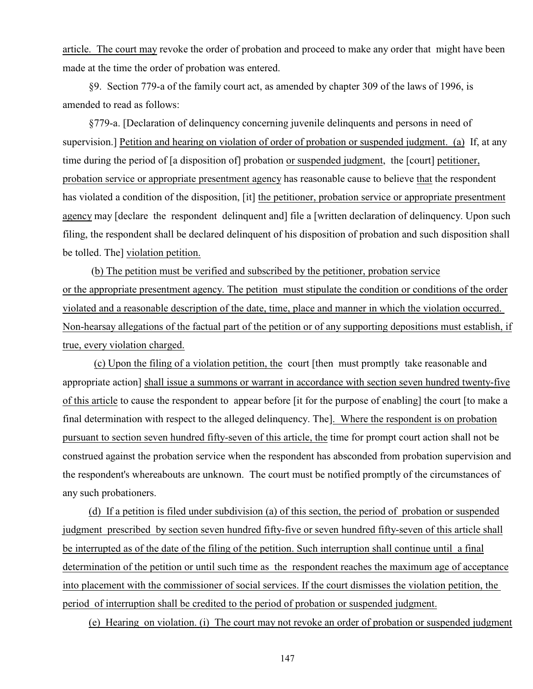article. The court may revoke the order of probation and proceed to make any order that might have been made at the time the order of probation was entered.

 §9. Section 779-a of the family court act, as amended by chapter 309 of the laws of 1996, is amended to read as follows:

 §779-a. [Declaration of delinquency concerning juvenile delinquents and persons in need of supervision.] Petition and hearing on violation of order of probation or suspended judgment. (a) If, at any time during the period of [a disposition of] probation or suspended judgment, the [court] petitioner, probation service or appropriate presentment agency has reasonable cause to believe that the respondent has violated a condition of the disposition, [it] the petitioner, probation service or appropriate presentment agency may [declare the respondent delinquent and] file a [written declaration of delinquency. Upon such filing, the respondent shall be declared delinquent of his disposition of probation and such disposition shall be tolled. The] violation petition.

 (b) The petition must be verified and subscribed by the petitioner, probation service or the appropriate presentment agency. The petition must stipulate the condition or conditions of the order violated and a reasonable description of the date, time, place and manner in which the violation occurred. Non-hearsay allegations of the factual part of the petition or of any supporting depositions must establish, if true, every violation charged.

 (c) Upon the filing of a violation petition, the court [then must promptly take reasonable and appropriate action] shall issue a summons or warrant in accordance with section seven hundred twenty-five of this article to cause the respondent to appear before [it for the purpose of enabling] the court [to make a final determination with respect to the alleged delinquency. The]. Where the respondent is on probation pursuant to section seven hundred fifty-seven of this article, the time for prompt court action shall not be construed against the probation service when the respondent has absconded from probation supervision and the respondent's whereabouts are unknown. The court must be notified promptly of the circumstances of any such probationers.

 (d) If a petition is filed under subdivision (a) of this section, the period of probation or suspended judgment prescribed by section seven hundred fifty-five or seven hundred fifty-seven of this article shall be interrupted as of the date of the filing of the petition. Such interruption shall continue until a final determination of the petition or until such time as the respondent reaches the maximum age of acceptance into placement with the commissioner of social services. If the court dismisses the violation petition, the period of interruption shall be credited to the period of probation or suspended judgment.

(e) Hearing on violation. (i) The court may not revoke an order of probation or suspended judgment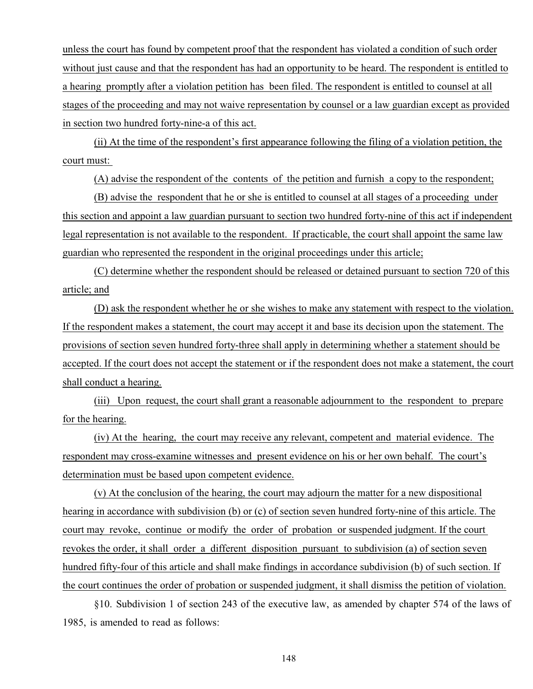unless the court has found by competent proof that the respondent has violated a condition of such order without just cause and that the respondent has had an opportunity to be heard. The respondent is entitled to a hearing promptly after a violation petition has been filed. The respondent is entitled to counsel at all stages of the proceeding and may not waive representation by counsel or a law guardian except as provided in section two hundred forty-nine-a of this act.

(ii) At the time of the respondent's first appearance following the filing of a violation petition, the court must:

(A) advise the respondent of the contents of the petition and furnish a copy to the respondent;

(B) advise the respondent that he or she is entitled to counsel at all stages of a proceeding under this section and appoint a law guardian pursuant to section two hundred forty-nine of this act if independent legal representation is not available to the respondent. If practicable, the court shall appoint the same law guardian who represented the respondent in the original proceedings under this article;

(C) determine whether the respondent should be released or detained pursuant to section 720 of this article; and

(D) ask the respondent whether he or she wishes to make any statement with respect to the violation. If the respondent makes a statement, the court may accept it and base its decision upon the statement. The provisions of section seven hundred forty-three shall apply in determining whether a statement should be accepted. If the court does not accept the statement or if the respondent does not make a statement, the court shall conduct a hearing.

(iii) Upon request, the court shall grant a reasonable adjournment to the respondent to prepare for the hearing.

(iv) At the hearing, the court may receive any relevant, competent and material evidence. The respondent may cross-examine witnesses and present evidence on his or her own behalf. The court's determination must be based upon competent evidence.

(v) At the conclusion of the hearing, the court may adjourn the matter for a new dispositional hearing in accordance with subdivision (b) or (c) of section seven hundred forty-nine of this article. The court may revoke, continue or modify the order of probation or suspended judgment. If the court revokes the order, it shall order a different disposition pursuant to subdivision (a) of section seven hundred fifty-four of this article and shall make findings in accordance subdivision (b) of such section. If the court continues the order of probation or suspended judgment, it shall dismiss the petition of violation.

 §10. Subdivision 1 of section 243 of the executive law, as amended by chapter 574 of the laws of 1985, is amended to read as follows: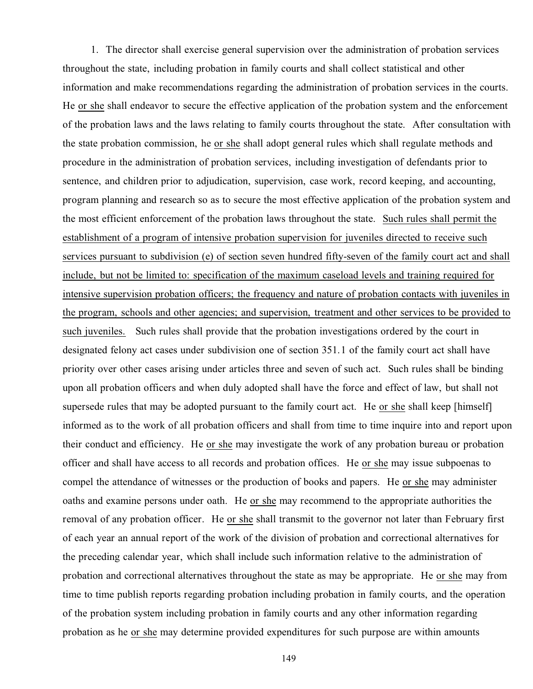1. The director shall exercise general supervision over the administration of probation services throughout the state, including probation in family courts and shall collect statistical and other information and make recommendations regarding the administration of probation services in the courts. He or she shall endeavor to secure the effective application of the probation system and the enforcement of the probation laws and the laws relating to family courts throughout the state. After consultation with the state probation commission, he or she shall adopt general rules which shall regulate methods and procedure in the administration of probation services, including investigation of defendants prior to sentence, and children prior to adjudication, supervision, case work, record keeping, and accounting, program planning and research so as to secure the most effective application of the probation system and the most efficient enforcement of the probation laws throughout the state. Such rules shall permit the establishment of a program of intensive probation supervision for juveniles directed to receive such services pursuant to subdivision (e) of section seven hundred fifty-seven of the family court act and shall include, but not be limited to: specification of the maximum caseload levels and training required for intensive supervision probation officers; the frequency and nature of probation contacts with juveniles in the program, schools and other agencies; and supervision, treatment and other services to be provided to such juveniles. Such rules shall provide that the probation investigations ordered by the court in designated felony act cases under subdivision one of section 351.1 of the family court act shall have priority over other cases arising under articles three and seven of such act. Such rules shall be binding upon all probation officers and when duly adopted shall have the force and effect of law, but shall not supersede rules that may be adopted pursuant to the family court act. He or she shall keep [himself] informed as to the work of all probation officers and shall from time to time inquire into and report upon their conduct and efficiency. He or she may investigate the work of any probation bureau or probation officer and shall have access to all records and probation offices. He or she may issue subpoenas to compel the attendance of witnesses or the production of books and papers. He or she may administer oaths and examine persons under oath. He or she may recommend to the appropriate authorities the removal of any probation officer. He or she shall transmit to the governor not later than February first of each year an annual report of the work of the division of probation and correctional alternatives for the preceding calendar year, which shall include such information relative to the administration of probation and correctional alternatives throughout the state as may be appropriate. He or she may from time to time publish reports regarding probation including probation in family courts, and the operation of the probation system including probation in family courts and any other information regarding probation as he or she may determine provided expenditures for such purpose are within amounts

149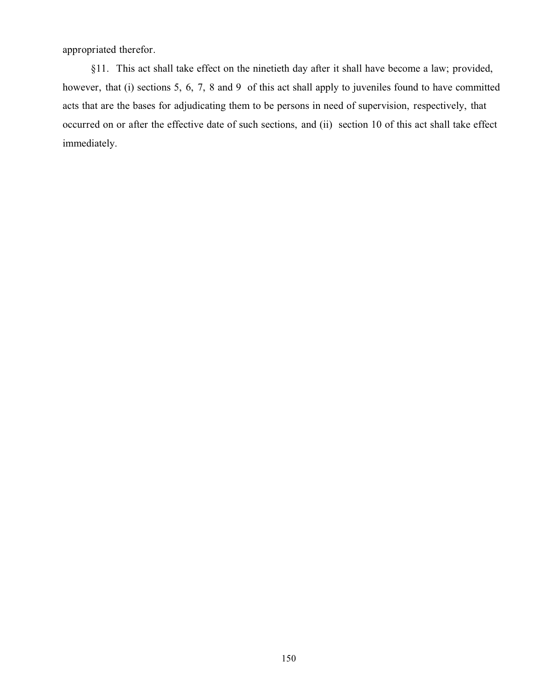appropriated therefor.

 §11. This act shall take effect on the ninetieth day after it shall have become a law; provided, however, that (i) sections 5, 6, 7, 8 and 9 of this act shall apply to juveniles found to have committed acts that are the bases for adjudicating them to be persons in need of supervision, respectively, that occurred on or after the effective date of such sections, and (ii) section 10 of this act shall take effect immediately.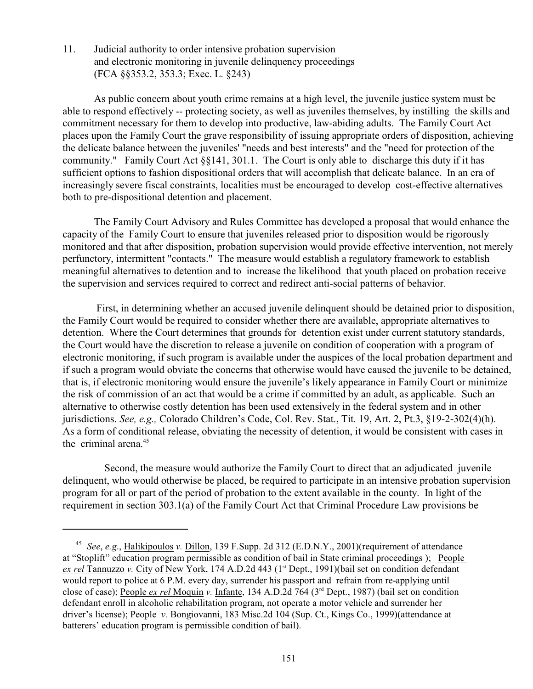11. Judicial authority to order intensive probation supervision and electronic monitoring in juvenile delinquency proceedings (FCA §§353.2, 353.3; Exec. L. §243)

 As public concern about youth crime remains at a high level, the juvenile justice system must be able to respond effectively -- protecting society, as well as juveniles themselves, by instilling the skills and commitment necessary for them to develop into productive, law-abiding adults. The Family Court Act places upon the Family Court the grave responsibility of issuing appropriate orders of disposition, achieving the delicate balance between the juveniles' "needs and best interests" and the "need for protection of the community." Family Court Act §§141, 301.1. The Court is only able to discharge this duty if it has sufficient options to fashion dispositional orders that will accomplish that delicate balance. In an era of increasingly severe fiscal constraints, localities must be encouraged to develop cost-effective alternatives both to pre-dispositional detention and placement.

 The Family Court Advisory and Rules Committee has developed a proposal that would enhance the capacity of the Family Court to ensure that juveniles released prior to disposition would be rigorously monitored and that after disposition, probation supervision would provide effective intervention, not merely perfunctory, intermittent "contacts." The measure would establish a regulatory framework to establish meaningful alternatives to detention and to increase the likelihood that youth placed on probation receive the supervision and services required to correct and redirect anti-social patterns of behavior.

 First, in determining whether an accused juvenile delinquent should be detained prior to disposition, the Family Court would be required to consider whether there are available, appropriate alternatives to detention. Where the Court determines that grounds for detention exist under current statutory standards, the Court would have the discretion to release a juvenile on condition of cooperation with a program of electronic monitoring, if such program is available under the auspices of the local probation department and if such a program would obviate the concerns that otherwise would have caused the juvenile to be detained, that is, if electronic monitoring would ensure the juvenile's likely appearance in Family Court or minimize the risk of commission of an act that would be a crime if committed by an adult, as applicable. Such an alternative to otherwise costly detention has been used extensively in the federal system and in other jurisdictions. *See, e.g.,* Colorado Children's Code, Col. Rev. Stat., Tit. 19, Art. 2, Pt.3, §19-2-302(4)(h). As a form of conditional release, obviating the necessity of detention, it would be consistent with cases in the criminal arena. 45

 Second, the measure would authorize the Family Court to direct that an adjudicated juvenile delinquent, who would otherwise be placed, be required to participate in an intensive probation supervision program for all or part of the period of probation to the extent available in the county. In light of the requirement in section 303.1(a) of the Family Court Act that Criminal Procedure Law provisions be

<sup>&</sup>lt;sup>45</sup> See, e.g., Halikipoulos *v*. Dillon, 139 F.Supp. 2d 312 (E.D.N.Y., 2001)(requirement of attendance at "Stoplift" education program permissible as condition of bail in State criminal proceedings ); People *ex rel* Tannuzzo *v*. City of New York, 174 A.D.2d 443 (1<sup>st</sup> Dept., 1991)(bail set on condition defendant would report to police at 6 P.M. every day, surrender his passport and refrain from re-applying until close of case); People *ex rel* Moquin *v*. Infante, 134 A.D.2d 764 (3<sup>rd</sup> Dept., 1987) (bail set on condition defendant enroll in alcoholic rehabilitation program, not operate a motor vehicle and surrender her driver's license); People *v.* Bongiovanni, 183 Misc.2d 104 (Sup. Ct., Kings Co., 1999)(attendance at batterers' education program is permissible condition of bail).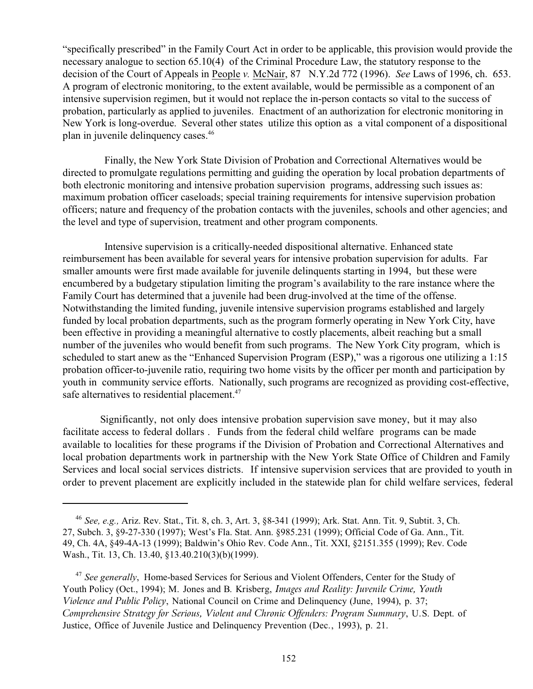"specifically prescribed" in the Family Court Act in order to be applicable, this provision would provide the necessary analogue to section 65.10(4) of the Criminal Procedure Law, the statutory response to the decision of the Court of Appeals in People *v.* McNair, 87 N.Y.2d 772 (1996). *See* Laws of 1996, ch. 653. A program of electronic monitoring, to the extent available, would be permissible as a component of an intensive supervision regimen, but it would not replace the in-person contacts so vital to the success of probation, particularly as applied to juveniles. Enactment of an authorization for electronic monitoring in New York is long-overdue. Several other states utilize this option as a vital component of a dispositional plan in juvenile delinquency cases.<sup>46</sup>

 Finally, the New York State Division of Probation and Correctional Alternatives would be directed to promulgate regulations permitting and guiding the operation by local probation departments of both electronic monitoring and intensive probation supervision programs, addressing such issues as: maximum probation officer caseloads; special training requirements for intensive supervision probation officers; nature and frequency of the probation contacts with the juveniles, schools and other agencies; and the level and type of supervision, treatment and other program components.

 Intensive supervision is a critically-needed dispositional alternative. Enhanced state reimbursement has been available for several years for intensive probation supervision for adults. Far smaller amounts were first made available for juvenile delinquents starting in 1994, but these were encumbered by a budgetary stipulation limiting the program's availability to the rare instance where the Family Court has determined that a juvenile had been drug-involved at the time of the offense. Notwithstanding the limited funding, juvenile intensive supervision programs established and largely funded by local probation departments, such as the program formerly operating in New York City, have been effective in providing a meaningful alternative to costly placements, albeit reaching but a small number of the juveniles who would benefit from such programs. The New York City program, which is scheduled to start anew as the "Enhanced Supervision Program (ESP)," was a rigorous one utilizing a 1:15 probation officer-to-juvenile ratio, requiring two home visits by the officer per month and participation by youth in community service efforts. Nationally, such programs are recognized as providing cost-effective, safe alternatives to residential placement.<sup>47</sup>

 Significantly, not only does intensive probation supervision save money, but it may also facilitate access to federal dollars . Funds from the federal child welfare programs can be made available to localities for these programs if the Division of Probation and Correctional Alternatives and local probation departments work in partnership with the New York State Office of Children and Family Services and local social services districts. If intensive supervision services that are provided to youth in order to prevent placement are explicitly included in the statewide plan for child welfare services, federal

*See, e.g.,* Ariz. Rev. Stat., Tit. 8, ch. 3, Art. 3, §8-341 (1999); Ark. Stat. Ann. Tit. 9, Subtit. 3, Ch. <sup>46</sup> 27, Subch. 3, §9-27-330 (1997); West's Fla. Stat. Ann. §985.231 (1999); Official Code of Ga. Ann., Tit. 49, Ch. 4A, §49-4A-13 (1999); Baldwin's Ohio Rev. Code Ann., Tit. XXI, §2151.355 (1999); Rev. Code Wash., Tit. 13, Ch. 13.40, §13.40.210(3)(b)(1999).

<sup>&</sup>lt;sup>47</sup> See generally, Home-based Services for Serious and Violent Offenders, Center for the Study of Youth Policy (Oct., 1994); M. Jones and B. Krisberg, *Images and Reality: Juvenile Crime, Youth Violence and Public Policy*, National Council on Crime and Delinquency (June, 1994), p. 37; *Comprehensive Strategy for Serious, Violent and Chronic Offenders: Program Summary*, U.S. Dept. of Justice, Office of Juvenile Justice and Delinquency Prevention (Dec., 1993), p. 21.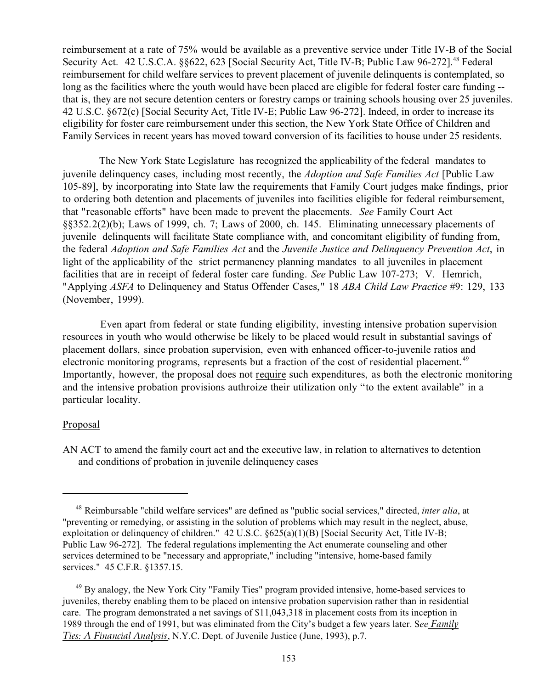reimbursement at a rate of 75% would be available as a preventive service under Title IV-B of the Social Security Act. 42 U.S.C.A. §§622, 623 [Social Security Act, Title IV-B; Public Law 96-272].<sup>48</sup> Federal reimbursement for child welfare services to prevent placement of juvenile delinquents is contemplated, so long as the facilities where the youth would have been placed are eligible for federal foster care funding - that is, they are not secure detention centers or forestry camps or training schools housing over 25 juveniles. 42 U.S.C. §672(c) [Social Security Act, Title IV-E; Public Law 96-272]. Indeed, in order to increase its eligibility for foster care reimbursement under this section, the New York State Office of Children and Family Services in recent years has moved toward conversion of its facilities to house under 25 residents.

 The New York State Legislature has recognized the applicability of the federal mandates to juvenile delinquency cases, including most recently, the *Adoption and Safe Families Act* [Public Law 105-89], by incorporating into State law the requirements that Family Court judges make findings, prior to ordering both detention and placements of juveniles into facilities eligible for federal reimbursement, that "reasonable efforts" have been made to prevent the placements. *See* Family Court Act §§352.2(2)(b); Laws of 1999, ch. 7; Laws of 2000, ch. 145. Eliminating unnecessary placements of juvenile delinquents will facilitate State compliance with, and concomitant eligibility of funding from, the federal *Adoption and Safe Families Act* and the *Juvenile Justice and Delinquency Prevention Act*, in light of the applicability of the strict permanency planning mandates to all juveniles in placement facilities that are in receipt of federal foster care funding. *See* Public Law 107-273; V. Hemrich, "Applying *ASFA* to Delinquency and Status Offender Cases," 18 *ABA Child Law Practice* #9: 129, 133 (November, 1999).

 Even apart from federal or state funding eligibility, investing intensive probation supervision resources in youth who would otherwise be likely to be placed would result in substantial savings of placement dollars, since probation supervision, even with enhanced officer-to-juvenile ratios and electronic monitoring programs, represents but a fraction of the cost of residential placement.<sup>49</sup> Importantly, however, the proposal does not require such expenditures, as both the electronic monitoring and the intensive probation provisions authroize their utilization only "to the extent available" in a particular locality.

## Proposal

AN ACT to amend the family court act and the executive law, in relation to alternatives to detention and conditions of probation in juvenile delinquency cases

<sup>&</sup>lt;sup>48</sup> Reimbursable "child welfare services" are defined as "public social services," directed, *inter alia*, at "preventing or remedying, or assisting in the solution of problems which may result in the neglect, abuse, exploitation or delinquency of children." 42 U.S.C. §625(a)(1)(B) [Social Security Act, Title IV-B; Public Law 96-272]. The federal regulations implementing the Act enumerate counseling and other services determined to be "necessary and appropriate," including "intensive, home-based family services." 45 C.F.R. §1357.15.

 $^{49}$  By analogy, the New York City "Family Ties" program provided intensive, home-based services to juveniles, thereby enabling them to be placed on intensive probation supervision rather than in residential care. The program demonstrated a net savings of \$11,043,318 in placement costs from its inception in 1989 through the end of 1991, but was eliminated from the City's budget a few years later. S*ee Family Ties: A Financial Analysis*, N.Y.C. Dept. of Juvenile Justice (June, 1993), p.7.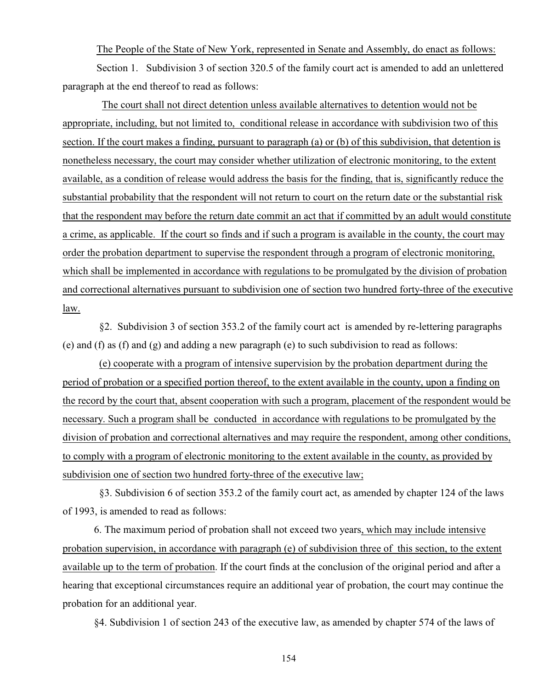The People of the State of New York, represented in Senate and Assembly, do enact as follows:

 Section 1. Subdivision 3 of section 320.5 of the family court act is amended to add an unlettered paragraph at the end thereof to read as follows:

 The court shall not direct detention unless available alternatives to detention would not be appropriate, including, but not limited to, conditional release in accordance with subdivision two of this section. If the court makes a finding, pursuant to paragraph (a) or (b) of this subdivision, that detention is nonetheless necessary, the court may consider whether utilization of electronic monitoring, to the extent available, as a condition of release would address the basis for the finding, that is, significantly reduce the substantial probability that the respondent will not return to court on the return date or the substantial risk that the respondent may before the return date commit an act that if committed by an adult would constitute a crime, as applicable. If the court so finds and if such a program is available in the county, the court may order the probation department to supervise the respondent through a program of electronic monitoring, which shall be implemented in accordance with regulations to be promulgated by the division of probation and correctional alternatives pursuant to subdivision one of section two hundred forty-three of the executive law.

 §2. Subdivision 3 of section 353.2 of the family court act is amended by re-lettering paragraphs (e) and (f) as (f) and (g) and adding a new paragraph (e) to such subdivision to read as follows:

 (e) cooperate with a program of intensive supervision by the probation department during the period of probation or a specified portion thereof, to the extent available in the county, upon a finding on the record by the court that, absent cooperation with such a program, placement of the respondent would be necessary. Such a program shall be conducted in accordance with regulations to be promulgated by the division of probation and correctional alternatives and may require the respondent, among other conditions, to comply with a program of electronic monitoring to the extent available in the county, as provided by subdivision one of section two hundred forty-three of the executive law;

 §3. Subdivision 6 of section 353.2 of the family court act, as amended by chapter 124 of the laws of 1993, is amended to read as follows:

 6. The maximum period of probation shall not exceed two years, which may include intensive probation supervision, in accordance with paragraph (e) of subdivision three of this section, to the extent available up to the term of probation. If the court finds at the conclusion of the original period and after a hearing that exceptional circumstances require an additional year of probation, the court may continue the probation for an additional year.

§4. Subdivision 1 of section 243 of the executive law, as amended by chapter 574 of the laws of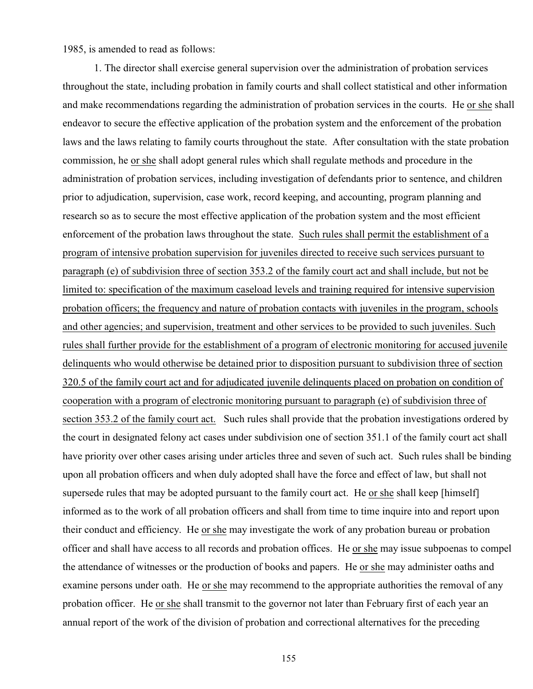1985, is amended to read as follows:

 1. The director shall exercise general supervision over the administration of probation services throughout the state, including probation in family courts and shall collect statistical and other information and make recommendations regarding the administration of probation services in the courts. He or she shall endeavor to secure the effective application of the probation system and the enforcement of the probation laws and the laws relating to family courts throughout the state. After consultation with the state probation commission, he or she shall adopt general rules which shall regulate methods and procedure in the administration of probation services, including investigation of defendants prior to sentence, and children prior to adjudication, supervision, case work, record keeping, and accounting, program planning and research so as to secure the most effective application of the probation system and the most efficient enforcement of the probation laws throughout the state. Such rules shall permit the establishment of a program of intensive probation supervision for juveniles directed to receive such services pursuant to paragraph (e) of subdivision three of section 353.2 of the family court act and shall include, but not be limited to: specification of the maximum caseload levels and training required for intensive supervision probation officers; the frequency and nature of probation contacts with juveniles in the program, schools and other agencies; and supervision, treatment and other services to be provided to such juveniles. Such rules shall further provide for the establishment of a program of electronic monitoring for accused juvenile delinquents who would otherwise be detained prior to disposition pursuant to subdivision three of section 320.5 of the family court act and for adjudicated juvenile delinquents placed on probation on condition of cooperation with a program of electronic monitoring pursuant to paragraph (e) of subdivision three of section 353.2 of the family court act. Such rules shall provide that the probation investigations ordered by the court in designated felony act cases under subdivision one of section 351.1 of the family court act shall have priority over other cases arising under articles three and seven of such act. Such rules shall be binding upon all probation officers and when duly adopted shall have the force and effect of law, but shall not supersede rules that may be adopted pursuant to the family court act. He or she shall keep [himself] informed as to the work of all probation officers and shall from time to time inquire into and report upon their conduct and efficiency. He or she may investigate the work of any probation bureau or probation officer and shall have access to all records and probation offices. He or she may issue subpoenas to compel the attendance of witnesses or the production of books and papers. He or she may administer oaths and examine persons under oath. He or she may recommend to the appropriate authorities the removal of any probation officer. He or she shall transmit to the governor not later than February first of each year an annual report of the work of the division of probation and correctional alternatives for the preceding

155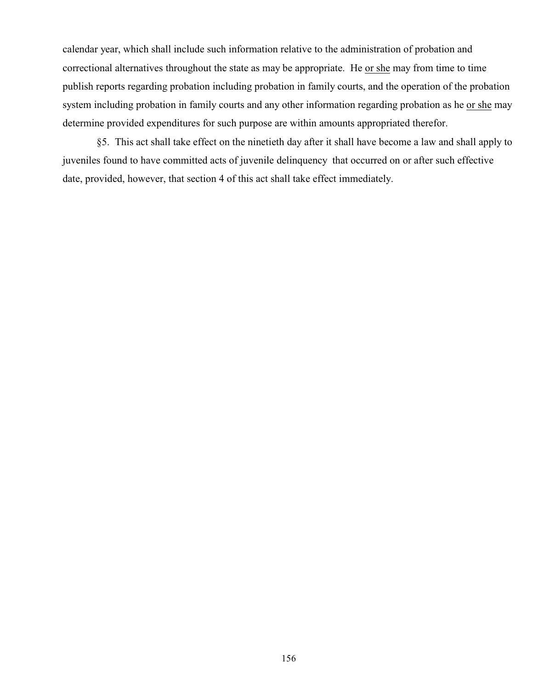calendar year, which shall include such information relative to the administration of probation and correctional alternatives throughout the state as may be appropriate. He or she may from time to time publish reports regarding probation including probation in family courts, and the operation of the probation system including probation in family courts and any other information regarding probation as he or she may determine provided expenditures for such purpose are within amounts appropriated therefor.

 §5. This act shall take effect on the ninetieth day after it shall have become a law and shall apply to juveniles found to have committed acts of juvenile delinquency that occurred on or after such effective date, provided, however, that section 4 of this act shall take effect immediately.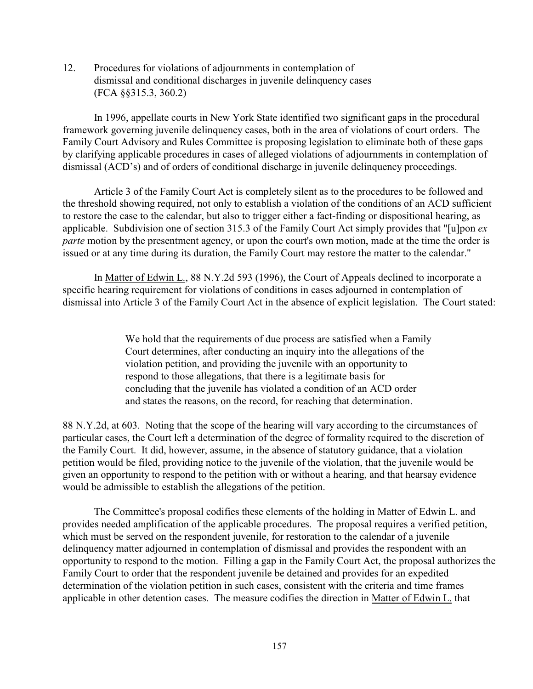12. Procedures for violations of adjournments in contemplation of dismissal and conditional discharges in juvenile delinquency cases (FCA §§315.3, 360.2)

In 1996, appellate courts in New York State identified two significant gaps in the procedural framework governing juvenile delinquency cases, both in the area of violations of court orders. The Family Court Advisory and Rules Committee is proposing legislation to eliminate both of these gaps by clarifying applicable procedures in cases of alleged violations of adjournments in contemplation of dismissal (ACD's) and of orders of conditional discharge in juvenile delinquency proceedings.

Article 3 of the Family Court Act is completely silent as to the procedures to be followed and the threshold showing required, not only to establish a violation of the conditions of an ACD sufficient to restore the case to the calendar, but also to trigger either a fact-finding or dispositional hearing, as applicable. Subdivision one of section 315.3 of the Family Court Act simply provides that "[u]pon *ex parte* motion by the presentment agency, or upon the court's own motion, made at the time the order is issued or at any time during its duration, the Family Court may restore the matter to the calendar."

In Matter of Edwin L., 88 N.Y.2d 593 (1996), the Court of Appeals declined to incorporate a specific hearing requirement for violations of conditions in cases adjourned in contemplation of dismissal into Article 3 of the Family Court Act in the absence of explicit legislation. The Court stated:

> We hold that the requirements of due process are satisfied when a Family Court determines, after conducting an inquiry into the allegations of the violation petition, and providing the juvenile with an opportunity to respond to those allegations, that there is a legitimate basis for concluding that the juvenile has violated a condition of an ACD order and states the reasons, on the record, for reaching that determination.

88 N.Y.2d, at 603. Noting that the scope of the hearing will vary according to the circumstances of particular cases, the Court left a determination of the degree of formality required to the discretion of the Family Court. It did, however, assume, in the absence of statutory guidance, that a violation petition would be filed, providing notice to the juvenile of the violation, that the juvenile would be given an opportunity to respond to the petition with or without a hearing, and that hearsay evidence would be admissible to establish the allegations of the petition.

The Committee's proposal codifies these elements of the holding in Matter of Edwin L. and provides needed amplification of the applicable procedures. The proposal requires a verified petition, which must be served on the respondent juvenile, for restoration to the calendar of a juvenile delinquency matter adjourned in contemplation of dismissal and provides the respondent with an opportunity to respond to the motion. Filling a gap in the Family Court Act, the proposal authorizes the Family Court to order that the respondent juvenile be detained and provides for an expedited determination of the violation petition in such cases, consistent with the criteria and time frames applicable in other detention cases. The measure codifies the direction in Matter of Edwin L. that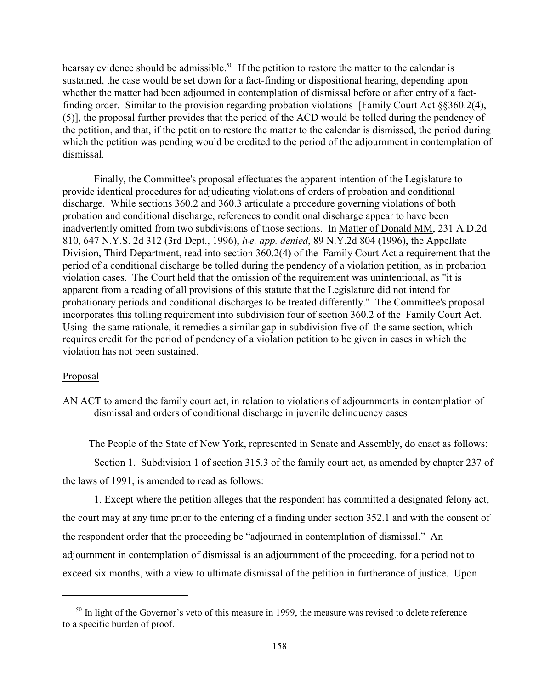hearsay evidence should be admissible.<sup>50</sup> If the petition to restore the matter to the calendar is sustained, the case would be set down for a fact-finding or dispositional hearing, depending upon whether the matter had been adjourned in contemplation of dismissal before or after entry of a factfinding order. Similar to the provision regarding probation violations [Family Court Act §§360.2(4), (5)], the proposal further provides that the period of the ACD would be tolled during the pendency of the petition, and that, if the petition to restore the matter to the calendar is dismissed, the period during which the petition was pending would be credited to the period of the adjournment in contemplation of dismissal.

Finally, the Committee's proposal effectuates the apparent intention of the Legislature to provide identical procedures for adjudicating violations of orders of probation and conditional discharge. While sections 360.2 and 360.3 articulate a procedure governing violations of both probation and conditional discharge, references to conditional discharge appear to have been inadvertently omitted from two subdivisions of those sections. In Matter of Donald MM, 231 A.D.2d 810, 647 N.Y.S. 2d 312 (3rd Dept., 1996), *lve. app. denied*, 89 N.Y.2d 804 (1996), the Appellate Division, Third Department, read into section 360.2(4) of the Family Court Act a requirement that the period of a conditional discharge be tolled during the pendency of a violation petition, as in probation violation cases. The Court held that the omission of the requirement was unintentional, as "it is apparent from a reading of all provisions of this statute that the Legislature did not intend for probationary periods and conditional discharges to be treated differently." The Committee's proposal incorporates this tolling requirement into subdivision four of section 360.2 of the Family Court Act. Using the same rationale, it remedies a similar gap in subdivision five of the same section, which requires credit for the period of pendency of a violation petition to be given in cases in which the violation has not been sustained.

## Proposal

AN ACT to amend the family court act, in relation to violations of adjournments in contemplation of dismissal and orders of conditional discharge in juvenile delinquency cases

#### The People of the State of New York, represented in Senate and Assembly, do enact as follows:

Section 1. Subdivision 1 of section 315.3 of the family court act, as amended by chapter 237 of the laws of 1991, is amended to read as follows:

1. Except where the petition alleges that the respondent has committed a designated felony act, the court may at any time prior to the entering of a finding under section 352.1 and with the consent of the respondent order that the proceeding be "adjourned in contemplation of dismissal." An adjournment in contemplation of dismissal is an adjournment of the proceeding, for a period not to exceed six months, with a view to ultimate dismissal of the petition in furtherance of justice. Upon

 $<sup>50</sup>$  In light of the Governor's veto of this measure in 1999, the measure was revised to delete reference</sup> to a specific burden of proof.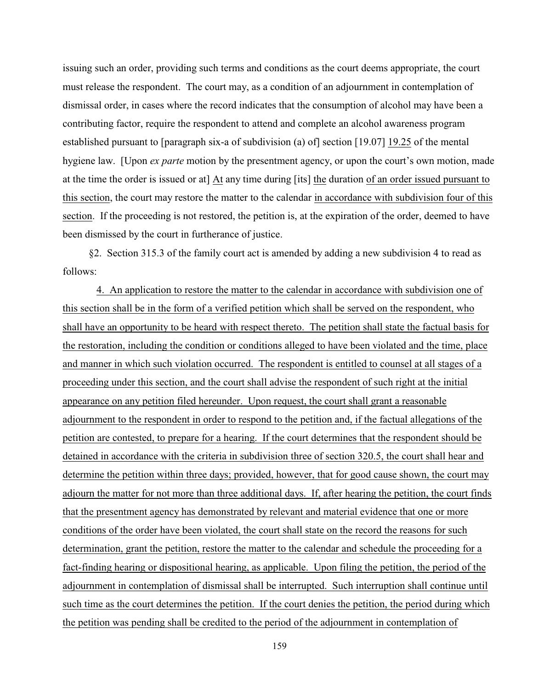issuing such an order, providing such terms and conditions as the court deems appropriate, the court must release the respondent. The court may, as a condition of an adjournment in contemplation of dismissal order, in cases where the record indicates that the consumption of alcohol may have been a contributing factor, require the respondent to attend and complete an alcohol awareness program established pursuant to [paragraph six-a of subdivision (a) of] section [19.07] 19.25 of the mental hygiene law. [Upon *ex parte* motion by the presentment agency, or upon the court's own motion, made at the time the order is issued or at] At any time during [its] the duration of an order issued pursuant to this section, the court may restore the matter to the calendar in accordance with subdivision four of this section. If the proceeding is not restored, the petition is, at the expiration of the order, deemed to have been dismissed by the court in furtherance of justice.

 §2. Section 315.3 of the family court act is amended by adding a new subdivision 4 to read as follows:

 4. An application to restore the matter to the calendar in accordance with subdivision one of this section shall be in the form of a verified petition which shall be served on the respondent, who shall have an opportunity to be heard with respect thereto. The petition shall state the factual basis for the restoration, including the condition or conditions alleged to have been violated and the time, place and manner in which such violation occurred. The respondent is entitled to counsel at all stages of a proceeding under this section, and the court shall advise the respondent of such right at the initial appearance on any petition filed hereunder. Upon request, the court shall grant a reasonable adjournment to the respondent in order to respond to the petition and, if the factual allegations of the petition are contested, to prepare for a hearing. If the court determines that the respondent should be detained in accordance with the criteria in subdivision three of section 320.5, the court shall hear and determine the petition within three days; provided, however, that for good cause shown, the court may adjourn the matter for not more than three additional days. If, after hearing the petition, the court finds that the presentment agency has demonstrated by relevant and material evidence that one or more conditions of the order have been violated, the court shall state on the record the reasons for such determination, grant the petition, restore the matter to the calendar and schedule the proceeding for a fact-finding hearing or dispositional hearing, as applicable. Upon filing the petition, the period of the adjournment in contemplation of dismissal shall be interrupted. Such interruption shall continue until such time as the court determines the petition. If the court denies the petition, the period during which the petition was pending shall be credited to the period of the adjournment in contemplation of

159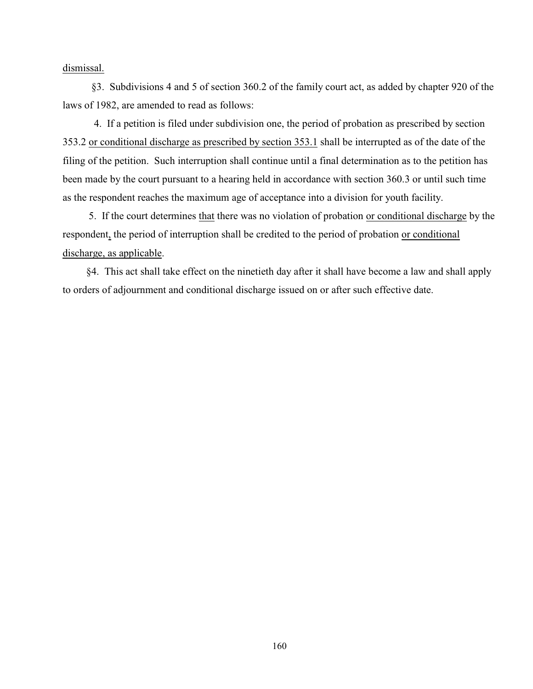dismissal.

 §3. Subdivisions 4 and 5 of section 360.2 of the family court act, as added by chapter 920 of the laws of 1982, are amended to read as follows:

 4. If a petition is filed under subdivision one, the period of probation as prescribed by section 353.2 or conditional discharge as prescribed by section 353.1 shall be interrupted as of the date of the filing of the petition. Such interruption shall continue until a final determination as to the petition has been made by the court pursuant to a hearing held in accordance with section 360.3 or until such time as the respondent reaches the maximum age of acceptance into a division for youth facility.

 5. If the court determines that there was no violation of probation or conditional discharge by the respondent, the period of interruption shall be credited to the period of probation or conditional discharge, as applicable.

 §4. This act shall take effect on the ninetieth day after it shall have become a law and shall apply to orders of adjournment and conditional discharge issued on or after such effective date.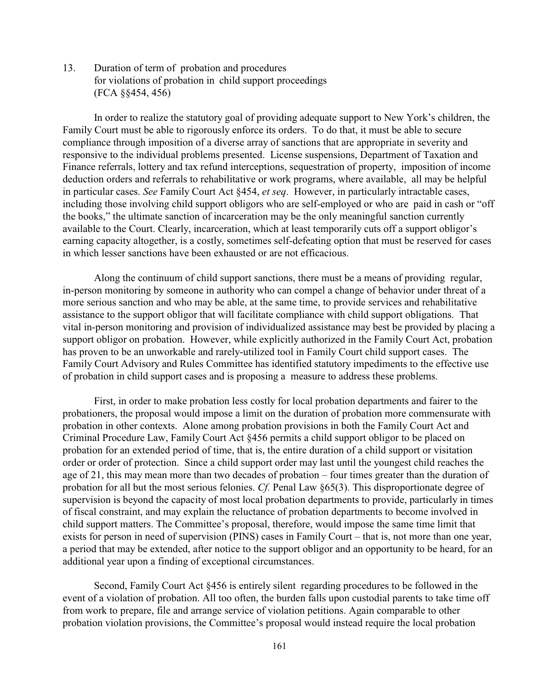13. Duration of term of probation and procedures for violations of probation in child support proceedings (FCA §§454, 456)

In order to realize the statutory goal of providing adequate support to New York's children, the Family Court must be able to rigorously enforce its orders. To do that, it must be able to secure compliance through imposition of a diverse array of sanctions that are appropriate in severity and responsive to the individual problems presented. License suspensions, Department of Taxation and Finance referrals, lottery and tax refund interceptions, sequestration of property, imposition of income deduction orders and referrals to rehabilitative or work programs, where available, all may be helpful in particular cases. *See* Family Court Act §454, *et seq*. However, in particularly intractable cases, including those involving child support obligors who are self-employed or who are paid in cash or "off the books," the ultimate sanction of incarceration may be the only meaningful sanction currently available to the Court. Clearly, incarceration, which at least temporarily cuts off a support obligor's earning capacity altogether, is a costly, sometimes self-defeating option that must be reserved for cases in which lesser sanctions have been exhausted or are not efficacious.

Along the continuum of child support sanctions, there must be a means of providing regular, in-person monitoring by someone in authority who can compel a change of behavior under threat of a more serious sanction and who may be able, at the same time, to provide services and rehabilitative assistance to the support obligor that will facilitate compliance with child support obligations. That vital in-person monitoring and provision of individualized assistance may best be provided by placing a support obligor on probation. However, while explicitly authorized in the Family Court Act, probation has proven to be an unworkable and rarely-utilized tool in Family Court child support cases. The Family Court Advisory and Rules Committee has identified statutory impediments to the effective use of probation in child support cases and is proposing a measure to address these problems.

First, in order to make probation less costly for local probation departments and fairer to the probationers, the proposal would impose a limit on the duration of probation more commensurate with probation in other contexts. Alone among probation provisions in both the Family Court Act and Criminal Procedure Law, Family Court Act §456 permits a child support obligor to be placed on probation for an extended period of time, that is, the entire duration of a child support or visitation order or order of protection. Since a child support order may last until the youngest child reaches the age of 21, this may mean more than two decades of probation – four times greater than the duration of probation for all but the most serious felonies. *Cf.* Penal Law §65(3). This disproportionate degree of supervision is beyond the capacity of most local probation departments to provide, particularly in times of fiscal constraint, and may explain the reluctance of probation departments to become involved in child support matters. The Committee's proposal, therefore, would impose the same time limit that exists for person in need of supervision (PINS) cases in Family Court – that is, not more than one year, a period that may be extended, after notice to the support obligor and an opportunity to be heard, for an additional year upon a finding of exceptional circumstances.

Second, Family Court Act §456 is entirely silent regarding procedures to be followed in the event of a violation of probation. All too often, the burden falls upon custodial parents to take time off from work to prepare, file and arrange service of violation petitions. Again comparable to other probation violation provisions, the Committee's proposal would instead require the local probation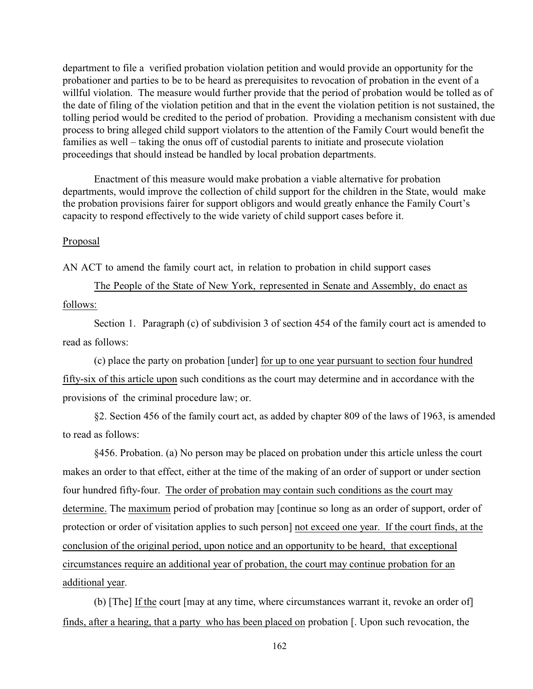department to file a verified probation violation petition and would provide an opportunity for the probationer and parties to be to be heard as prerequisites to revocation of probation in the event of a willful violation. The measure would further provide that the period of probation would be tolled as of the date of filing of the violation petition and that in the event the violation petition is not sustained, the tolling period would be credited to the period of probation. Providing a mechanism consistent with due process to bring alleged child support violators to the attention of the Family Court would benefit the families as well – taking the onus off of custodial parents to initiate and prosecute violation proceedings that should instead be handled by local probation departments.

Enactment of this measure would make probation a viable alternative for probation departments, would improve the collection of child support for the children in the State, would make the probation provisions fairer for support obligors and would greatly enhance the Family Court's capacity to respond effectively to the wide variety of child support cases before it.

#### Proposal

AN ACT to amend the family court act, in relation to probation in child support cases

The People of the State of New York, represented in Senate and Assembly, do enact as follows:

Section 1. Paragraph (c) of subdivision 3 of section 454 of the family court act is amended to read as follows:

(c) place the party on probation [under] for up to one year pursuant to section four hundred fifty-six of this article upon such conditions as the court may determine and in accordance with the provisions of the criminal procedure law; or.

§2. Section 456 of the family court act, as added by chapter 809 of the laws of 1963, is amended to read as follows:

§456. Probation. (a) No person may be placed on probation under this article unless the court makes an order to that effect, either at the time of the making of an order of support or under section four hundred fifty-four. The order of probation may contain such conditions as the court may determine. The maximum period of probation may [continue so long as an order of support, order of protection or order of visitation applies to such person] not exceed one year. If the court finds, at the conclusion of the original period, upon notice and an opportunity to be heard, that exceptional circumstances require an additional year of probation, the court may continue probation for an additional year.

(b) [The] If the court [may at any time, where circumstances warrant it, revoke an order of] finds, after a hearing, that a party who has been placed on probation [. Upon such revocation, the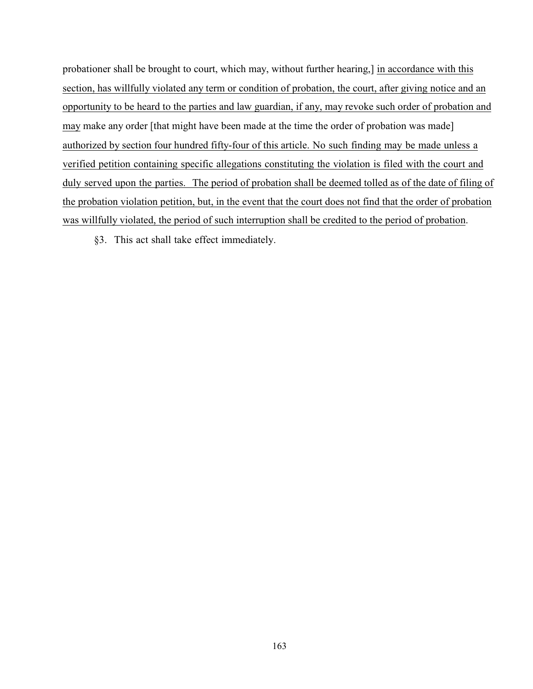probationer shall be brought to court, which may, without further hearing,] in accordance with this section, has willfully violated any term or condition of probation, the court, after giving notice and an opportunity to be heard to the parties and law guardian, if any, may revoke such order of probation and may make any order [that might have been made at the time the order of probation was made] authorized by section four hundred fifty-four of this article. No such finding may be made unless a verified petition containing specific allegations constituting the violation is filed with the court and duly served upon the parties. The period of probation shall be deemed tolled as of the date of filing of the probation violation petition, but, in the event that the court does not find that the order of probation was willfully violated, the period of such interruption shall be credited to the period of probation.

§3. This act shall take effect immediately.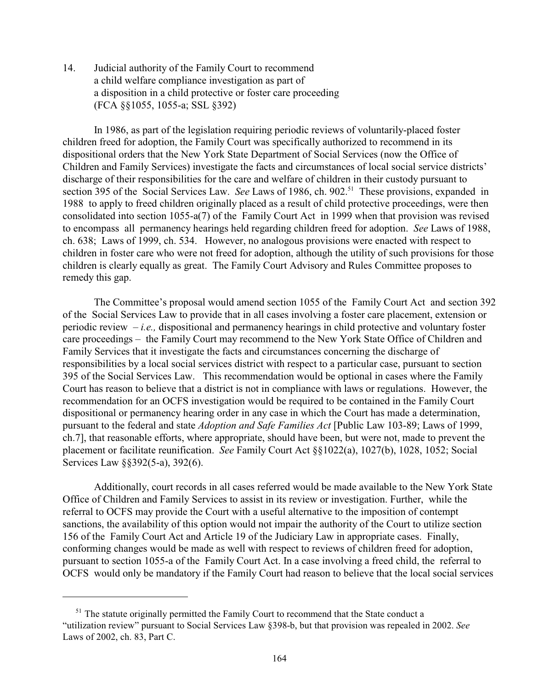14. Judicial authority of the Family Court to recommend a child welfare compliance investigation as part of a disposition in a child protective or foster care proceeding (FCA §§1055, 1055-a; SSL §392)

In 1986, as part of the legislation requiring periodic reviews of voluntarily-placed foster children freed for adoption, the Family Court was specifically authorized to recommend in its dispositional orders that the New York State Department of Social Services (now the Office of Children and Family Services) investigate the facts and circumstances of local social service districts' discharge of their responsibilities for the care and welfare of children in their custody pursuant to section 395 of the Social Services Law. *See* Laws of 1986, ch. 902.<sup>51</sup> These provisions, expanded in 1988 to apply to freed children originally placed as a result of child protective proceedings, were then consolidated into section 1055-a(7) of the Family Court Act in 1999 when that provision was revised to encompass all permanency hearings held regarding children freed for adoption. *See* Laws of 1988, ch. 638; Laws of 1999, ch. 534. However, no analogous provisions were enacted with respect to children in foster care who were not freed for adoption, although the utility of such provisions for those children is clearly equally as great. The Family Court Advisory and Rules Committee proposes to remedy this gap.

The Committee's proposal would amend section 1055 of the Family Court Act and section 392 of the Social Services Law to provide that in all cases involving a foster care placement, extension or periodic review – *i.e.,* dispositional and permanency hearings in child protective and voluntary foster care proceedings – the Family Court may recommend to the New York State Office of Children and Family Services that it investigate the facts and circumstances concerning the discharge of responsibilities by a local social services district with respect to a particular case, pursuant to section 395 of the Social Services Law. This recommendation would be optional in cases where the Family Court has reason to believe that a district is not in compliance with laws or regulations. However, the recommendation for an OCFS investigation would be required to be contained in the Family Court dispositional or permanency hearing order in any case in which the Court has made a determination, pursuant to the federal and state *Adoption and Safe Families Act* [Public Law 103-89; Laws of 1999, ch.7], that reasonable efforts, where appropriate, should have been, but were not, made to prevent the placement or facilitate reunification. *See* Family Court Act §§1022(a), 1027(b), 1028, 1052; Social Services Law §§392(5-a), 392(6).

Additionally, court records in all cases referred would be made available to the New York State Office of Children and Family Services to assist in its review or investigation. Further, while the referral to OCFS may provide the Court with a useful alternative to the imposition of contempt sanctions, the availability of this option would not impair the authority of the Court to utilize section 156 of the Family Court Act and Article 19 of the Judiciary Law in appropriate cases. Finally, conforming changes would be made as well with respect to reviews of children freed for adoption, pursuant to section 1055-a of the Family Court Act. In a case involving a freed child, the referral to OCFS would only be mandatory if the Family Court had reason to believe that the local social services

 $51$  The statute originally permitted the Family Court to recommend that the State conduct a "utilization review" pursuant to Social Services Law §398-b, but that provision was repealed in 2002. *See* Laws of 2002, ch. 83, Part C.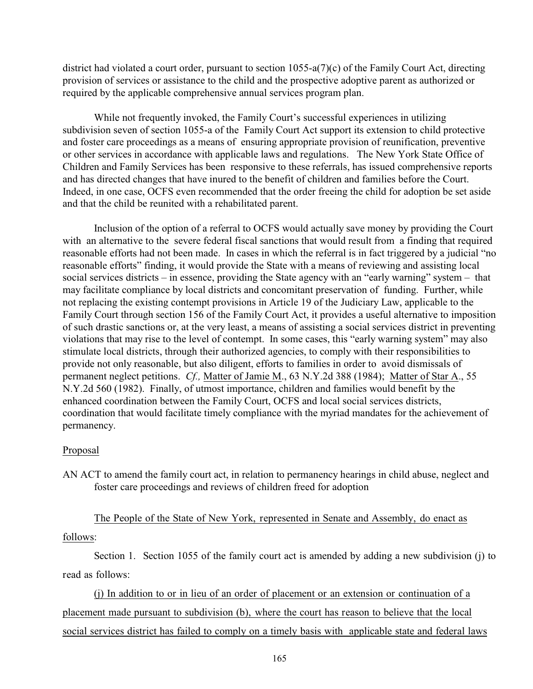district had violated a court order, pursuant to section 1055-a(7)(c) of the Family Court Act, directing provision of services or assistance to the child and the prospective adoptive parent as authorized or required by the applicable comprehensive annual services program plan.

While not frequently invoked, the Family Court's successful experiences in utilizing subdivision seven of section 1055-a of the Family Court Act support its extension to child protective and foster care proceedings as a means of ensuring appropriate provision of reunification, preventive or other services in accordance with applicable laws and regulations. The New York State Office of Children and Family Services has been responsive to these referrals, has issued comprehensive reports and has directed changes that have inured to the benefit of children and families before the Court. Indeed, in one case, OCFS even recommended that the order freeing the child for adoption be set aside and that the child be reunited with a rehabilitated parent.

Inclusion of the option of a referral to OCFS would actually save money by providing the Court with an alternative to the severe federal fiscal sanctions that would result from a finding that required reasonable efforts had not been made. In cases in which the referral is in fact triggered by a judicial "no reasonable efforts" finding, it would provide the State with a means of reviewing and assisting local social services districts – in essence, providing the State agency with an "early warning" system – that may facilitate compliance by local districts and concomitant preservation of funding. Further, while not replacing the existing contempt provisions in Article 19 of the Judiciary Law, applicable to the Family Court through section 156 of the Family Court Act, it provides a useful alternative to imposition of such drastic sanctions or, at the very least, a means of assisting a social services district in preventing violations that may rise to the level of contempt. In some cases, this "early warning system" may also stimulate local districts, through their authorized agencies, to comply with their responsibilities to provide not only reasonable, but also diligent, efforts to families in order to avoid dismissals of permanent neglect petitions. *Cf.,* Matter of Jamie M., 63 N.Y.2d 388 (1984); Matter of Star A., 55 N.Y.2d 560 (1982). Finally, of utmost importance, children and families would benefit by the enhanced coordination between the Family Court, OCFS and local social services districts, coordination that would facilitate timely compliance with the myriad mandates for the achievement of permanency.

# Proposal

AN ACT to amend the family court act, in relation to permanency hearings in child abuse, neglect and foster care proceedings and reviews of children freed for adoption

The People of the State of New York, represented in Senate and Assembly, do enact as follows:

Section 1. Section 1055 of the family court act is amended by adding a new subdivision (j) to read as follows:

(j) In addition to or in lieu of an order of placement or an extension or continuation of a placement made pursuant to subdivision (b), where the court has reason to believe that the local social services district has failed to comply on a timely basis with applicable state and federal laws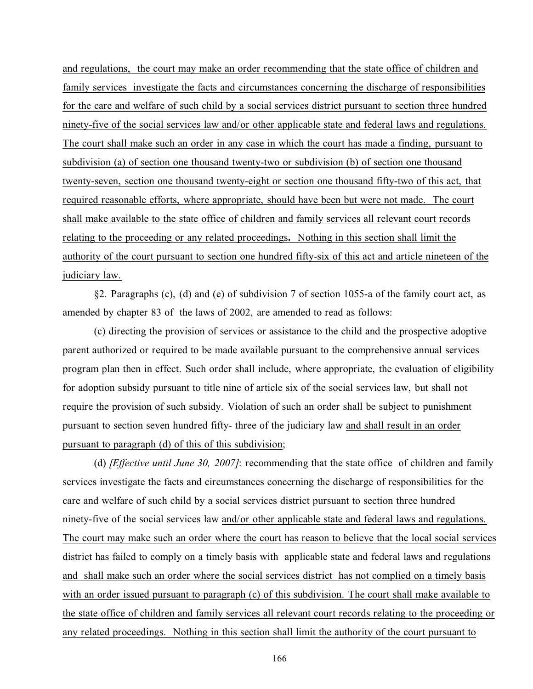and regulations, the court may make an order recommending that the state office of children and family services investigate the facts and circumstances concerning the discharge of responsibilities for the care and welfare of such child by a social services district pursuant to section three hundred ninety-five of the social services law and/or other applicable state and federal laws and regulations. The court shall make such an order in any case in which the court has made a finding, pursuant to subdivision (a) of section one thousand twenty-two or subdivision (b) of section one thousand twenty-seven, section one thousand twenty-eight or section one thousand fifty-two of this act, that required reasonable efforts, where appropriate, should have been but were not made.The court shall make available to the state office of children and family services all relevant court records relating to the proceeding or any related proceedings**.** Nothing in this section shall limit the authority of the court pursuant to section one hundred fifty-six of this act and article nineteen of the judiciary law.

§2. Paragraphs (c), (d) and (e) of subdivision 7 of section 1055-a of the family court act, as amended by chapter 83 of the laws of 2002, are amended to read as follows:

(c) directing the provision of services or assistance to the child and the prospective adoptive parent authorized or required to be made available pursuant to the comprehensive annual services program plan then in effect. Such order shall include, where appropriate, the evaluation of eligibility for adoption subsidy pursuant to title nine of article six of the social services law, but shall not require the provision of such subsidy. Violation of such an order shall be subject to punishment pursuant to section seven hundred fifty- three of the judiciary law and shall result in an order pursuant to paragraph (d) of this of this subdivision;

(d) *[Effective until June 30, 2007]*: recommending that the state office of children and family services investigate the facts and circumstances concerning the discharge of responsibilities for the care and welfare of such child by a social services district pursuant to section three hundred ninety-five of the social services law and/or other applicable state and federal laws and regulations. The court may make such an order where the court has reason to believe that the local social services district has failed to comply on a timely basis with applicable state and federal laws and regulations and shall make such an order where the social services district has not complied on a timely basis with an order issued pursuant to paragraph (c) of this subdivision. The court shall make available to the state office of children and family services all relevant court records relating to the proceeding or any related proceedings. Nothing in this section shall limit the authority of the court pursuant to

166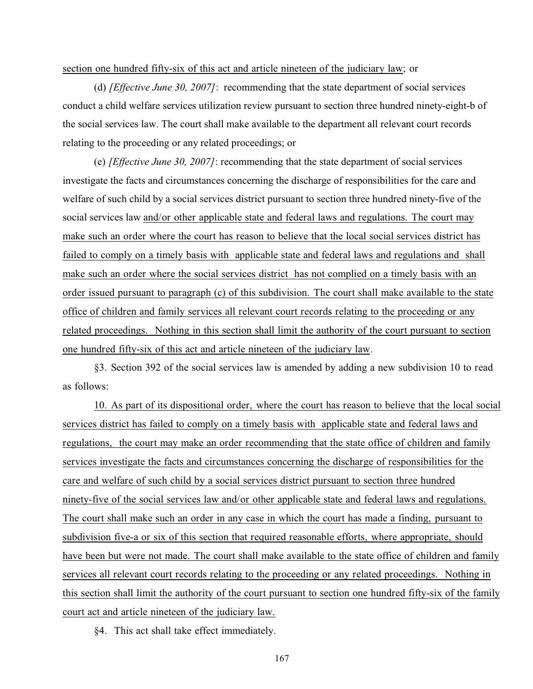#### section one hundred fifty-six of this act and article nineteen of the judiciary law; or

(d) *[Effective June 30, 2007]*: recommending that the state department of social services conduct a child welfare services utilization review pursuant to section three hundred ninety-eight-b of the social services law. The court shall make available to the department all relevant court records relating to the proceeding or any related proceedings; or

(e) *[Effective June 30, 2007]*: recommending that the state department of social services investigate the facts and circumstances concerning the discharge of responsibilities for the care and welfare of such child by a social services district pursuant to section three hundred ninety-five of the social services law and/or other applicable state and federal laws and regulations. The court may make such an order where the court has reason to believe that the local social services district has failed to comply on a timely basis with applicable state and federal laws and regulations and shall make such an order where the social services district has not complied on a timely basis with an order issued pursuant to paragraph (c) of this subdivision. The court shall make available to the state office of children and family services all relevant court records relating to the proceeding or any related proceedings. Nothing in this section shall limit the authority of the court pursuant to section one hundred fifty-six of this act and article nineteen of the judiciary law.

§3. Section 392 of the social services law is amended by adding a new subdivision 10 to read as follows:

10. As part of its dispositional order, where the court has reason to believe that the local social services district has failed to comply on a timely basis with applicable state and federal laws and regulations, the court may make an order recommending that the state office of children and family services investigate the facts and circumstances concerning the discharge of responsibilities for the care and welfare of such child by a social services district pursuant to section three hundred ninety-five of the social services law and/or other applicable state and federal laws and regulations. The court shall make such an order in any case in which the court has made a finding, pursuant to subdivision five-a or six of this section that required reasonable efforts, where appropriate, should have been but were not made. The court shall make available to the state office of children and family services all relevant court records relating to the proceeding or any related proceedings. Nothing in this section shall limit the authority of the court pursuant to section one hundred fifty-six of the family court act and article nineteen of the judiciary law.

§4. This act shall take effect immediately.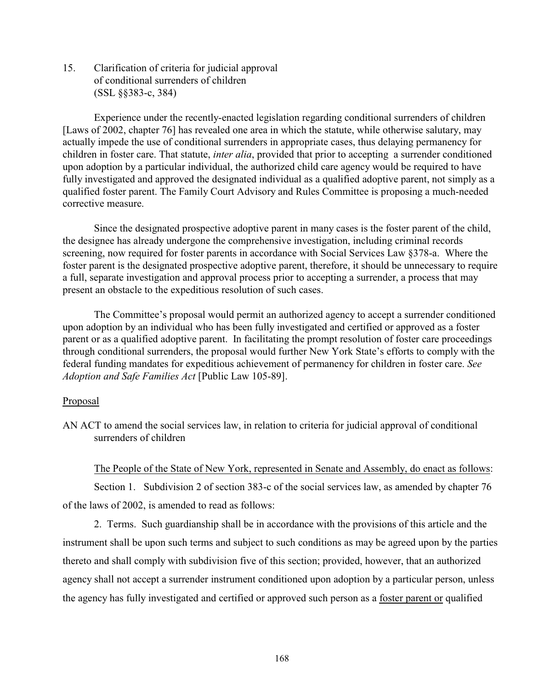15. Clarification of criteria for judicial approval of conditional surrenders of children (SSL §§383-c, 384)

Experience under the recently-enacted legislation regarding conditional surrenders of children [Laws of 2002, chapter 76] has revealed one area in which the statute, while otherwise salutary, may actually impede the use of conditional surrenders in appropriate cases, thus delaying permanency for children in foster care. That statute, *inter alia*, provided that prior to accepting a surrender conditioned upon adoption by a particular individual, the authorized child care agency would be required to have fully investigated and approved the designated individual as a qualified adoptive parent, not simply as a qualified foster parent. The Family Court Advisory and Rules Committee is proposing a much-needed corrective measure.

Since the designated prospective adoptive parent in many cases is the foster parent of the child, the designee has already undergone the comprehensive investigation, including criminal records screening, now required for foster parents in accordance with Social Services Law §378-a. Where the foster parent is the designated prospective adoptive parent, therefore, it should be unnecessary to require a full, separate investigation and approval process prior to accepting a surrender, a process that may present an obstacle to the expeditious resolution of such cases.

The Committee's proposal would permit an authorized agency to accept a surrender conditioned upon adoption by an individual who has been fully investigated and certified or approved as a foster parent or as a qualified adoptive parent. In facilitating the prompt resolution of foster care proceedings through conditional surrenders, the proposal would further New York State's efforts to comply with the federal funding mandates for expeditious achievement of permanency for children in foster care. *See Adoption and Safe Families Act* [Public Law 105-89].

## Proposal

AN ACT to amend the social services law, in relation to criteria for judicial approval of conditional surrenders of children

# The People of the State of New York, represented in Senate and Assembly, do enact as follows:

Section 1. Subdivision 2 of section 383-c of the social services law, as amended by chapter 76 of the laws of 2002, is amended to read as follows:

2. Terms. Such guardianship shall be in accordance with the provisions of this article and the instrument shall be upon such terms and subject to such conditions as may be agreed upon by the parties thereto and shall comply with subdivision five of this section; provided, however, that an authorized agency shall not accept a surrender instrument conditioned upon adoption by a particular person, unless the agency has fully investigated and certified or approved such person as a foster parent or qualified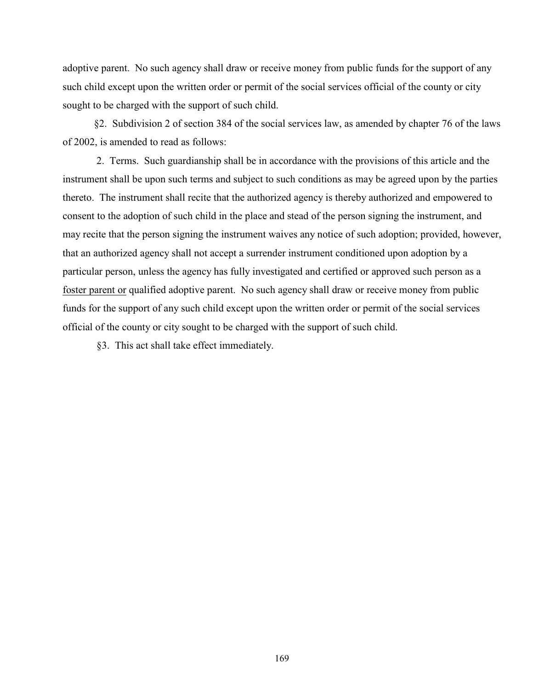adoptive parent. No such agency shall draw or receive money from public funds for the support of any such child except upon the written order or permit of the social services official of the county or city sought to be charged with the support of such child.

§2. Subdivision 2 of section 384 of the social services law, as amended by chapter 76 of the laws of 2002, is amended to read as follows:

 2. Terms. Such guardianship shall be in accordance with the provisions of this article and the instrument shall be upon such terms and subject to such conditions as may be agreed upon by the parties thereto. The instrument shall recite that the authorized agency is thereby authorized and empowered to consent to the adoption of such child in the place and stead of the person signing the instrument, and may recite that the person signing the instrument waives any notice of such adoption; provided, however, that an authorized agency shall not accept a surrender instrument conditioned upon adoption by a particular person, unless the agency has fully investigated and certified or approved such person as a foster parent or qualified adoptive parent. No such agency shall draw or receive money from public funds for the support of any such child except upon the written order or permit of the social services official of the county or city sought to be charged with the support of such child.

§3. This act shall take effect immediately.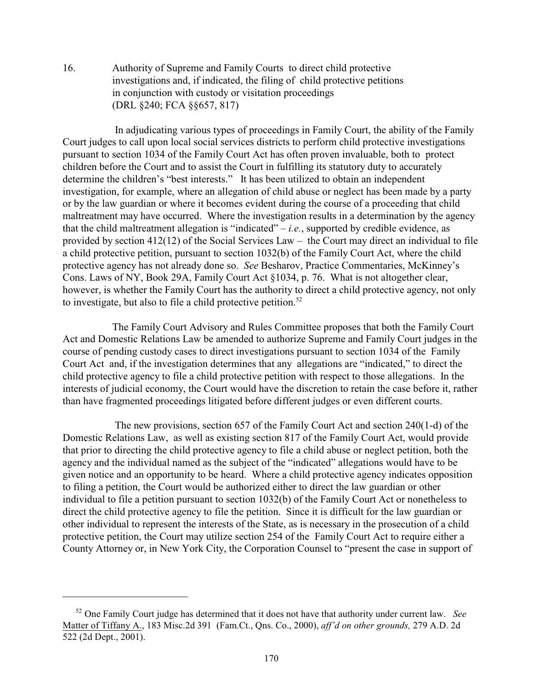16. Authority of Supreme and Family Courts to direct child protective investigations and, if indicated, the filing of child protective petitions in conjunction with custody or visitation proceedings (DRL §240; FCA §§657, 817)

 In adjudicating various types of proceedings in Family Court, the ability of the Family Court judges to call upon local social services districts to perform child protective investigations pursuant to section 1034 of the Family Court Act has often proven invaluable, both to protect children before the Court and to assist the Court in fulfilling its statutory duty to accurately determine the children's "best interests." It has been utilized to obtain an independent investigation, for example, where an allegation of child abuse or neglect has been made by a party or by the law guardian or where it becomes evident during the course of a proceeding that child maltreatment may have occurred. Where the investigation results in a determination by the agency that the child maltreatment allegation is "indicated" $-$ *i.e.*, supported by credible evidence, as provided by section 412(12) of the Social Services Law – the Court may direct an individual to file a child protective petition, pursuant to section 1032(b) of the Family Court Act, where the child protective agency has not already done so. *See* Besharov, Practice Commentaries, McKinney's Cons. Laws of NY, Book 29A, Family Court Act §1034, p. 76. What is not altogether clear, however, is whether the Family Court has the authority to direct a child protective agency, not only to investigate, but also to file a child protective petition.<sup>52</sup>

 The Family Court Advisory and Rules Committee proposes that both the Family Court Act and Domestic Relations Law be amended to authorize Supreme and Family Court judges in the course of pending custody cases to direct investigations pursuant to section 1034 of the Family Court Act and, if the investigation determines that any allegations are "indicated," to direct the child protective agency to file a child protective petition with respect to those allegations. In the interests of judicial economy, the Court would have the discretion to retain the case before it, rather than have fragmented proceedings litigated before different judges or even different courts.

 The new provisions, section 657 of the Family Court Act and section 240(1-d) of the Domestic Relations Law, as well as existing section 817 of the Family Court Act, would provide that prior to directing the child protective agency to file a child abuse or neglect petition, both the agency and the individual named as the subject of the "indicated" allegations would have to be given notice and an opportunity to be heard. Where a child protective agency indicates opposition to filing a petition, the Court would be authorized either to direct the law guardian or other individual to file a petition pursuant to section 1032(b) of the Family Court Act or nonetheless to direct the child protective agency to file the petition. Since it is difficult for the law guardian or other individual to represent the interests of the State, as is necessary in the prosecution of a child protective petition, the Court may utilize section 254 of the Family Court Act to require either a County Attorney or, in New York City, the Corporation Counsel to "present the case in support of

<sup>&</sup>lt;sup>52</sup> One Family Court judge has determined that it does not have that authority under current law. *See* Matter of Tiffany A., 183 Misc.2d 391 (Fam.Ct., Qns. Co., 2000), *aff'd on other grounds,* 279 A.D. 2d 522 (2d Dept., 2001).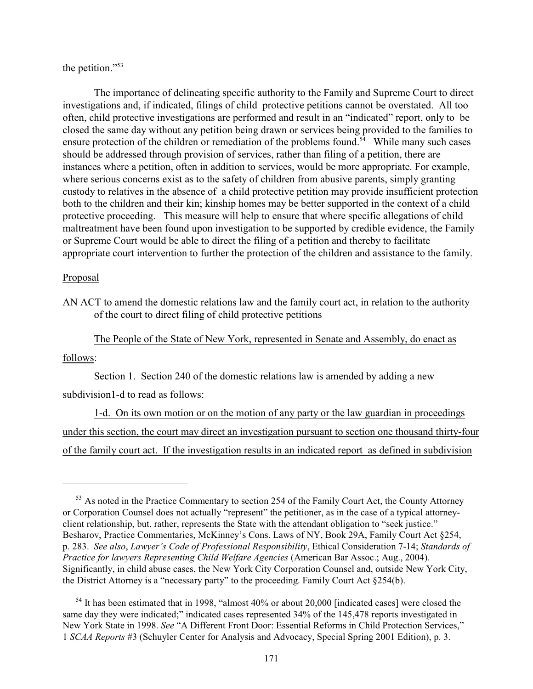the petition."<sup>53</sup>

The importance of delineating specific authority to the Family and Supreme Court to direct investigations and, if indicated, filings of child protective petitions cannot be overstated. All too often, child protective investigations are performed and result in an "indicated" report, only to be closed the same day without any petition being drawn or services being provided to the families to ensure protection of the children or remediation of the problems found.<sup>54</sup> While many such cases should be addressed through provision of services, rather than filing of a petition, there are instances where a petition, often in addition to services, would be more appropriate. For example, where serious concerns exist as to the safety of children from abusive parents, simply granting custody to relatives in the absence of a child protective petition may provide insufficient protection both to the children and their kin; kinship homes may be better supported in the context of a child protective proceeding. This measure will help to ensure that where specific allegations of child maltreatment have been found upon investigation to be supported by credible evidence, the Family or Supreme Court would be able to direct the filing of a petition and thereby to facilitate appropriate court intervention to further the protection of the children and assistance to the family.

## Proposal

AN ACT to amend the domestic relations law and the family court act, in relation to the authority of the court to direct filing of child protective petitions

The People of the State of New York, represented in Senate and Assembly, do enact as

## follows:

Section 1. Section 240 of the domestic relations law is amended by adding a new subdivision1-d to read as follows:

1-d. On its own motion or on the motion of any party or the law guardian in proceedings under this section, the court may direct an investigation pursuant to section one thousand thirty-four of the family court act. If the investigation results in an indicated report as defined in subdivision

<sup>&</sup>lt;sup>53</sup> As noted in the Practice Commentary to section 254 of the Family Court Act, the County Attorney or Corporation Counsel does not actually "represent" the petitioner, as in the case of a typical attorneyclient relationship, but, rather, represents the State with the attendant obligation to "seek justice." Besharov, Practice Commentaries, McKinney's Cons. Laws of NY, Book 29A, Family Court Act §254, p. 283. *See also*, *Lawyer's Code of Professional Responsibility*, Ethical Consideration 7-14; *Standards of Practice for lawyers Representing Child Welfare Agencies* (American Bar Assoc.; Aug., 2004). Significantly, in child abuse cases, the New York City Corporation Counsel and, outside New York City, the District Attorney is a "necessary party" to the proceeding. Family Court Act §254(b).

 $<sup>54</sup>$  It has been estimated that in 1998, "almost 40% or about 20,000 [indicated cases] were closed the</sup> same day they were indicated;" indicated cases represented 34% of the 145,478 reports investigated in New York State in 1998. *See* "A Different Front Door: Essential Reforms in Child Protection Services," 1 *SCAA Reports* #3 (Schuyler Center for Analysis and Advocacy, Special Spring 2001 Edition), p. 3.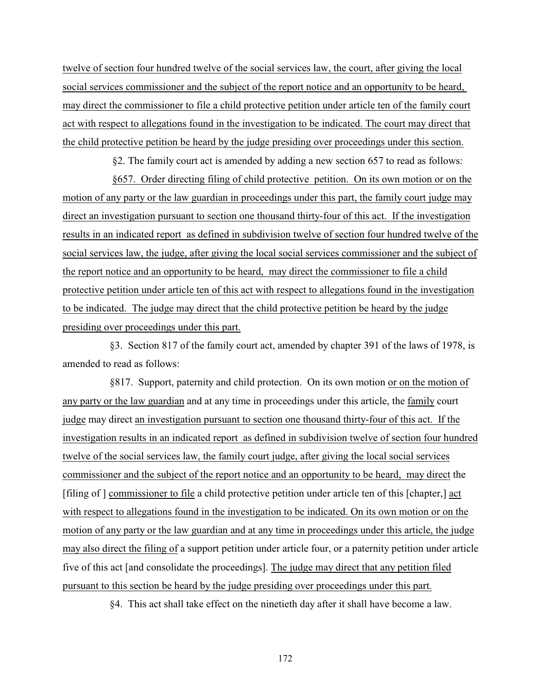twelve of section four hundred twelve of the social services law, the court, after giving the local social services commissioner and the subject of the report notice and an opportunity to be heard, may direct the commissioner to file a child protective petition under article ten of the family court act with respect to allegations found in the investigation to be indicated. The court may direct that the child protective petition be heard by the judge presiding over proceedings under this section.

§2. The family court act is amended by adding a new section 657 to read as follows:

 §657. Order directing filing of child protective petition. On its own motion or on the motion of any party or the law guardian in proceedings under this part, the family court judge may direct an investigation pursuant to section one thousand thirty-four of this act. If the investigation results in an indicated report as defined in subdivision twelve of section four hundred twelve of the social services law, the judge, after giving the local social services commissioner and the subject of the report notice and an opportunity to be heard, may direct the commissioner to file a child protective petition under article ten of this act with respect to allegations found in the investigation to be indicated. The judge may direct that the child protective petition be heard by the judge presiding over proceedings under this part.

 §3. Section 817 of the family court act, amended by chapter 391 of the laws of 1978, is amended to read as follows:

 §817. Support, paternity and child protection. On its own motion or on the motion of any party or the law guardian and at any time in proceedings under this article, the family court judge may direct an investigation pursuant to section one thousand thirty-four of this act. If the investigation results in an indicated report as defined in subdivision twelve of section four hundred twelve of the social services law, the family court judge, after giving the local social services commissioner and the subject of the report notice and an opportunity to be heard, may direct the [filing of ] commissioner to file a child protective petition under article ten of this [chapter,] act with respect to allegations found in the investigation to be indicated. On its own motion or on the motion of any party or the law guardian and at any time in proceedings under this article, the judge may also direct the filing of a support petition under article four, or a paternity petition under article five of this act [and consolidate the proceedings]. The judge may direct that any petition filed pursuant to this section be heard by the judge presiding over proceedings under this part.

§4. This act shall take effect on the ninetieth day after it shall have become a law.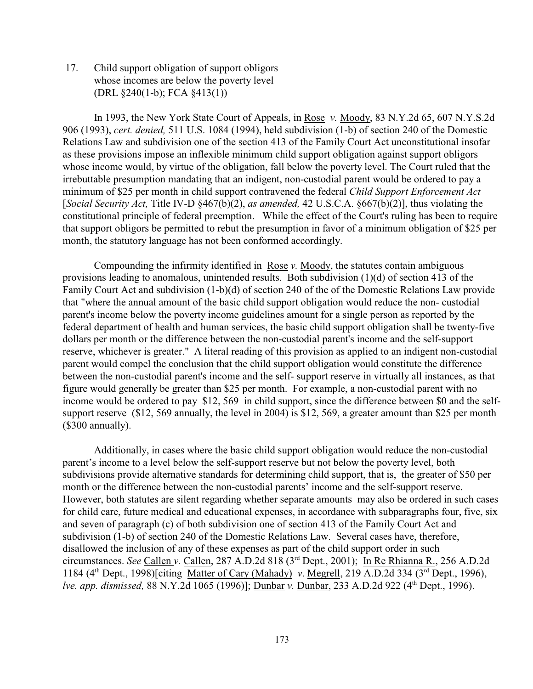17. Child support obligation of support obligors whose incomes are below the poverty level (DRL §240(1-b); FCA §413(1))

In 1993, the New York State Court of Appeals, in Rose *v.* Moody, 83 N.Y.2d 65, 607 N.Y.S.2d 906 (1993), *cert. denied,* 511 U.S. 1084 (1994), held subdivision (1-b) of section 240 of the Domestic Relations Law and subdivision one of the section 413 of the Family Court Act unconstitutional insofar as these provisions impose an inflexible minimum child support obligation against support obligors whose income would, by virtue of the obligation, fall below the poverty level. The Court ruled that the irrebuttable presumption mandating that an indigent, non-custodial parent would be ordered to pay a minimum of \$25 per month in child support contravened the federal *Child Support Enforcement Act*  [*Social Security Act,* Title IV-D §467(b)(2), *as amended,* 42 U.S.C.A. §667(b)(2)], thus violating the constitutional principle of federal preemption. While the effect of the Court's ruling has been to require that support obligors be permitted to rebut the presumption in favor of a minimum obligation of \$25 per month, the statutory language has not been conformed accordingly.

Compounding the infirmity identified in Rose *v.* Moody, the statutes contain ambiguous provisions leading to anomalous, unintended results. Both subdivision (1)(d) of section 413 of the Family Court Act and subdivision (1-b)(d) of section 240 of the of the Domestic Relations Law provide that "where the annual amount of the basic child support obligation would reduce the non- custodial parent's income below the poverty income guidelines amount for a single person as reported by the federal department of health and human services, the basic child support obligation shall be twenty-five dollars per month or the difference between the non-custodial parent's income and the self-support reserve, whichever is greater." A literal reading of this provision as applied to an indigent non-custodial parent would compel the conclusion that the child support obligation would constitute the difference between the non-custodial parent's income and the self- support reserve in virtually all instances, as that figure would generally be greater than \$25 per month. For example, a non-custodial parent with no income would be ordered to pay \$12, 569 in child support, since the difference between \$0 and the selfsupport reserve (\$12, 569 annually, the level in 2004) is \$12, 569, a greater amount than \$25 per month (\$300 annually).

Additionally, in cases where the basic child support obligation would reduce the non-custodial parent's income to a level below the self-support reserve but not below the poverty level, both subdivisions provide alternative standards for determining child support, that is, the greater of \$50 per month or the difference between the non-custodial parents' income and the self-support reserve. However, both statutes are silent regarding whether separate amounts may also be ordered in such cases for child care, future medical and educational expenses, in accordance with subparagraphs four, five, six and seven of paragraph (c) of both subdivision one of section 413 of the Family Court Act and subdivision (1-b) of section 240 of the Domestic Relations Law. Several cases have, therefore, disallowed the inclusion of any of these expenses as part of the child support order in such circumstances. *See* Callen *v.* Callen, 287 A.D.2d 818 (3<sup>rd</sup> Dept., 2001); In Re Rhianna R., 256 A.D.2d 1184 (4<sup>th</sup> Dept., 1998)[citing Matter of Cary (Mahady) *v*. Megrell, 219 A.D.2d 334 (3<sup>rd</sup> Dept., 1996), *lve. app. dismissed,* 88 N.Y.2d 1065 (1996)]; Dunbar *v.* Dunbar, 233 A.D.2d 922 (4<sup>th</sup> Dept., 1996).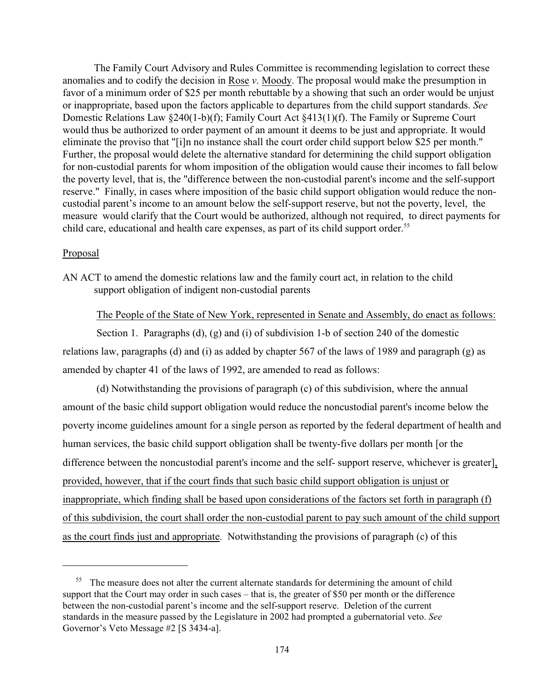The Family Court Advisory and Rules Committee is recommending legislation to correct these anomalies and to codify the decision in Rose *v*. Moody. The proposal would make the presumption in favor of a minimum order of \$25 per month rebuttable by a showing that such an order would be unjust or inappropriate, based upon the factors applicable to departures from the child support standards. *See* Domestic Relations Law §240(1-b)(f); Family Court Act §413(1)(f). The Family or Supreme Court would thus be authorized to order payment of an amount it deems to be just and appropriate. It would eliminate the proviso that "[i]n no instance shall the court order child support below \$25 per month." Further, the proposal would delete the alternative standard for determining the child support obligation for non-custodial parents for whom imposition of the obligation would cause their incomes to fall below the poverty level, that is, the "difference between the non-custodial parent's income and the self-support reserve." Finally, in cases where imposition of the basic child support obligation would reduce the noncustodial parent's income to an amount below the self-support reserve, but not the poverty, level, the measure would clarify that the Court would be authorized, although not required, to direct payments for child care, educational and health care expenses, as part of its child support order. 55

### Proposal

AN ACT to amend the domestic relations law and the family court act, in relation to the child support obligation of indigent non-custodial parents

#### The People of the State of New York, represented in Senate and Assembly, do enact as follows:

 Section 1. Paragraphs (d), (g) and (i) of subdivision 1-b of section 240 of the domestic relations law, paragraphs (d) and (i) as added by chapter 567 of the laws of 1989 and paragraph (g) as amended by chapter 41 of the laws of 1992, are amended to read as follows:

 (d) Notwithstanding the provisions of paragraph (c) of this subdivision, where the annual amount of the basic child support obligation would reduce the noncustodial parent's income below the poverty income guidelines amount for a single person as reported by the federal department of health and human services, the basic child support obligation shall be twenty-five dollars per month [or the difference between the noncustodial parent's income and the self- support reserve, whichever is greater], provided, however, that if the court finds that such basic child support obligation is unjust or inappropriate, which finding shall be based upon considerations of the factors set forth in paragraph (f) of this subdivision, the court shall order the non-custodial parent to pay such amount of the child support as the court finds just and appropriate. Notwithstanding the provisions of paragraph (c) of this

<sup>&</sup>lt;sup>55</sup> The measure does not alter the current alternate standards for determining the amount of child support that the Court may order in such cases – that is, the greater of \$50 per month or the difference between the non-custodial parent's income and the self-support reserve. Deletion of the current standards in the measure passed by the Legislature in 2002 had prompted a gubernatorial veto. *See* Governor's Veto Message #2 [S 3434-a].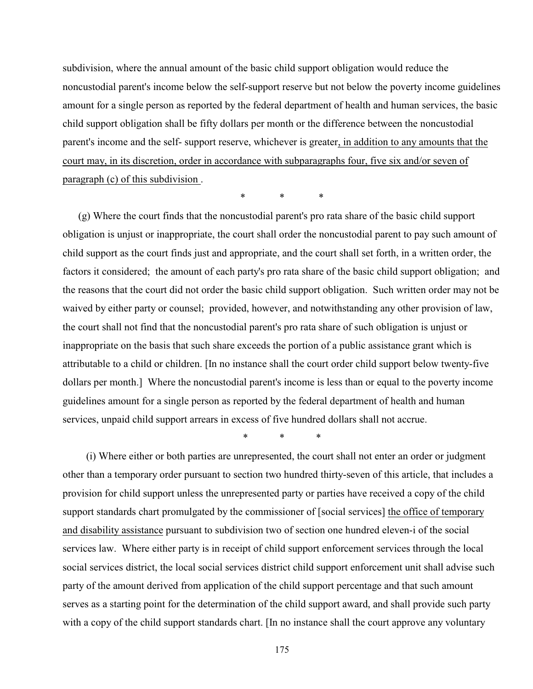subdivision, where the annual amount of the basic child support obligation would reduce the noncustodial parent's income below the self-support reserve but not below the poverty income guidelines amount for a single person as reported by the federal department of health and human services, the basic child support obligation shall be fifty dollars per month or the difference between the noncustodial parent's income and the self- support reserve, whichever is greater, in addition to any amounts that the court may, in its discretion, order in accordance with subparagraphs four, five six and/or seven of paragraph (c) of this subdivision .

\* \* \*

(g) Where the court finds that the noncustodial parent's pro rata share of the basic child support obligation is unjust or inappropriate, the court shall order the noncustodial parent to pay such amount of child support as the court finds just and appropriate, and the court shall set forth, in a written order, the factors it considered; the amount of each party's pro rata share of the basic child support obligation; and the reasons that the court did not order the basic child support obligation. Such written order may not be waived by either party or counsel; provided, however, and notwithstanding any other provision of law, the court shall not find that the noncustodial parent's pro rata share of such obligation is unjust or inappropriate on the basis that such share exceeds the portion of a public assistance grant which is attributable to a child or children. [In no instance shall the court order child support below twenty-five dollars per month.] Where the noncustodial parent's income is less than or equal to the poverty income guidelines amount for a single person as reported by the federal department of health and human services, unpaid child support arrears in excess of five hundred dollars shall not accrue.

\* \* \*

(i) Where either or both parties are unrepresented, the court shall not enter an order or judgment other than a temporary order pursuant to section two hundred thirty-seven of this article, that includes a provision for child support unless the unrepresented party or parties have received a copy of the child support standards chart promulgated by the commissioner of [social services] the office of temporary and disability assistance pursuant to subdivision two of section one hundred eleven-i of the social services law. Where either party is in receipt of child support enforcement services through the local social services district, the local social services district child support enforcement unit shall advise such party of the amount derived from application of the child support percentage and that such amount serves as a starting point for the determination of the child support award, and shall provide such party with a copy of the child support standards chart. [In no instance shall the court approve any voluntary

175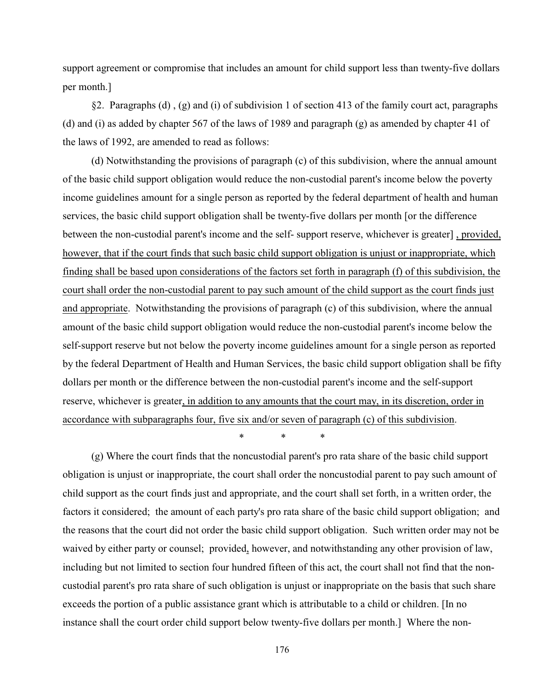support agreement or compromise that includes an amount for child support less than twenty-five dollars per month.]

 §2. Paragraphs (d) , (g) and (i) of subdivision 1 of section 413 of the family court act, paragraphs (d) and (i) as added by chapter 567 of the laws of 1989 and paragraph (g) as amended by chapter 41 of the laws of 1992, are amended to read as follows:

 (d) Notwithstanding the provisions of paragraph (c) of this subdivision, where the annual amount of the basic child support obligation would reduce the non-custodial parent's income below the poverty income guidelines amount for a single person as reported by the federal department of health and human services, the basic child support obligation shall be twenty-five dollars per month [or the difference between the non-custodial parent's income and the self- support reserve, whichever is greater] , provided, however, that if the court finds that such basic child support obligation is unjust or inappropriate, which finding shall be based upon considerations of the factors set forth in paragraph (f) of this subdivision, the court shall order the non-custodial parent to pay such amount of the child support as the court finds just and appropriate. Notwithstanding the provisions of paragraph (c) of this subdivision, where the annual amount of the basic child support obligation would reduce the non-custodial parent's income below the self-support reserve but not below the poverty income guidelines amount for a single person as reported by the federal Department of Health and Human Services, the basic child support obligation shall be fifty dollars per month or the difference between the non-custodial parent's income and the self-support reserve, whichever is greater, in addition to any amounts that the court may, in its discretion, order in accordance with subparagraphs four, five six and/or seven of paragraph (c) of this subdivision.

\* \* \*

 (g) Where the court finds that the noncustodial parent's pro rata share of the basic child support obligation is unjust or inappropriate, the court shall order the noncustodial parent to pay such amount of child support as the court finds just and appropriate, and the court shall set forth, in a written order, the factors it considered; the amount of each party's pro rata share of the basic child support obligation; and the reasons that the court did not order the basic child support obligation. Such written order may not be waived by either party or counsel; provided, however, and notwithstanding any other provision of law, including but not limited to section four hundred fifteen of this act, the court shall not find that the noncustodial parent's pro rata share of such obligation is unjust or inappropriate on the basis that such share exceeds the portion of a public assistance grant which is attributable to a child or children. [In no instance shall the court order child support below twenty-five dollars per month.] Where the non-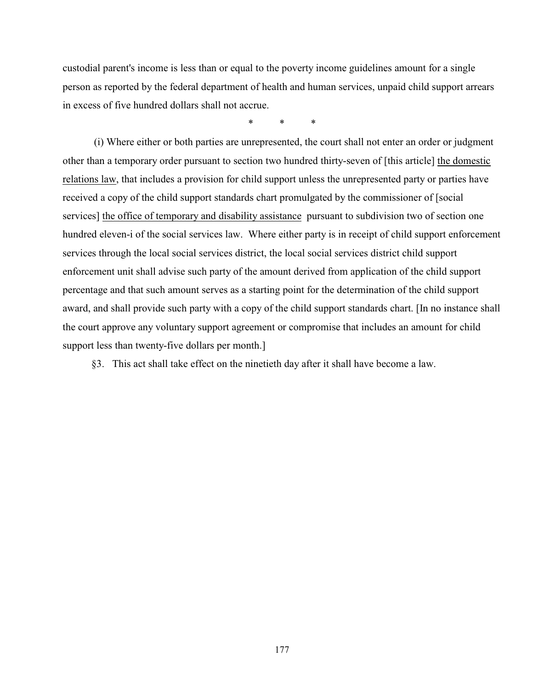custodial parent's income is less than or equal to the poverty income guidelines amount for a single person as reported by the federal department of health and human services, unpaid child support arrears in excess of five hundred dollars shall not accrue.

\* \* \*

 (i) Where either or both parties are unrepresented, the court shall not enter an order or judgment other than a temporary order pursuant to section two hundred thirty-seven of [this article] the domestic relations law, that includes a provision for child support unless the unrepresented party or parties have received a copy of the child support standards chart promulgated by the commissioner of [social services] the office of temporary and disability assistance pursuant to subdivision two of section one hundred eleven-i of the social services law. Where either party is in receipt of child support enforcement services through the local social services district, the local social services district child support enforcement unit shall advise such party of the amount derived from application of the child support percentage and that such amount serves as a starting point for the determination of the child support award, and shall provide such party with a copy of the child support standards chart. [In no instance shall the court approve any voluntary support agreement or compromise that includes an amount for child support less than twenty-five dollars per month.

§3. This act shall take effect on the ninetieth day after it shall have become a law.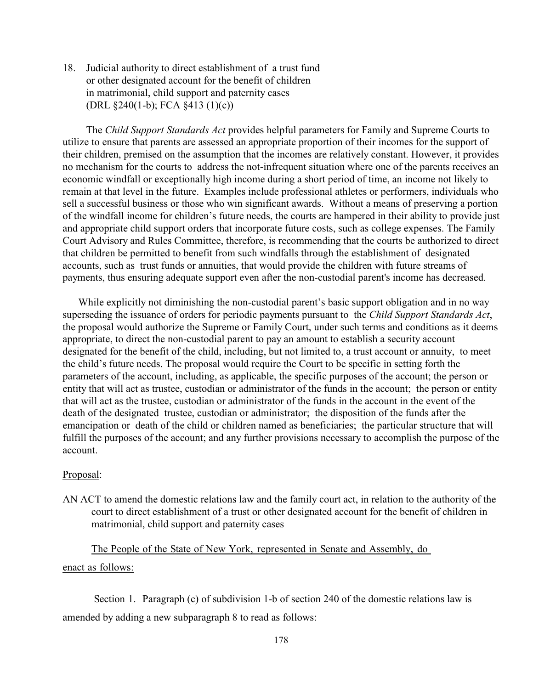18. Judicial authority to direct establishment of a trust fund or other designated account for the benefit of children in matrimonial, child support and paternity cases (DRL §240(1-b); FCA §413 (1)(c))

The *Child Support Standards Act* provides helpful parameters for Family and Supreme Courts to utilize to ensure that parents are assessed an appropriate proportion of their incomes for the support of their children, premised on the assumption that the incomes are relatively constant. However, it provides no mechanism for the courts to address the not-infrequent situation where one of the parents receives an economic windfall or exceptionally high income during a short period of time, an income not likely to remain at that level in the future. Examples include professional athletes or performers, individuals who sell a successful business or those who win significant awards. Without a means of preserving a portion of the windfall income for children's future needs, the courts are hampered in their ability to provide just and appropriate child support orders that incorporate future costs, such as college expenses. The Family Court Advisory and Rules Committee, therefore, is recommending that the courts be authorized to direct that children be permitted to benefit from such windfalls through the establishment of designated accounts, such as trust funds or annuities, that would provide the children with future streams of payments, thus ensuring adequate support even after the non-custodial parent's income has decreased.

While explicitly not diminishing the non-custodial parent's basic support obligation and in no way superseding the issuance of orders for periodic payments pursuant to the *Child Support Standards Act*, the proposal would authorize the Supreme or Family Court, under such terms and conditions as it deems appropriate, to direct the non-custodial parent to pay an amount to establish a security account designated for the benefit of the child, including, but not limited to, a trust account or annuity, to meet the child's future needs. The proposal would require the Court to be specific in setting forth the parameters of the account, including, as applicable, the specific purposes of the account; the person or entity that will act as trustee, custodian or administrator of the funds in the account; the person or entity that will act as the trustee, custodian or administrator of the funds in the account in the event of the death of the designated trustee, custodian or administrator; the disposition of the funds after the emancipation or death of the child or children named as beneficiaries; the particular structure that will fulfill the purposes of the account; and any further provisions necessary to accomplish the purpose of the account.

#### Proposal:

AN ACT to amend the domestic relations law and the family court act, in relation to the authority of the court to direct establishment of a trust or other designated account for the benefit of children in matrimonial, child support and paternity cases

The People of the State of New York, represented in Senate and Assembly, do

# enact as follows:

Section 1. Paragraph (c) of subdivision 1-b of section 240 of the domestic relations law is amended by adding a new subparagraph 8 to read as follows: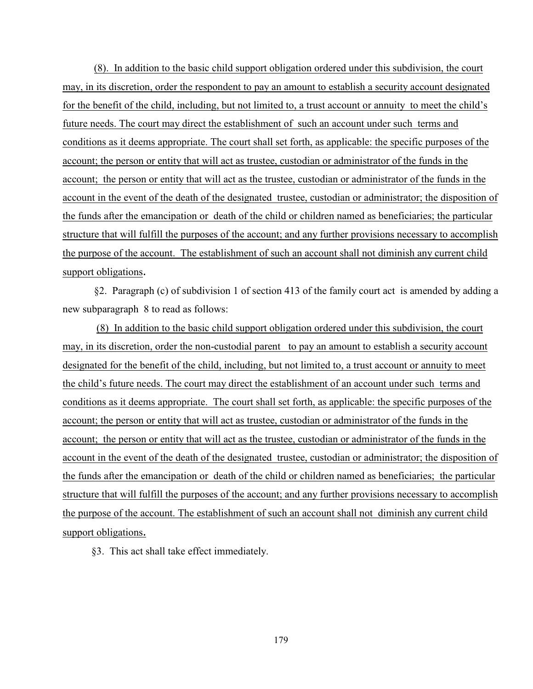(8). In addition to the basic child support obligation ordered under this subdivision, the court may, in its discretion, order the respondent to pay an amount to establish a security account designated for the benefit of the child, including, but not limited to, a trust account or annuity to meet the child's future needs. The court may direct the establishment of such an account under such terms and conditions as it deems appropriate. The court shall set forth, as applicable: the specific purposes of the account; the person or entity that will act as trustee, custodian or administrator of the funds in the account; the person or entity that will act as the trustee, custodian or administrator of the funds in the account in the event of the death of the designated trustee, custodian or administrator; the disposition of the funds after the emancipation or death of the child or children named as beneficiaries; the particular structure that will fulfill the purposes of the account; and any further provisions necessary to accomplish the purpose of the account. The establishment of such an account shall not diminish any current child support obligations.

 §2. Paragraph (c) of subdivision 1 of section 413 of the family court act is amended by adding a new subparagraph 8 to read as follows:

 (8) In addition to the basic child support obligation ordered under this subdivision, the court may, in its discretion, order the non-custodial parentto pay an amount to establish a security account designated for the benefit of the child, including, but not limited to, a trust account or annuity to meet the child's future needs. The court may direct the establishment of an account under such terms and conditions as it deems appropriate. The court shall set forth, as applicable: the specific purposes of the account; the person or entity that will act as trustee, custodian or administrator of the funds in the account; the person or entity that will act as the trustee, custodian or administrator of the funds in the account in the event of the death of the designated trustee, custodian or administrator; the disposition of the funds after the emancipation or death of the child or children named as beneficiaries; the particular structure that will fulfill the purposes of the account; and any further provisions necessary to accomplish the purpose of the account. The establishment of such an account shall not diminish any current child support obligations.

§3. This act shall take effect immediately.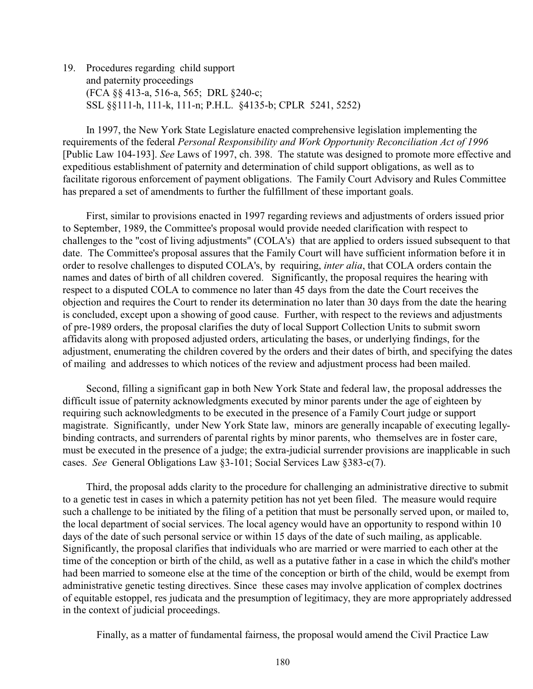19. Procedures regarding child support and paternity proceedings (FCA §§ 413-a, 516-a, 565; DRL §240-c; SSL §§111-h, 111-k, 111-n; P.H.L. §4135-b; CPLR 5241, 5252)

In 1997, the New York State Legislature enacted comprehensive legislation implementing the requirements of the federal *Personal Responsibility and Work Opportunity Reconciliation Act of 1996* [Public Law 104-193]. *See* Laws of 1997, ch. 398. The statute was designed to promote more effective and expeditious establishment of paternity and determination of child support obligations, as well as to facilitate rigorous enforcement of payment obligations. The Family Court Advisory and Rules Committee has prepared a set of amendments to further the fulfillment of these important goals.

First, similar to provisions enacted in 1997 regarding reviews and adjustments of orders issued prior to September, 1989, the Committee's proposal would provide needed clarification with respect to challenges to the "cost of living adjustments" (COLA's) that are applied to orders issued subsequent to that date. The Committee's proposal assures that the Family Court will have sufficient information before it in order to resolve challenges to disputed COLA's, by requiring, *inter alia*, that COLA orders contain the names and dates of birth of all children covered. Significantly, the proposal requires the hearing with respect to a disputed COLA to commence no later than 45 days from the date the Court receives the objection and requires the Court to render its determination no later than 30 days from the date the hearing is concluded, except upon a showing of good cause. Further, with respect to the reviews and adjustments of pre-1989 orders, the proposal clarifies the duty of local Support Collection Units to submit sworn affidavits along with proposed adjusted orders, articulating the bases, or underlying findings, for the adjustment, enumerating the children covered by the orders and their dates of birth, and specifying the dates of mailing and addresses to which notices of the review and adjustment process had been mailed.

Second, filling a significant gap in both New York State and federal law, the proposal addresses the difficult issue of paternity acknowledgments executed by minor parents under the age of eighteen by requiring such acknowledgments to be executed in the presence of a Family Court judge or support magistrate. Significantly, under New York State law, minors are generally incapable of executing legallybinding contracts, and surrenders of parental rights by minor parents, who themselves are in foster care, must be executed in the presence of a judge; the extra-judicial surrender provisions are inapplicable in such cases. *See* General Obligations Law §3-101; Social Services Law §383-c(7).

Third, the proposal adds clarity to the procedure for challenging an administrative directive to submit to a genetic test in cases in which a paternity petition has not yet been filed. The measure would require such a challenge to be initiated by the filing of a petition that must be personally served upon, or mailed to, the local department of social services. The local agency would have an opportunity to respond within 10 days of the date of such personal service or within 15 days of the date of such mailing, as applicable. Significantly, the proposal clarifies that individuals who are married or were married to each other at the time of the conception or birth of the child, as well as a putative father in a case in which the child's mother had been married to someone else at the time of the conception or birth of the child, would be exempt from administrative genetic testing directives. Since these cases may involve application of complex doctrines of equitable estoppel, res judicata and the presumption of legitimacy, they are more appropriately addressed in the context of judicial proceedings.

Finally, as a matter of fundamental fairness, the proposal would amend the Civil Practice Law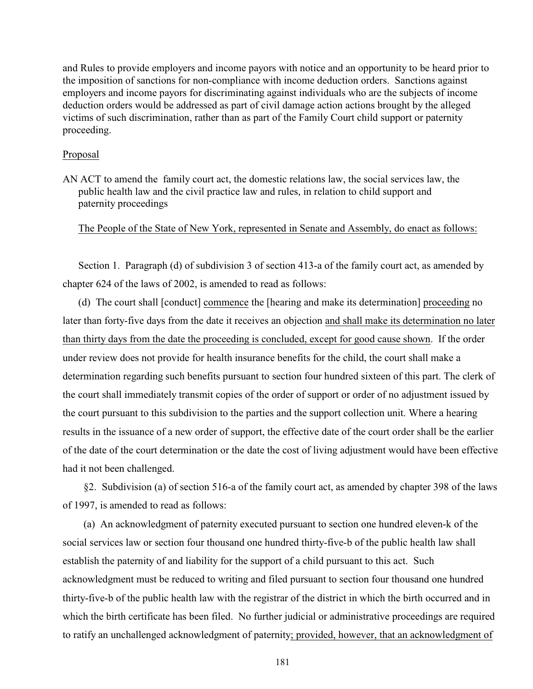and Rules to provide employers and income payors with notice and an opportunity to be heard prior to the imposition of sanctions for non-compliance with income deduction orders. Sanctions against employers and income payors for discriminating against individuals who are the subjects of income deduction orders would be addressed as part of civil damage action actions brought by the alleged victims of such discrimination, rather than as part of the Family Court child support or paternity proceeding.

#### Proposal

AN ACT to amend the family court act, the domestic relations law, the social services law, the public health law and the civil practice law and rules, in relation to child support and paternity proceedings

#### The People of the State of New York, represented in Senate and Assembly, do enact as follows:

Section 1. Paragraph (d) of subdivision 3 of section 413-a of the family court act, as amended by chapter 624 of the laws of 2002, is amended to read as follows:

(d) The court shall [conduct] commence the [hearing and make its determination] proceeding no later than forty-five days from the date it receives an objection and shall make its determination no later than thirty days from the date the proceeding is concluded, except for good cause shown. If the order under review does not provide for health insurance benefits for the child, the court shall make a determination regarding such benefits pursuant to section four hundred sixteen of this part. The clerk of the court shall immediately transmit copies of the order of support or order of no adjustment issued by the court pursuant to this subdivision to the parties and the support collection unit. Where a hearing results in the issuance of a new order of support, the effective date of the court order shall be the earlier of the date of the court determination or the date the cost of living adjustment would have been effective had it not been challenged.

 §2. Subdivision (a) of section 516-a of the family court act, as amended by chapter 398 of the laws of 1997, is amended to read as follows:

 (a) An acknowledgment of paternity executed pursuant to section one hundred eleven-k of the social services law or section four thousand one hundred thirty-five-b of the public health law shall establish the paternity of and liability for the support of a child pursuant to this act. Such acknowledgment must be reduced to writing and filed pursuant to section four thousand one hundred thirty-five-b of the public health law with the registrar of the district in which the birth occurred and in which the birth certificate has been filed. No further judicial or administrative proceedings are required to ratify an unchallenged acknowledgment of paternity; provided, however, that an acknowledgment of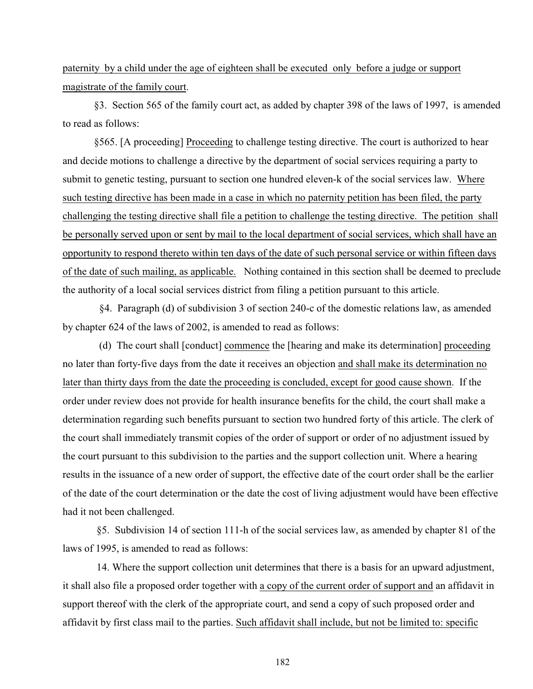paternity by a child under the age of eighteen shall be executed only before a judge or support magistrate of the family court.

 §3. Section 565 of the family court act, as added by chapter 398 of the laws of 1997, is amended to read as follows:

 §565. [A proceeding] Proceeding to challenge testing directive. The court is authorized to hear and decide motions to challenge a directive by the department of social services requiring a party to submit to genetic testing, pursuant to section one hundred eleven-k of the social services law. Where such testing directive has been made in a case in which no paternity petition has been filed, the party challenging the testing directive shall file a petition to challenge the testing directive. The petition shall be personally served upon or sent by mail to the local department of social services, which shall have an opportunity to respond thereto within ten days of the date of such personal service or within fifteen days of the date of such mailing, as applicable. Nothing contained in this section shall be deemed to preclude the authority of a local social services district from filing a petition pursuant to this article.

 §4. Paragraph (d) of subdivision 3 of section 240-c of the domestic relations law, as amended by chapter 624 of the laws of 2002, is amended to read as follows:

 (d) The court shall [conduct] commence the [hearing and make its determination] proceeding no later than forty-five days from the date it receives an objection and shall make its determination no later than thirty days from the date the proceeding is concluded, except for good cause shown. If the order under review does not provide for health insurance benefits for the child, the court shall make a determination regarding such benefits pursuant to section two hundred forty of this article. The clerk of the court shall immediately transmit copies of the order of support or order of no adjustment issued by the court pursuant to this subdivision to the parties and the support collection unit. Where a hearing results in the issuance of a new order of support, the effective date of the court order shall be the earlier of the date of the court determination or the date the cost of living adjustment would have been effective had it not been challenged.

 §5. Subdivision 14 of section 111-h of the social services law, as amended by chapter 81 of the laws of 1995, is amended to read as follows:

 14. Where the support collection unit determines that there is a basis for an upward adjustment, it shall also file a proposed order together with a copy of the current order of support and an affidavit in support thereof with the clerk of the appropriate court, and send a copy of such proposed order and affidavit by first class mail to the parties. Such affidavit shall include, but not be limited to: specific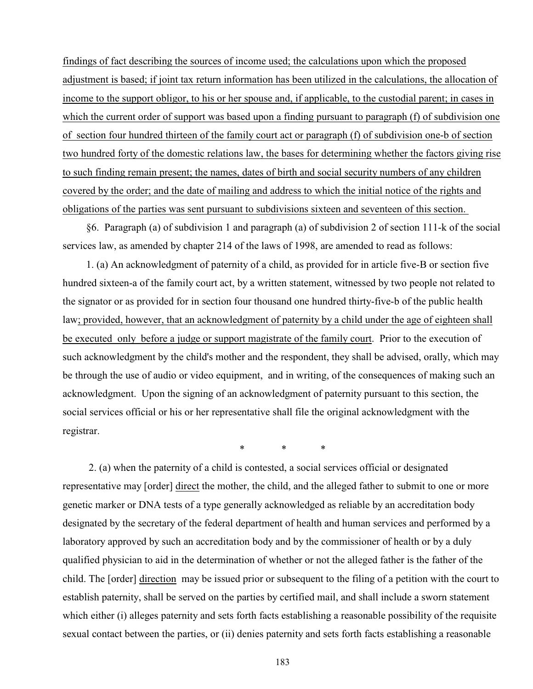findings of fact describing the sources of income used; the calculations upon which the proposed adjustment is based; if joint tax return information has been utilized in the calculations, the allocation of income to the support obligor, to his or her spouse and, if applicable, to the custodial parent; in cases in which the current order of support was based upon a finding pursuant to paragraph (f) of subdivision one of section four hundred thirteen of the family court act or paragraph (f) of subdivision one-b of section two hundred forty of the domestic relations law, the bases for determining whether the factors giving rise to such finding remain present; the names, dates of birth and social security numbers of any children covered by the order; and the date of mailing and address to which the initial notice of the rights and obligations of the parties was sent pursuant to subdivisions sixteen and seventeen of this section.

 §6. Paragraph (a) of subdivision 1 and paragraph (a) of subdivision 2 of section 111-k of the social services law, as amended by chapter 214 of the laws of 1998, are amended to read as follows:

1. (a) An acknowledgment of paternity of a child, as provided for in article five-B or section five hundred sixteen-a of the family court act, by a written statement, witnessed by two people not related to the signator or as provided for in section four thousand one hundred thirty-five-b of the public health law; provided, however, that an acknowledgment of paternity by a child under the age of eighteen shall be executed only before a judge or support magistrate of the family court. Prior to the execution of such acknowledgment by the child's mother and the respondent, they shall be advised, orally, which may be through the use of audio or video equipment, and in writing, of the consequences of making such an acknowledgment. Upon the signing of an acknowledgment of paternity pursuant to this section, the social services official or his or her representative shall file the original acknowledgment with the registrar.

\* \* \*

 2. (a) when the paternity of a child is contested, a social services official or designated representative may [order] direct the mother, the child, and the alleged father to submit to one or more genetic marker or DNA tests of a type generally acknowledged as reliable by an accreditation body designated by the secretary of the federal department of health and human services and performed by a laboratory approved by such an accreditation body and by the commissioner of health or by a duly qualified physician to aid in the determination of whether or not the alleged father is the father of the child. The [order] direction may be issued prior or subsequent to the filing of a petition with the court to establish paternity, shall be served on the parties by certified mail, and shall include a sworn statement which either (i) alleges paternity and sets forth facts establishing a reasonable possibility of the requisite sexual contact between the parties, or (ii) denies paternity and sets forth facts establishing a reasonable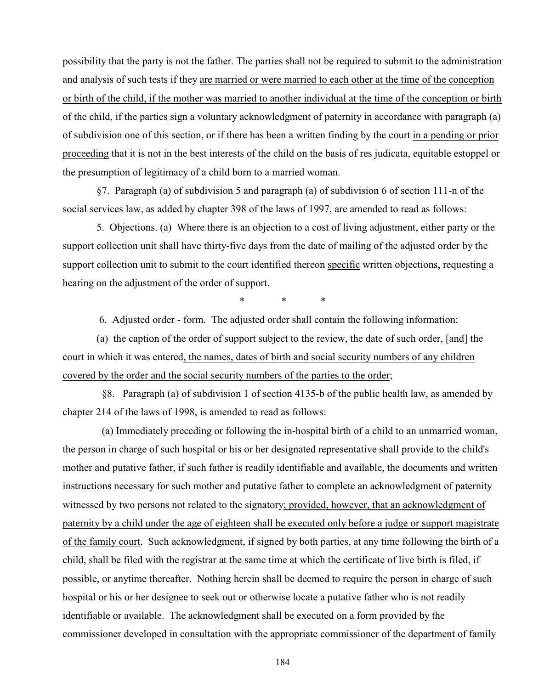possibility that the party is not the father. The parties shall not be required to submit to the administration and analysis of such tests if they are married or were married to each other at the time of the conception or birth of the child, if the mother was married to another individual at the time of the conception or birth of the child, if the parties sign a voluntary acknowledgment of paternity in accordance with paragraph (a) of subdivision one of this section, or if there has been a written finding by the court in a pending or prior proceeding that it is not in the best interests of the child on the basis of res judicata, equitable estoppel or the presumption of legitimacy of a child born to a married woman.

 §7. Paragraph (a) of subdivision 5 and paragraph (a) of subdivision 6 of section 111-n of the social services law, as added by chapter 398 of the laws of 1997, are amended to read as follows:

 5. Objections. (a) Where there is an objection to a cost of living adjustment, either party or the support collection unit shall have thirty-five days from the date of mailing of the adjusted order by the support collection unit to submit to the court identified thereon specific written objections, requesting a hearing on the adjustment of the order of support.

\* \* \*

6. Adjusted order - form. The adjusted order shall contain the following information:

 (a) the caption of the order of support subject to the review, the date of such order, [and] the court in which it was entered, the names, dates of birth and social security numbers of any children covered by the order and the social security numbers of the parties to the order;

 §8. Paragraph (a) of subdivision 1 of section 4135-b of the public health law, as amended by chapter 214 of the laws of 1998, is amended to read as follows:

 (a) Immediately preceding or following the in-hospital birth of a child to an unmarried woman, the person in charge of such hospital or his or her designated representative shall provide to the child's mother and putative father, if such father is readily identifiable and available, the documents and written instructions necessary for such mother and putative father to complete an acknowledgment of paternity witnessed by two persons not related to the signatory; provided, however, that an acknowledgment of paternity by a child under the age of eighteen shall be executed only before a judge or support magistrate of the family court. Such acknowledgment, if signed by both parties, at any time following the birth of a child, shall be filed with the registrar at the same time at which the certificate of live birth is filed, if possible, or anytime thereafter. Nothing herein shall be deemed to require the person in charge of such hospital or his or her designee to seek out or otherwise locate a putative father who is not readily identifiable or available. The acknowledgment shall be executed on a form provided by the commissioner developed in consultation with the appropriate commissioner of the department of family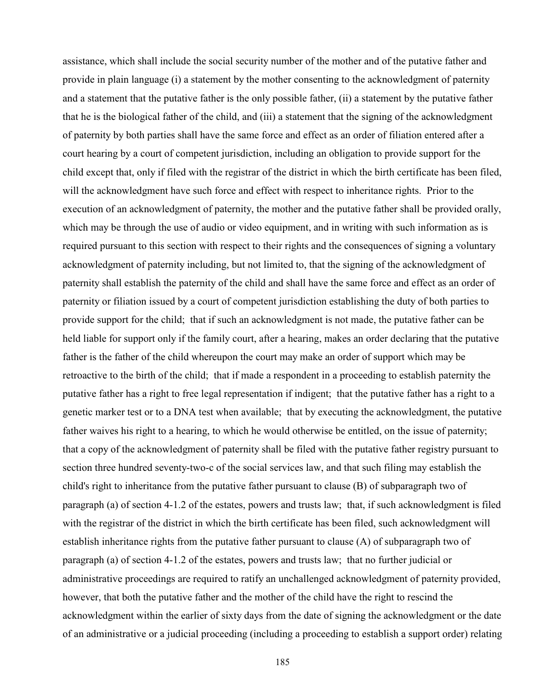assistance, which shall include the social security number of the mother and of the putative father and provide in plain language (i) a statement by the mother consenting to the acknowledgment of paternity and a statement that the putative father is the only possible father, (ii) a statement by the putative father that he is the biological father of the child, and (iii) a statement that the signing of the acknowledgment of paternity by both parties shall have the same force and effect as an order of filiation entered after a court hearing by a court of competent jurisdiction, including an obligation to provide support for the child except that, only if filed with the registrar of the district in which the birth certificate has been filed, will the acknowledgment have such force and effect with respect to inheritance rights. Prior to the execution of an acknowledgment of paternity, the mother and the putative father shall be provided orally, which may be through the use of audio or video equipment, and in writing with such information as is required pursuant to this section with respect to their rights and the consequences of signing a voluntary acknowledgment of paternity including, but not limited to, that the signing of the acknowledgment of paternity shall establish the paternity of the child and shall have the same force and effect as an order of paternity or filiation issued by a court of competent jurisdiction establishing the duty of both parties to provide support for the child; that if such an acknowledgment is not made, the putative father can be held liable for support only if the family court, after a hearing, makes an order declaring that the putative father is the father of the child whereupon the court may make an order of support which may be retroactive to the birth of the child; that if made a respondent in a proceeding to establish paternity the putative father has a right to free legal representation if indigent; that the putative father has a right to a genetic marker test or to a DNA test when available; that by executing the acknowledgment, the putative father waives his right to a hearing, to which he would otherwise be entitled, on the issue of paternity; that a copy of the acknowledgment of paternity shall be filed with the putative father registry pursuant to section three hundred seventy-two-c of the social services law, and that such filing may establish the child's right to inheritance from the putative father pursuant to clause (B) of subparagraph two of paragraph (a) of section 4-1.2 of the estates, powers and trusts law; that, if such acknowledgment is filed with the registrar of the district in which the birth certificate has been filed, such acknowledgment will establish inheritance rights from the putative father pursuant to clause (A) of subparagraph two of paragraph (a) of section 4-1.2 of the estates, powers and trusts law; that no further judicial or administrative proceedings are required to ratify an unchallenged acknowledgment of paternity provided, however, that both the putative father and the mother of the child have the right to rescind the acknowledgment within the earlier of sixty days from the date of signing the acknowledgment or the date of an administrative or a judicial proceeding (including a proceeding to establish a support order) relating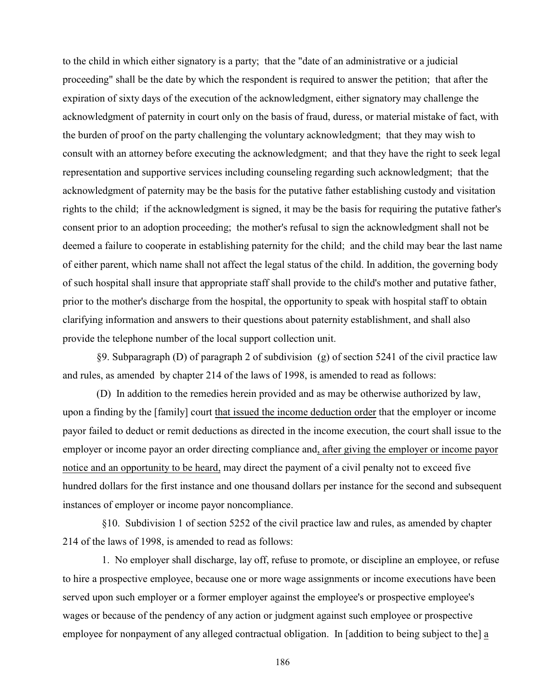to the child in which either signatory is a party; that the "date of an administrative or a judicial proceeding" shall be the date by which the respondent is required to answer the petition; that after the expiration of sixty days of the execution of the acknowledgment, either signatory may challenge the acknowledgment of paternity in court only on the basis of fraud, duress, or material mistake of fact, with the burden of proof on the party challenging the voluntary acknowledgment; that they may wish to consult with an attorney before executing the acknowledgment; and that they have the right to seek legal representation and supportive services including counseling regarding such acknowledgment; that the acknowledgment of paternity may be the basis for the putative father establishing custody and visitation rights to the child; if the acknowledgment is signed, it may be the basis for requiring the putative father's consent prior to an adoption proceeding; the mother's refusal to sign the acknowledgment shall not be deemed a failure to cooperate in establishing paternity for the child; and the child may bear the last name of either parent, which name shall not affect the legal status of the child. In addition, the governing body of such hospital shall insure that appropriate staff shall provide to the child's mother and putative father, prior to the mother's discharge from the hospital, the opportunity to speak with hospital staff to obtain clarifying information and answers to their questions about paternity establishment, and shall also provide the telephone number of the local support collection unit.

 §9. Subparagraph (D) of paragraph 2 of subdivision (g) of section 5241 of the civil practice law and rules, as amended by chapter 214 of the laws of 1998, is amended to read as follows:

 (D) In addition to the remedies herein provided and as may be otherwise authorized by law, upon a finding by the [family] court that issued the income deduction order that the employer or income payor failed to deduct or remit deductions as directed in the income execution, the court shall issue to the employer or income payor an order directing compliance and, after giving the employer or income payor notice and an opportunity to be heard, may direct the payment of a civil penalty not to exceed five hundred dollars for the first instance and one thousand dollars per instance for the second and subsequent instances of employer or income payor noncompliance.

 §10. Subdivision 1 of section 5252 of the civil practice law and rules, as amended by chapter 214 of the laws of 1998, is amended to read as follows:

 1. No employer shall discharge, lay off, refuse to promote, or discipline an employee, or refuse to hire a prospective employee, because one or more wage assignments or income executions have been served upon such employer or a former employer against the employee's or prospective employee's wages or because of the pendency of any action or judgment against such employee or prospective employee for nonpayment of any alleged contractual obligation. In [addition to being subject to the] a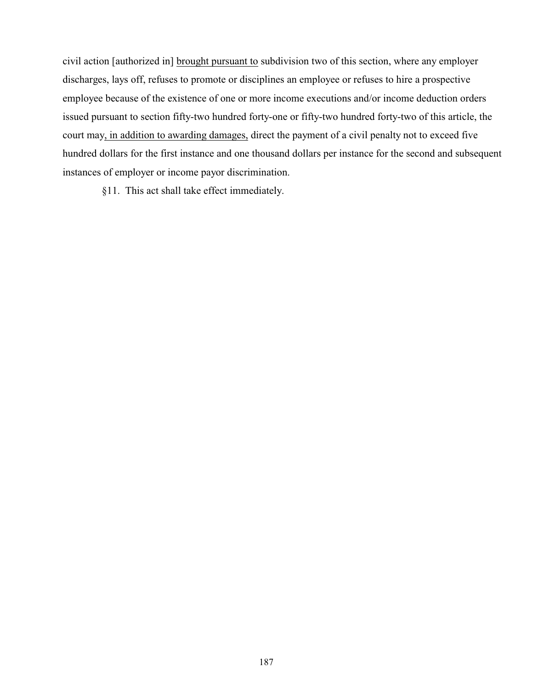civil action [authorized in] brought pursuant to subdivision two of this section, where any employer discharges, lays off, refuses to promote or disciplines an employee or refuses to hire a prospective employee because of the existence of one or more income executions and/or income deduction orders issued pursuant to section fifty-two hundred forty-one or fifty-two hundred forty-two of this article, the court may, in addition to awarding damages, direct the payment of a civil penalty not to exceed five hundred dollars for the first instance and one thousand dollars per instance for the second and subsequent instances of employer or income payor discrimination.

§11. This act shall take effect immediately.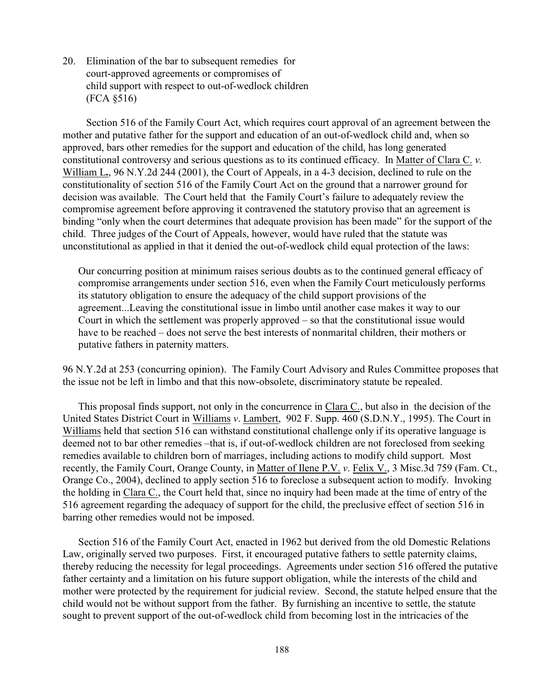20. Elimination of the bar to subsequent remedies for court-approved agreements or compromises of child support with respect to out-of-wedlock children (FCA §516)

 Section 516 of the Family Court Act, which requires court approval of an agreement between the mother and putative father for the support and education of an out-of-wedlock child and, when so approved, bars other remedies for the support and education of the child, has long generated constitutional controversy and serious questions as to its continued efficacy. In Matter of Clara C. *v.* William L**.**, 96 N.Y.2d 244 (2001), the Court of Appeals, in a 4-3 decision, declined to rule on the constitutionality of section 516 of the Family Court Act on the ground that a narrower ground for decision was available. The Court held that the Family Court's failure to adequately review the compromise agreement before approving it contravened the statutory proviso that an agreement is binding "only when the court determines that adequate provision has been made" for the support of the child. Three judges of the Court of Appeals, however, would have ruled that the statute was unconstitutional as applied in that it denied the out-of-wedlock child equal protection of the laws:

Our concurring position at minimum raises serious doubts as to the continued general efficacy of compromise arrangements under section 516, even when the Family Court meticulously performs its statutory obligation to ensure the adequacy of the child support provisions of the agreement...Leaving the constitutional issue in limbo until another case makes it way to our Court in which the settlement was properly approved – so that the constitutional issue would have to be reached – does not serve the best interests of nonmarital children, their mothers or putative fathers in paternity matters.

96 N.Y.2d at 253 (concurring opinion). The Family Court Advisory and Rules Committee proposes that the issue not be left in limbo and that this now-obsolete, discriminatory statute be repealed.

This proposal finds support, not only in the concurrence in Clara C., but also in the decision of the United States District Court in Williams *v*. Lambert, 902 F. Supp. 460 (S.D.N.Y., 1995). The Court in Williams held that section 516 can withstand constitutional challenge only if its operative language is deemed not to bar other remedies –that is, if out-of-wedlock children are not foreclosed from seeking remedies available to children born of marriages, including actions to modify child support. Most recently, the Family Court, Orange County, in Matter of Ilene P.V. *v*. Felix V., 3 Misc.3d 759 (Fam. Ct., Orange Co., 2004), declined to apply section 516 to foreclose a subsequent action to modify. Invoking the holding in Clara C., the Court held that, since no inquiry had been made at the time of entry of the 516 agreement regarding the adequacy of support for the child, the preclusive effect of section 516 in barring other remedies would not be imposed.

Section 516 of the Family Court Act, enacted in 1962 but derived from the old Domestic Relations Law, originally served two purposes. First, it encouraged putative fathers to settle paternity claims, thereby reducing the necessity for legal proceedings. Agreements under section 516 offered the putative father certainty and a limitation on his future support obligation, while the interests of the child and mother were protected by the requirement for judicial review. Second, the statute helped ensure that the child would not be without support from the father. By furnishing an incentive to settle, the statute sought to prevent support of the out-of-wedlock child from becoming lost in the intricacies of the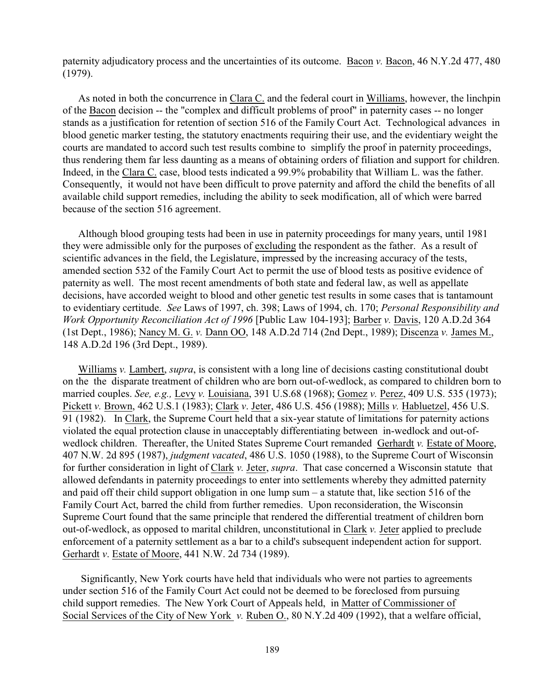paternity adjudicatory process and the uncertainties of its outcome. Bacon *v.* Bacon, 46 N.Y.2d 477, 480 (1979).

As noted in both the concurrence in Clara C. and the federal court in Williams, however, the linchpin of the Bacon decision -- the "complex and difficult problems of proof" in paternity cases -- no longer stands as a justification for retention of section 516 of the Family Court Act. Technological advances in blood genetic marker testing, the statutory enactments requiring their use, and the evidentiary weight the courts are mandated to accord such test results combine to simplify the proof in paternity proceedings, thus rendering them far less daunting as a means of obtaining orders of filiation and support for children. Indeed, in the Clara C. case, blood tests indicated a 99.9% probability that William L. was the father. Consequently, it would not have been difficult to prove paternity and afford the child the benefits of all available child support remedies, including the ability to seek modification, all of which were barred because of the section 516 agreement.

Although blood grouping tests had been in use in paternity proceedings for many years, until 1981 they were admissible only for the purposes of excluding the respondent as the father. As a result of scientific advances in the field, the Legislature, impressed by the increasing accuracy of the tests, amended section 532 of the Family Court Act to permit the use of blood tests as positive evidence of paternity as well. The most recent amendments of both state and federal law, as well as appellate decisions, have accorded weight to blood and other genetic test results in some cases that is tantamount to evidentiary certitude. *See* Laws of 1997, ch. 398; Laws of 1994, ch. 170; *Personal Responsibility and Work Opportunity Reconciliation Act of 1996* [Public Law 104-193]; Barber *v.* Davis, 120 A.D.2d 364 (1st Dept., 1986); Nancy M. G. *v.* Dann OO, 148 A.D.2d 714 (2nd Dept., 1989); Discenza *v.* James M., 148 A.D.2d 196 (3rd Dept., 1989).

Williams *v.* Lambert, *supra*, is consistent with a long line of decisions casting constitutional doubt on the the disparate treatment of children who are born out-of-wedlock, as compared to children born to married couples. *See, e.g.,* Levy *v.* Louisiana, 391 U.S.68 (1968); Gomez *v.* Perez, 409 U.S. 535 (1973); Pickett *v.* Brown, 462 U.S.1 (1983); Clark *v*. Jeter, 486 U.S. 456 (1988); Mills *v.* Habluetzel, 456 U.S. 91 (1982). In Clark, the Supreme Court held that a six-year statute of limitations for paternity actions violated the equal protection clause in unacceptably differentiating between in-wedlock and out-ofwedlock children. Thereafter, the United States Supreme Court remanded Gerhardt *v.* Estate of Moore, 407 N.W. 2d 895 (1987), *judgment vacated*, 486 U.S. 1050 (1988), to the Supreme Court of Wisconsin for further consideration in light of Clark *v.* Jeter, *supra*. That case concerned a Wisconsin statute that allowed defendants in paternity proceedings to enter into settlements whereby they admitted paternity and paid off their child support obligation in one lump sum – a statute that, like section 516 of the Family Court Act, barred the child from further remedies. Upon reconsideration, the Wisconsin Supreme Court found that the same principle that rendered the differential treatment of children born out-of-wedlock, as opposed to marital children, unconstitutional in Clark *v.* Jeter applied to preclude enforcement of a paternity settlement as a bar to a child's subsequent independent action for support. Gerhardt *v*. Estate of Moore, 441 N.W. 2d 734 (1989).

 Significantly, New York courts have held that individuals who were not parties to agreements under section 516 of the Family Court Act could not be deemed to be foreclosed from pursuing child support remedies. The New York Court of Appeals held, in Matter of Commissioner of Social Services of the City of New York *v.* Ruben O., 80 N.Y.2d 409 (1992), that a welfare official,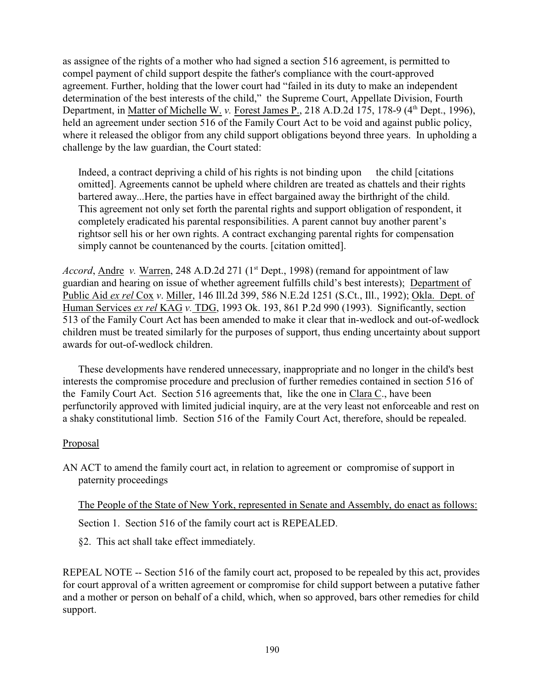as assignee of the rights of a mother who had signed a section 516 agreement, is permitted to compel payment of child support despite the father's compliance with the court-approved agreement. Further, holding that the lower court had "failed in its duty to make an independent determination of the best interests of the child," the Supreme Court, Appellate Division, Fourth Department, in Matter of Michelle W. *v.* Forest James P., 218 A.D.2d 175, 178-9 (4<sup>th</sup> Dept., 1996), held an agreement under section 516 of the Family Court Act to be void and against public policy, where it released the obligor from any child support obligations beyond three years. In upholding a challenge by the law guardian, the Court stated:

Indeed, a contract depriving a child of his rights is not binding upon the child [citations omitted]. Agreements cannot be upheld where children are treated as chattels and their rights bartered away...Here, the parties have in effect bargained away the birthright of the child. This agreement not only set forth the parental rights and support obligation of respondent, it completely eradicated his parental responsibilities. A parent cannot buy another parent's rightsor sell his or her own rights. A contract exchanging parental rights for compensation simply cannot be countenanced by the courts. [citation omitted].

*Accord*, Andre*v.* Warren, 248 A.D.2d 271 (1<sup>st</sup> Dept., 1998) (remand for appointment of law guardian and hearing on issue of whether agreement fulfills child's best interests); Department of Public Aid *ex rel* Cox *v*. Miller, 146 Ill.2d 399, 586 N.E.2d 1251 (S.Ct., Ill., 1992); Okla. Dept. of Human Services *ex rel* KAG *v.* TDG, 1993 Ok. 193, 861 P.2d 990 (1993). Significantly, section 513 of the Family Court Act has been amended to make it clear that in-wedlock and out-of-wedlock children must be treated similarly for the purposes of support, thus ending uncertainty about support awards for out-of-wedlock children.

These developments have rendered unnecessary, inappropriate and no longer in the child's best interests the compromise procedure and preclusion of further remedies contained in section 516 of the Family Court Act. Section 516 agreements that, like the one in Clara C., have been perfunctorily approved with limited judicial inquiry, are at the very least not enforceable and rest on a shaky constitutional limb. Section 516 of the Family Court Act, therefore, should be repealed.

## Proposal

AN ACT to amend the family court act, in relation to agreement or compromise of support in paternity proceedings

The People of the State of New York, represented in Senate and Assembly, do enact as follows:

Section 1. Section 516 of the family court act is REPEALED.

§2. This act shall take effect immediately.

REPEAL NOTE -- Section 516 of the family court act, proposed to be repealed by this act, provides for court approval of a written agreement or compromise for child support between a putative father and a mother or person on behalf of a child, which, when so approved, bars other remedies for child support.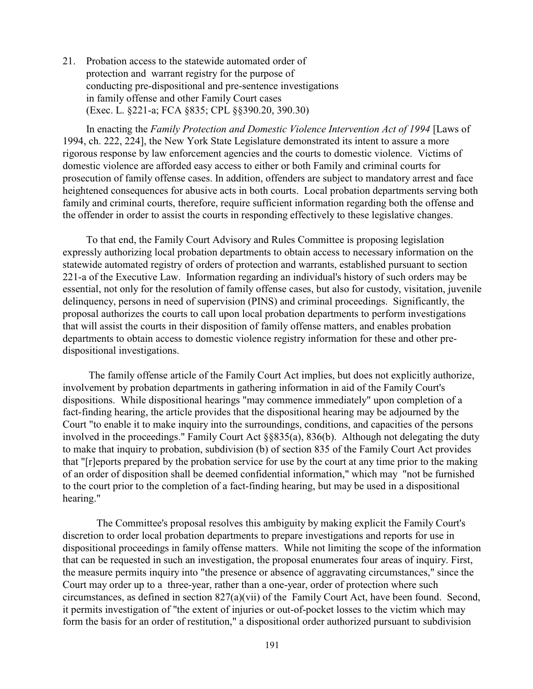21. Probation access to the statewide automated order of protection and warrant registry for the purpose of conducting pre-dispositional and pre-sentence investigations in family offense and other Family Court cases (Exec. L. §221-a; FCA §835; CPL §§390.20, 390.30)

In enacting the *Family Protection and Domestic Violence Intervention Act of 1994* [Laws of 1994, ch. 222, 224], the New York State Legislature demonstrated its intent to assure a more rigorous response by law enforcement agencies and the courts to domestic violence. Victims of domestic violence are afforded easy access to either or both Family and criminal courts for prosecution of family offense cases. In addition, offenders are subject to mandatory arrest and face heightened consequences for abusive acts in both courts. Local probation departments serving both family and criminal courts, therefore, require sufficient information regarding both the offense and the offender in order to assist the courts in responding effectively to these legislative changes.

 To that end, the Family Court Advisory and Rules Committee is proposing legislation expressly authorizing local probation departments to obtain access to necessary information on the statewide automated registry of orders of protection and warrants, established pursuant to section 221-a of the Executive Law. Information regarding an individual's history of such orders may be essential, not only for the resolution of family offense cases, but also for custody, visitation, juvenile delinquency, persons in need of supervision (PINS) and criminal proceedings. Significantly, the proposal authorizes the courts to call upon local probation departments to perform investigations that will assist the courts in their disposition of family offense matters, and enables probation departments to obtain access to domestic violence registry information for these and other predispositional investigations.

 The family offense article of the Family Court Act implies, but does not explicitly authorize, involvement by probation departments in gathering information in aid of the Family Court's dispositions. While dispositional hearings "may commence immediately" upon completion of a fact-finding hearing, the article provides that the dispositional hearing may be adjourned by the Court "to enable it to make inquiry into the surroundings, conditions, and capacities of the persons involved in the proceedings." Family Court Act §§835(a), 836(b). Although not delegating the duty to make that inquiry to probation, subdivision (b) of section 835 of the Family Court Act provides that "[r]eports prepared by the probation service for use by the court at any time prior to the making of an order of disposition shall be deemed confidential information," which may "not be furnished to the court prior to the completion of a fact-finding hearing, but may be used in a dispositional hearing."

 The Committee's proposal resolves this ambiguity by making explicit the Family Court's discretion to order local probation departments to prepare investigations and reports for use in dispositional proceedings in family offense matters. While not limiting the scope of the information that can be requested in such an investigation, the proposal enumerates four areas of inquiry. First, the measure permits inquiry into "the presence or absence of aggravating circumstances," since the Court may order up to a three-year, rather than a one-year, order of protection where such circumstances, as defined in section 827(a)(vii) of the Family Court Act, have been found. Second, it permits investigation of "the extent of injuries or out-of-pocket losses to the victim which may form the basis for an order of restitution," a dispositional order authorized pursuant to subdivision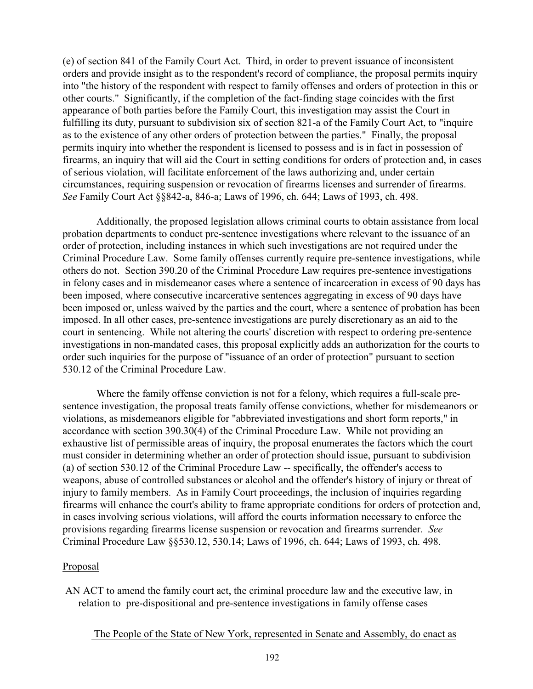(e) of section 841 of the Family Court Act. Third, in order to prevent issuance of inconsistent orders and provide insight as to the respondent's record of compliance, the proposal permits inquiry into "the history of the respondent with respect to family offenses and orders of protection in this or other courts." Significantly, if the completion of the fact-finding stage coincides with the first appearance of both parties before the Family Court, this investigation may assist the Court in fulfilling its duty, pursuant to subdivision six of section 821-a of the Family Court Act, to "inquire as to the existence of any other orders of protection between the parties." Finally, the proposal permits inquiry into whether the respondent is licensed to possess and is in fact in possession of firearms, an inquiry that will aid the Court in setting conditions for orders of protection and, in cases of serious violation, will facilitate enforcement of the laws authorizing and, under certain circumstances, requiring suspension or revocation of firearms licenses and surrender of firearms. *See* Family Court Act §§842-a, 846-a; Laws of 1996, ch. 644; Laws of 1993, ch. 498.

 Additionally, the proposed legislation allows criminal courts to obtain assistance from local probation departments to conduct pre-sentence investigations where relevant to the issuance of an order of protection, including instances in which such investigations are not required under the Criminal Procedure Law. Some family offenses currently require pre-sentence investigations, while others do not. Section 390.20 of the Criminal Procedure Law requires pre-sentence investigations in felony cases and in misdemeanor cases where a sentence of incarceration in excess of 90 days has been imposed, where consecutive incarcerative sentences aggregating in excess of 90 days have been imposed or, unless waived by the parties and the court, where a sentence of probation has been imposed. In all other cases, pre-sentence investigations are purely discretionary as an aid to the court in sentencing. While not altering the courts' discretion with respect to ordering pre-sentence investigations in non-mandated cases, this proposal explicitly adds an authorization for the courts to order such inquiries for the purpose of "issuance of an order of protection" pursuant to section 530.12 of the Criminal Procedure Law.

 Where the family offense conviction is not for a felony, which requires a full-scale presentence investigation, the proposal treats family offense convictions, whether for misdemeanors or violations, as misdemeanors eligible for "abbreviated investigations and short form reports," in accordance with section 390.30(4) of the Criminal Procedure Law. While not providing an exhaustive list of permissible areas of inquiry, the proposal enumerates the factors which the court must consider in determining whether an order of protection should issue, pursuant to subdivision (a) of section 530.12 of the Criminal Procedure Law -- specifically, the offender's access to weapons, abuse of controlled substances or alcohol and the offender's history of injury or threat of injury to family members. As in Family Court proceedings, the inclusion of inquiries regarding firearms will enhance the court's ability to frame appropriate conditions for orders of protection and, in cases involving serious violations, will afford the courts information necessary to enforce the provisions regarding firearms license suspension or revocation and firearms surrender. *See* Criminal Procedure Law §§530.12, 530.14; Laws of 1996, ch. 644; Laws of 1993, ch. 498.

## Proposal

 AN ACT to amend the family court act, the criminal procedure law and the executive law, in relation to pre-dispositional and pre-sentence investigations in family offense cases

The People of the State of New York, represented in Senate and Assembly, do enact as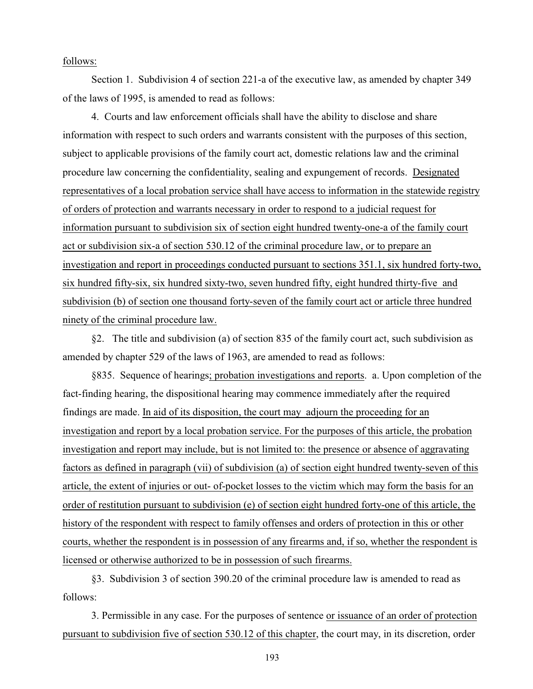#### follows:

 Section 1. Subdivision 4 of section 221-a of the executive law, as amended by chapter 349 of the laws of 1995, is amended to read as follows:

 4. Courts and law enforcement officials shall have the ability to disclose and share information with respect to such orders and warrants consistent with the purposes of this section, subject to applicable provisions of the family court act, domestic relations law and the criminal procedure law concerning the confidentiality, sealing and expungement of records. Designated representatives of a local probation service shall have access to information in the statewide registry of orders of protection and warrants necessary in order to respond to a judicial request for information pursuant to subdivision six of section eight hundred twenty-one-a of the family court act or subdivision six-a of section 530.12 of the criminal procedure law, or to prepare an investigation and report in proceedings conducted pursuant to sections 351.1, six hundred forty-two, six hundred fifty-six, six hundred sixty-two, seven hundred fifty, eight hundred thirty-five and subdivision (b) of section one thousand forty-seven of the family court act or article three hundred ninety of the criminal procedure law.

 §2. The title and subdivision (a) of section 835 of the family court act, such subdivision as amended by chapter 529 of the laws of 1963, are amended to read as follows:

 §835. Sequence of hearings; probation investigations and reports. a. Upon completion of the fact-finding hearing, the dispositional hearing may commence immediately after the required findings are made. In aid of its disposition, the court may adjourn the proceeding for an investigation and report by a local probation service. For the purposes of this article, the probation investigation and report may include, but is not limited to: the presence or absence of aggravating factors as defined in paragraph (vii) of subdivision (a) of section eight hundred twenty-seven of this article, the extent of injuries or out- of-pocket losses to the victim which may form the basis for an order of restitution pursuant to subdivision (e) of section eight hundred forty-one of this article, the history of the respondent with respect to family offenses and orders of protection in this or other courts, whether the respondent is in possession of any firearms and, if so, whether the respondent is licensed or otherwise authorized to be in possession of such firearms.

 §3. Subdivision 3 of section 390.20 of the criminal procedure law is amended to read as follows:

 3. Permissible in any case. For the purposes of sentence or issuance of an order of protection pursuant to subdivision five of section 530.12 of this chapter, the court may, in its discretion, order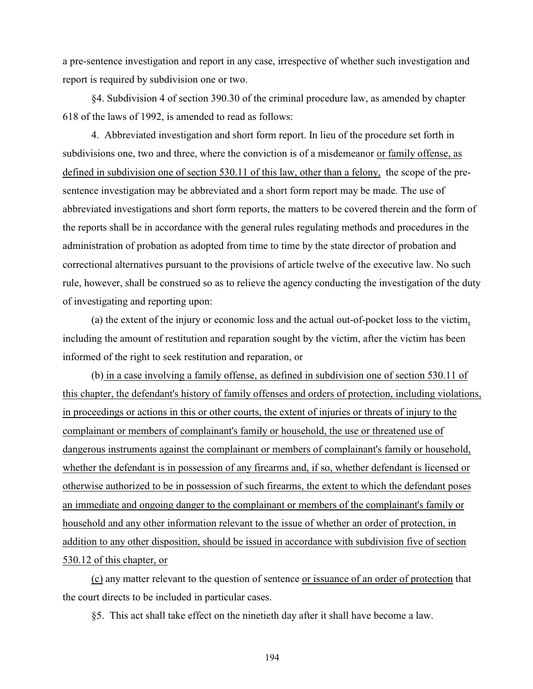a pre-sentence investigation and report in any case, irrespective of whether such investigation and report is required by subdivision one or two.

 §4. Subdivision 4 of section 390.30 of the criminal procedure law, as amended by chapter 618 of the laws of 1992, is amended to read as follows:

 4. Abbreviated investigation and short form report. In lieu of the procedure set forth in subdivisions one, two and three, where the conviction is of a misdemeanor or family offense, as defined in subdivision one of section 530.11 of this law, other than a felony, the scope of the presentence investigation may be abbreviated and a short form report may be made. The use of abbreviated investigations and short form reports, the matters to be covered therein and the form of the reports shall be in accordance with the general rules regulating methods and procedures in the administration of probation as adopted from time to time by the state director of probation and correctional alternatives pursuant to the provisions of article twelve of the executive law. No such rule, however, shall be construed so as to relieve the agency conducting the investigation of the duty of investigating and reporting upon:

 (a) the extent of the injury or economic loss and the actual out-of-pocket loss to the victim, including the amount of restitution and reparation sought by the victim, after the victim has been informed of the right to seek restitution and reparation, or

 (b) in a case involving a family offense, as defined in subdivision one of section 530.11 of this chapter, the defendant's history of family offenses and orders of protection, including violations, in proceedings or actions in this or other courts, the extent of injuries or threats of injury to the complainant or members of complainant's family or household, the use or threatened use of dangerous instruments against the complainant or members of complainant's family or household, whether the defendant is in possession of any firearms and, if so, whether defendant is licensed or otherwise authorized to be in possession of such firearms, the extent to which the defendant poses an immediate and ongoing danger to the complainant or members of the complainant's family or household and any other information relevant to the issue of whether an order of protection, in addition to any other disposition, should be issued in accordance with subdivision five of section 530.12 of this chapter, or

 (c) any matter relevant to the question of sentence or issuance of an order of protection that the court directs to be included in particular cases.

§5. This act shall take effect on the ninetieth day after it shall have become a law.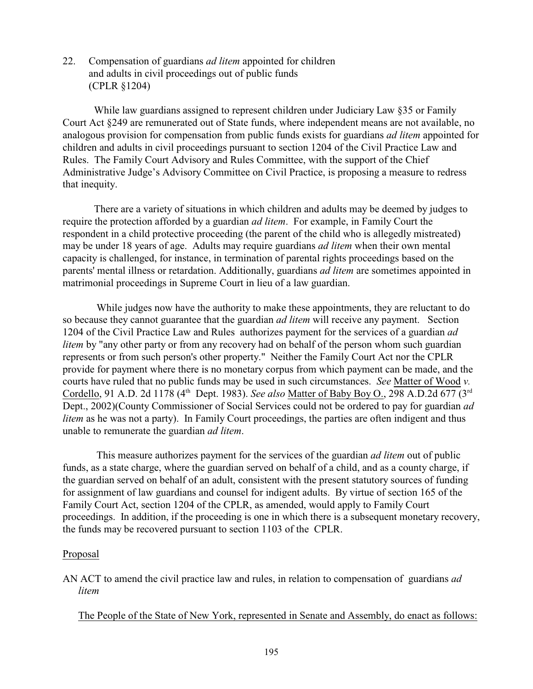22. Compensation of guardians *ad litem* appointed for children and adults in civil proceedings out of public funds (CPLR §1204)

 While law guardians assigned to represent children under Judiciary Law §35 or Family Court Act §249 are remunerated out of State funds, where independent means are not available, no analogous provision for compensation from public funds exists for guardians *ad litem* appointed for children and adults in civil proceedings pursuant to section 1204 of the Civil Practice Law and Rules. The Family Court Advisory and Rules Committee, with the support of the Chief Administrative Judge's Advisory Committee on Civil Practice, is proposing a measure to redress that inequity.

 There are a variety of situations in which children and adults may be deemed by judges to require the protection afforded by a guardian *ad litem*. For example, in Family Court the respondent in a child protective proceeding (the parent of the child who is allegedly mistreated) may be under 18 years of age. Adults may require guardians *ad litem* when their own mental capacity is challenged, for instance, in termination of parental rights proceedings based on the parents' mental illness or retardation. Additionally, guardians *ad litem* are sometimes appointed in matrimonial proceedings in Supreme Court in lieu of a law guardian.

While judges now have the authority to make these appointments, they are reluctant to do so because they cannot guarantee that the guardian *ad litem* will receive any payment. Section 1204 of the Civil Practice Law and Rules authorizes payment for the services of a guardian *ad litem* by "any other party or from any recovery had on behalf of the person whom such guardian represents or from such person's other property." Neither the Family Court Act nor the CPLR provide for payment where there is no monetary corpus from which payment can be made, and the courts have ruled that no public funds may be used in such circumstances. *See* Matter of Wood *v.* Cordello, 91 A.D. 2d 1178 (4<sup>th</sup> Dept. 1983). *See also* Matter of Baby Boy O., 298 A.D.2d 677 (3<sup>rd</sup> Dept., 2002)(County Commissioner of Social Services could not be ordered to pay for guardian *ad litem* as he was not a party). In Family Court proceedings, the parties are often indigent and thus unable to remunerate the guardian *ad litem*.

 This measure authorizes payment for the services of the guardian *ad litem* out of public funds, as a state charge, where the guardian served on behalf of a child, and as a county charge, if the guardian served on behalf of an adult, consistent with the present statutory sources of funding for assignment of law guardians and counsel for indigent adults. By virtue of section 165 of the Family Court Act, section 1204 of the CPLR, as amended, would apply to Family Court proceedings. In addition, if the proceeding is one in which there is a subsequent monetary recovery, the funds may be recovered pursuant to section 1103 of the CPLR.

# Proposal

AN ACT to amend the civil practice law and rules, in relation to compensation of guardians *ad litem*

The People of the State of New York, represented in Senate and Assembly, do enact as follows: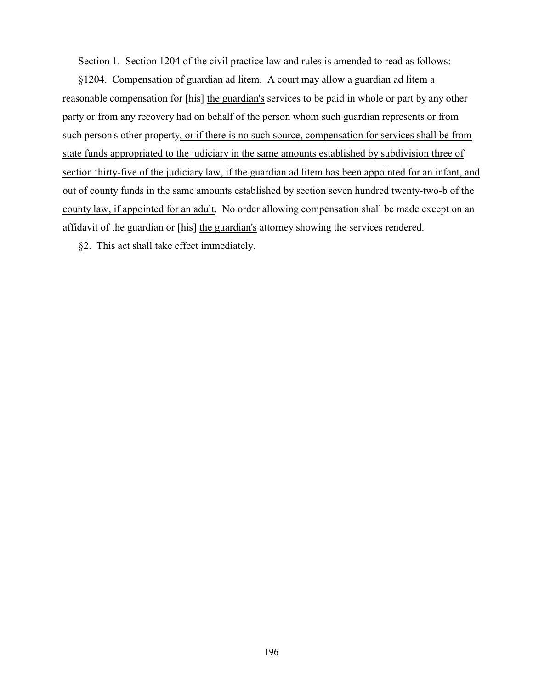Section 1. Section 1204 of the civil practice law and rules is amended to read as follows:

§1204. Compensation of guardian ad litem. A court may allow a guardian ad litem a reasonable compensation for [his] the guardian's services to be paid in whole or part by any other party or from any recovery had on behalf of the person whom such guardian represents or from such person's other property, or if there is no such source, compensation for services shall be from state funds appropriated to the judiciary in the same amounts established by subdivision three of section thirty-five of the judiciary law, if the guardian ad litem has been appointed for an infant, and out of county funds in the same amounts established by section seven hundred twenty-two-b of the county law, if appointed for an adult. No order allowing compensation shall be made except on an affidavit of the guardian or [his] the guardian's attorney showing the services rendered.

§2. This act shall take effect immediately.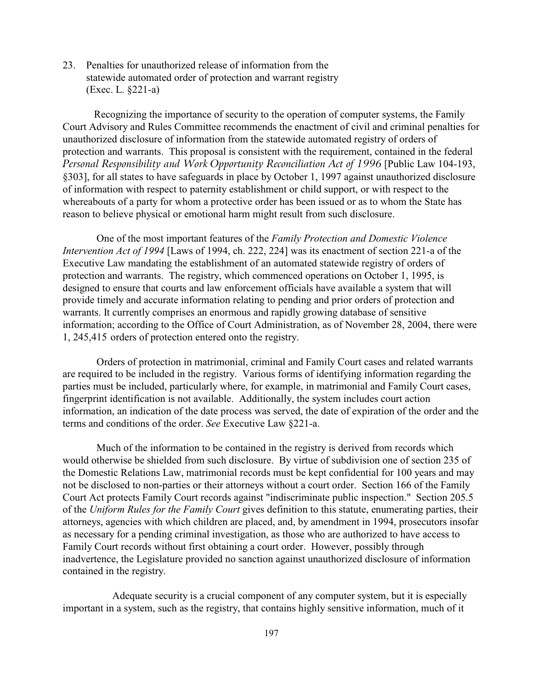23. Penalties for unauthorized release of information from the statewide automated order of protection and warrant registry (Exec. L. §221-a)

 Recognizing the importance of security to the operation of computer systems, the Family Court Advisory and Rules Committee recommends the enactment of civil and criminal penalties for unauthorized disclosure of information from the statewide automated registry of orders of protection and warrants. This proposal is consistent with the requirement, contained in the federal *Personal Responsibility and Work Opportunity Reconciliation Act of 1996* [Public Law 104-193, §303], for all states to have safeguards in place by October 1, 1997 against unauthorized disclosure of information with respect to paternity establishment or child support, or with respect to the whereabouts of a party for whom a protective order has been issued or as to whom the State has reason to believe physical or emotional harm might result from such disclosure.

 One of the most important features of the *Family Protection and Domestic Violence Intervention Act of 1994* [Laws of 1994, ch. 222, 224] was its enactment of section 221-a of the Executive Law mandating the establishment of an automated statewide registry of orders of protection and warrants. The registry, which commenced operations on October 1, 1995, is designed to ensure that courts and law enforcement officials have available a system that will provide timely and accurate information relating to pending and prior orders of protection and warrants. It currently comprises an enormous and rapidly growing database of sensitive information; according to the Office of Court Administration, as of November 28, 2004, there were 1, 245,415 orders of protection entered onto the registry.

 Orders of protection in matrimonial, criminal and Family Court cases and related warrants are required to be included in the registry. Various forms of identifying information regarding the parties must be included, particularly where, for example, in matrimonial and Family Court cases, fingerprint identification is not available. Additionally, the system includes court action information, an indication of the date process was served, the date of expiration of the order and the terms and conditions of the order. *See* Executive Law §221-a.

 Much of the information to be contained in the registry is derived from records which would otherwise be shielded from such disclosure. By virtue of subdivision one of section 235 of the Domestic Relations Law, matrimonial records must be kept confidential for 100 years and may not be disclosed to non-parties or their attorneys without a court order. Section 166 of the Family Court Act protects Family Court records against "indiscriminate public inspection." Section 205.5 of the *Uniform Rules for the Family Court* gives definition to this statute, enumerating parties, their attorneys, agencies with which children are placed, and, by amendment in 1994, prosecutors insofar as necessary for a pending criminal investigation, as those who are authorized to have access to Family Court records without first obtaining a court order. However, possibly through inadvertence, the Legislature provided no sanction against unauthorized disclosure of information contained in the registry.

 Adequate security is a crucial component of any computer system, but it is especially important in a system, such as the registry, that contains highly sensitive information, much of it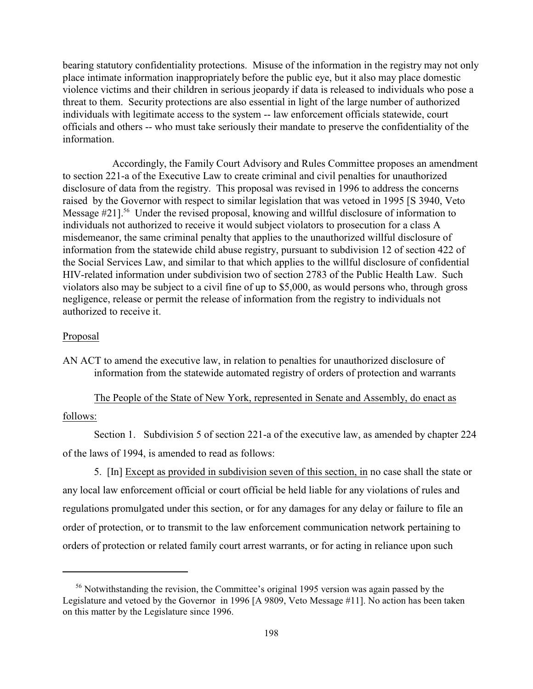bearing statutory confidentiality protections. Misuse of the information in the registry may not only place intimate information inappropriately before the public eye, but it also may place domestic violence victims and their children in serious jeopardy if data is released to individuals who pose a threat to them. Security protections are also essential in light of the large number of authorized individuals with legitimate access to the system -- law enforcement officials statewide, court officials and others -- who must take seriously their mandate to preserve the confidentiality of the information.

 Accordingly, the Family Court Advisory and Rules Committee proposes an amendment to section 221-a of the Executive Law to create criminal and civil penalties for unauthorized disclosure of data from the registry. This proposal was revised in 1996 to address the concerns raised by the Governor with respect to similar legislation that was vetoed in 1995 [S 3940, Veto Message  $\#21$ <sup>56</sup> Under the revised proposal, knowing and willful disclosure of information to individuals not authorized to receive it would subject violators to prosecution for a class A misdemeanor, the same criminal penalty that applies to the unauthorized willful disclosure of information from the statewide child abuse registry, pursuant to subdivision 12 of section 422 of the Social Services Law, and similar to that which applies to the willful disclosure of confidential HIV-related information under subdivision two of section 2783 of the Public Health Law. Such violators also may be subject to a civil fine of up to \$5,000, as would persons who, through gross negligence, release or permit the release of information from the registry to individuals not authorized to receive it.

#### Proposal

AN ACT to amend the executive law, in relation to penalties for unauthorized disclosure of information from the statewide automated registry of orders of protection and warrants

The People of the State of New York, represented in Senate and Assembly, do enact as follows:

Section 1. Subdivision 5 of section 221-a of the executive law, as amended by chapter 224 of the laws of 1994, is amended to read as follows:

5. [In] Except as provided in subdivision seven of this section, in no case shall the state or any local law enforcement official or court official be held liable for any violations of rules and regulations promulgated under this section, or for any damages for any delay or failure to file an order of protection, or to transmit to the law enforcement communication network pertaining to orders of protection or related family court arrest warrants, or for acting in reliance upon such

 $56$  Notwithstanding the revision, the Committee's original 1995 version was again passed by the Legislature and vetoed by the Governor in 1996 [A 9809, Veto Message #11]. No action has been taken on this matter by the Legislature since 1996.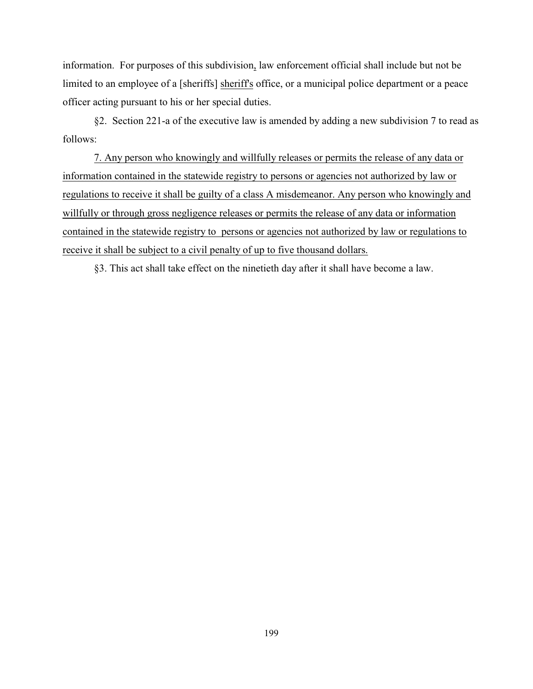information. For purposes of this subdivision, law enforcement official shall include but not be limited to an employee of a [sheriffs] sheriff's office, or a municipal police department or a peace officer acting pursuant to his or her special duties.

§2. Section 221-a of the executive law is amended by adding a new subdivision 7 to read as follows:

7. Any person who knowingly and willfully releases or permits the release of any data or information contained in the statewide registry to persons or agencies not authorized by law or regulations to receive it shall be guilty of a class A misdemeanor. Any person who knowingly and willfully or through gross negligence releases or permits the release of any data or information contained in the statewide registry to persons or agencies not authorized by law or regulations to receive it shall be subject to a civil penalty of up to five thousand dollars.

§3. This act shall take effect on the ninetieth day after it shall have become a law.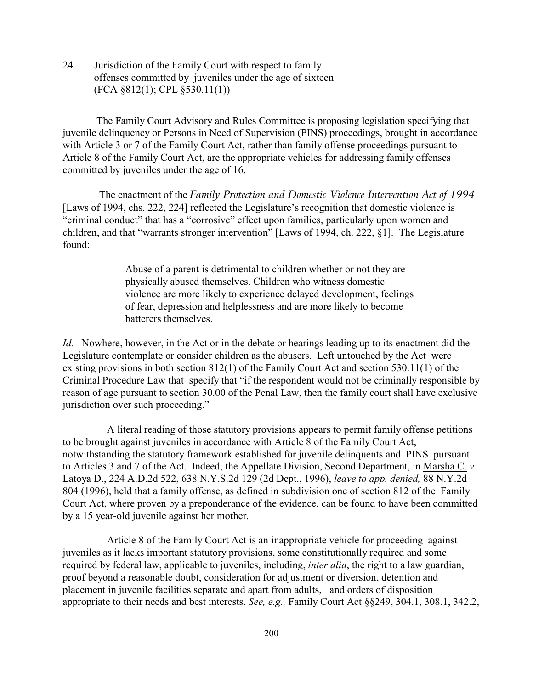24. Jurisdiction of the Family Court with respect to family offenses committed by juveniles under the age of sixteen (FCA §812(1); CPL §530.11(1))

 The Family Court Advisory and Rules Committee is proposing legislation specifying that juvenile delinquency or Persons in Need of Supervision (PINS) proceedings, brought in accordance with Article 3 or 7 of the Family Court Act, rather than family offense proceedings pursuant to Article 8 of the Family Court Act, are the appropriate vehicles for addressing family offenses committed by juveniles under the age of 16.

 The enactment of the *Family Protection and Domestic Violence Intervention Act of 1994* [Laws of 1994, chs. 222, 224] reflected the Legislature's recognition that domestic violence is "criminal conduct" that has a "corrosive" effect upon families, particularly upon women and children, and that "warrants stronger intervention" [Laws of 1994, ch. 222, §1]. The Legislature found:

> Abuse of a parent is detrimental to children whether or not they are physically abused themselves. Children who witness domestic violence are more likely to experience delayed development, feelings of fear, depression and helplessness and are more likely to become batterers themselves.

*Id.* Nowhere, however, in the Act or in the debate or hearings leading up to its enactment did the Legislature contemplate or consider children as the abusers. Left untouched by the Act were existing provisions in both section 812(1) of the Family Court Act and section 530.11(1) of the Criminal Procedure Law that specify that "if the respondent would not be criminally responsible by reason of age pursuant to section 30.00 of the Penal Law, then the family court shall have exclusive jurisdiction over such proceeding."

 A literal reading of those statutory provisions appears to permit family offense petitions to be brought against juveniles in accordance with Article 8 of the Family Court Act, notwithstanding the statutory framework established for juvenile delinquents and PINS pursuant to Articles 3 and 7 of the Act. Indeed, the Appellate Division, Second Department, in Marsha C. *v.* Latoya D., 224 A.D.2d 522, 638 N.Y.S.2d 129 (2d Dept., 1996), *leave to app. denied,* 88 N.Y.2d 804 (1996), held that a family offense, as defined in subdivision one of section 812 of the Family Court Act, where proven by a preponderance of the evidence, can be found to have been committed by a 15 year-old juvenile against her mother.

 Article 8 of the Family Court Act is an inappropriate vehicle for proceeding against juveniles as it lacks important statutory provisions, some constitutionally required and some required by federal law, applicable to juveniles, including, *inter alia*, the right to a law guardian, proof beyond a reasonable doubt, consideration for adjustment or diversion, detention and placement in juvenile facilities separate and apart from adults, and orders of disposition appropriate to their needs and best interests. *See, e.g.,* Family Court Act §§249, 304.1, 308.1, 342.2,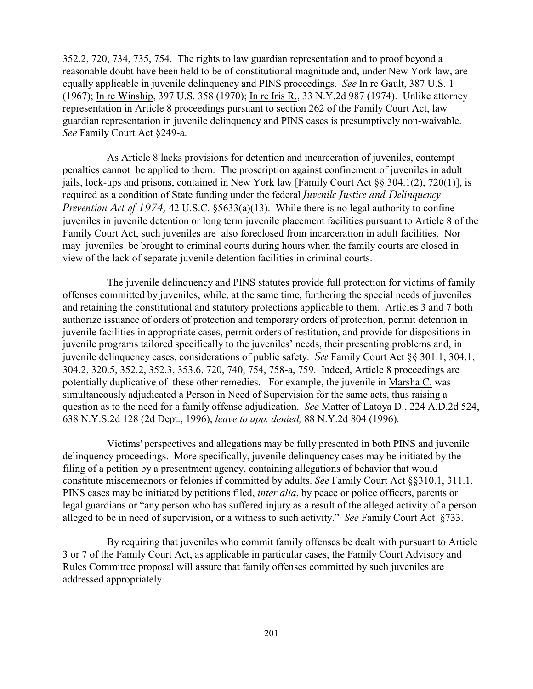352.2, 720, 734, 735, 754. The rights to law guardian representation and to proof beyond a reasonable doubt have been held to be of constitutional magnitude and, under New York law, are equally applicable in juvenile delinquency and PINS proceedings. *See* In re Gault, 387 U.S. 1 (1967); In re Winship, 397 U.S. 358 (1970); In re Iris R., 33 N.Y.2d 987 (1974). Unlike attorney representation in Article 8 proceedings pursuant to section 262 of the Family Court Act, law guardian representation in juvenile delinquency and PINS cases is presumptively non-waivable. *See* Family Court Act §249-a.

 As Article 8 lacks provisions for detention and incarceration of juveniles, contempt penalties cannot be applied to them. The proscription against confinement of juveniles in adult jails, lock-ups and prisons, contained in New York law [Family Court Act §§ 304.1(2), 720(1)], is required as a condition of State funding under the federal *Juvenile Justice and Delinquency Prevention Act of 1974,* 42 U.S.C. §5633(a)(13). While there is no legal authority to confine juveniles in juvenile detention or long term juvenile placement facilities pursuant to Article 8 of the Family Court Act, such juveniles are also foreclosed from incarceration in adult facilities. Nor may juveniles be brought to criminal courts during hours when the family courts are closed in view of the lack of separate juvenile detention facilities in criminal courts.

 The juvenile delinquency and PINS statutes provide full protection for victims of family offenses committed by juveniles, while, at the same time, furthering the special needs of juveniles and retaining the constitutional and statutory protections applicable to them. Articles 3 and 7 both authorize issuance of orders of protection and temporary orders of protection, permit detention in juvenile facilities in appropriate cases, permit orders of restitution, and provide for dispositions in juvenile programs tailored specifically to the juveniles' needs, their presenting problems and, in juvenile delinquency cases, considerations of public safety. *See* Family Court Act §§ 301.1, 304.1, 304.2, 320.5, 352.2, 352.3, 353.6, 720, 740, 754, 758-a, 759. Indeed, Article 8 proceedings are potentially duplicative of these other remedies. For example, the juvenile in Marsha C. was simultaneously adjudicated a Person in Need of Supervision for the same acts, thus raising a question as to the need for a family offense adjudication. *See* Matter of Latoya D., 224 A.D.2d 524, 638 N.Y.S.2d 128 (2d Dept., 1996), *leave to app. denied,* 88 N.Y.2d 804 (1996).

 Victims' perspectives and allegations may be fully presented in both PINS and juvenile delinquency proceedings. More specifically, juvenile delinquency cases may be initiated by the filing of a petition by a presentment agency, containing allegations of behavior that would constitute misdemeanors or felonies if committed by adults. *See* Family Court Act §§310.1, 311.1. PINS cases may be initiated by petitions filed, *inter alia*, by peace or police officers, parents or legal guardians or "any person who has suffered injury as a result of the alleged activity of a person alleged to be in need of supervision, or a witness to such activity." *See* Family Court Act §733.

 By requiring that juveniles who commit family offenses be dealt with pursuant to Article 3 or 7 of the Family Court Act, as applicable in particular cases, the Family Court Advisory and Rules Committee proposal will assure that family offenses committed by such juveniles are addressed appropriately.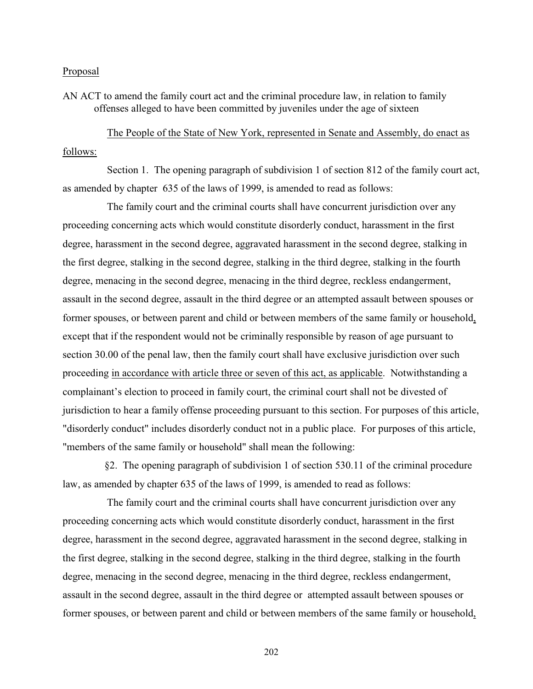#### Proposal

AN ACT to amend the family court act and the criminal procedure law, in relation to family offenses alleged to have been committed by juveniles under the age of sixteen

 The People of the State of New York, represented in Senate and Assembly, do enact as follows:

 Section 1. The opening paragraph of subdivision 1 of section 812 of the family court act, as amended by chapter 635 of the laws of 1999, is amended to read as follows:

 The family court and the criminal courts shall have concurrent jurisdiction over any proceeding concerning acts which would constitute disorderly conduct, harassment in the first degree, harassment in the second degree, aggravated harassment in the second degree, stalking in the first degree, stalking in the second degree, stalking in the third degree, stalking in the fourth degree, menacing in the second degree, menacing in the third degree, reckless endangerment, assault in the second degree, assault in the third degree or an attempted assault between spouses or former spouses, or between parent and child or between members of the same family or household, except that if the respondent would not be criminally responsible by reason of age pursuant to section 30.00 of the penal law, then the family court shall have exclusive jurisdiction over such proceeding in accordance with article three or seven of this act, as applicable. Notwithstanding a complainant's election to proceed in family court, the criminal court shall not be divested of jurisdiction to hear a family offense proceeding pursuant to this section. For purposes of this article, "disorderly conduct" includes disorderly conduct not in a public place. For purposes of this article, "members of the same family or household" shall mean the following:

 §2. The opening paragraph of subdivision 1 of section 530.11 of the criminal procedure law, as amended by chapter 635 of the laws of 1999, is amended to read as follows:

 The family court and the criminal courts shall have concurrent jurisdiction over any proceeding concerning acts which would constitute disorderly conduct, harassment in the first degree, harassment in the second degree, aggravated harassment in the second degree, stalking in the first degree, stalking in the second degree, stalking in the third degree, stalking in the fourth degree, menacing in the second degree, menacing in the third degree, reckless endangerment, assault in the second degree, assault in the third degree or attempted assault between spouses or former spouses, or between parent and child or between members of the same family or household,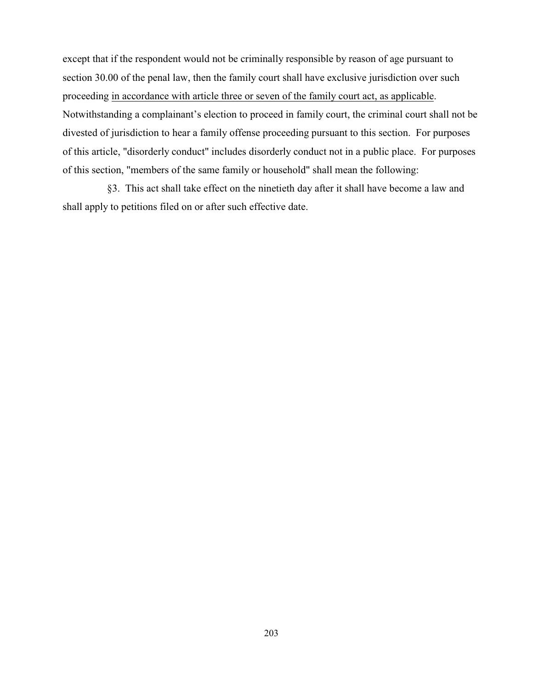except that if the respondent would not be criminally responsible by reason of age pursuant to section 30.00 of the penal law, then the family court shall have exclusive jurisdiction over such proceeding in accordance with article three or seven of the family court act, as applicable. Notwithstanding a complainant's election to proceed in family court, the criminal court shall not be divested of jurisdiction to hear a family offense proceeding pursuant to this section. For purposes of this article, "disorderly conduct" includes disorderly conduct not in a public place. For purposes of this section, "members of the same family or household" shall mean the following:

 §3. This act shall take effect on the ninetieth day after it shall have become a law and shall apply to petitions filed on or after such effective date.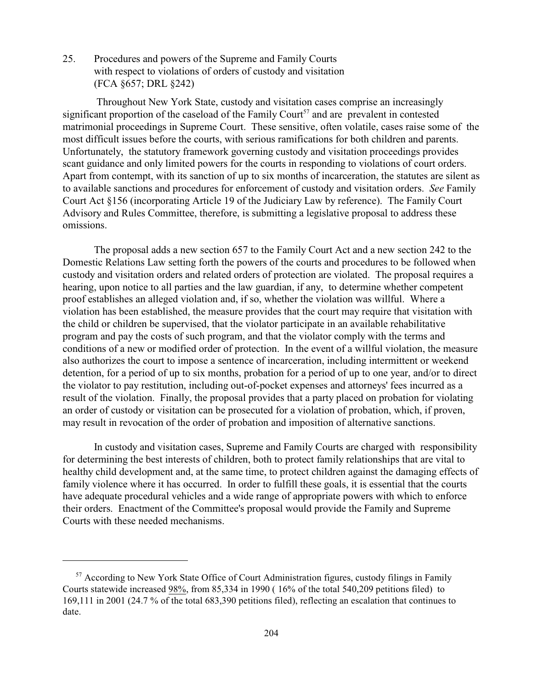25. Procedures and powers of the Supreme and Family Courts with respect to violations of orders of custody and visitation (FCA §657; DRL §242)

 Throughout New York State, custody and visitation cases comprise an increasingly significant proportion of the caseload of the Family Court<sup>57</sup> and are prevalent in contested matrimonial proceedings in Supreme Court. These sensitive, often volatile, cases raise some of the most difficult issues before the courts, with serious ramifications for both children and parents. Unfortunately, the statutory framework governing custody and visitation proceedings provides scant guidance and only limited powers for the courts in responding to violations of court orders. Apart from contempt, with its sanction of up to six months of incarceration, the statutes are silent as to available sanctions and procedures for enforcement of custody and visitation orders. *See* Family Court Act §156 (incorporating Article 19 of the Judiciary Law by reference). The Family Court Advisory and Rules Committee, therefore, is submitting a legislative proposal to address these omissions.

The proposal adds a new section 657 to the Family Court Act and a new section 242 to the Domestic Relations Law setting forth the powers of the courts and procedures to be followed when custody and visitation orders and related orders of protection are violated. The proposal requires a hearing, upon notice to all parties and the law guardian, if any, to determine whether competent proof establishes an alleged violation and, if so, whether the violation was willful. Where a violation has been established, the measure provides that the court may require that visitation with the child or children be supervised, that the violator participate in an available rehabilitative program and pay the costs of such program, and that the violator comply with the terms and conditions of a new or modified order of protection. In the event of a willful violation, the measure also authorizes the court to impose a sentence of incarceration, including intermittent or weekend detention, for a period of up to six months, probation for a period of up to one year, and/or to direct the violator to pay restitution, including out-of-pocket expenses and attorneys' fees incurred as a result of the violation. Finally, the proposal provides that a party placed on probation for violating an order of custody or visitation can be prosecuted for a violation of probation, which, if proven, may result in revocation of the order of probation and imposition of alternative sanctions.

In custody and visitation cases, Supreme and Family Courts are charged with responsibility for determining the best interests of children, both to protect family relationships that are vital to healthy child development and, at the same time, to protect children against the damaging effects of family violence where it has occurred. In order to fulfill these goals, it is essential that the courts have adequate procedural vehicles and a wide range of appropriate powers with which to enforce their orders. Enactment of the Committee's proposal would provide the Family and Supreme Courts with these needed mechanisms.

<sup>&</sup>lt;sup>57</sup> According to New York State Office of Court Administration figures, custody filings in Family Courts statewide increased 98%, from 85,334 in 1990 ( 16% of the total 540,209 petitions filed) to 169,111 in 2001 (24.7 % of the total 683,390 petitions filed), reflecting an escalation that continues to date.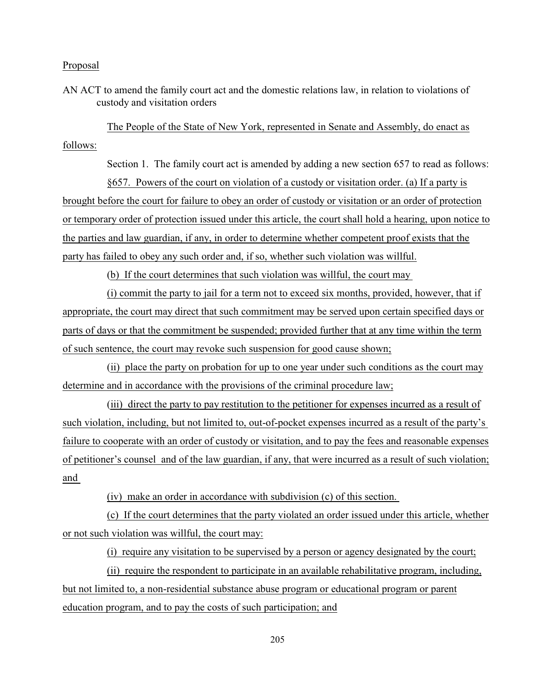#### Proposal

AN ACT to amend the family court act and the domestic relations law, in relation to violations of custody and visitation orders

 The People of the State of New York, represented in Senate and Assembly, do enact as follows:

Section 1. The family court act is amended by adding a new section 657 to read as follows:

 §657. Powers of the court on violation of a custody or visitation order. (a) If a party is brought before the court for failure to obey an order of custody or visitation or an order of protection or temporary order of protection issued under this article, the court shall hold a hearing, upon notice to the parties and law guardian, if any, in order to determine whether competent proof exists that the party has failed to obey any such order and, if so, whether such violation was willful.

(b) If the court determines that such violation was willful, the court may

 (i) commit the party to jail for a term not to exceed six months, provided, however, that if appropriate, the court may direct that such commitment may be served upon certain specified days or parts of days or that the commitment be suspended; provided further that at any time within the term of such sentence, the court may revoke such suspension for good cause shown;

 (ii) place the party on probation for up to one year under such conditions as the court may determine and in accordance with the provisions of the criminal procedure law;

 (iii) direct the party to pay restitution to the petitioner for expenses incurred as a result of such violation, including, but not limited to, out-of-pocket expenses incurred as a result of the party's failure to cooperate with an order of custody or visitation, and to pay the fees and reasonable expenses of petitioner's counsel and of the law guardian, if any, that were incurred as a result of such violation; and

(iv) make an order in accordance with subdivision (c) of this section.

 (c) If the court determines that the party violated an order issued under this article, whether or not such violation was willful, the court may:

(i) require any visitation to be supervised by a person or agency designated by the court;

 (ii) require the respondent to participate in an available rehabilitative program, including, but not limited to, a non-residential substance abuse program or educational program or parent education program, and to pay the costs of such participation; and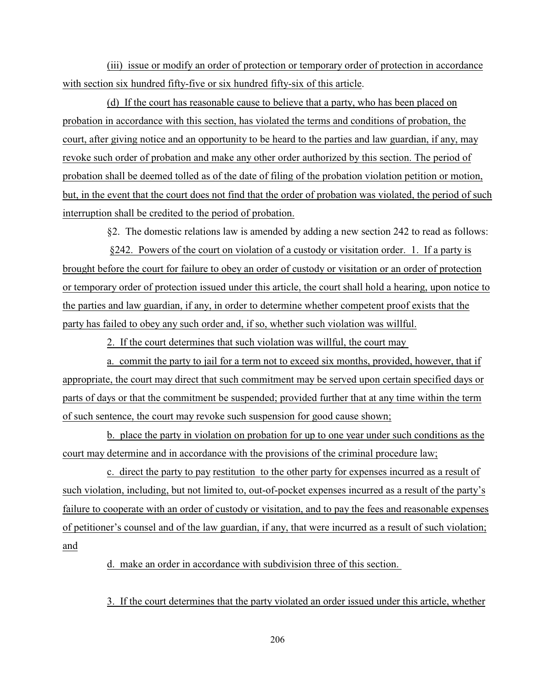(iii) issue or modify an order of protection or temporary order of protection in accordance with section six hundred fifty-five or six hundred fifty-six of this article.

 (d) If the court has reasonable cause to believe that a party, who has been placed on probation in accordance with this section, has violated the terms and conditions of probation, the court, after giving notice and an opportunity to be heard to the parties and law guardian, if any, may revoke such order of probation and make any other order authorized by this section. The period of probation shall be deemed tolled as of the date of filing of the probation violation petition or motion, but, in the event that the court does not find that the order of probation was violated, the period of such interruption shall be credited to the period of probation.

§2. The domestic relations law is amended by adding a new section 242 to read as follows:

 §242. Powers of the court on violation of a custody or visitation order. 1. If a party is brought before the court for failure to obey an order of custody or visitation or an order of protection or temporary order of protection issued under this article, the court shall hold a hearing, upon notice to the parties and law guardian, if any, in order to determine whether competent proof exists that the party has failed to obey any such order and, if so, whether such violation was willful.

2. If the court determines that such violation was willful, the court may

 a. commit the party to jail for a term not to exceed six months, provided, however, that if appropriate, the court may direct that such commitment may be served upon certain specified days or parts of days or that the commitment be suspended; provided further that at any time within the term of such sentence, the court may revoke such suspension for good cause shown;

 b. place the party in violation on probation for up to one year under such conditions as the court may determine and in accordance with the provisions of the criminal procedure law;

 c. direct the party to pay restitution to the other party for expenses incurred as a result of such violation, including, but not limited to, out-of-pocket expenses incurred as a result of the party's failure to cooperate with an order of custody or visitation, and to pay the fees and reasonable expenses of petitioner's counsel and of the law guardian, if any, that were incurred as a result of such violation; and

d. make an order in accordance with subdivision three of this section.

3. If the court determines that the party violated an order issued under this article, whether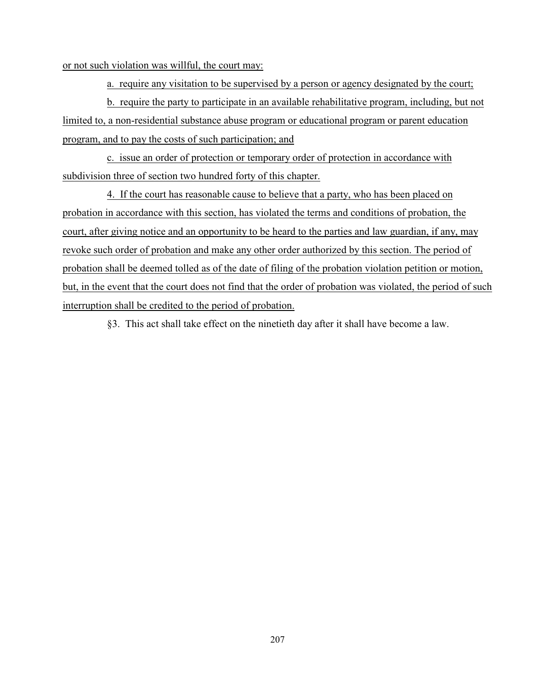or not such violation was willful, the court may:

a. require any visitation to be supervised by a person or agency designated by the court;

 b. require the party to participate in an available rehabilitative program, including, but not limited to, a non-residential substance abuse program or educational program or parent education program, and to pay the costs of such participation; and

 c. issue an order of protection or temporary order of protection in accordance with subdivision three of section two hundred forty of this chapter.

 4. If the court has reasonable cause to believe that a party, who has been placed on probation in accordance with this section, has violated the terms and conditions of probation, the court, after giving notice and an opportunity to be heard to the parties and law guardian, if any, may revoke such order of probation and make any other order authorized by this section. The period of probation shall be deemed tolled as of the date of filing of the probation violation petition or motion, but, in the event that the court does not find that the order of probation was violated, the period of such interruption shall be credited to the period of probation.

§3. This act shall take effect on the ninetieth day after it shall have become a law.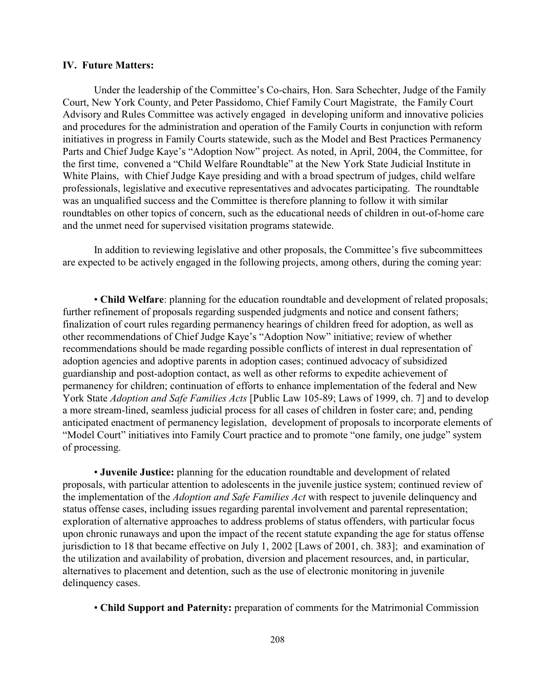#### **IV. Future Matters:**

Under the leadership of the Committee's Co-chairs, Hon. Sara Schechter, Judge of the Family Court, New York County, and Peter Passidomo, Chief Family Court Magistrate, the Family Court Advisory and Rules Committee was actively engaged in developing uniform and innovative policies and procedures for the administration and operation of the Family Courts in conjunction with reform initiatives in progress in Family Courts statewide, such as the Model and Best Practices Permanency Parts and Chief Judge Kaye's "Adoption Now" project. As noted, in April, 2004, the Committee, for the first time, convened a "Child Welfare Roundtable" at the New York State Judicial Institute in White Plains, with Chief Judge Kaye presiding and with a broad spectrum of judges, child welfare professionals, legislative and executive representatives and advocates participating. The roundtable was an unqualified success and the Committee is therefore planning to follow it with similar roundtables on other topics of concern, such as the educational needs of children in out-of-home care and the unmet need for supervised visitation programs statewide.

In addition to reviewing legislative and other proposals, the Committee's five subcommittees are expected to be actively engaged in the following projects, among others, during the coming year:

• **Child Welfare**: planning for the education roundtable and development of related proposals; further refinement of proposals regarding suspended judgments and notice and consent fathers; finalization of court rules regarding permanency hearings of children freed for adoption, as well as other recommendations of Chief Judge Kaye's "Adoption Now" initiative; review of whether recommendations should be made regarding possible conflicts of interest in dual representation of adoption agencies and adoptive parents in adoption cases; continued advocacy of subsidized guardianship and post-adoption contact, as well as other reforms to expedite achievement of permanency for children; continuation of efforts to enhance implementation of the federal and New York State *Adoption and Safe Families Acts* [Public Law 105-89; Laws of 1999, ch. 7] and to develop a more stream-lined, seamless judicial process for all cases of children in foster care; and, pending anticipated enactment of permanency legislation, development of proposals to incorporate elements of "Model Court" initiatives into Family Court practice and to promote "one family, one judge" system of processing.

• **Juvenile Justice:** planning for the education roundtable and development of related proposals, with particular attention to adolescents in the juvenile justice system; continued review of the implementation of the *Adoption and Safe Families Act* with respect to juvenile delinquency and status offense cases, including issues regarding parental involvement and parental representation; exploration of alternative approaches to address problems of status offenders, with particular focus upon chronic runaways and upon the impact of the recent statute expanding the age for status offense jurisdiction to 18 that became effective on July 1, 2002 [Laws of 2001, ch. 383]; and examination of the utilization and availability of probation, diversion and placement resources, and, in particular, alternatives to placement and detention, such as the use of electronic monitoring in juvenile delinquency cases.

• **Child Support and Paternity:** preparation of comments for the Matrimonial Commission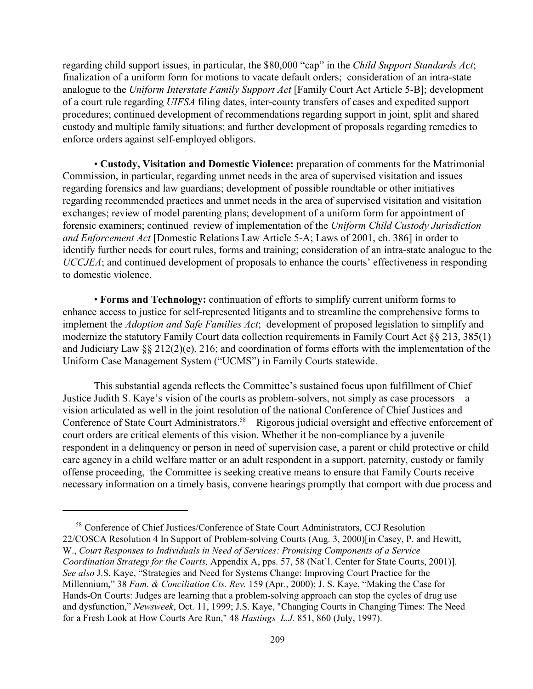regarding child support issues, in particular, the \$80,000 "cap" in the *Child Support Standards Act*; finalization of a uniform form for motions to vacate default orders; consideration of an intra-state analogue to the *Uniform Interstate Family Support Act* [Family Court Act Article 5-B]; development of a court rule regarding *UIFSA* filing dates, inter-county transfers of cases and expedited support procedures; continued development of recommendations regarding support in joint, split and shared custody and multiple family situations; and further development of proposals regarding remedies to enforce orders against self-employed obligors.

• **Custody, Visitation and Domestic Violence:** preparation of comments for the Matrimonial Commission, in particular, regarding unmet needs in the area of supervised visitation and issues regarding forensics and law guardians; development of possible roundtable or other initiatives regarding recommended practices and unmet needs in the area of supervised visitation and visitation exchanges; review of model parenting plans; development of a uniform form for appointment of forensic examiners; continued review of implementation of the *Uniform Child Custody Jurisdiction and Enforcement Act* [Domestic Relations Law Article 5-A; Laws of 2001, ch. 386] in order to identify further needs for court rules, forms and training; consideration of an intra-state analogue to the *UCCJEA*; and continued development of proposals to enhance the courts' effectiveness in responding to domestic violence.

• **Forms and Technology:** continuation of efforts to simplify current uniform forms to enhance access to justice for self-represented litigants and to streamline the comprehensive forms to implement the *Adoption and Safe Families Act*; development of proposed legislation to simplify and modernize the statutory Family Court data collection requirements in Family Court Act §§ 213, 385(1) and Judiciary Law §§ 212(2)(e), 216; and coordination of forms efforts with the implementation of the Uniform Case Management System ("UCMS") in Family Courts statewide.

This substantial agenda reflects the Committee's sustained focus upon fulfillment of Chief Justice Judith S. Kaye's vision of the courts as problem-solvers, not simply as case processors – a vision articulated as well in the joint resolution of the national Conference of Chief Justices and Conference of State Court Administrators.<sup>58</sup> Rigorous judicial oversight and effective enforcement of court orders are critical elements of this vision. Whether it be non-compliance by a juvenile respondent in a delinquency or person in need of supervision case, a parent or child protective or child care agency in a child welfare matter or an adult respondent in a support, paternity, custody or family offense proceeding, the Committee is seeking creative means to ensure that Family Courts receive necessary information on a timely basis, convene hearings promptly that comport with due process and

<sup>&</sup>lt;sup>58</sup> Conference of Chief Justices/Conference of State Court Administrators, CCJ Resolution 22/COSCA Resolution 4 In Support of Problem-solving Courts (Aug. 3, 2000)[in Casey, P. and Hewitt, W., *Court Responses to Individuals in Need of Services: Promising Components of a Service Coordination Strategy for the Courts,* Appendix A, pps. 57, 58 (Nat'l. Center for State Courts, 2001)]. *See also* J.S. Kaye, "Strategies and Need for Systems Change: Improving Court Practice for the Millennium," 38 *Fam. & Conciliation Cts. Rev.* 159 (Apr., 2000); J. S. Kaye, "Making the Case for Hands-On Courts: Judges are learning that a problem-solving approach can stop the cycles of drug use and dysfunction," *Newsweek*, Oct. 11, 1999; J.S. Kaye, "Changing Courts in Changing Times: The Need for a Fresh Look at How Courts Are Run," 48 *Hastings L.J.* 851, 860 (July, 1997).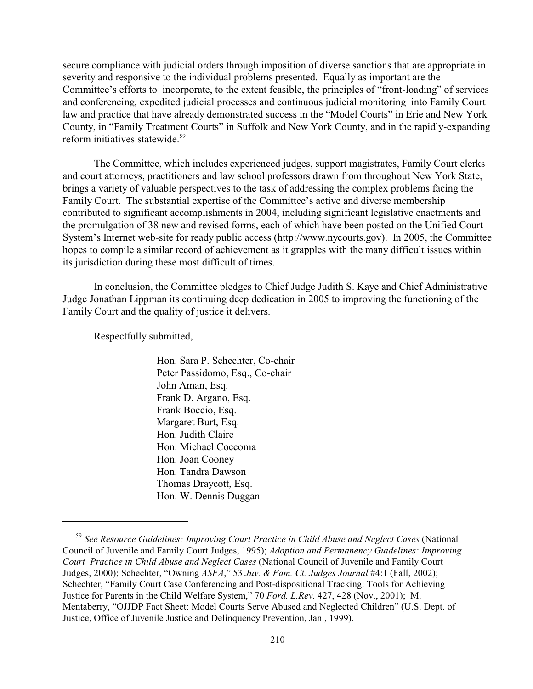secure compliance with judicial orders through imposition of diverse sanctions that are appropriate in severity and responsive to the individual problems presented. Equally as important are the Committee's efforts to incorporate, to the extent feasible, the principles of "front-loading" of services and conferencing, expedited judicial processes and continuous judicial monitoring into Family Court law and practice that have already demonstrated success in the "Model Courts" in Erie and New York County, in "Family Treatment Courts" in Suffolk and New York County, and in the rapidly-expanding reform initiatives statewide.<sup>59</sup>

The Committee, which includes experienced judges, support magistrates, Family Court clerks and court attorneys, practitioners and law school professors drawn from throughout New York State, brings a variety of valuable perspectives to the task of addressing the complex problems facing the Family Court. The substantial expertise of the Committee's active and diverse membership contributed to significant accomplishments in 2004, including significant legislative enactments and the promulgation of 38 new and revised forms, each of which have been posted on the Unified Court System's Internet web-site for ready public access (http://www.nycourts.gov). In 2005, the Committee hopes to compile a similar record of achievement as it grapples with the many difficult issues within its jurisdiction during these most difficult of times.

In conclusion, the Committee pledges to Chief Judge Judith S. Kaye and Chief Administrative Judge Jonathan Lippman its continuing deep dedication in 2005 to improving the functioning of the Family Court and the quality of justice it delivers.

Respectfully submitted,

Hon. Sara P. Schechter, Co-chair Peter Passidomo, Esq., Co-chair John Aman, Esq. Frank D. Argano, Esq. Frank Boccio, Esq. Margaret Burt, Esq. Hon. Judith Claire Hon. Michael Coccoma Hon. Joan Cooney Hon. Tandra Dawson Thomas Draycott, Esq. Hon. W. Dennis Duggan

<sup>&</sup>lt;sup>59</sup> See Resource Guidelines: Improving Court Practice in Child Abuse and Neglect Cases (National Council of Juvenile and Family Court Judges, 1995); *Adoption and Permanency Guidelines: Improving Court Practice in Child Abuse and Neglect Cases* (National Council of Juvenile and Family Court Judges, 2000); Schechter, "Owning *ASFA*," 53 *Juv. & Fam. Ct. Judges Journal* #4:1 (Fall, 2002); Schechter, "Family Court Case Conferencing and Post-dispositional Tracking: Tools for Achieving Justice for Parents in the Child Welfare System," 70 *Ford. L.Rev.* 427, 428 (Nov., 2001); M. Mentaberry, "OJJDP Fact Sheet: Model Courts Serve Abused and Neglected Children" (U.S. Dept. of Justice, Office of Juvenile Justice and Delinquency Prevention, Jan., 1999).